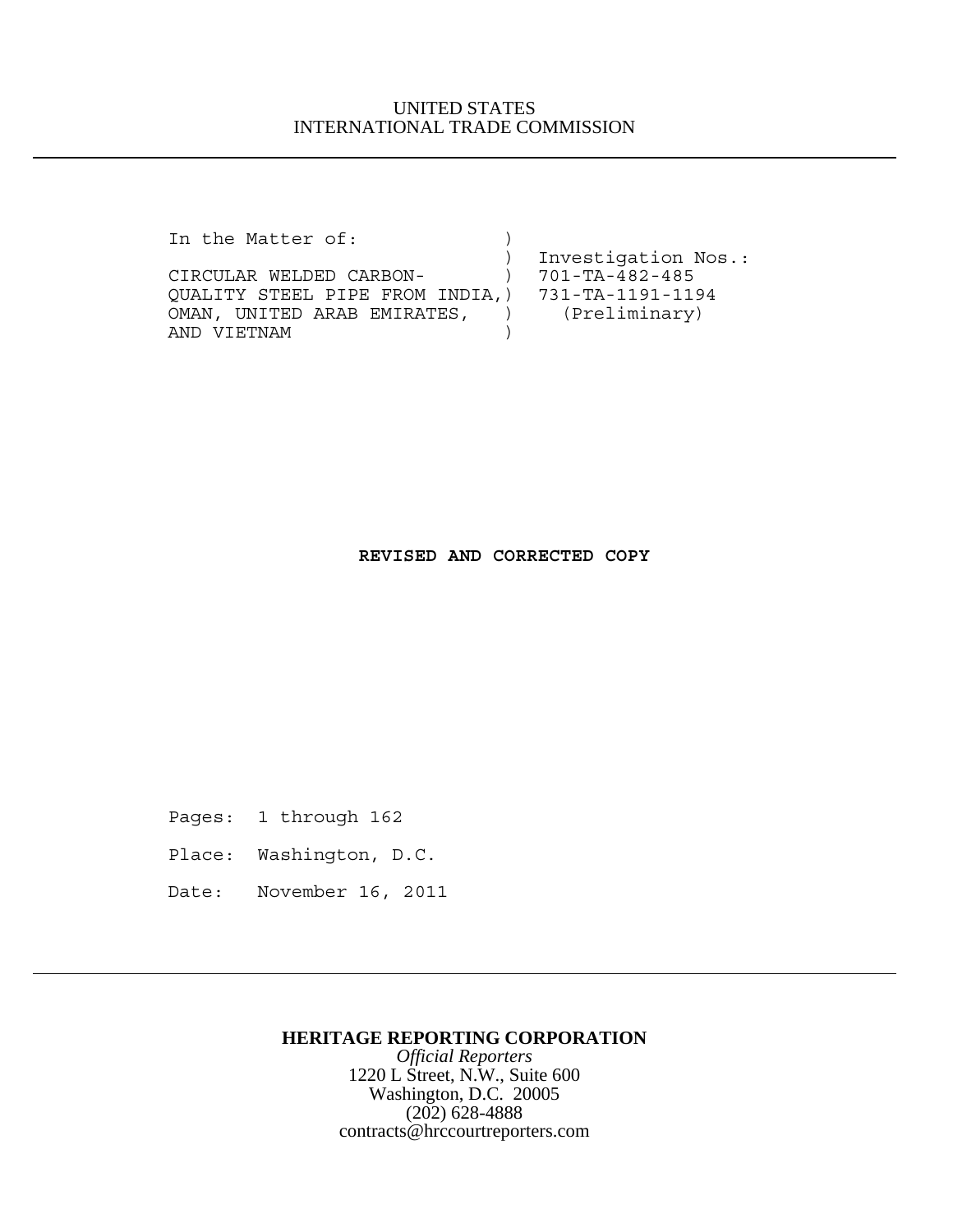In the Matter of:

 ) Investigation Nos.: CIRCULAR WELDED CARBON- ) 701-TA-482-485 QUALITY STEEL PIPE FROM INDIA,) 731-TA-1191-1194 OMAN, UNITED ARAB EMIRATES, ) (Preliminary) AND VIETNAM )

**REVISED AND CORRECTED COPY**

Pages: 1 through 162

- Place: Washington, D.C.
- Date: November 16, 2011

## **HERITAGE REPORTING CORPORATION**

*Official Reporters* 1220 L Street, N.W., Suite 600 Washington, D.C. 20005 (202) 628-4888 contracts@hrccourtreporters.com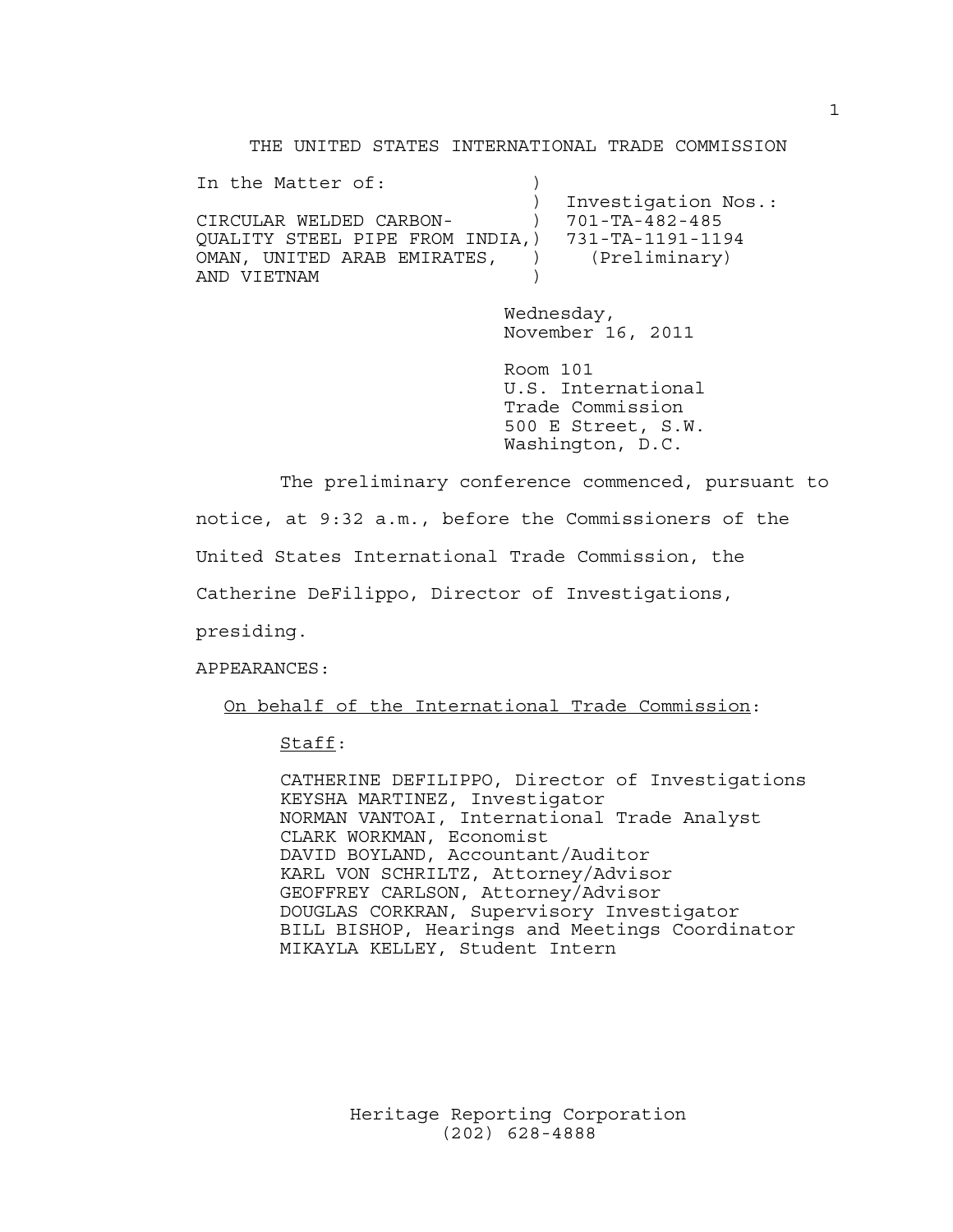THE UNITED STATES INTERNATIONAL TRADE COMMISSION

| In the Matter of:                                |                |                     |
|--------------------------------------------------|----------------|---------------------|
|                                                  |                | Investigation Nos.: |
| CIRCULAR WELDED CARBON-                          |                | 701-TA-482-485      |
| QUALITY STEEL PIPE FROM INDIA,) 731-TA-1191-1194 |                |                     |
| OMAN, UNITED ARAB EMIRATES,                      | $\overline{1}$ | (Preliminary)       |
| AND VIETNAM                                      |                |                     |

Wednesday, November 16, 2011

Room 101 U.S. International Trade Commission 500 E Street, S.W. Washington, D.C.

The preliminary conference commenced, pursuant to notice, at 9:32 a.m., before the Commissioners of the United States International Trade Commission, the Catherine DeFilippo, Director of Investigations, presiding.

APPEARANCES:

On behalf of the International Trade Commission:

Staff:

CATHERINE DEFILIPPO, Director of Investigations KEYSHA MARTINEZ, Investigator NORMAN VANTOAI, International Trade Analyst CLARK WORKMAN, Economist DAVID BOYLAND, Accountant/Auditor KARL VON SCHRILTZ, Attorney/Advisor GEOFFREY CARLSON, Attorney/Advisor DOUGLAS CORKRAN, Supervisory Investigator BILL BISHOP, Hearings and Meetings Coordinator MIKAYLA KELLEY, Student Intern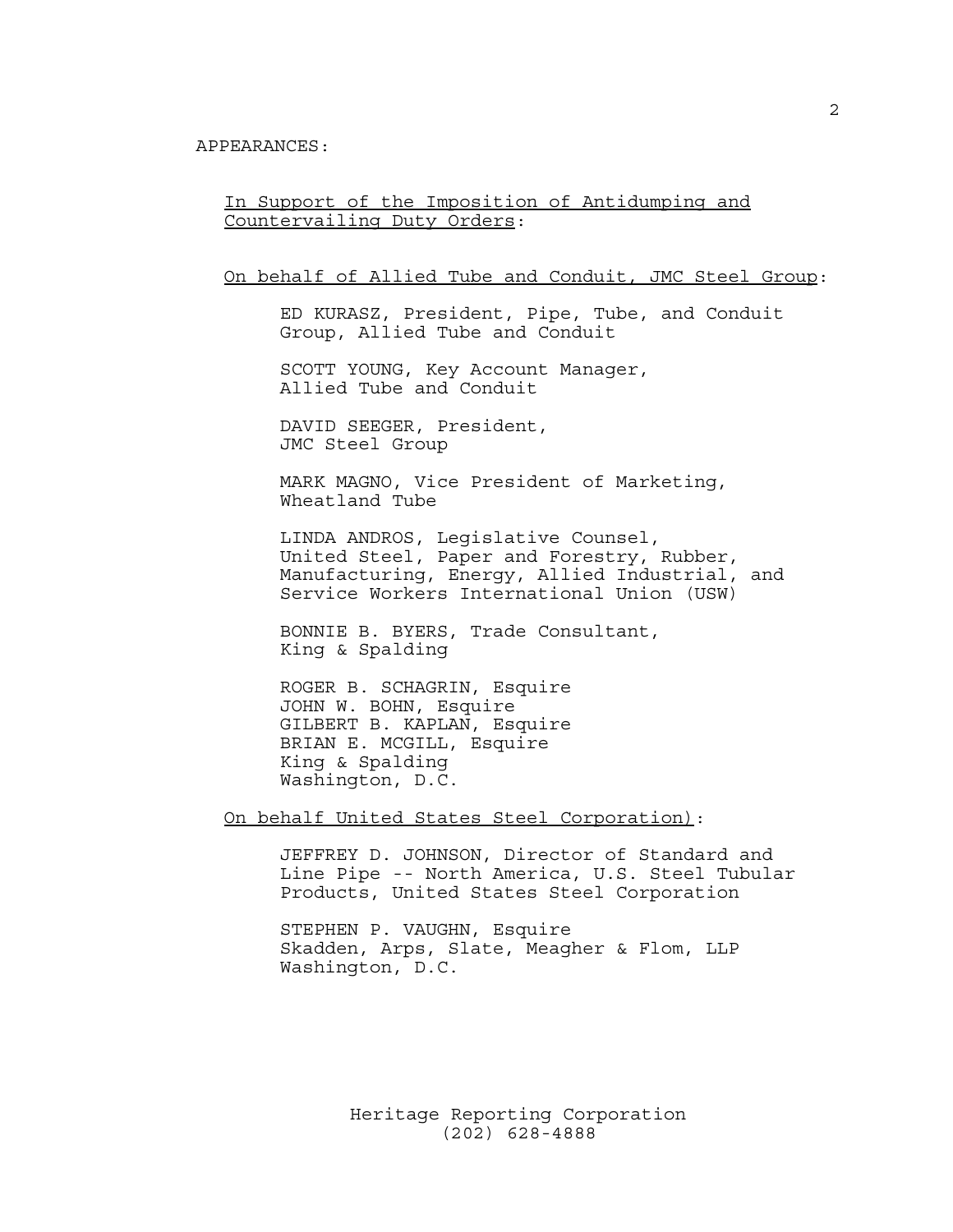In Support of the Imposition of Antidumping and Countervailing Duty Orders:

On behalf of Allied Tube and Conduit, JMC Steel Group:

ED KURASZ, President, Pipe, Tube, and Conduit Group, Allied Tube and Conduit

SCOTT YOUNG, Key Account Manager, Allied Tube and Conduit

DAVID SEEGER, President, JMC Steel Group

MARK MAGNO, Vice President of Marketing, Wheatland Tube

LINDA ANDROS, Legislative Counsel, United Steel, Paper and Forestry, Rubber, Manufacturing, Energy, Allied Industrial, and Service Workers International Union (USW)

BONNIE B. BYERS, Trade Consultant, King & Spalding

ROGER B. SCHAGRIN, Esquire JOHN W. BOHN, Esquire GILBERT B. KAPLAN, Esquire BRIAN E. MCGILL, Esquire King & Spalding Washington, D.C.

On behalf United States Steel Corporation):

JEFFREY D. JOHNSON, Director of Standard and Line Pipe -- North America, U.S. Steel Tubular Products, United States Steel Corporation

STEPHEN P. VAUGHN, Esquire Skadden, Arps, Slate, Meagher & Flom, LLP Washington, D.C.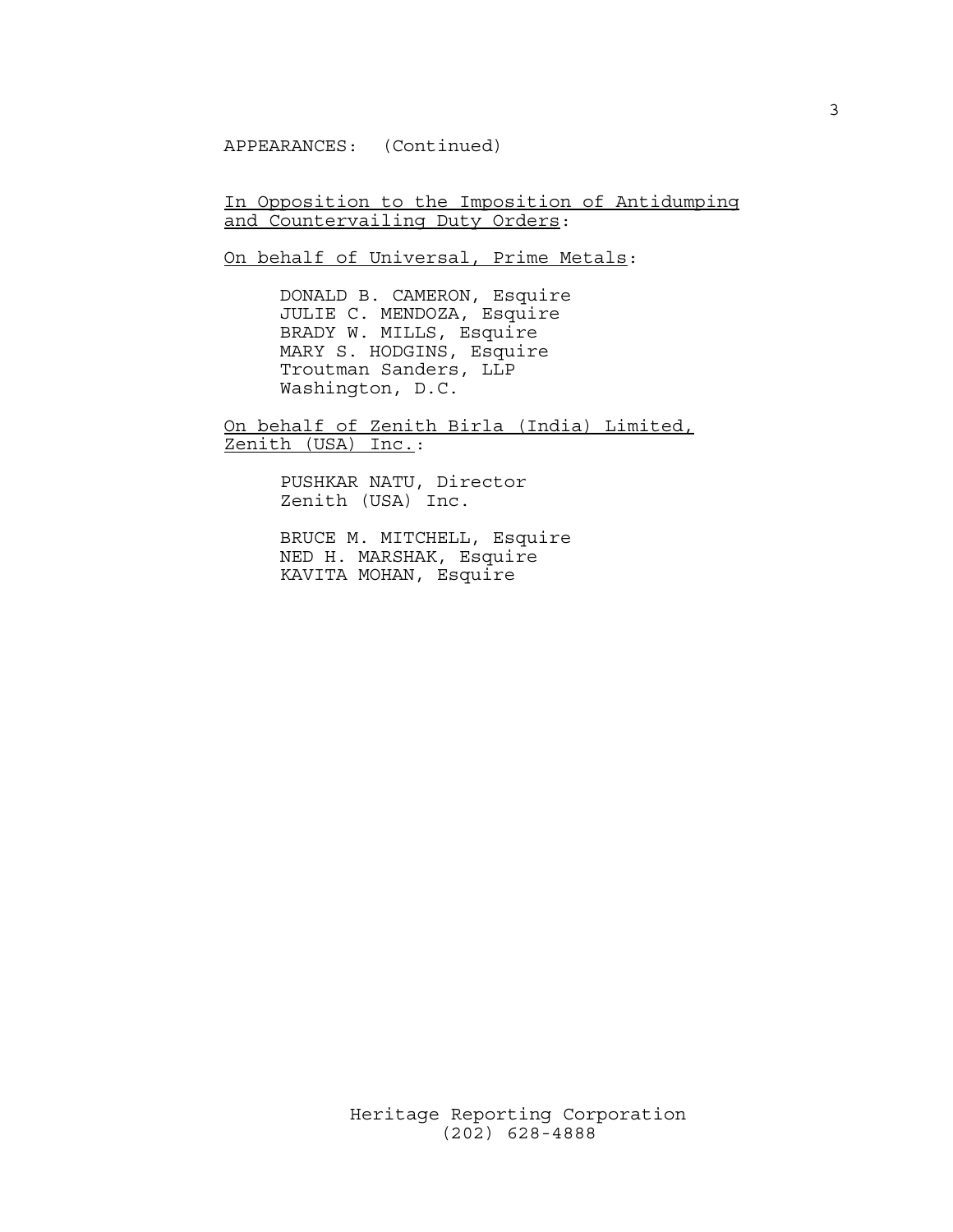APPEARANCES: (Continued)

In Opposition to the Imposition of Antidumping and Countervailing Duty Orders:

On behalf of Universal, Prime Metals:

DONALD B. CAMERON, Esquire JULIE C. MENDOZA, Esquire BRADY W. MILLS, Esquire MARY S. HODGINS, Esquire Troutman Sanders, LLP Washington, D.C.

On behalf of Zenith Birla (India) Limited, Zenith (USA) Inc.:

> PUSHKAR NATU, Director Zenith (USA) Inc.

BRUCE M. MITCHELL, Esquire NED H. MARSHAK, Esquire KAVITA MOHAN, Esquire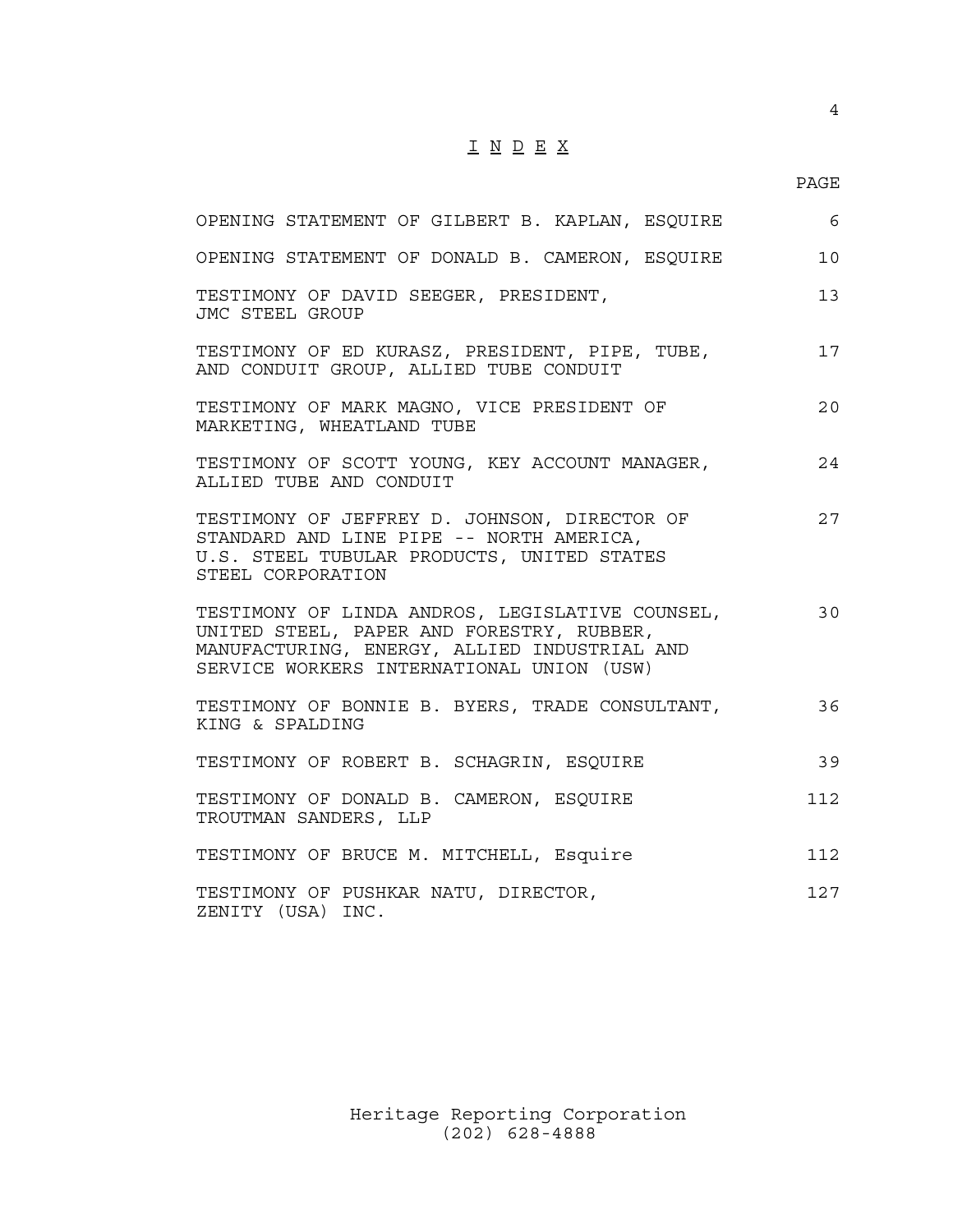## I N D E X

## PAGE

| OPENING STATEMENT OF GILBERT B. KAPLAN, ESQUIRE                                                                                                                                           | 6   |
|-------------------------------------------------------------------------------------------------------------------------------------------------------------------------------------------|-----|
| OPENING STATEMENT OF DONALD B. CAMERON, ESQUIRE                                                                                                                                           | 10  |
| TESTIMONY OF DAVID SEEGER, PRESIDENT,<br>JMC STEEL GROUP                                                                                                                                  | 13  |
| TESTIMONY OF ED KURASZ, PRESIDENT, PIPE, TUBE,<br>AND CONDUIT GROUP, ALLIED TUBE CONDUIT                                                                                                  | 17  |
| TESTIMONY OF MARK MAGNO, VICE PRESIDENT OF<br>MARKETING, WHEATLAND TUBE                                                                                                                   | 20  |
| TESTIMONY OF SCOTT YOUNG, KEY ACCOUNT MANAGER,<br>ALLIED TUBE AND CONDUIT                                                                                                                 | 24  |
| TESTIMONY OF JEFFREY D. JOHNSON, DIRECTOR OF<br>STANDARD AND LINE PIPE -- NORTH AMERICA,<br>U.S. STEEL TUBULAR PRODUCTS, UNITED STATES<br>STEEL CORPORATION                               | 27  |
| TESTIMONY OF LINDA ANDROS, LEGISLATIVE COUNSEL,<br>UNITED STEEL, PAPER AND FORESTRY, RUBBER,<br>MANUFACTURING, ENERGY, ALLIED INDUSTRIAL AND<br>SERVICE WORKERS INTERNATIONAL UNION (USW) | 30  |
| TESTIMONY OF BONNIE B. BYERS, TRADE CONSULTANT,<br>KING & SPALDING                                                                                                                        | 36  |
| TESTIMONY OF ROBERT B. SCHAGRIN, ESQUIRE                                                                                                                                                  | 39  |
| TESTIMONY OF DONALD B. CAMERON, ESQUIRE<br>TROUTMAN SANDERS, LLP                                                                                                                          | 112 |
| TESTIMONY OF BRUCE M. MITCHELL, Esquire                                                                                                                                                   | 112 |
| TESTIMONY OF PUSHKAR NATU, DIRECTOR,<br>ZENITY (USA) INC.                                                                                                                                 | 127 |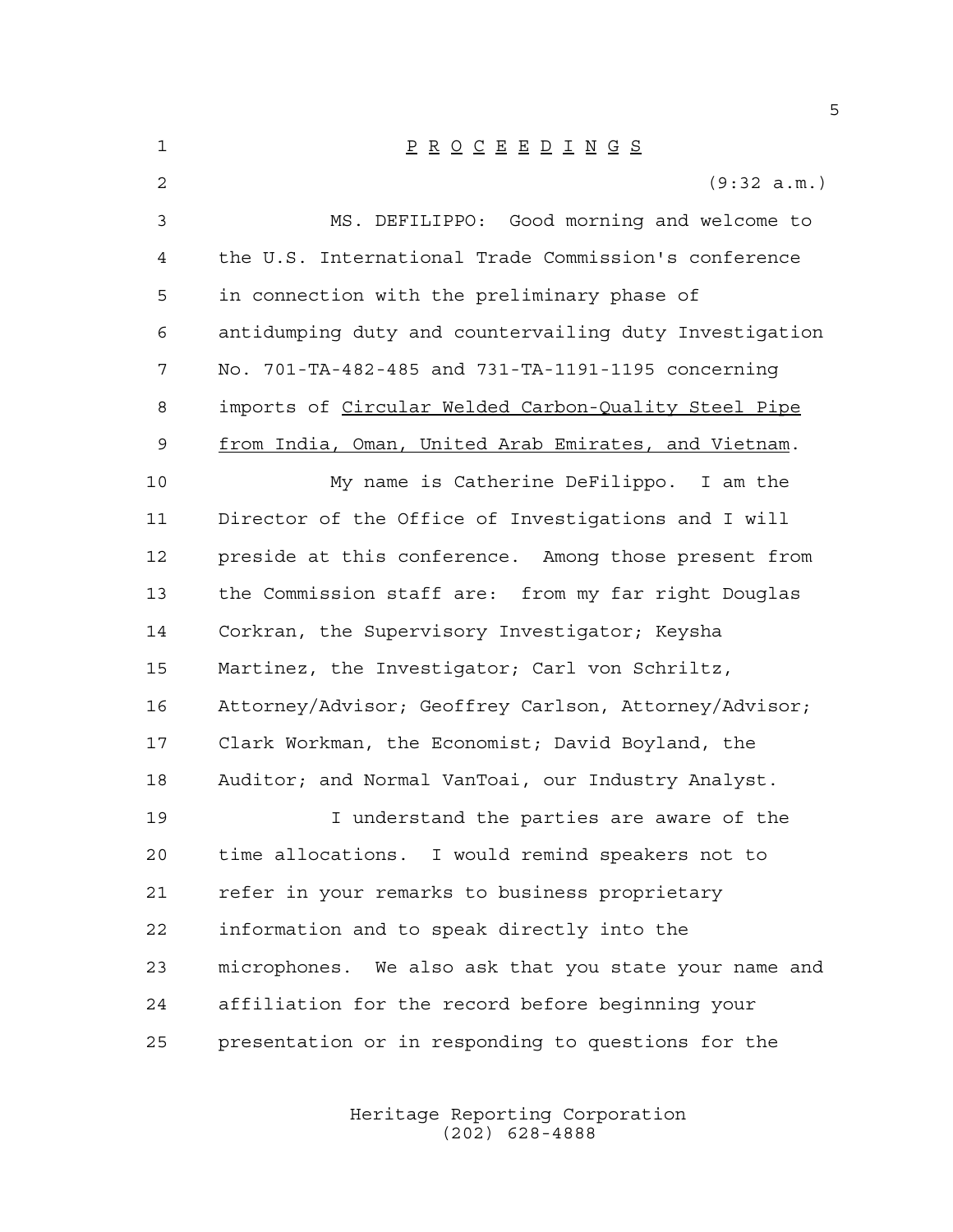| 1  | $\underline{P} \underline{R} \underline{O} \underline{C} \underline{E} \underline{E} \underline{D} \underline{I} \underline{N} \underline{G} \underline{S}$ |
|----|-------------------------------------------------------------------------------------------------------------------------------------------------------------|
| 2  | (9:32 a.m.)                                                                                                                                                 |
| 3  | MS. DEFILIPPO: Good morning and welcome to                                                                                                                  |
| 4  | the U.S. International Trade Commission's conference                                                                                                        |
| 5  | in connection with the preliminary phase of                                                                                                                 |
| 6  | antidumping duty and countervailing duty Investigation                                                                                                      |
| 7  | No. 701-TA-482-485 and 731-TA-1191-1195 concerning                                                                                                          |
| 8  | imports of Circular Welded Carbon-Quality Steel Pipe                                                                                                        |
| 9  | from India, Oman, United Arab Emirates, and Vietnam.                                                                                                        |
| 10 | My name is Catherine DeFilippo. I am the                                                                                                                    |
| 11 | Director of the Office of Investigations and I will                                                                                                         |
| 12 | preside at this conference. Among those present from                                                                                                        |
| 13 | the Commission staff are: from my far right Douglas                                                                                                         |
| 14 | Corkran, the Supervisory Investigator; Keysha                                                                                                               |
| 15 | Martinez, the Investigator; Carl von Schriltz,                                                                                                              |
| 16 | Attorney/Advisor; Geoffrey Carlson, Attorney/Advisor;                                                                                                       |
| 17 | Clark Workman, the Economist; David Boyland, the                                                                                                            |
| 18 | Auditor; and Normal VanToai, our Industry Analyst.                                                                                                          |
| 19 | I understand the parties are aware of the                                                                                                                   |
| 20 | time allocations. I would remind speakers not to                                                                                                            |
| 21 | refer in your remarks to business proprietary                                                                                                               |
| 22 | information and to speak directly into the                                                                                                                  |
| 23 | microphones. We also ask that you state your name and                                                                                                       |
| 24 | affiliation for the record before beginning your                                                                                                            |
| 25 | presentation or in responding to questions for the                                                                                                          |
|    |                                                                                                                                                             |

Heritage Reporting Corporation (202) 628-4888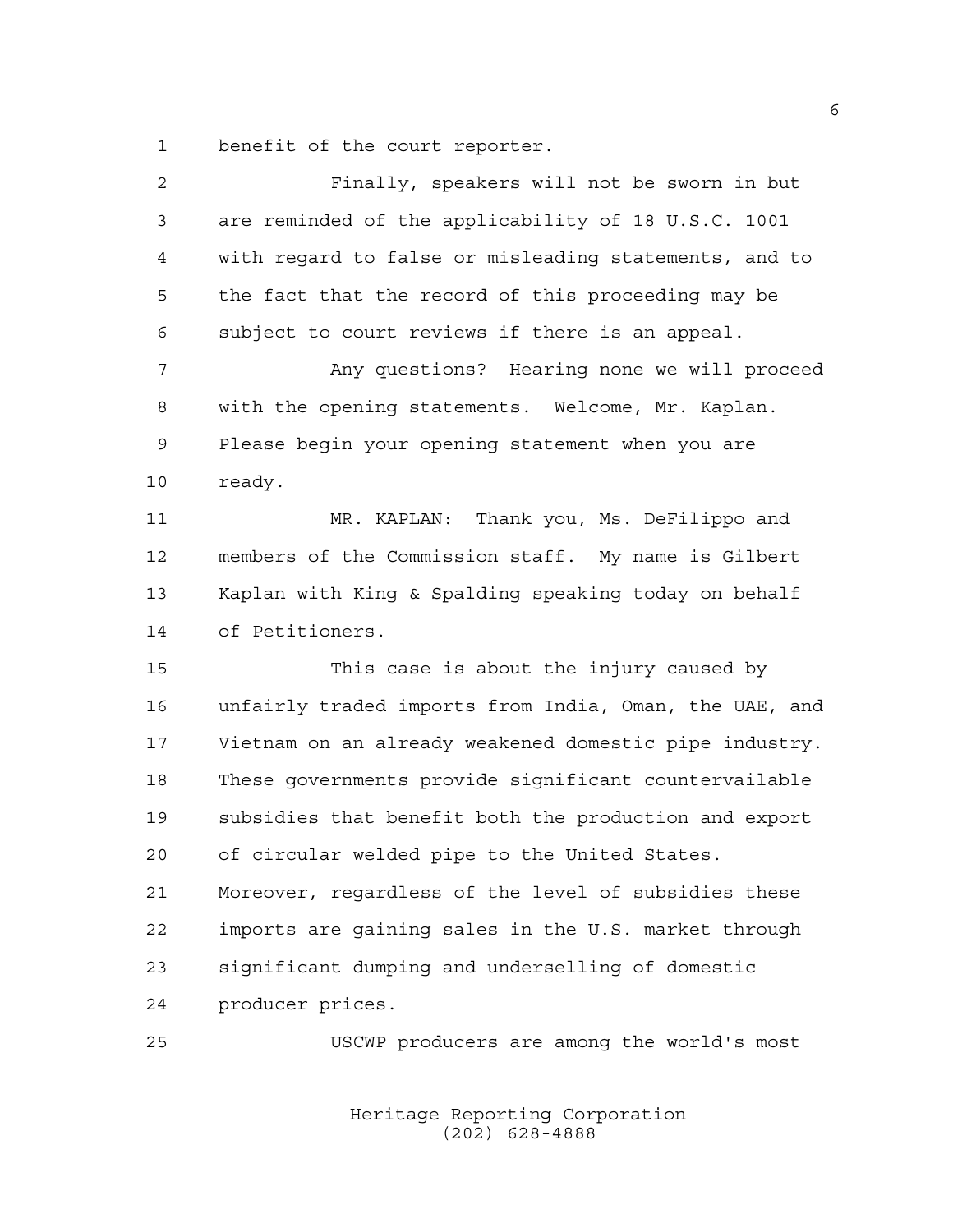benefit of the court reporter.

| $\overline{a}$ | Finally, speakers will not be sworn in but             |
|----------------|--------------------------------------------------------|
| 3              | are reminded of the applicability of 18 U.S.C. 1001    |
| 4              | with regard to false or misleading statements, and to  |
| 5              | the fact that the record of this proceeding may be     |
| 6              | subject to court reviews if there is an appeal.        |
| 7              | Any questions? Hearing none we will proceed            |
| 8              | with the opening statements. Welcome, Mr. Kaplan.      |
| 9              | Please begin your opening statement when you are       |
| 10             | ready.                                                 |
| 11             | Thank you, Ms. DeFilippo and<br>MR. KAPLAN:            |
| 12             | members of the Commission staff. My name is Gilbert    |
| 13             | Kaplan with King & Spalding speaking today on behalf   |
| 14             | of Petitioners.                                        |
| 15             | This case is about the injury caused by                |
| 16             | unfairly traded imports from India, Oman, the UAE, and |
| 17             | Vietnam on an already weakened domestic pipe industry. |
| 18             | These governments provide significant countervailable  |
| 19             | subsidies that benefit both the production and export  |
| 20             | of circular welded pipe to the United States.          |
| 21             | Moreover, regardless of the level of subsidies these   |
| 22             | imports are gaining sales in the U.S. market through   |
| 23             | significant dumping and underselling of domestic       |
| 24             | producer prices.                                       |
| 25             | USCWP producers are among the world's most             |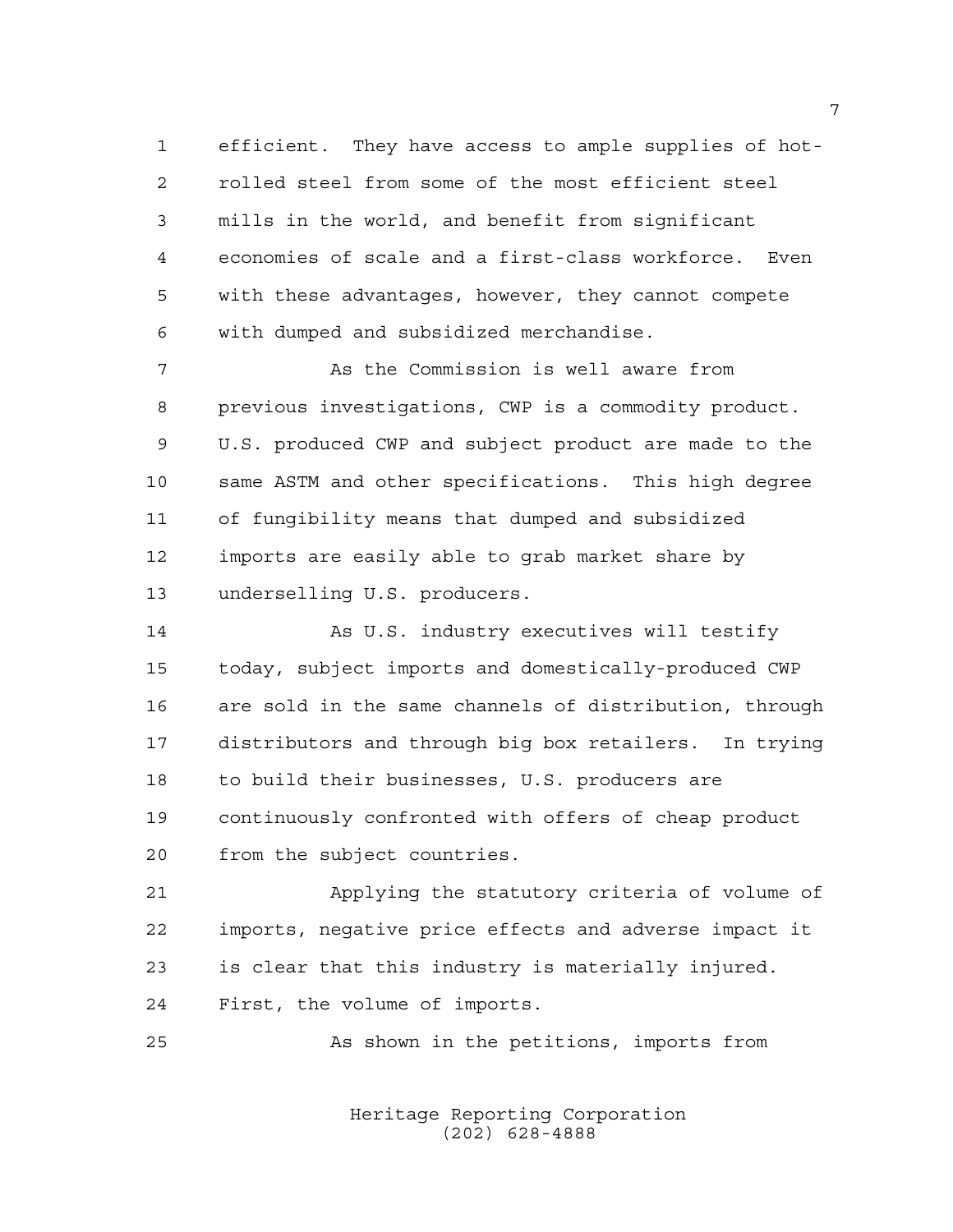efficient. They have access to ample supplies of hot- rolled steel from some of the most efficient steel mills in the world, and benefit from significant economies of scale and a first-class workforce. Even with these advantages, however, they cannot compete with dumped and subsidized merchandise.

 As the Commission is well aware from previous investigations, CWP is a commodity product. U.S. produced CWP and subject product are made to the same ASTM and other specifications. This high degree of fungibility means that dumped and subsidized imports are easily able to grab market share by underselling U.S. producers.

 As U.S. industry executives will testify today, subject imports and domestically-produced CWP are sold in the same channels of distribution, through distributors and through big box retailers. In trying to build their businesses, U.S. producers are continuously confronted with offers of cheap product from the subject countries.

 Applying the statutory criteria of volume of imports, negative price effects and adverse impact it is clear that this industry is materially injured. First, the volume of imports.

As shown in the petitions, imports from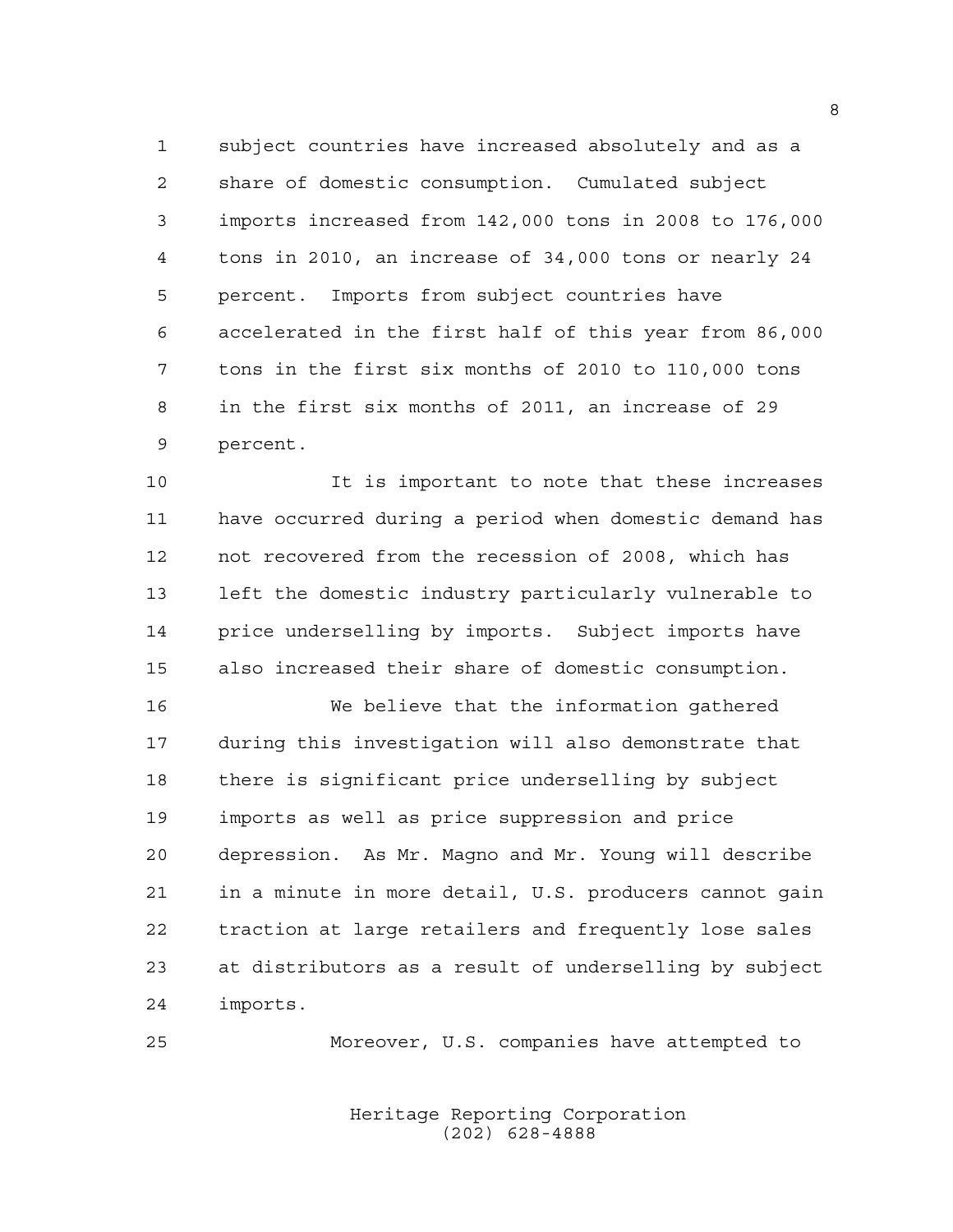subject countries have increased absolutely and as a share of domestic consumption. Cumulated subject imports increased from 142,000 tons in 2008 to 176,000 tons in 2010, an increase of 34,000 tons or nearly 24 percent. Imports from subject countries have accelerated in the first half of this year from 86,000 tons in the first six months of 2010 to 110,000 tons in the first six months of 2011, an increase of 29 percent.

 It is important to note that these increases have occurred during a period when domestic demand has not recovered from the recession of 2008, which has left the domestic industry particularly vulnerable to price underselling by imports. Subject imports have also increased their share of domestic consumption.

 We believe that the information gathered during this investigation will also demonstrate that there is significant price underselling by subject imports as well as price suppression and price depression. As Mr. Magno and Mr. Young will describe in a minute in more detail, U.S. producers cannot gain traction at large retailers and frequently lose sales at distributors as a result of underselling by subject imports.

Moreover, U.S. companies have attempted to

Heritage Reporting Corporation (202) 628-4888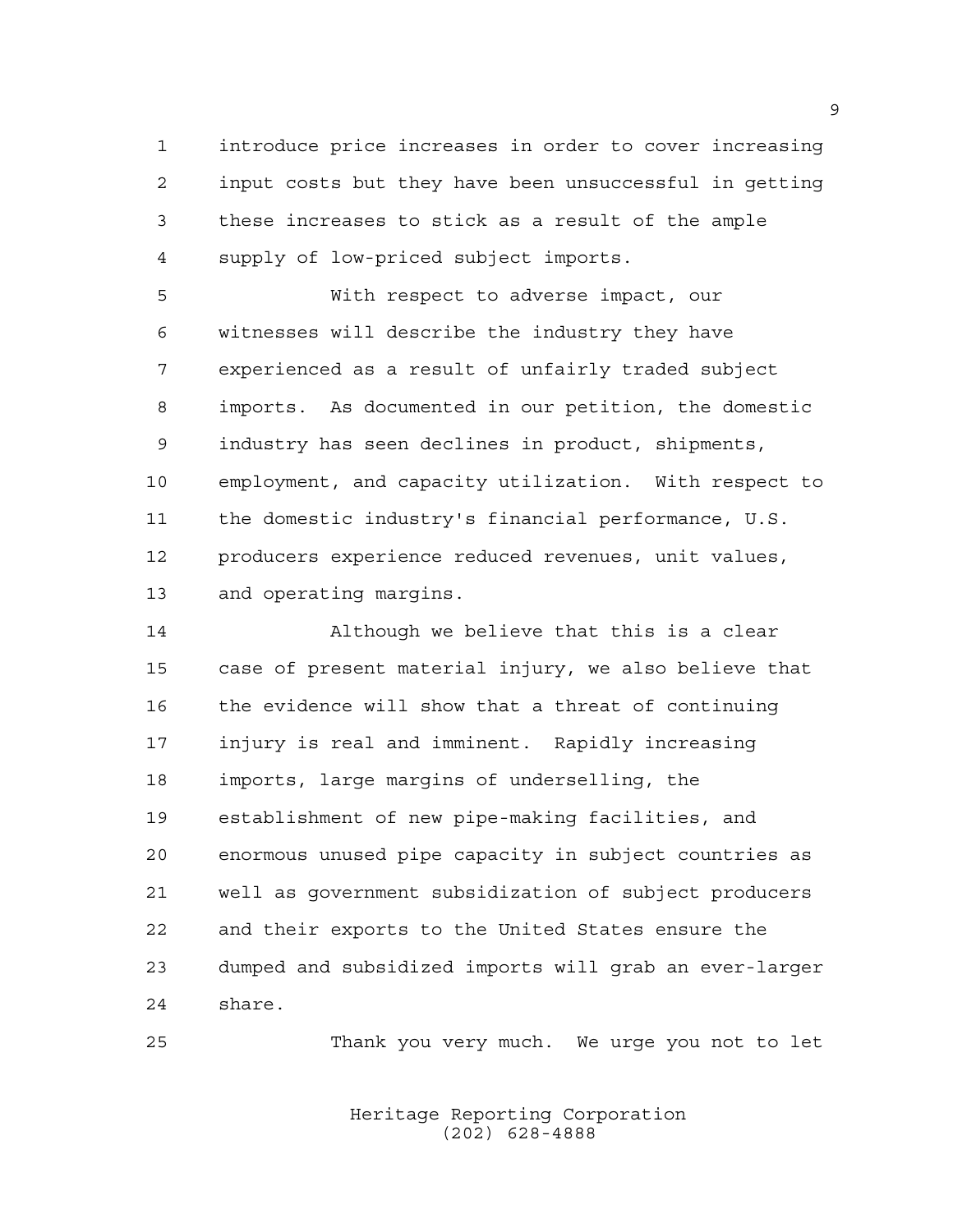introduce price increases in order to cover increasing input costs but they have been unsuccessful in getting these increases to stick as a result of the ample supply of low-priced subject imports.

 With respect to adverse impact, our witnesses will describe the industry they have experienced as a result of unfairly traded subject imports. As documented in our petition, the domestic industry has seen declines in product, shipments, employment, and capacity utilization. With respect to the domestic industry's financial performance, U.S. producers experience reduced revenues, unit values, and operating margins.

 Although we believe that this is a clear case of present material injury, we also believe that the evidence will show that a threat of continuing injury is real and imminent. Rapidly increasing imports, large margins of underselling, the establishment of new pipe-making facilities, and enormous unused pipe capacity in subject countries as well as government subsidization of subject producers and their exports to the United States ensure the dumped and subsidized imports will grab an ever-larger share.

Thank you very much. We urge you not to let

Heritage Reporting Corporation (202) 628-4888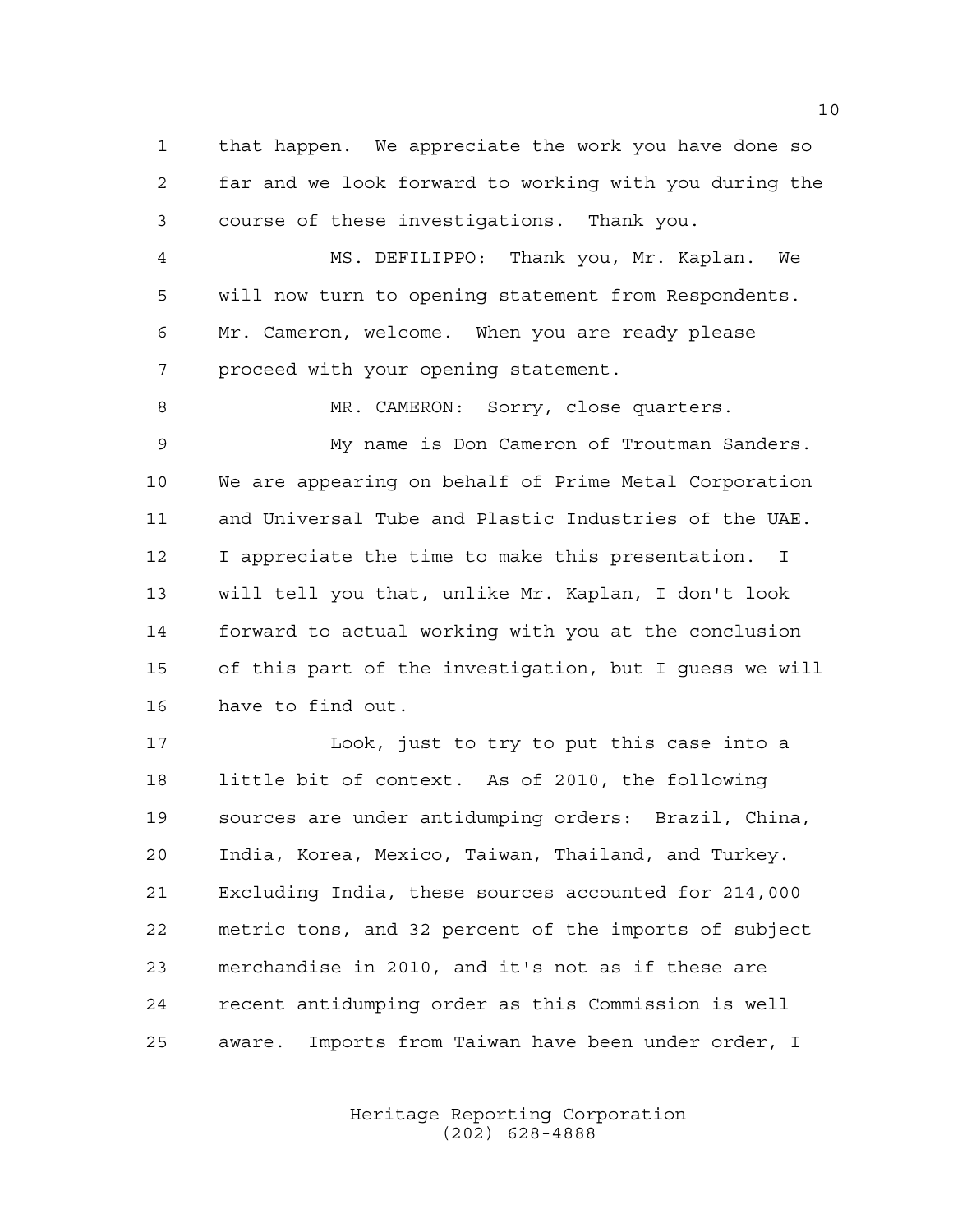that happen. We appreciate the work you have done so far and we look forward to working with you during the course of these investigations. Thank you.

 MS. DEFILIPPO: Thank you, Mr. Kaplan. We will now turn to opening statement from Respondents. Mr. Cameron, welcome. When you are ready please proceed with your opening statement.

8 MR. CAMERON: Sorry, close quarters.

 My name is Don Cameron of Troutman Sanders. We are appearing on behalf of Prime Metal Corporation and Universal Tube and Plastic Industries of the UAE. I appreciate the time to make this presentation. I will tell you that, unlike Mr. Kaplan, I don't look forward to actual working with you at the conclusion of this part of the investigation, but I guess we will have to find out.

 Look, just to try to put this case into a little bit of context. As of 2010, the following sources are under antidumping orders: Brazil, China, India, Korea, Mexico, Taiwan, Thailand, and Turkey. Excluding India, these sources accounted for 214,000 metric tons, and 32 percent of the imports of subject merchandise in 2010, and it's not as if these are recent antidumping order as this Commission is well aware. Imports from Taiwan have been under order, I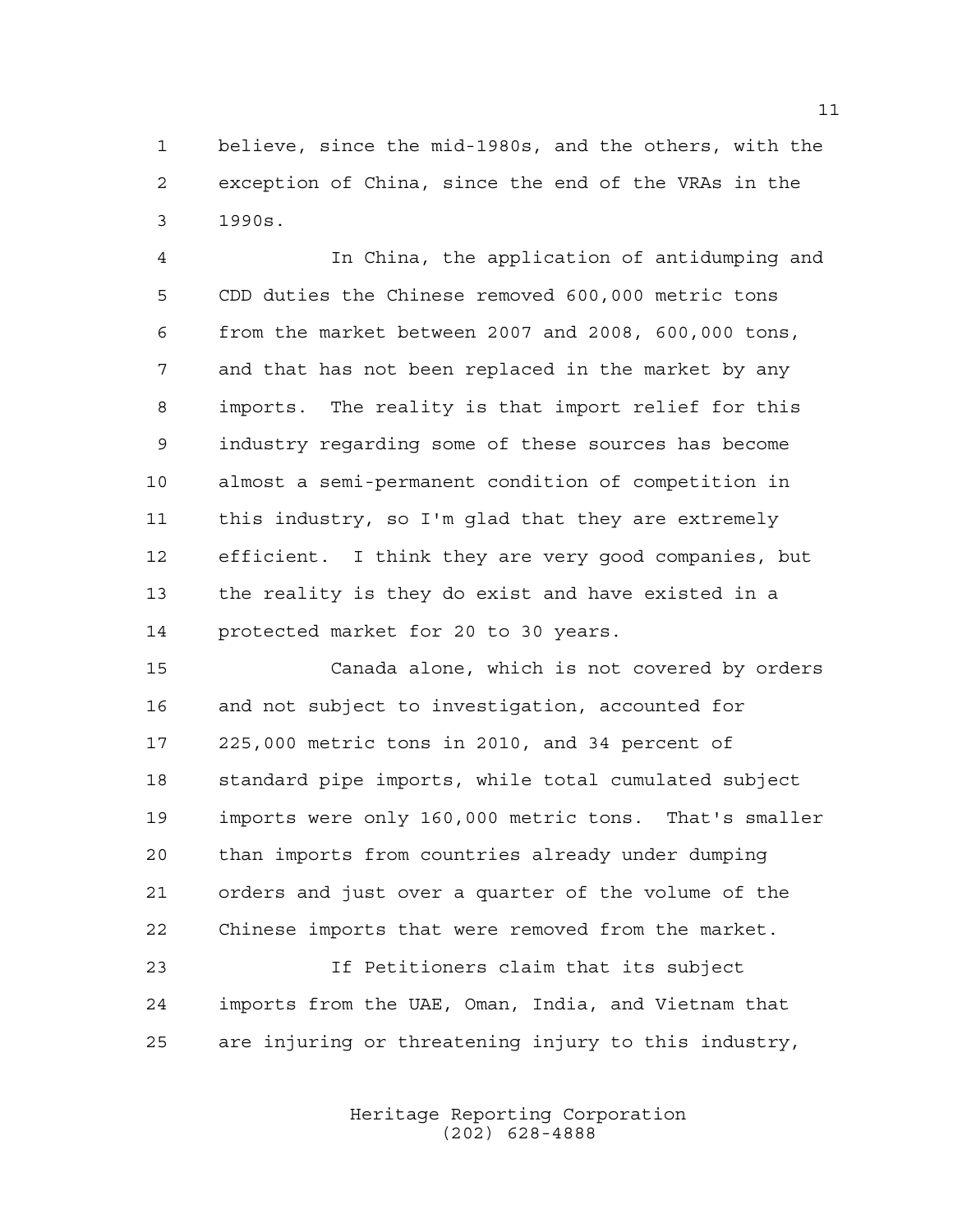believe, since the mid-1980s, and the others, with the exception of China, since the end of the VRAs in the 1990s.

 In China, the application of antidumping and CDD duties the Chinese removed 600,000 metric tons from the market between 2007 and 2008, 600,000 tons, and that has not been replaced in the market by any imports. The reality is that import relief for this industry regarding some of these sources has become almost a semi-permanent condition of competition in this industry, so I'm glad that they are extremely efficient. I think they are very good companies, but the reality is they do exist and have existed in a protected market for 20 to 30 years.

 Canada alone, which is not covered by orders and not subject to investigation, accounted for 225,000 metric tons in 2010, and 34 percent of standard pipe imports, while total cumulated subject imports were only 160,000 metric tons. That's smaller than imports from countries already under dumping orders and just over a quarter of the volume of the Chinese imports that were removed from the market.

 If Petitioners claim that its subject imports from the UAE, Oman, India, and Vietnam that are injuring or threatening injury to this industry,

> Heritage Reporting Corporation (202) 628-4888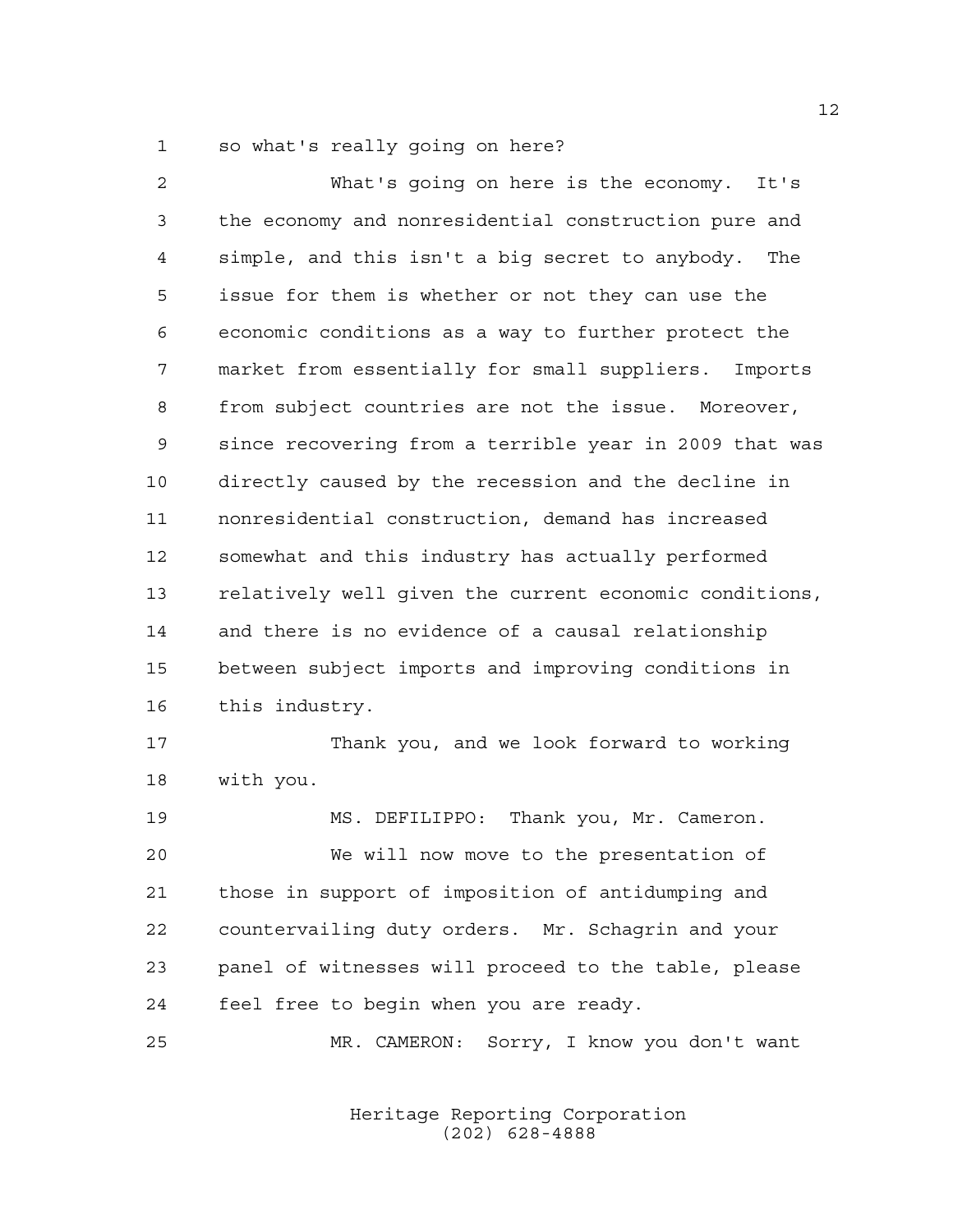so what's really going on here?

| 2  | What's going on here is the economy.<br>It's           |
|----|--------------------------------------------------------|
| 3  | the economy and nonresidential construction pure and   |
| 4  | simple, and this isn't a big secret to anybody. The    |
| 5  | issue for them is whether or not they can use the      |
| 6  | economic conditions as a way to further protect the    |
| 7  | market from essentially for small suppliers. Imports   |
| 8  | from subject countries are not the issue. Moreover,    |
| 9  | since recovering from a terrible year in 2009 that was |
| 10 | directly caused by the recession and the decline in    |
| 11 | nonresidential construction, demand has increased      |
| 12 | somewhat and this industry has actually performed      |
| 13 | relatively well given the current economic conditions, |
| 14 | and there is no evidence of a causal relationship      |
| 15 | between subject imports and improving conditions in    |
| 16 | this industry.                                         |
| 17 | Thank you, and we look forward to working              |
| 18 | with you.                                              |
| 19 | MS. DEFILIPPO: Thank you, Mr. Cameron.                 |
| 20 | We will now move to the presentation of                |
| 21 | those in support of imposition of antidumping and      |
| 22 | countervailing duty orders. Mr. Schagrin and your      |
| 23 | panel of witnesses will proceed to the table, please   |
| 24 | feel free to begin when you are ready.                 |
| 25 | MR. CAMERON:<br>Sorry, I know you don't want           |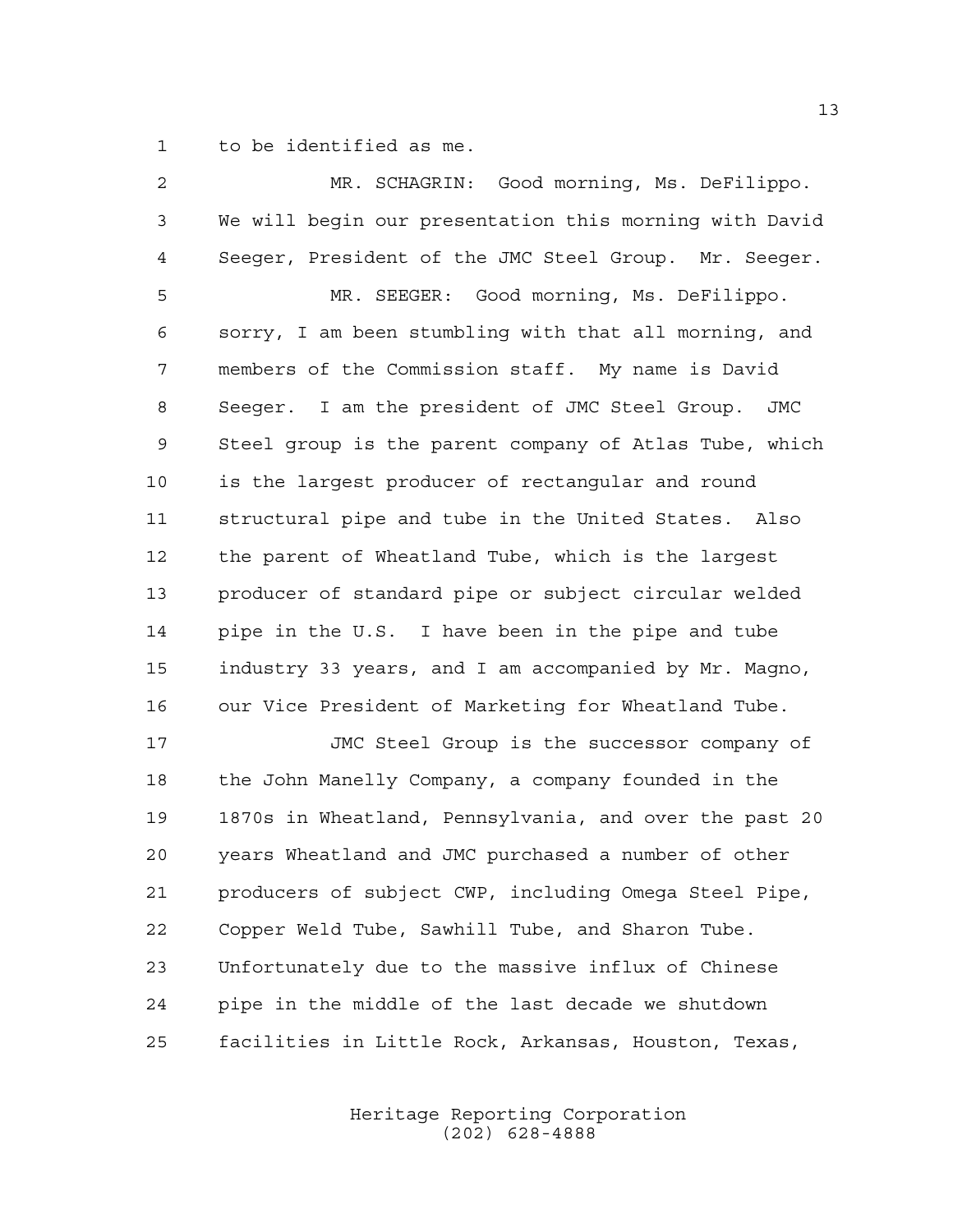to be identified as me.

| 2  | MR. SCHAGRIN: Good morning, Ms. DeFilippo.                   |
|----|--------------------------------------------------------------|
| 3  | We will begin our presentation this morning with David       |
| 4  | Seeger, President of the JMC Steel Group. Mr. Seeger.        |
| 5  | MR. SEEGER: Good morning, Ms. DeFilippo.                     |
| 6  | sorry, I am been stumbling with that all morning, and        |
| 7  | members of the Commission staff. My name is David            |
| 8  | Seeger. I am the president of JMC Steel Group.<br><b>JMC</b> |
| 9  | Steel group is the parent company of Atlas Tube, which       |
| 10 | is the largest producer of rectangular and round             |
| 11 | structural pipe and tube in the United States. Also          |
| 12 | the parent of Wheatland Tube, which is the largest           |
| 13 | producer of standard pipe or subject circular welded         |
| 14 | pipe in the U.S. I have been in the pipe and tube            |
| 15 | industry 33 years, and I am accompanied by Mr. Magno,        |
| 16 | our Vice President of Marketing for Wheatland Tube.          |
| 17 | JMC Steel Group is the successor company of                  |
| 18 | the John Manelly Company, a company founded in the           |
| 19 | 1870s in Wheatland, Pennsylvania, and over the past 20       |
| 20 | years Wheatland and JMC purchased a number of other          |
| 21 | producers of subject CWP, including Omega Steel Pipe,        |
| 22 | Copper Weld Tube, Sawhill Tube, and Sharon Tube.             |
| 23 | Unfortunately due to the massive influx of Chinese           |
| 24 | pipe in the middle of the last decade we shutdown            |
| 25 | facilities in Little Rock, Arkansas, Houston, Texas,         |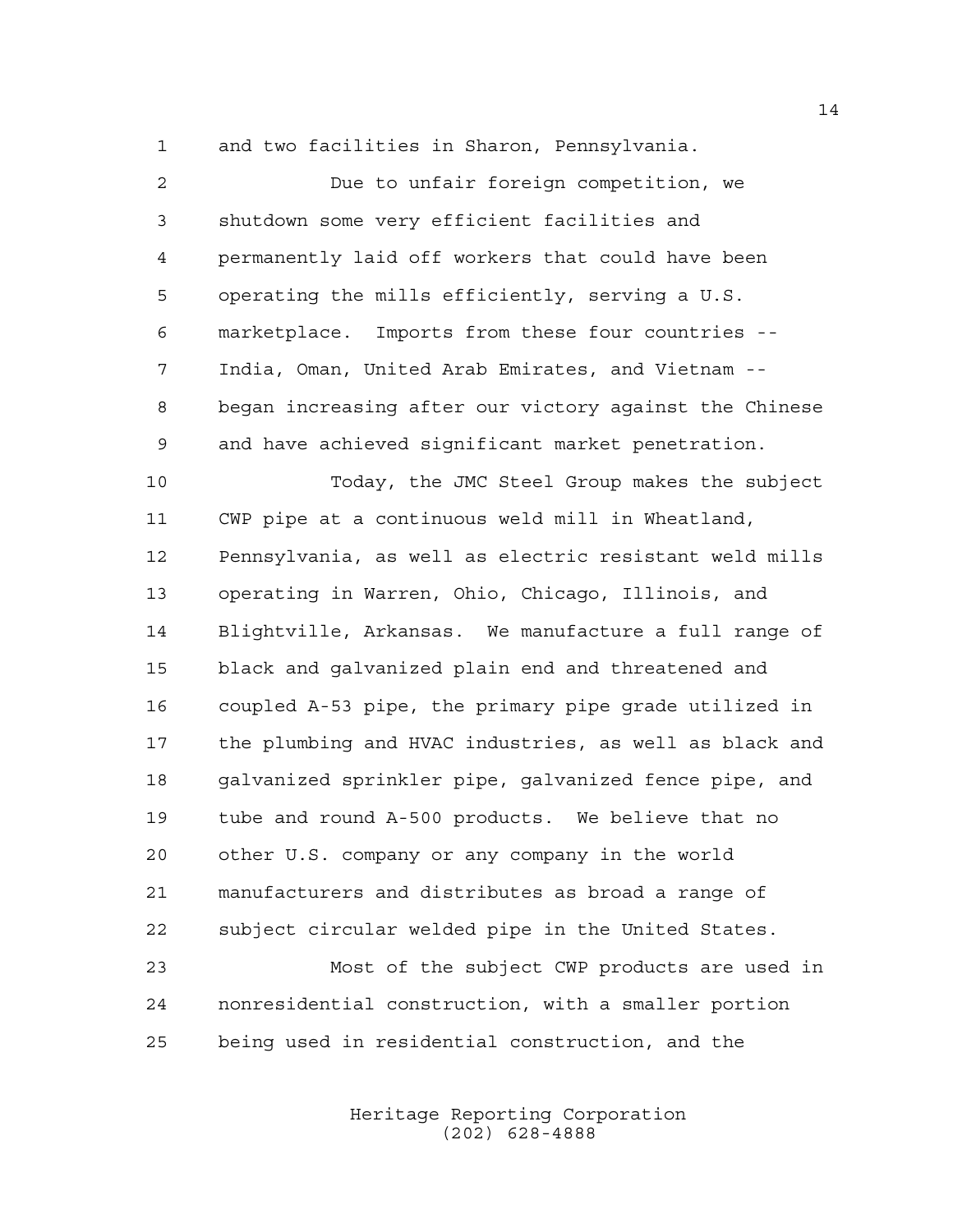and two facilities in Sharon, Pennsylvania.

 Due to unfair foreign competition, we shutdown some very efficient facilities and permanently laid off workers that could have been operating the mills efficiently, serving a U.S. marketplace. Imports from these four countries -- India, Oman, United Arab Emirates, and Vietnam -- began increasing after our victory against the Chinese and have achieved significant market penetration. Today, the JMC Steel Group makes the subject CWP pipe at a continuous weld mill in Wheatland, Pennsylvania, as well as electric resistant weld mills operating in Warren, Ohio, Chicago, Illinois, and Blightville, Arkansas. We manufacture a full range of black and galvanized plain end and threatened and coupled A-53 pipe, the primary pipe grade utilized in the plumbing and HVAC industries, as well as black and galvanized sprinkler pipe, galvanized fence pipe, and tube and round A-500 products. We believe that no other U.S. company or any company in the world manufacturers and distributes as broad a range of subject circular welded pipe in the United States. Most of the subject CWP products are used in

 nonresidential construction, with a smaller portion being used in residential construction, and the

> Heritage Reporting Corporation (202) 628-4888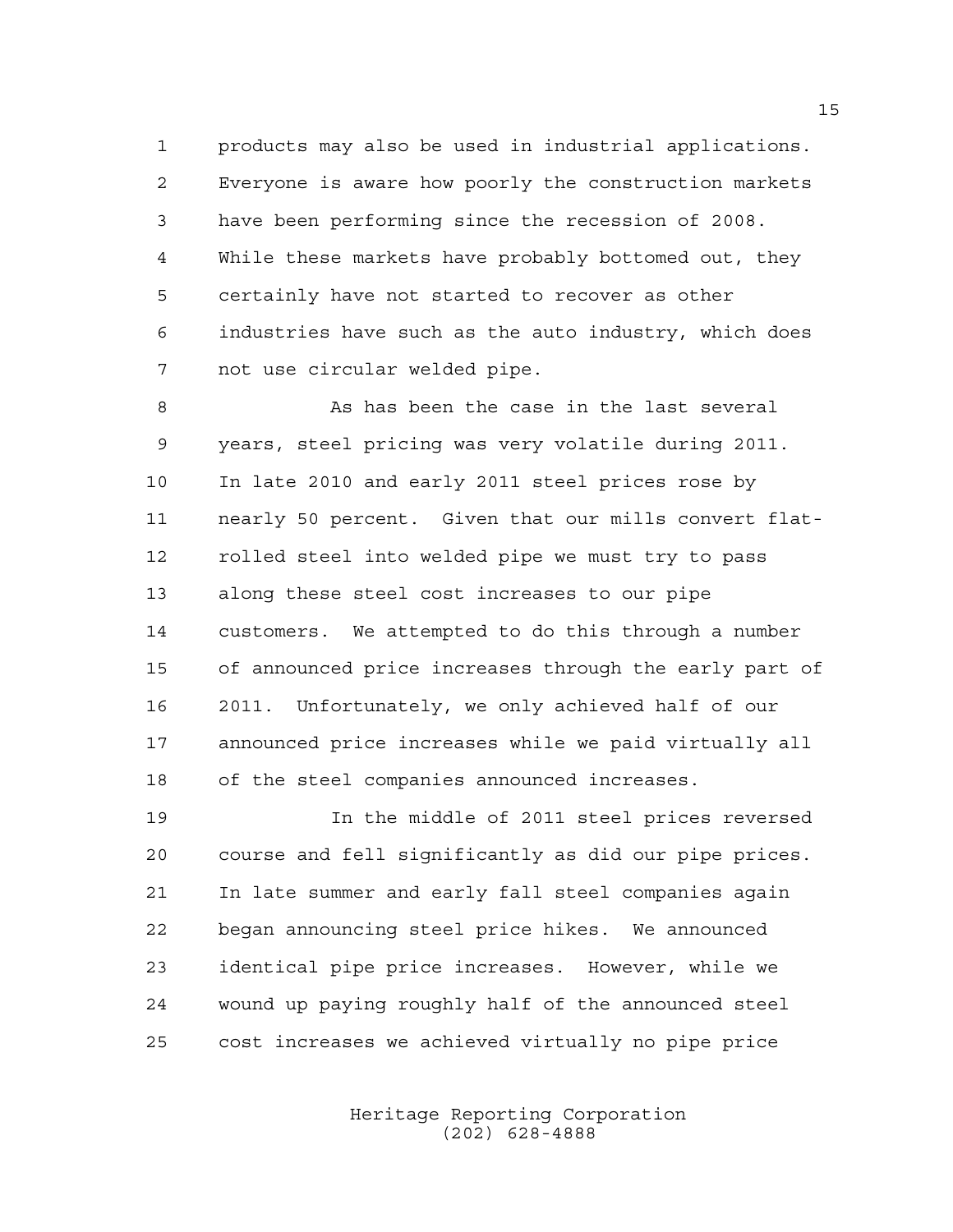products may also be used in industrial applications. Everyone is aware how poorly the construction markets have been performing since the recession of 2008. While these markets have probably bottomed out, they certainly have not started to recover as other industries have such as the auto industry, which does not use circular welded pipe.

8 As has been the case in the last several years, steel pricing was very volatile during 2011. In late 2010 and early 2011 steel prices rose by nearly 50 percent. Given that our mills convert flat- rolled steel into welded pipe we must try to pass along these steel cost increases to our pipe customers. We attempted to do this through a number of announced price increases through the early part of 2011. Unfortunately, we only achieved half of our announced price increases while we paid virtually all of the steel companies announced increases.

 In the middle of 2011 steel prices reversed course and fell significantly as did our pipe prices. In late summer and early fall steel companies again began announcing steel price hikes. We announced identical pipe price increases. However, while we wound up paying roughly half of the announced steel cost increases we achieved virtually no pipe price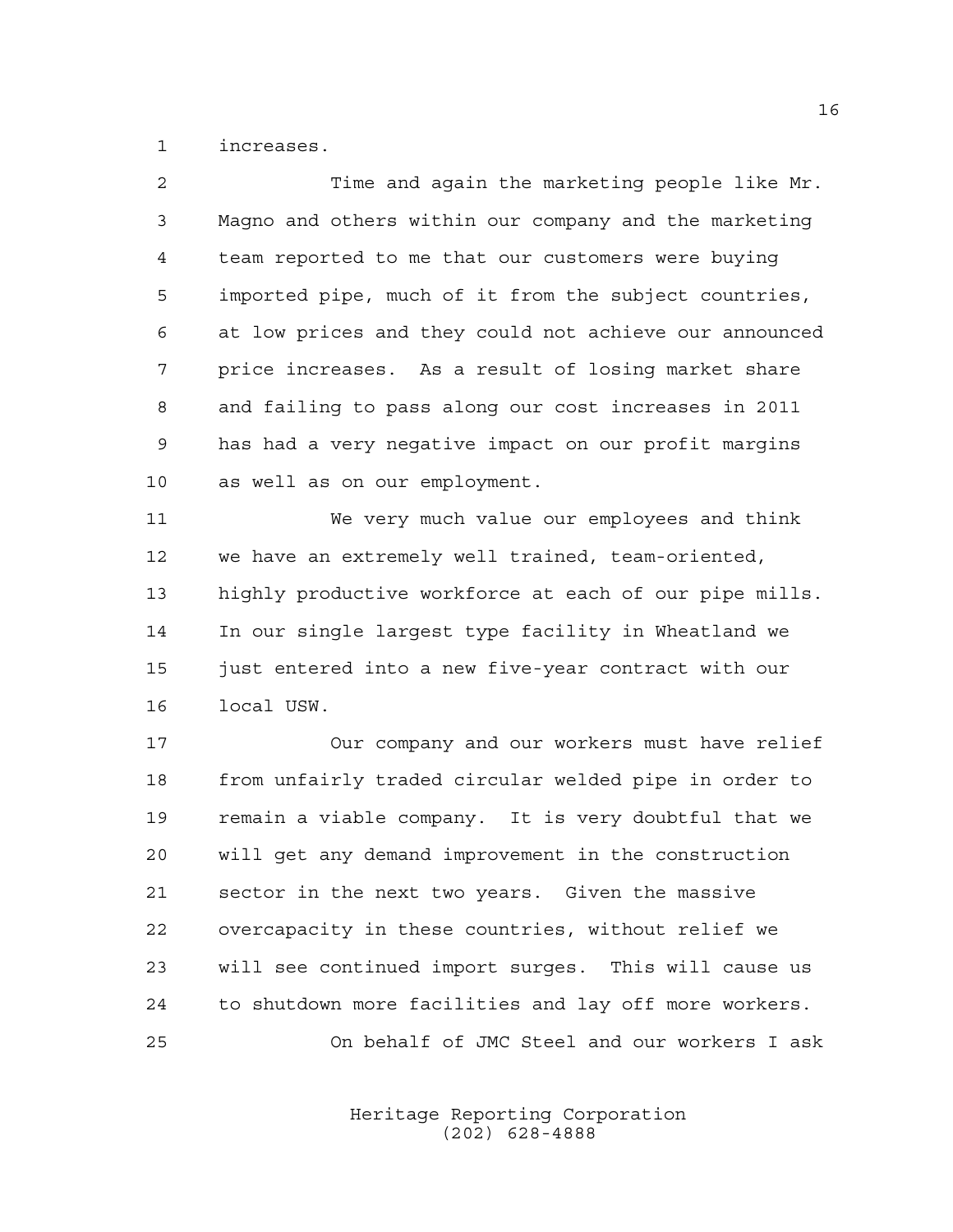increases.

| $\mathfrak{D}$ | Time and again the marketing people like Mr.           |
|----------------|--------------------------------------------------------|
| 3              | Magno and others within our company and the marketing  |
| 4              | team reported to me that our customers were buying     |
| 5              | imported pipe, much of it from the subject countries,  |
| 6              | at low prices and they could not achieve our announced |
| 7              | price increases. As a result of losing market share    |
| 8              | and failing to pass along our cost increases in 2011   |
| 9              | has had a very negative impact on our profit margins   |
| 10             | as well as on our employment.                          |

 We very much value our employees and think we have an extremely well trained, team-oriented, highly productive workforce at each of our pipe mills. In our single largest type facility in Wheatland we just entered into a new five-year contract with our local USW.

 Our company and our workers must have relief from unfairly traded circular welded pipe in order to remain a viable company. It is very doubtful that we will get any demand improvement in the construction sector in the next two years. Given the massive overcapacity in these countries, without relief we will see continued import surges. This will cause us to shutdown more facilities and lay off more workers. On behalf of JMC Steel and our workers I ask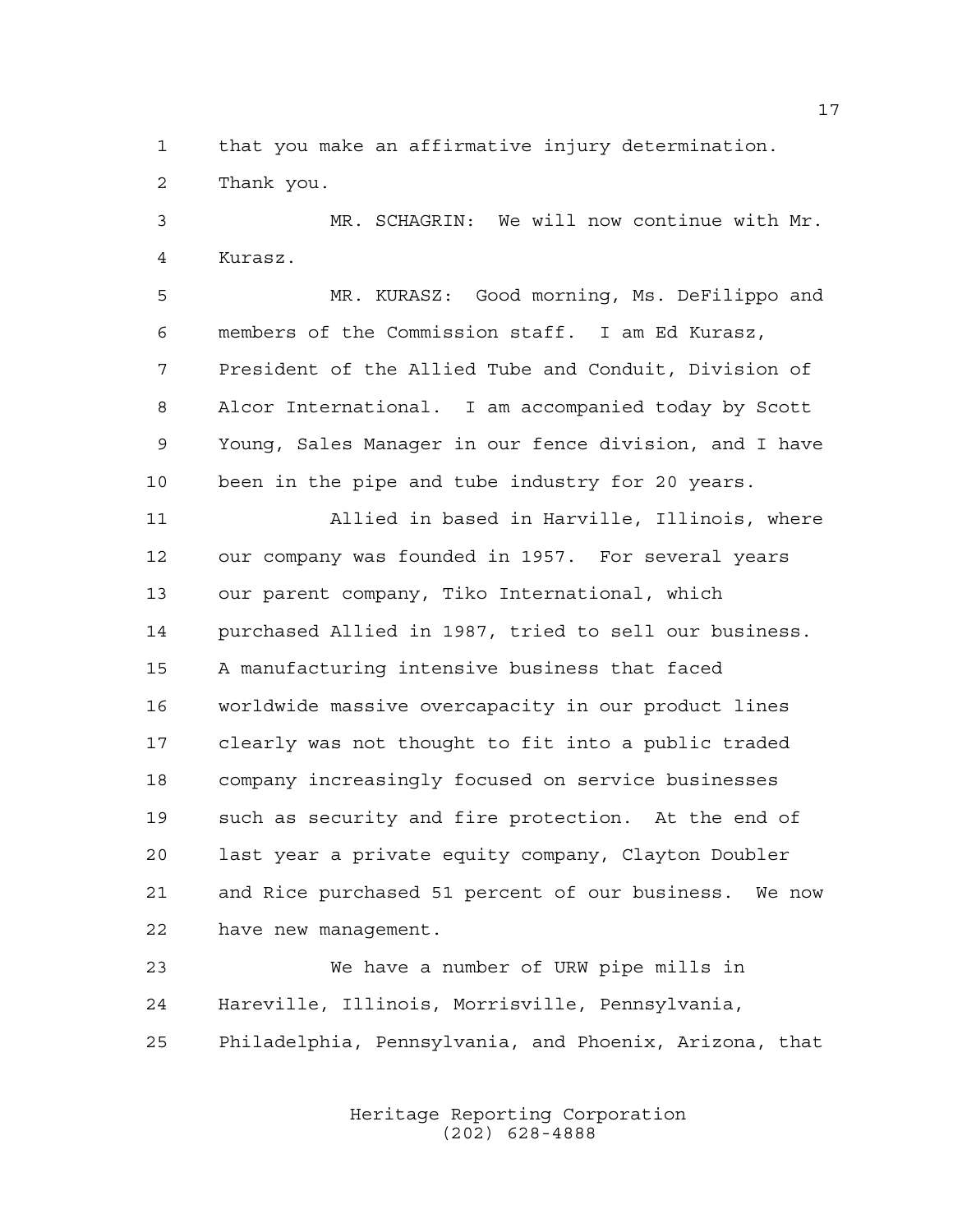that you make an affirmative injury determination.

Thank you.

 MR. SCHAGRIN: We will now continue with Mr. Kurasz.

 MR. KURASZ: Good morning, Ms. DeFilippo and members of the Commission staff. I am Ed Kurasz, President of the Allied Tube and Conduit, Division of Alcor International. I am accompanied today by Scott Young, Sales Manager in our fence division, and I have been in the pipe and tube industry for 20 years.

 Allied in based in Harville, Illinois, where our company was founded in 1957. For several years our parent company, Tiko International, which purchased Allied in 1987, tried to sell our business. A manufacturing intensive business that faced worldwide massive overcapacity in our product lines clearly was not thought to fit into a public traded company increasingly focused on service businesses such as security and fire protection. At the end of last year a private equity company, Clayton Doubler and Rice purchased 51 percent of our business. We now have new management.

 We have a number of URW pipe mills in Hareville, Illinois, Morrisville, Pennsylvania, Philadelphia, Pennsylvania, and Phoenix, Arizona, that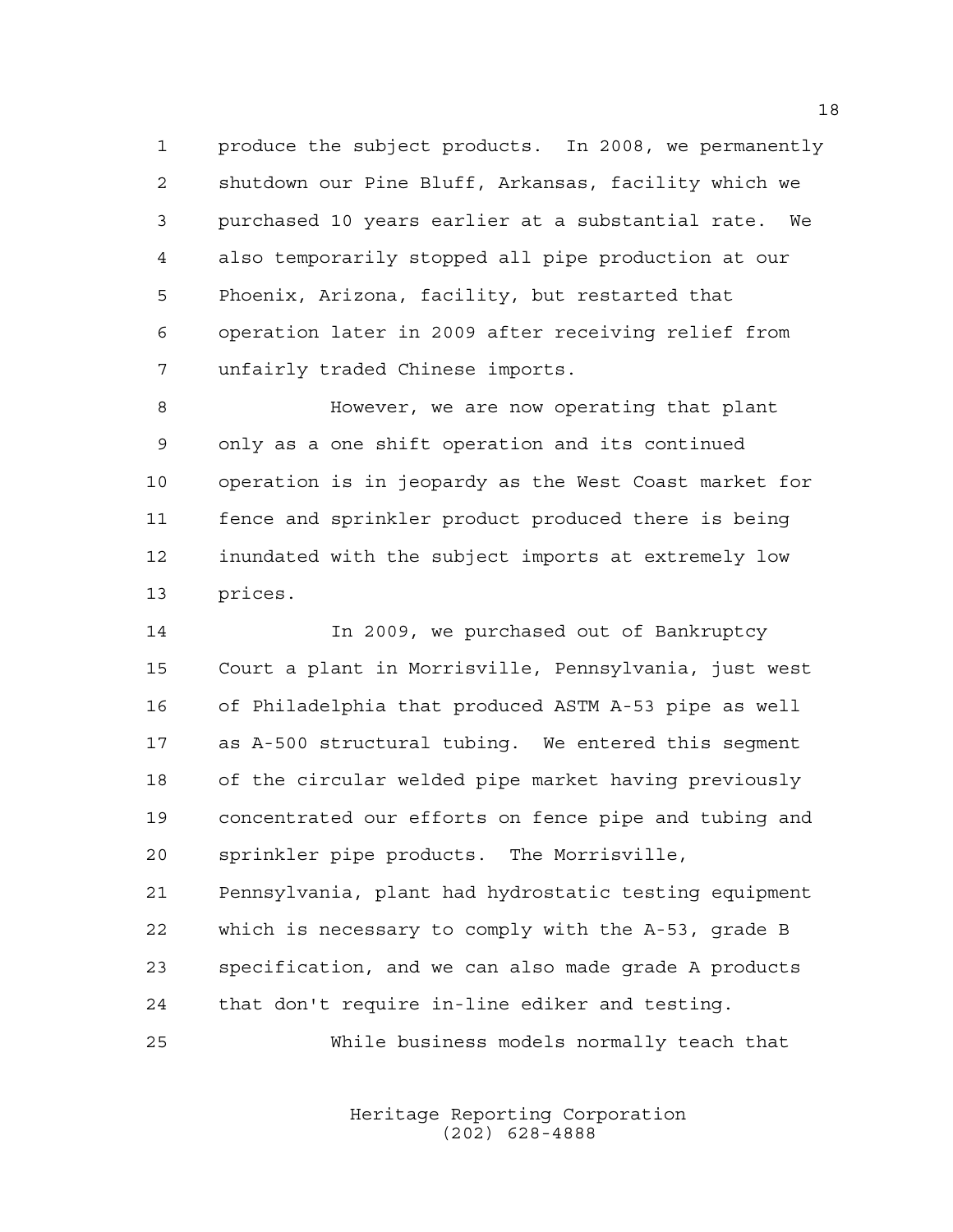produce the subject products. In 2008, we permanently shutdown our Pine Bluff, Arkansas, facility which we purchased 10 years earlier at a substantial rate. We also temporarily stopped all pipe production at our Phoenix, Arizona, facility, but restarted that operation later in 2009 after receiving relief from unfairly traded Chinese imports.

 However, we are now operating that plant only as a one shift operation and its continued operation is in jeopardy as the West Coast market for fence and sprinkler product produced there is being inundated with the subject imports at extremely low prices.

 In 2009, we purchased out of Bankruptcy Court a plant in Morrisville, Pennsylvania, just west of Philadelphia that produced ASTM A-53 pipe as well as A-500 structural tubing. We entered this segment of the circular welded pipe market having previously concentrated our efforts on fence pipe and tubing and sprinkler pipe products. The Morrisville, Pennsylvania, plant had hydrostatic testing equipment which is necessary to comply with the A-53, grade B specification, and we can also made grade A products that don't require in-line ediker and testing.

While business models normally teach that

Heritage Reporting Corporation (202) 628-4888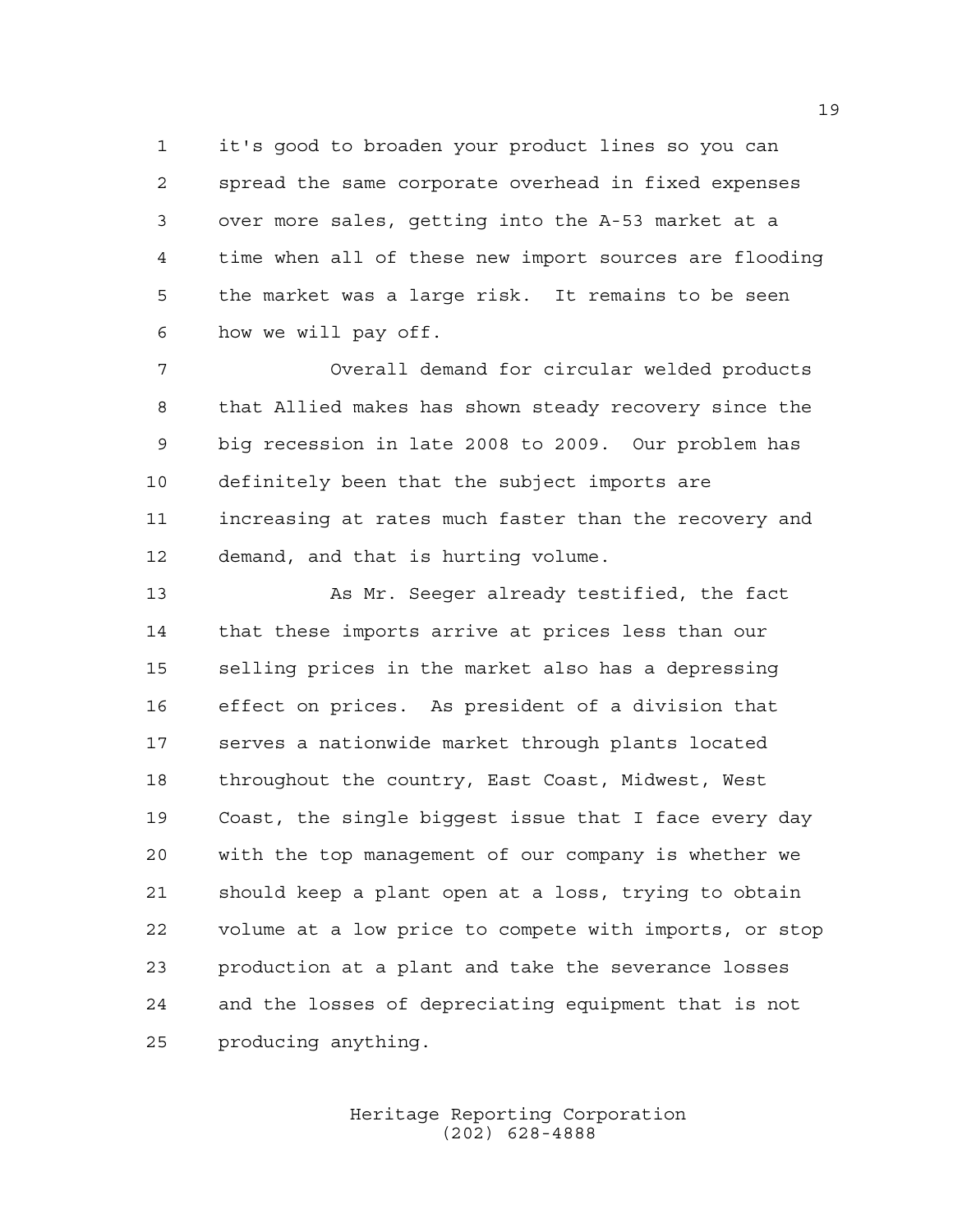it's good to broaden your product lines so you can spread the same corporate overhead in fixed expenses over more sales, getting into the A-53 market at a time when all of these new import sources are flooding the market was a large risk. It remains to be seen how we will pay off.

 Overall demand for circular welded products that Allied makes has shown steady recovery since the big recession in late 2008 to 2009. Our problem has definitely been that the subject imports are increasing at rates much faster than the recovery and demand, and that is hurting volume.

 As Mr. Seeger already testified, the fact that these imports arrive at prices less than our selling prices in the market also has a depressing effect on prices. As president of a division that serves a nationwide market through plants located throughout the country, East Coast, Midwest, West Coast, the single biggest issue that I face every day with the top management of our company is whether we should keep a plant open at a loss, trying to obtain volume at a low price to compete with imports, or stop production at a plant and take the severance losses and the losses of depreciating equipment that is not producing anything.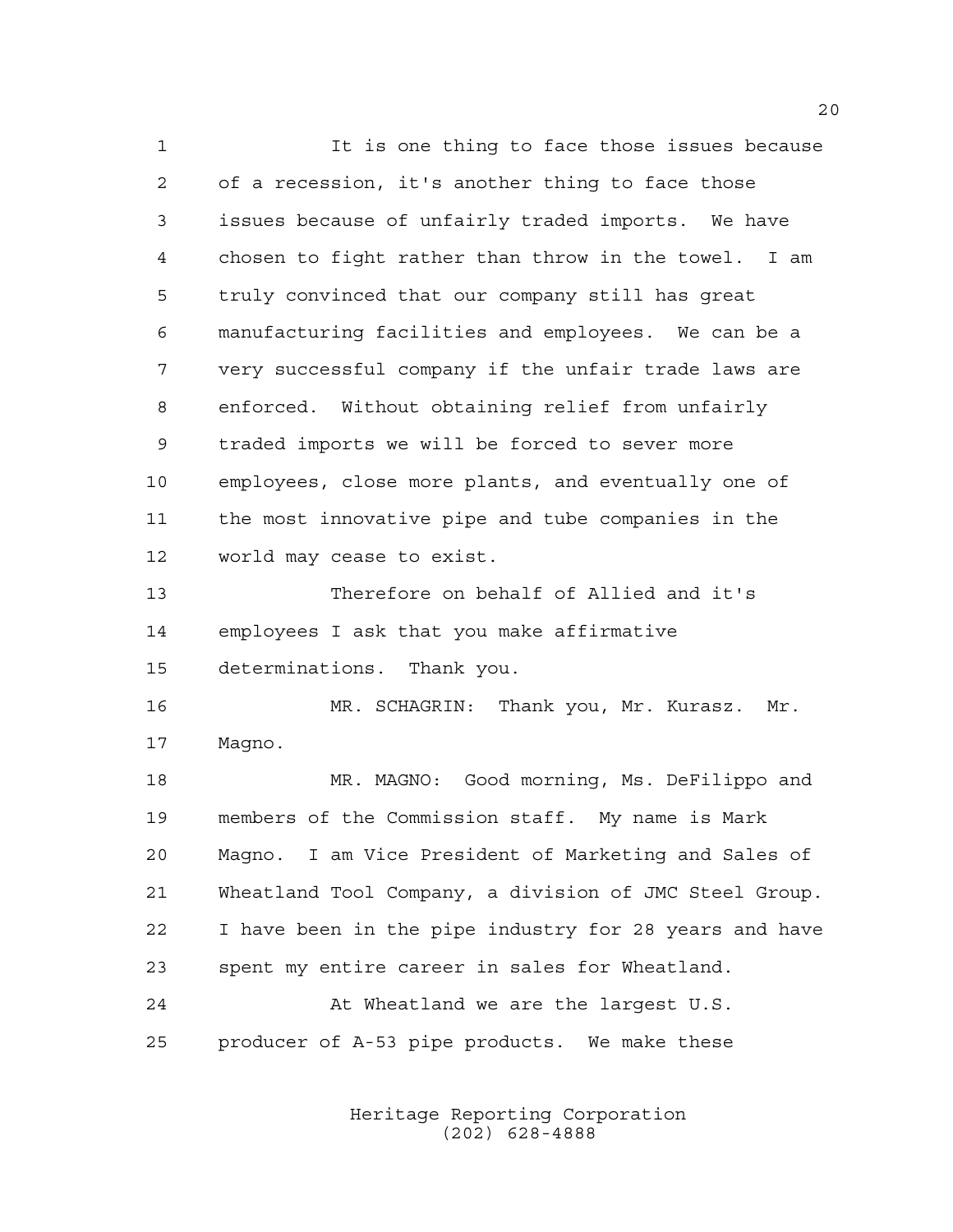It is one thing to face those issues because of a recession, it's another thing to face those issues because of unfairly traded imports. We have chosen to fight rather than throw in the towel. I am truly convinced that our company still has great manufacturing facilities and employees. We can be a very successful company if the unfair trade laws are enforced. Without obtaining relief from unfairly traded imports we will be forced to sever more employees, close more plants, and eventually one of the most innovative pipe and tube companies in the world may cease to exist. Therefore on behalf of Allied and it's employees I ask that you make affirmative determinations. Thank you. MR. SCHAGRIN: Thank you, Mr. Kurasz. Mr. Magno. MR. MAGNO: Good morning, Ms. DeFilippo and members of the Commission staff. My name is Mark Magno. I am Vice President of Marketing and Sales of Wheatland Tool Company, a division of JMC Steel Group. I have been in the pipe industry for 28 years and have spent my entire career in sales for Wheatland. 24 At Wheatland we are the largest U.S. producer of A-53 pipe products. We make these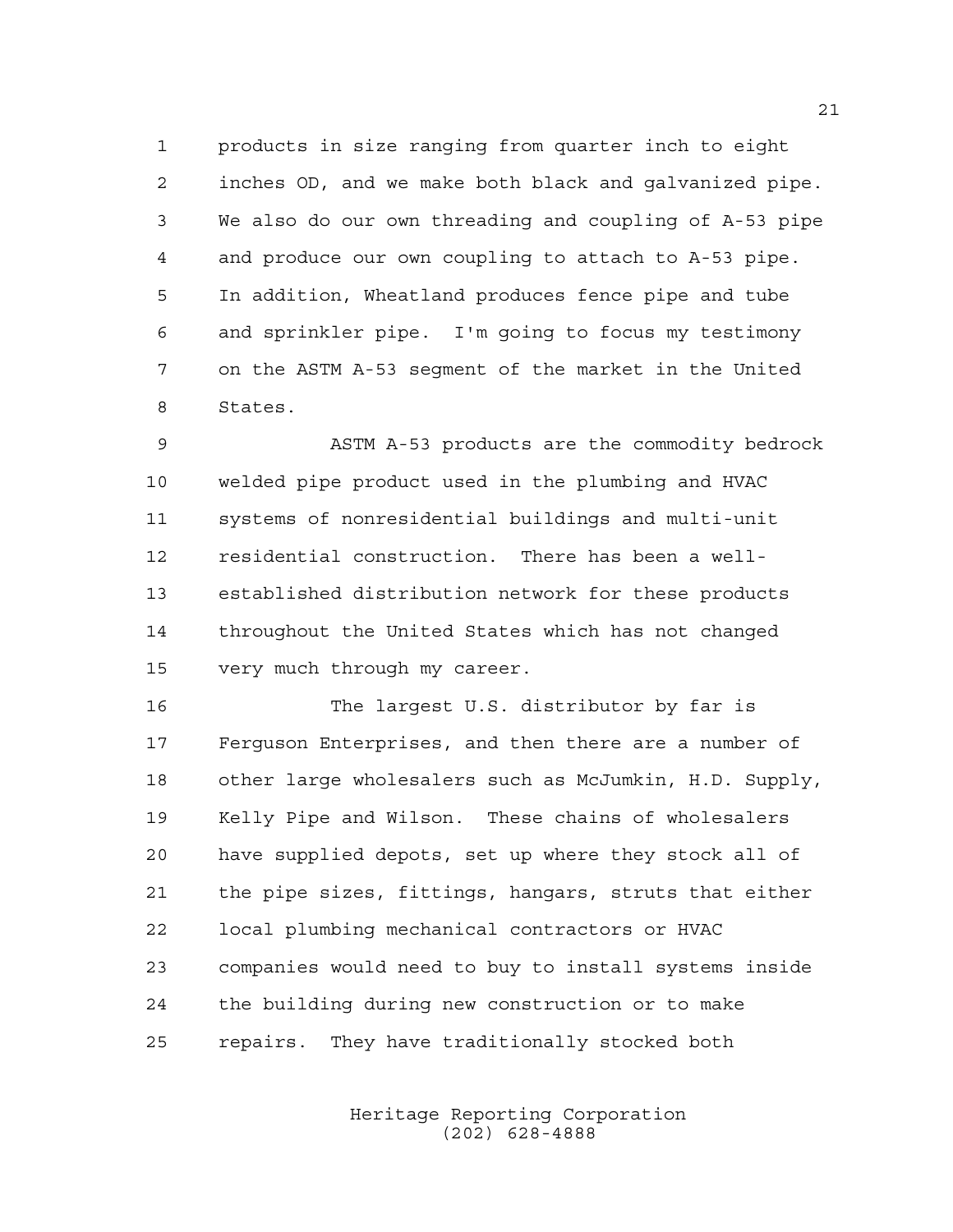products in size ranging from quarter inch to eight inches OD, and we make both black and galvanized pipe. We also do our own threading and coupling of A-53 pipe and produce our own coupling to attach to A-53 pipe. In addition, Wheatland produces fence pipe and tube and sprinkler pipe. I'm going to focus my testimony on the ASTM A-53 segment of the market in the United States.

 ASTM A-53 products are the commodity bedrock welded pipe product used in the plumbing and HVAC systems of nonresidential buildings and multi-unit residential construction. There has been a well- established distribution network for these products throughout the United States which has not changed very much through my career.

 The largest U.S. distributor by far is Ferguson Enterprises, and then there are a number of other large wholesalers such as McJumkin, H.D. Supply, Kelly Pipe and Wilson. These chains of wholesalers have supplied depots, set up where they stock all of the pipe sizes, fittings, hangars, struts that either local plumbing mechanical contractors or HVAC companies would need to buy to install systems inside the building during new construction or to make repairs. They have traditionally stocked both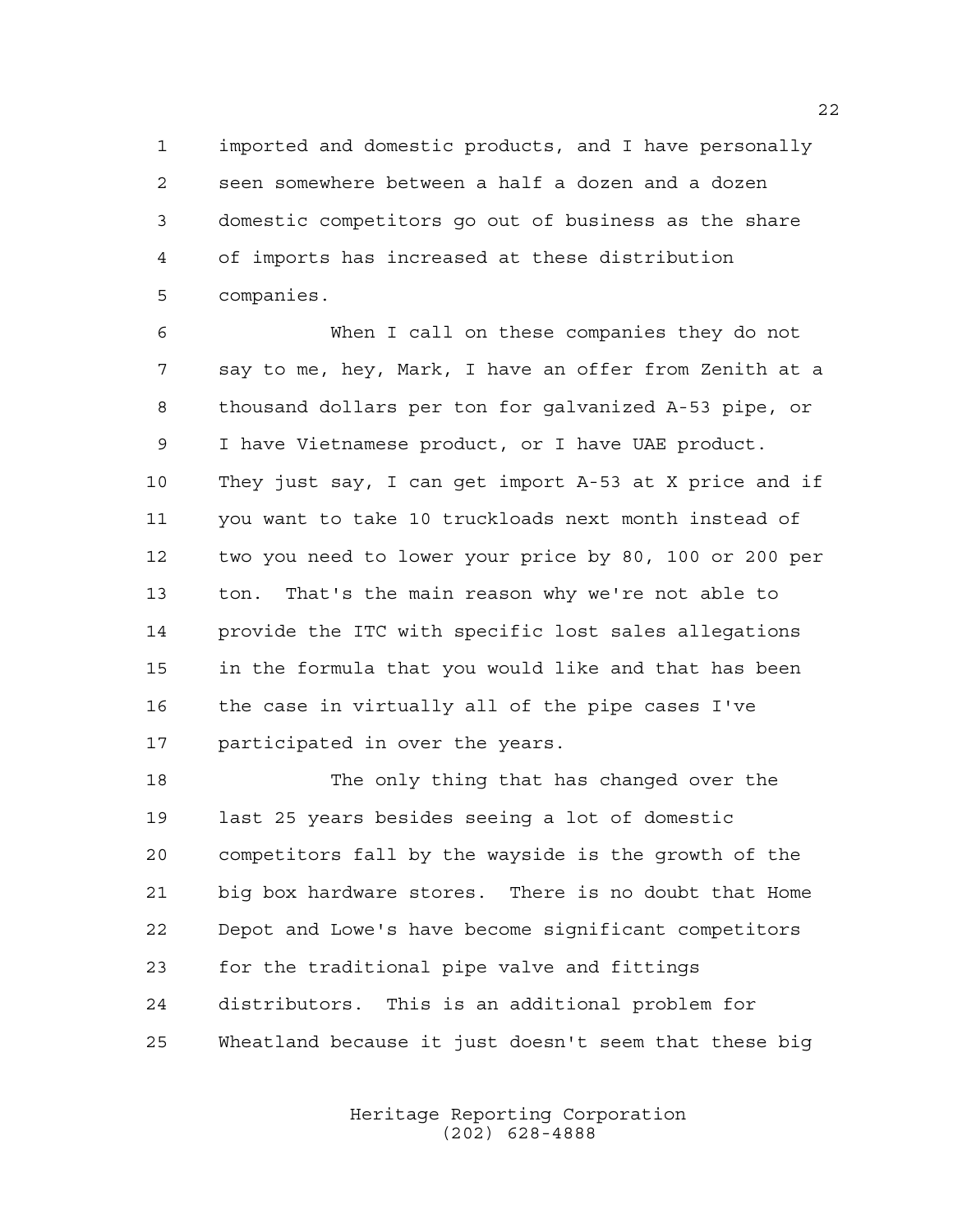imported and domestic products, and I have personally seen somewhere between a half a dozen and a dozen domestic competitors go out of business as the share of imports has increased at these distribution companies.

 When I call on these companies they do not say to me, hey, Mark, I have an offer from Zenith at a thousand dollars per ton for galvanized A-53 pipe, or I have Vietnamese product, or I have UAE product. They just say, I can get import A-53 at X price and if you want to take 10 truckloads next month instead of two you need to lower your price by 80, 100 or 200 per ton. That's the main reason why we're not able to provide the ITC with specific lost sales allegations in the formula that you would like and that has been the case in virtually all of the pipe cases I've participated in over the years.

 The only thing that has changed over the last 25 years besides seeing a lot of domestic competitors fall by the wayside is the growth of the big box hardware stores. There is no doubt that Home Depot and Lowe's have become significant competitors for the traditional pipe valve and fittings distributors. This is an additional problem for Wheatland because it just doesn't seem that these big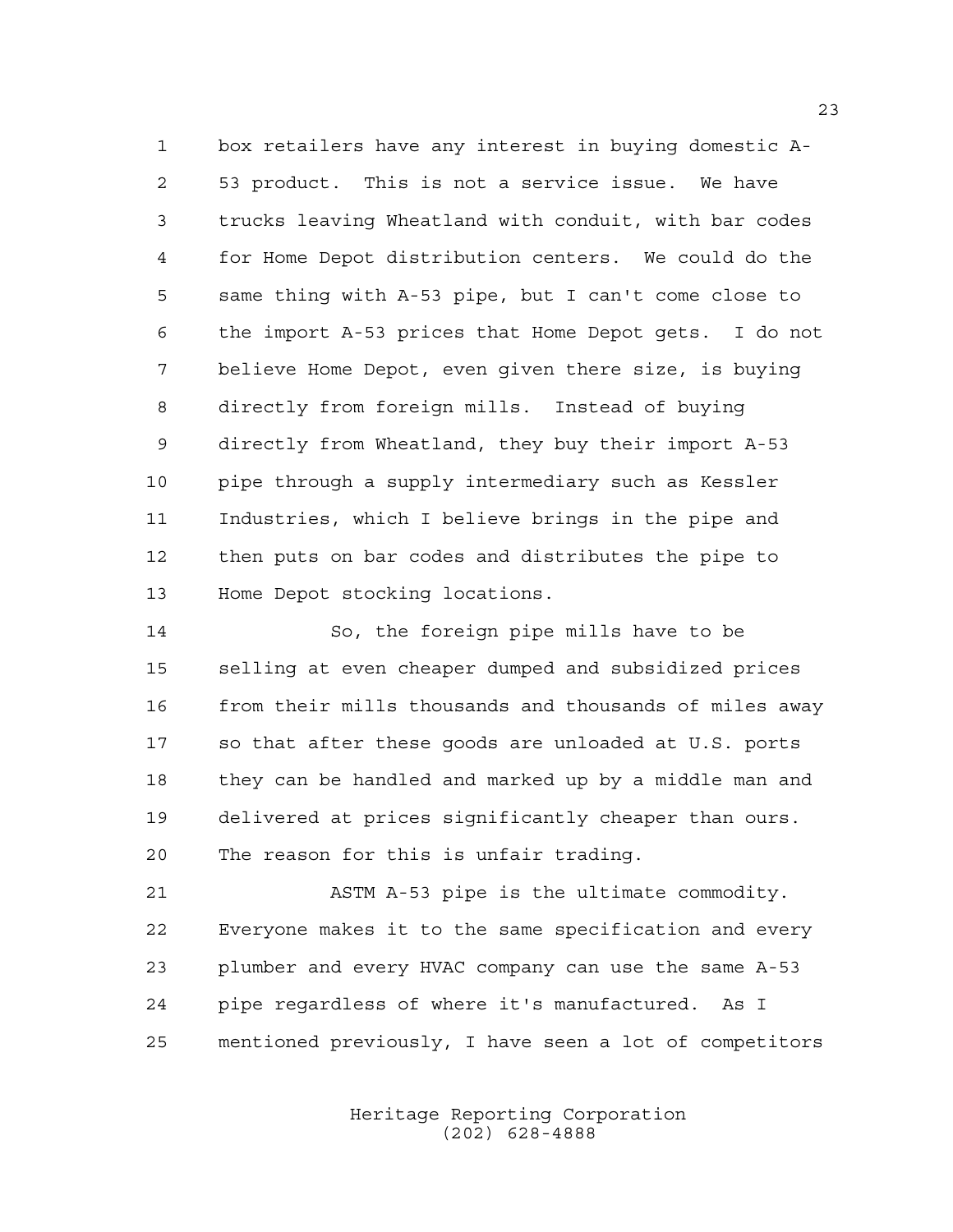box retailers have any interest in buying domestic A- 53 product. This is not a service issue. We have trucks leaving Wheatland with conduit, with bar codes for Home Depot distribution centers. We could do the same thing with A-53 pipe, but I can't come close to the import A-53 prices that Home Depot gets. I do not believe Home Depot, even given there size, is buying directly from foreign mills. Instead of buying directly from Wheatland, they buy their import A-53 pipe through a supply intermediary such as Kessler Industries, which I believe brings in the pipe and then puts on bar codes and distributes the pipe to Home Depot stocking locations.

 So, the foreign pipe mills have to be selling at even cheaper dumped and subsidized prices 16 from their mills thousands and thousands of miles away so that after these goods are unloaded at U.S. ports they can be handled and marked up by a middle man and delivered at prices significantly cheaper than ours. The reason for this is unfair trading.

 ASTM A-53 pipe is the ultimate commodity. Everyone makes it to the same specification and every plumber and every HVAC company can use the same A-53 pipe regardless of where it's manufactured. As I mentioned previously, I have seen a lot of competitors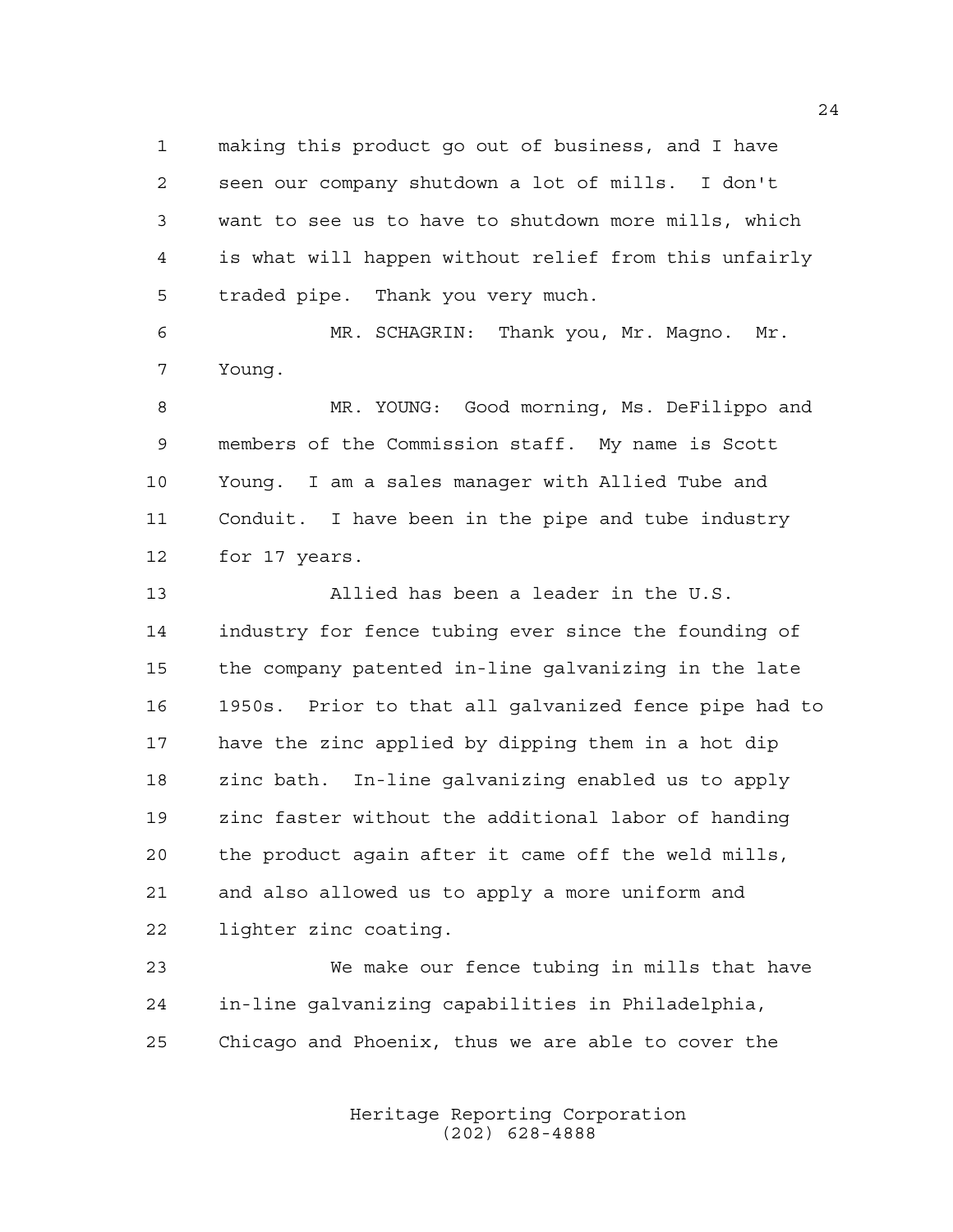making this product go out of business, and I have seen our company shutdown a lot of mills. I don't want to see us to have to shutdown more mills, which is what will happen without relief from this unfairly traded pipe. Thank you very much.

 MR. SCHAGRIN: Thank you, Mr. Magno. Mr. Young.

 MR. YOUNG: Good morning, Ms. DeFilippo and members of the Commission staff. My name is Scott Young. I am a sales manager with Allied Tube and Conduit. I have been in the pipe and tube industry for 17 years.

 Allied has been a leader in the U.S. industry for fence tubing ever since the founding of the company patented in-line galvanizing in the late 1950s. Prior to that all galvanized fence pipe had to have the zinc applied by dipping them in a hot dip zinc bath. In-line galvanizing enabled us to apply zinc faster without the additional labor of handing the product again after it came off the weld mills, and also allowed us to apply a more uniform and lighter zinc coating.

 We make our fence tubing in mills that have in-line galvanizing capabilities in Philadelphia, Chicago and Phoenix, thus we are able to cover the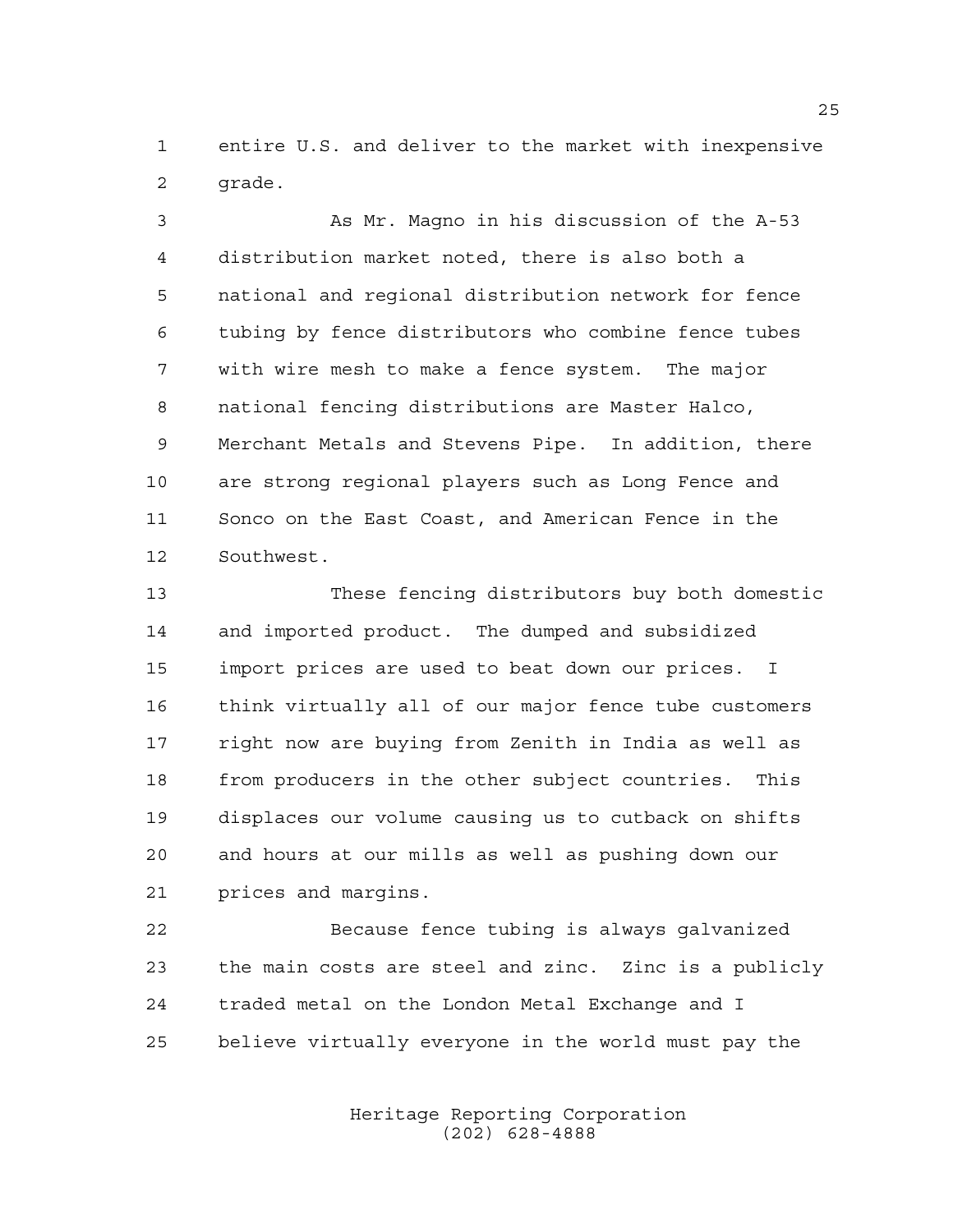entire U.S. and deliver to the market with inexpensive grade.

 As Mr. Magno in his discussion of the A-53 distribution market noted, there is also both a national and regional distribution network for fence tubing by fence distributors who combine fence tubes with wire mesh to make a fence system. The major national fencing distributions are Master Halco, Merchant Metals and Stevens Pipe. In addition, there are strong regional players such as Long Fence and Sonco on the East Coast, and American Fence in the Southwest.

 These fencing distributors buy both domestic and imported product. The dumped and subsidized import prices are used to beat down our prices. I think virtually all of our major fence tube customers right now are buying from Zenith in India as well as from producers in the other subject countries. This displaces our volume causing us to cutback on shifts and hours at our mills as well as pushing down our prices and margins.

 Because fence tubing is always galvanized the main costs are steel and zinc. Zinc is a publicly traded metal on the London Metal Exchange and I believe virtually everyone in the world must pay the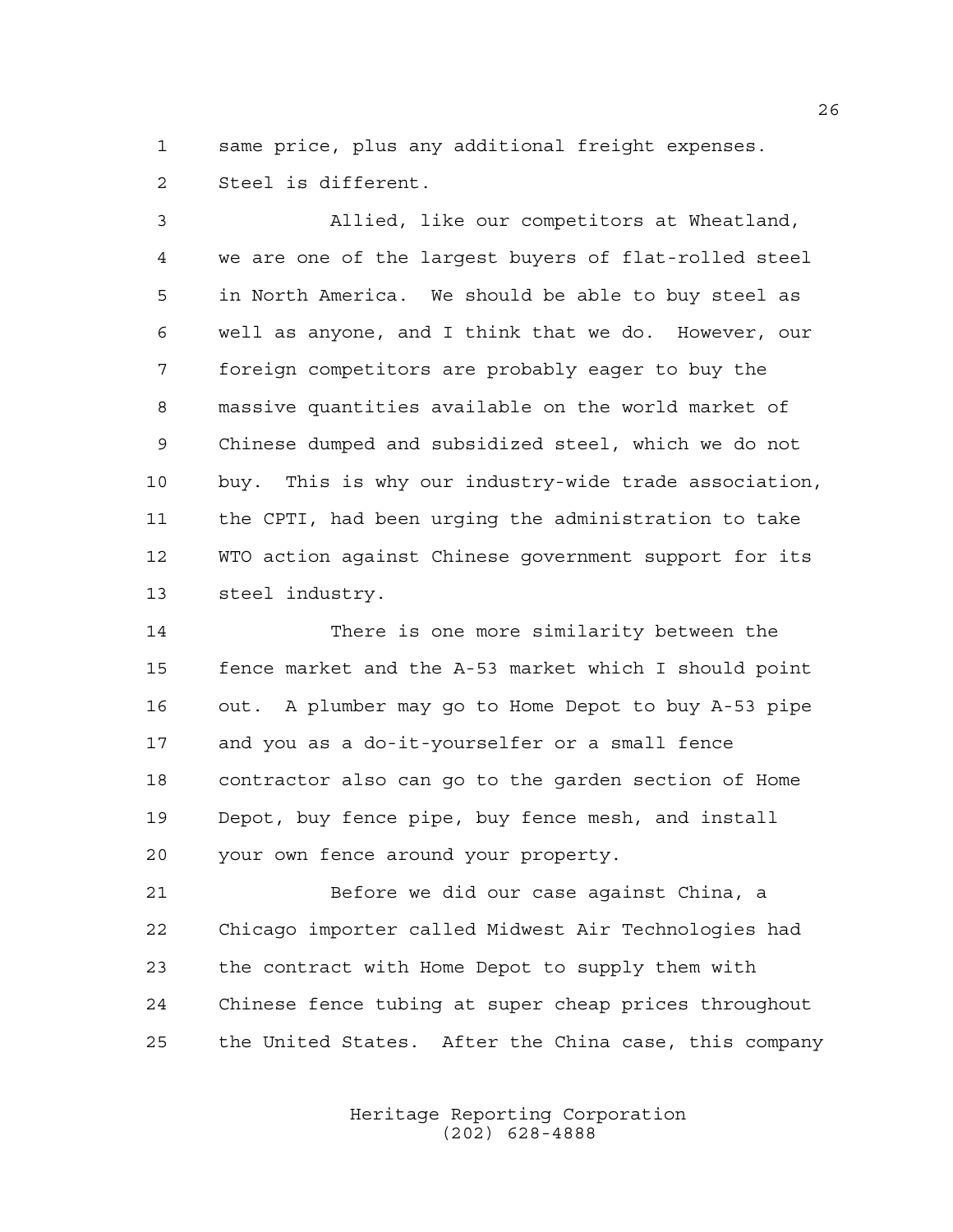same price, plus any additional freight expenses. Steel is different.

 Allied, like our competitors at Wheatland, we are one of the largest buyers of flat-rolled steel in North America. We should be able to buy steel as well as anyone, and I think that we do. However, our foreign competitors are probably eager to buy the massive quantities available on the world market of Chinese dumped and subsidized steel, which we do not buy. This is why our industry-wide trade association, the CPTI, had been urging the administration to take WTO action against Chinese government support for its steel industry.

 There is one more similarity between the fence market and the A-53 market which I should point out. A plumber may go to Home Depot to buy A-53 pipe and you as a do-it-yourselfer or a small fence contractor also can go to the garden section of Home Depot, buy fence pipe, buy fence mesh, and install your own fence around your property.

 Before we did our case against China, a Chicago importer called Midwest Air Technologies had the contract with Home Depot to supply them with Chinese fence tubing at super cheap prices throughout the United States. After the China case, this company

> Heritage Reporting Corporation (202) 628-4888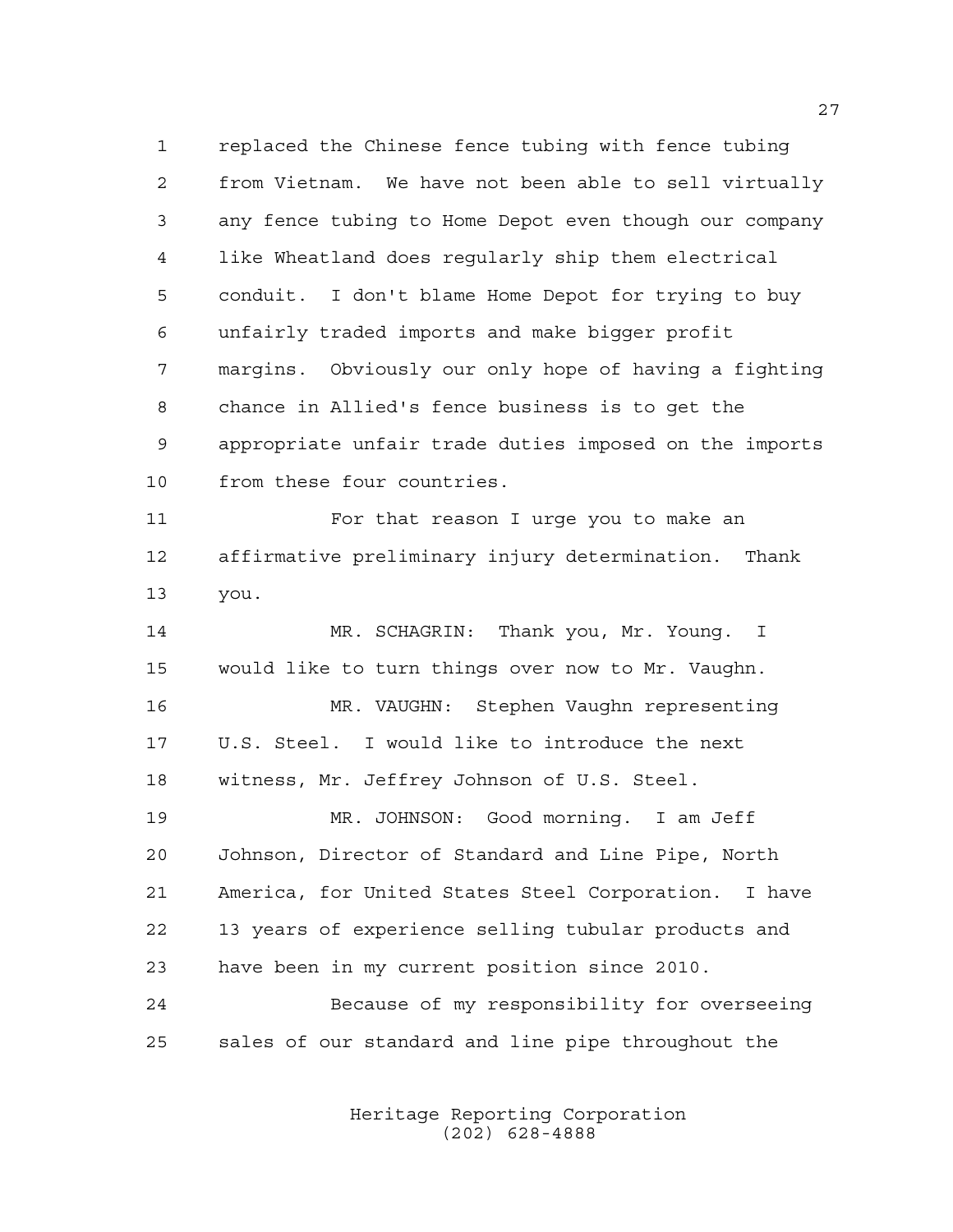replaced the Chinese fence tubing with fence tubing from Vietnam. We have not been able to sell virtually any fence tubing to Home Depot even though our company like Wheatland does regularly ship them electrical conduit. I don't blame Home Depot for trying to buy unfairly traded imports and make bigger profit margins. Obviously our only hope of having a fighting chance in Allied's fence business is to get the appropriate unfair trade duties imposed on the imports from these four countries. For that reason I urge you to make an affirmative preliminary injury determination. Thank you. MR. SCHAGRIN: Thank you, Mr. Young. I would like to turn things over now to Mr. Vaughn. MR. VAUGHN: Stephen Vaughn representing U.S. Steel. I would like to introduce the next witness, Mr. Jeffrey Johnson of U.S. Steel. MR. JOHNSON: Good morning. I am Jeff Johnson, Director of Standard and Line Pipe, North America, for United States Steel Corporation. I have 13 years of experience selling tubular products and have been in my current position since 2010. Because of my responsibility for overseeing sales of our standard and line pipe throughout the

> Heritage Reporting Corporation (202) 628-4888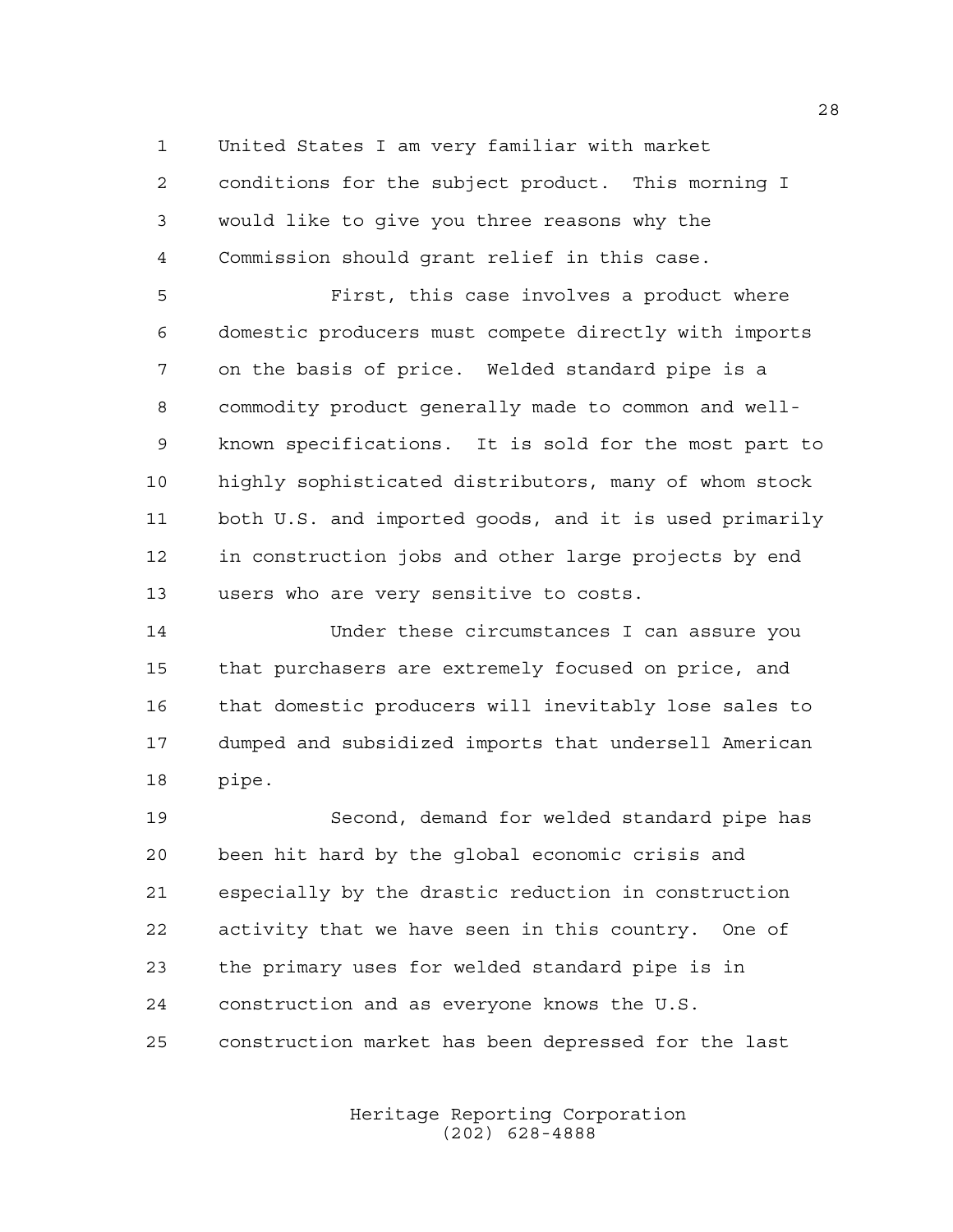United States I am very familiar with market

 conditions for the subject product. This morning I would like to give you three reasons why the Commission should grant relief in this case.

 First, this case involves a product where domestic producers must compete directly with imports on the basis of price. Welded standard pipe is a commodity product generally made to common and well- known specifications. It is sold for the most part to highly sophisticated distributors, many of whom stock both U.S. and imported goods, and it is used primarily in construction jobs and other large projects by end users who are very sensitive to costs.

 Under these circumstances I can assure you that purchasers are extremely focused on price, and that domestic producers will inevitably lose sales to dumped and subsidized imports that undersell American pipe.

 Second, demand for welded standard pipe has been hit hard by the global economic crisis and especially by the drastic reduction in construction activity that we have seen in this country. One of the primary uses for welded standard pipe is in construction and as everyone knows the U.S. construction market has been depressed for the last

> Heritage Reporting Corporation (202) 628-4888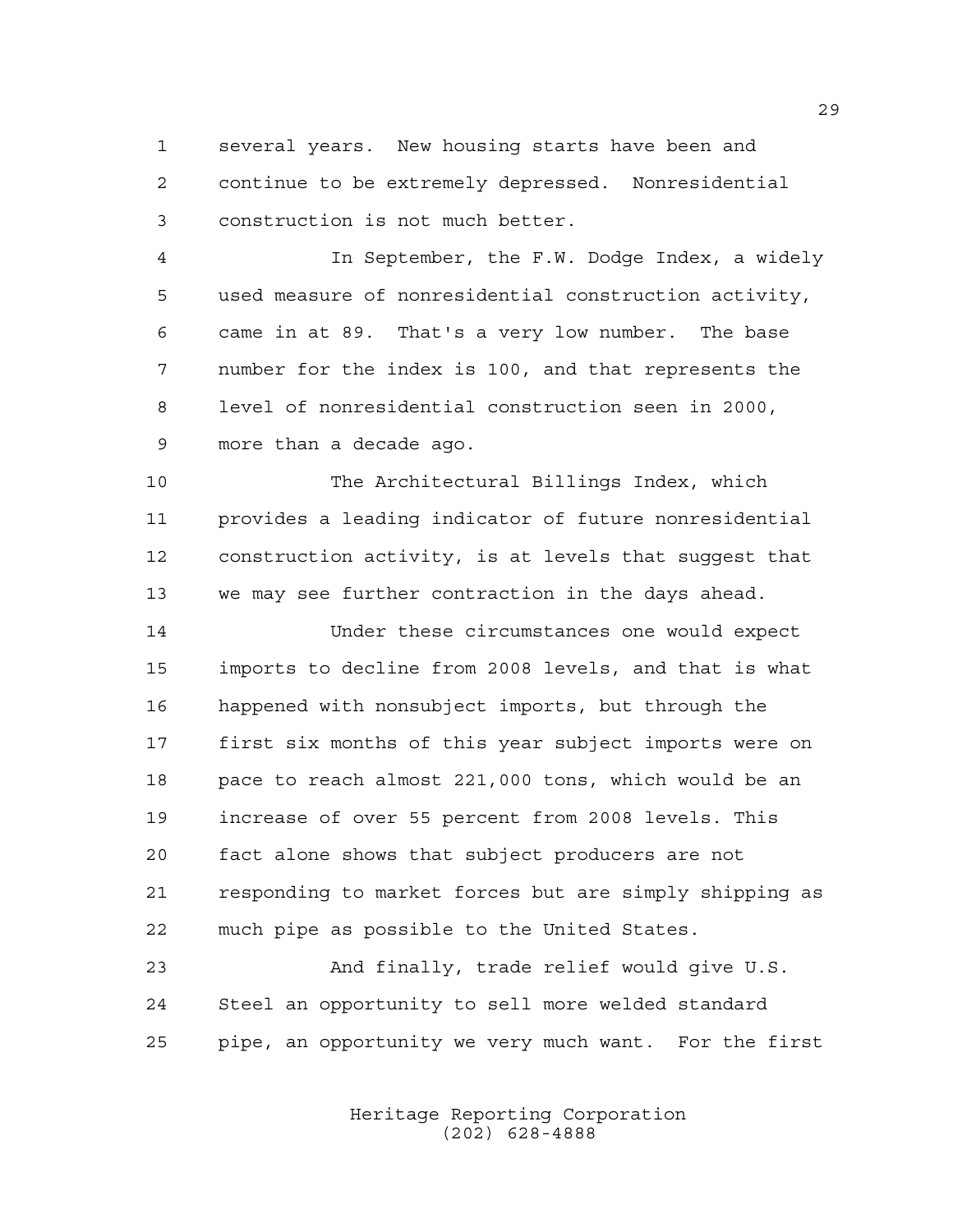several years. New housing starts have been and continue to be extremely depressed. Nonresidential construction is not much better.

 In September, the F.W. Dodge Index, a widely used measure of nonresidential construction activity, came in at 89. That's a very low number. The base number for the index is 100, and that represents the level of nonresidential construction seen in 2000, more than a decade ago.

 The Architectural Billings Index, which provides a leading indicator of future nonresidential construction activity, is at levels that suggest that we may see further contraction in the days ahead.

 Under these circumstances one would expect imports to decline from 2008 levels, and that is what happened with nonsubject imports, but through the first six months of this year subject imports were on pace to reach almost 221,000 tons, which would be an increase of over 55 percent from 2008 levels. This fact alone shows that subject producers are not responding to market forces but are simply shipping as much pipe as possible to the United States.

 And finally, trade relief would give U.S. Steel an opportunity to sell more welded standard pipe, an opportunity we very much want. For the first

> Heritage Reporting Corporation (202) 628-4888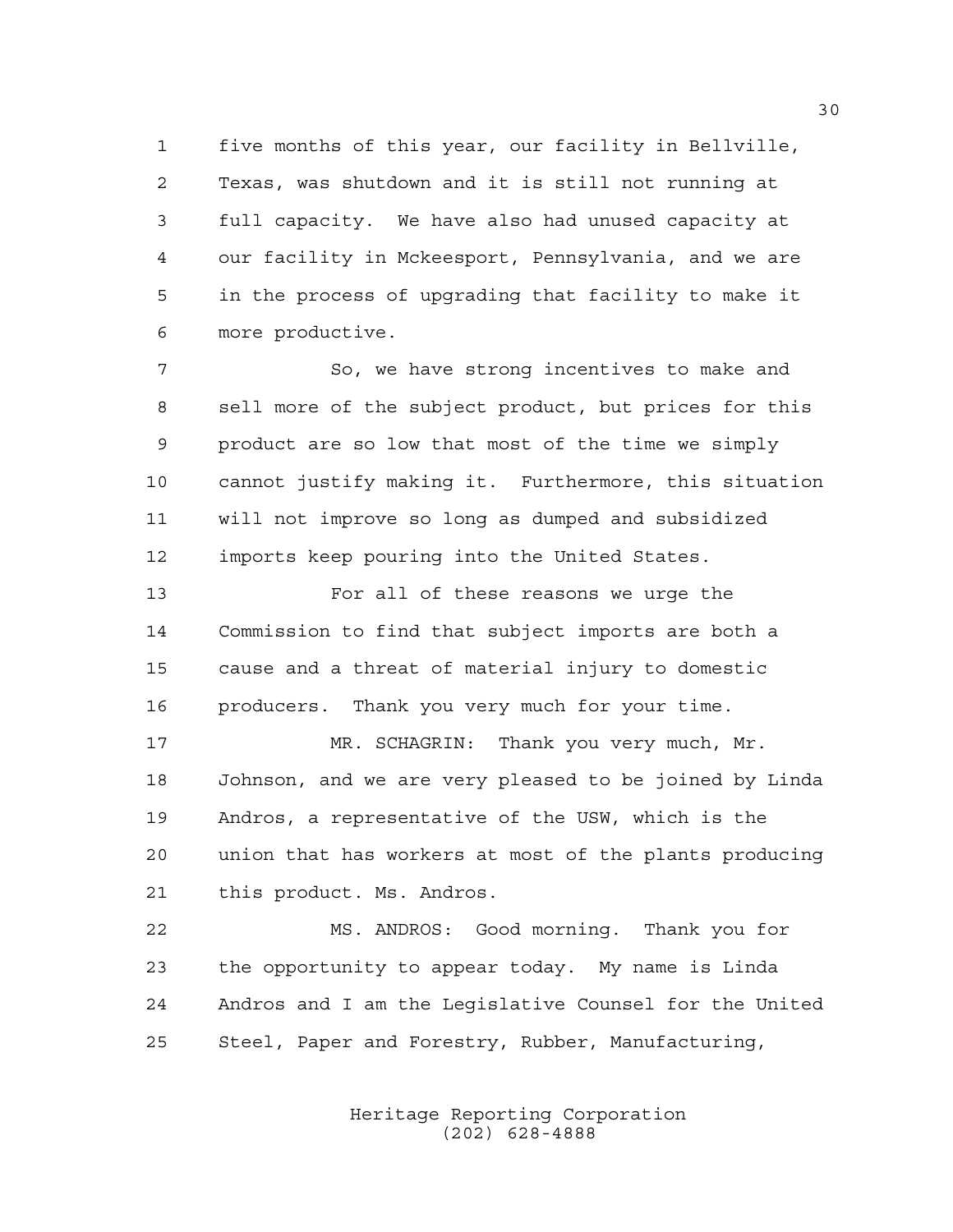five months of this year, our facility in Bellville, Texas, was shutdown and it is still not running at full capacity. We have also had unused capacity at our facility in Mckeesport, Pennsylvania, and we are in the process of upgrading that facility to make it more productive.

 So, we have strong incentives to make and sell more of the subject product, but prices for this product are so low that most of the time we simply cannot justify making it. Furthermore, this situation will not improve so long as dumped and subsidized imports keep pouring into the United States.

 For all of these reasons we urge the Commission to find that subject imports are both a cause and a threat of material injury to domestic producers. Thank you very much for your time.

 MR. SCHAGRIN: Thank you very much, Mr. Johnson, and we are very pleased to be joined by Linda Andros, a representative of the USW, which is the union that has workers at most of the plants producing this product. Ms. Andros.

 MS. ANDROS: Good morning. Thank you for the opportunity to appear today. My name is Linda Andros and I am the Legislative Counsel for the United Steel, Paper and Forestry, Rubber, Manufacturing,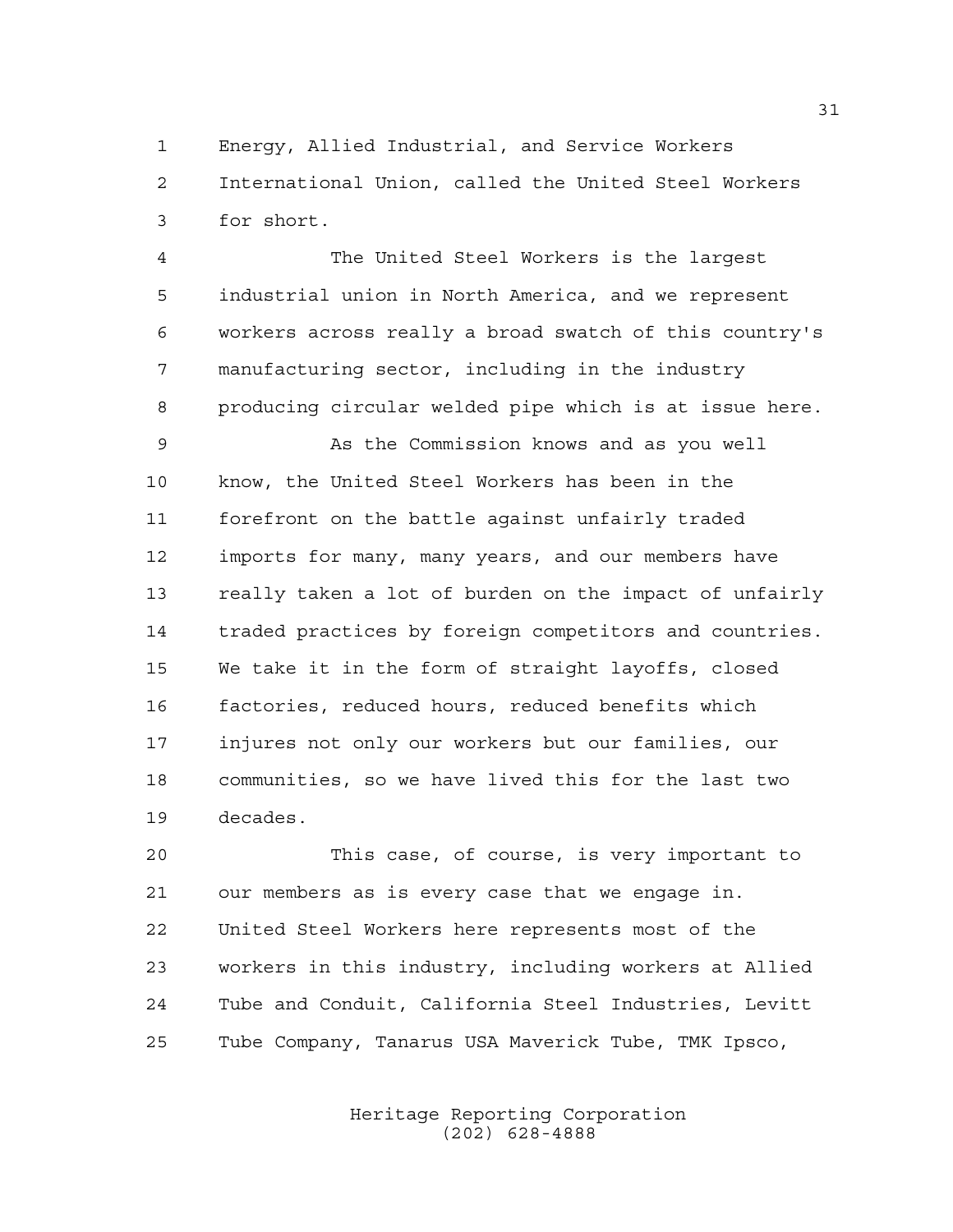Energy, Allied Industrial, and Service Workers International Union, called the United Steel Workers

for short.

 The United Steel Workers is the largest industrial union in North America, and we represent workers across really a broad swatch of this country's manufacturing sector, including in the industry producing circular welded pipe which is at issue here.

 As the Commission knows and as you well know, the United Steel Workers has been in the forefront on the battle against unfairly traded imports for many, many years, and our members have really taken a lot of burden on the impact of unfairly traded practices by foreign competitors and countries. We take it in the form of straight layoffs, closed factories, reduced hours, reduced benefits which injures not only our workers but our families, our communities, so we have lived this for the last two decades.

 This case, of course, is very important to our members as is every case that we engage in. United Steel Workers here represents most of the workers in this industry, including workers at Allied Tube and Conduit, California Steel Industries, Levitt Tube Company, Tanarus USA Maverick Tube, TMK Ipsco,

> Heritage Reporting Corporation (202) 628-4888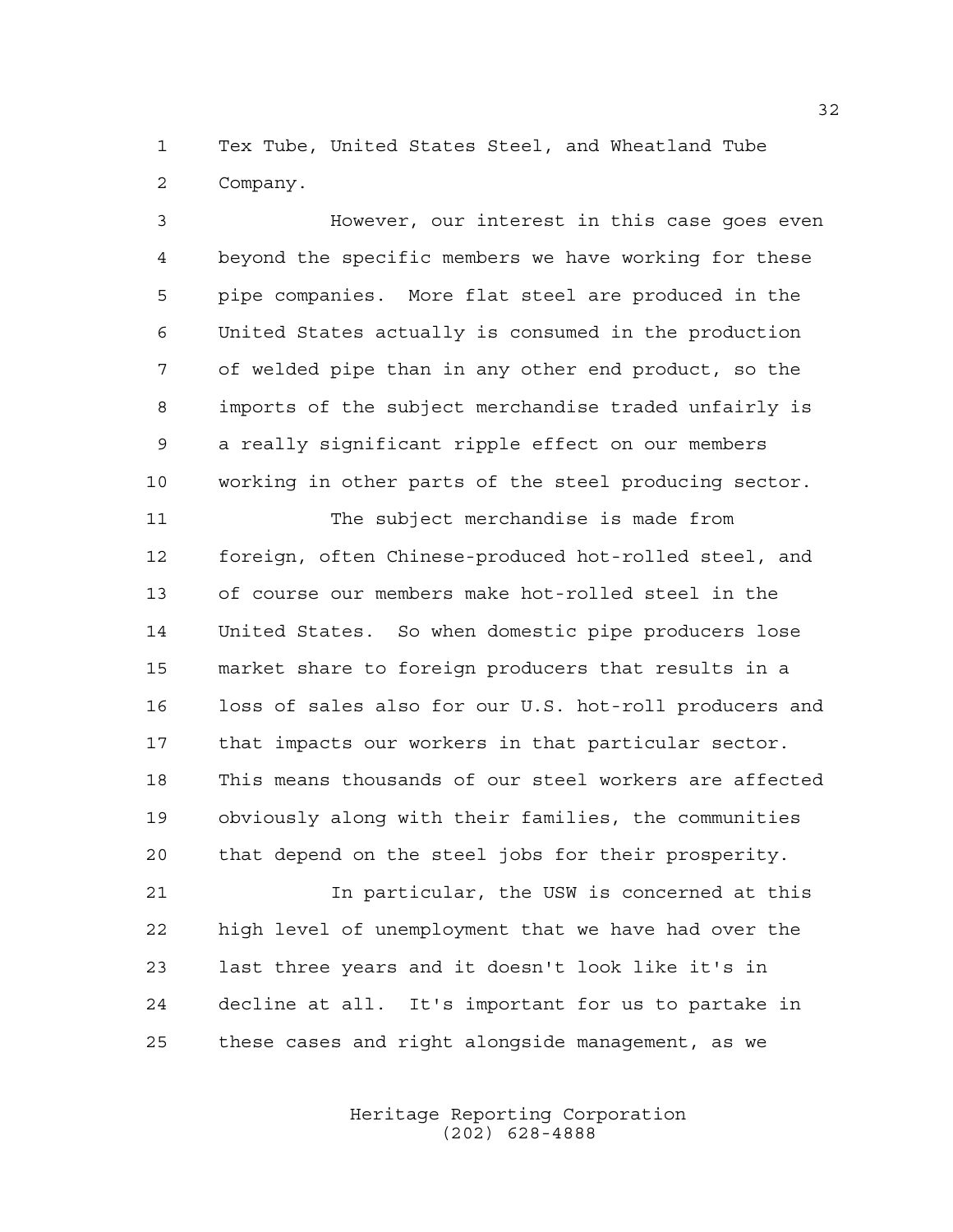Tex Tube, United States Steel, and Wheatland Tube Company.

 However, our interest in this case goes even beyond the specific members we have working for these pipe companies. More flat steel are produced in the United States actually is consumed in the production of welded pipe than in any other end product, so the imports of the subject merchandise traded unfairly is a really significant ripple effect on our members working in other parts of the steel producing sector.

 The subject merchandise is made from foreign, often Chinese-produced hot-rolled steel, and of course our members make hot-rolled steel in the United States. So when domestic pipe producers lose market share to foreign producers that results in a loss of sales also for our U.S. hot-roll producers and that impacts our workers in that particular sector. This means thousands of our steel workers are affected obviously along with their families, the communities that depend on the steel jobs for their prosperity.

 In particular, the USW is concerned at this high level of unemployment that we have had over the last three years and it doesn't look like it's in decline at all. It's important for us to partake in these cases and right alongside management, as we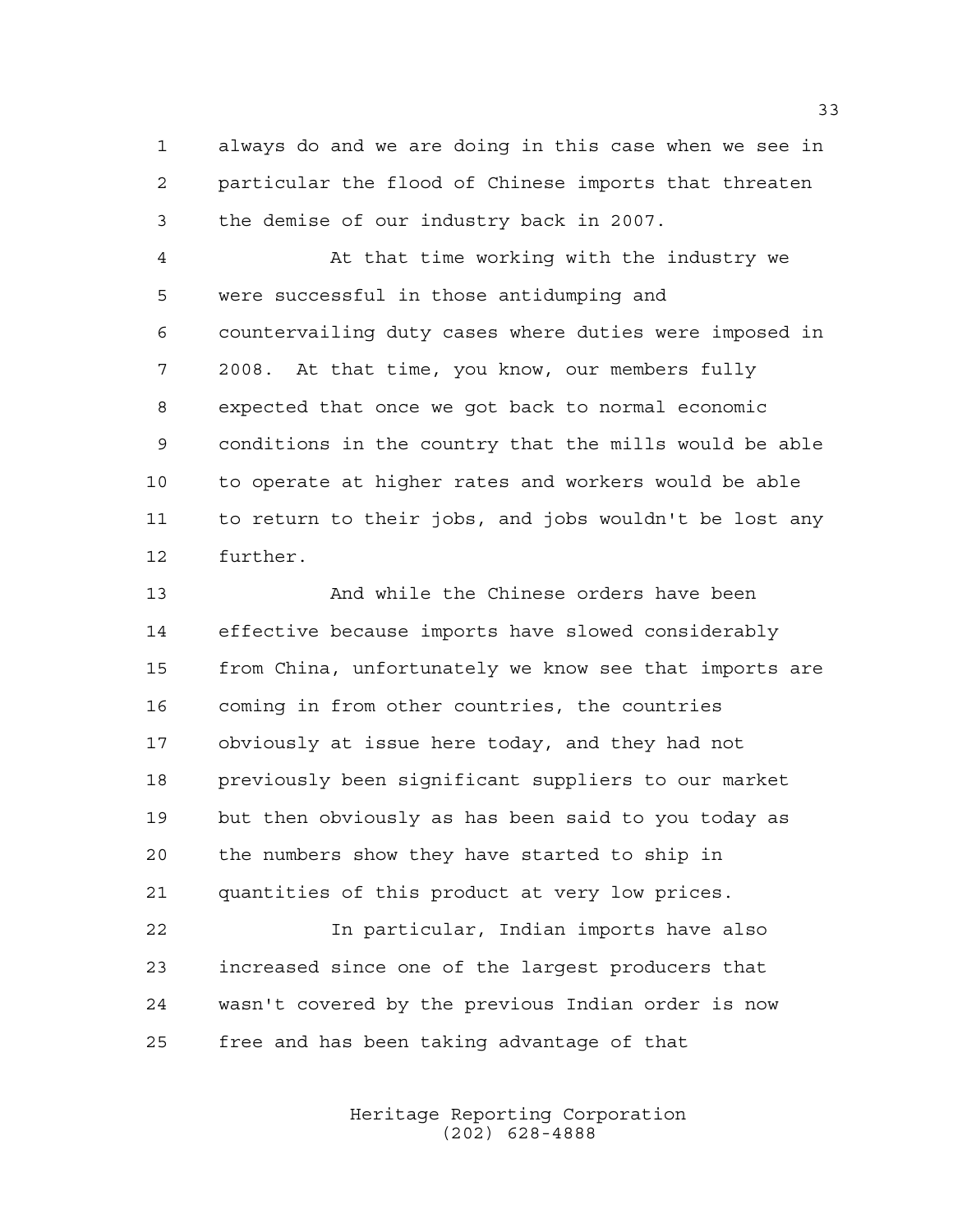always do and we are doing in this case when we see in particular the flood of Chinese imports that threaten the demise of our industry back in 2007.

 At that time working with the industry we were successful in those antidumping and countervailing duty cases where duties were imposed in 2008. At that time, you know, our members fully expected that once we got back to normal economic conditions in the country that the mills would be able to operate at higher rates and workers would be able to return to their jobs, and jobs wouldn't be lost any further.

 And while the Chinese orders have been effective because imports have slowed considerably from China, unfortunately we know see that imports are coming in from other countries, the countries obviously at issue here today, and they had not previously been significant suppliers to our market but then obviously as has been said to you today as the numbers show they have started to ship in quantities of this product at very low prices.

 In particular, Indian imports have also increased since one of the largest producers that wasn't covered by the previous Indian order is now free and has been taking advantage of that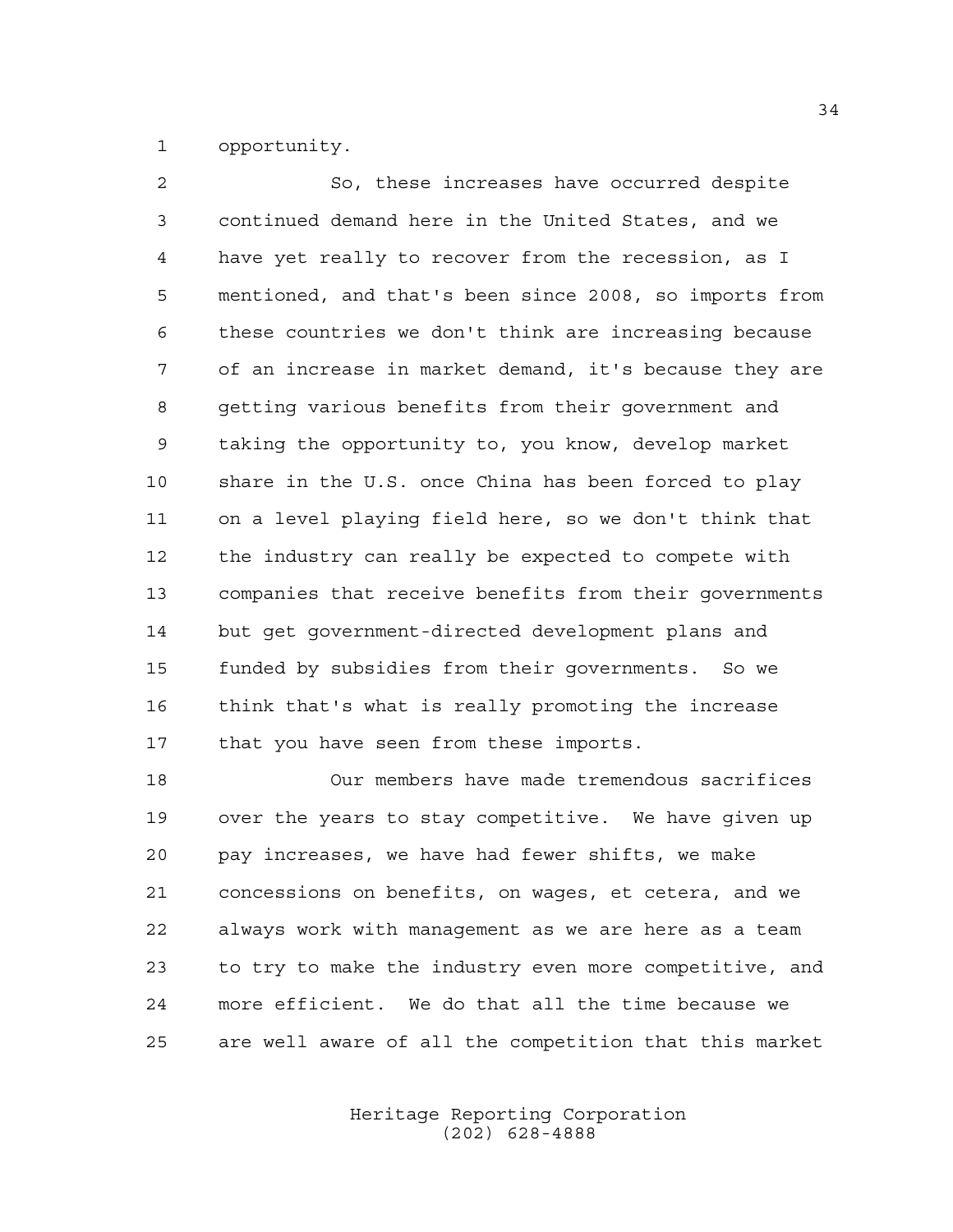opportunity.

 So, these increases have occurred despite continued demand here in the United States, and we have yet really to recover from the recession, as I mentioned, and that's been since 2008, so imports from these countries we don't think are increasing because of an increase in market demand, it's because they are getting various benefits from their government and taking the opportunity to, you know, develop market share in the U.S. once China has been forced to play on a level playing field here, so we don't think that the industry can really be expected to compete with companies that receive benefits from their governments but get government-directed development plans and funded by subsidies from their governments. So we think that's what is really promoting the increase that you have seen from these imports.

 Our members have made tremendous sacrifices over the years to stay competitive. We have given up pay increases, we have had fewer shifts, we make concessions on benefits, on wages, et cetera, and we always work with management as we are here as a team to try to make the industry even more competitive, and more efficient. We do that all the time because we are well aware of all the competition that this market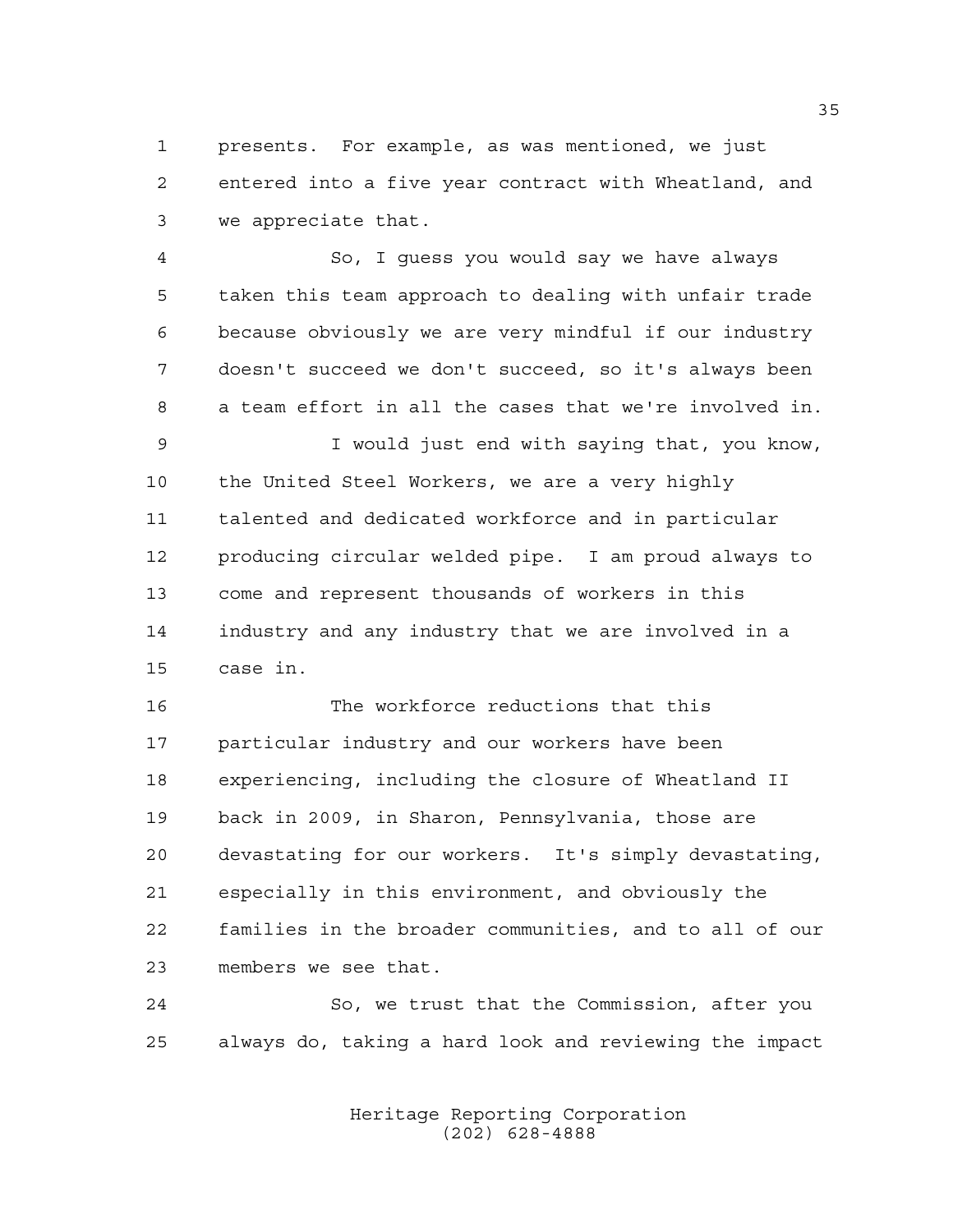presents. For example, as was mentioned, we just entered into a five year contract with Wheatland, and we appreciate that.

 So, I guess you would say we have always taken this team approach to dealing with unfair trade because obviously we are very mindful if our industry doesn't succeed we don't succeed, so it's always been a team effort in all the cases that we're involved in. I would just end with saying that, you know, the United Steel Workers, we are a very highly talented and dedicated workforce and in particular producing circular welded pipe. I am proud always to come and represent thousands of workers in this industry and any industry that we are involved in a case in.

 The workforce reductions that this particular industry and our workers have been experiencing, including the closure of Wheatland II back in 2009, in Sharon, Pennsylvania, those are devastating for our workers. It's simply devastating, especially in this environment, and obviously the families in the broader communities, and to all of our members we see that.

 So, we trust that the Commission, after you always do, taking a hard look and reviewing the impact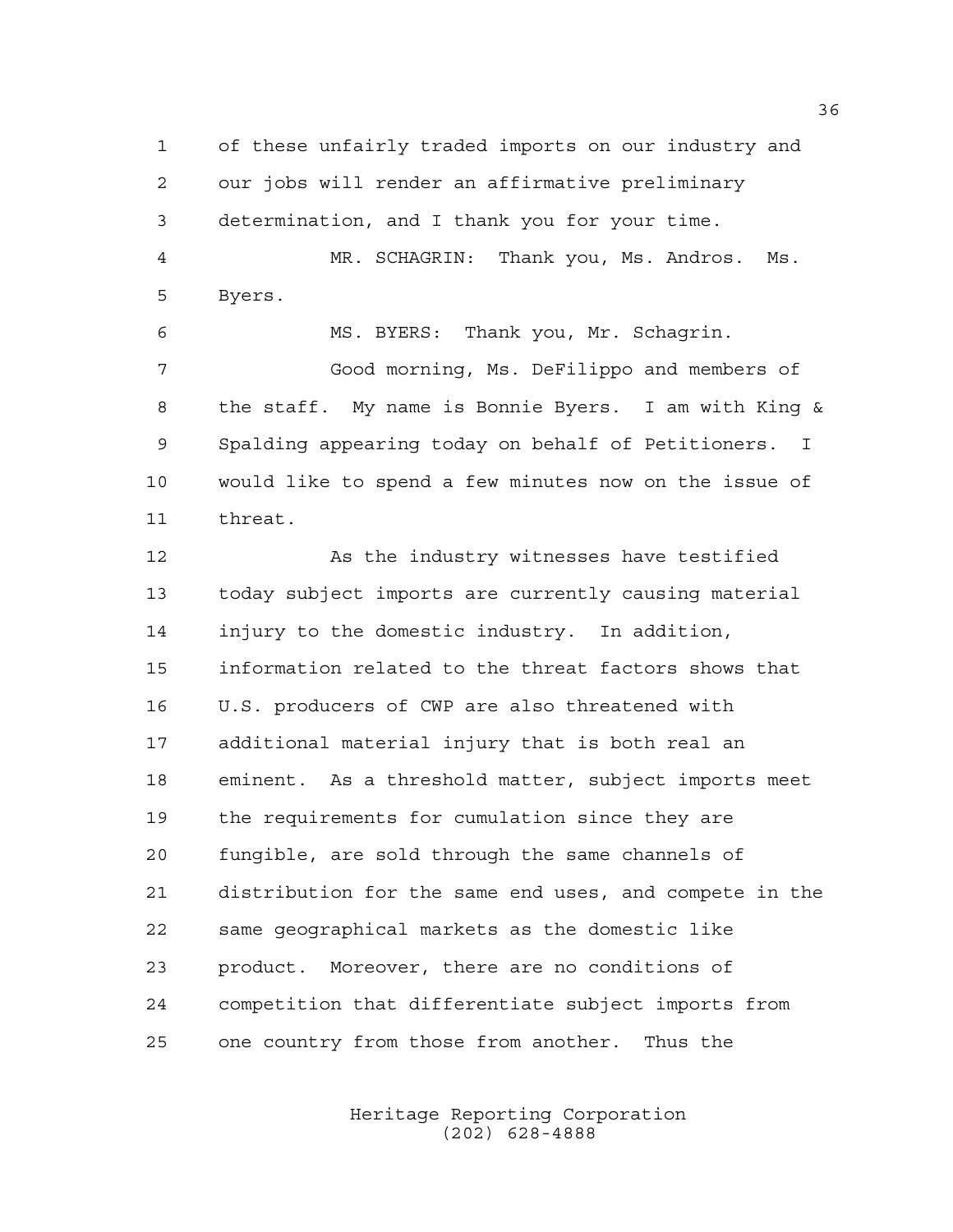of these unfairly traded imports on our industry and our jobs will render an affirmative preliminary determination, and I thank you for your time. MR. SCHAGRIN: Thank you, Ms. Andros. Ms. Byers. MS. BYERS: Thank you, Mr. Schagrin. Good morning, Ms. DeFilippo and members of

 the staff. My name is Bonnie Byers. I am with King & Spalding appearing today on behalf of Petitioners. I would like to spend a few minutes now on the issue of threat.

12 As the industry witnesses have testified today subject imports are currently causing material injury to the domestic industry. In addition, information related to the threat factors shows that U.S. producers of CWP are also threatened with additional material injury that is both real an eminent. As a threshold matter, subject imports meet the requirements for cumulation since they are fungible, are sold through the same channels of distribution for the same end uses, and compete in the same geographical markets as the domestic like product. Moreover, there are no conditions of competition that differentiate subject imports from one country from those from another. Thus the

> Heritage Reporting Corporation (202) 628-4888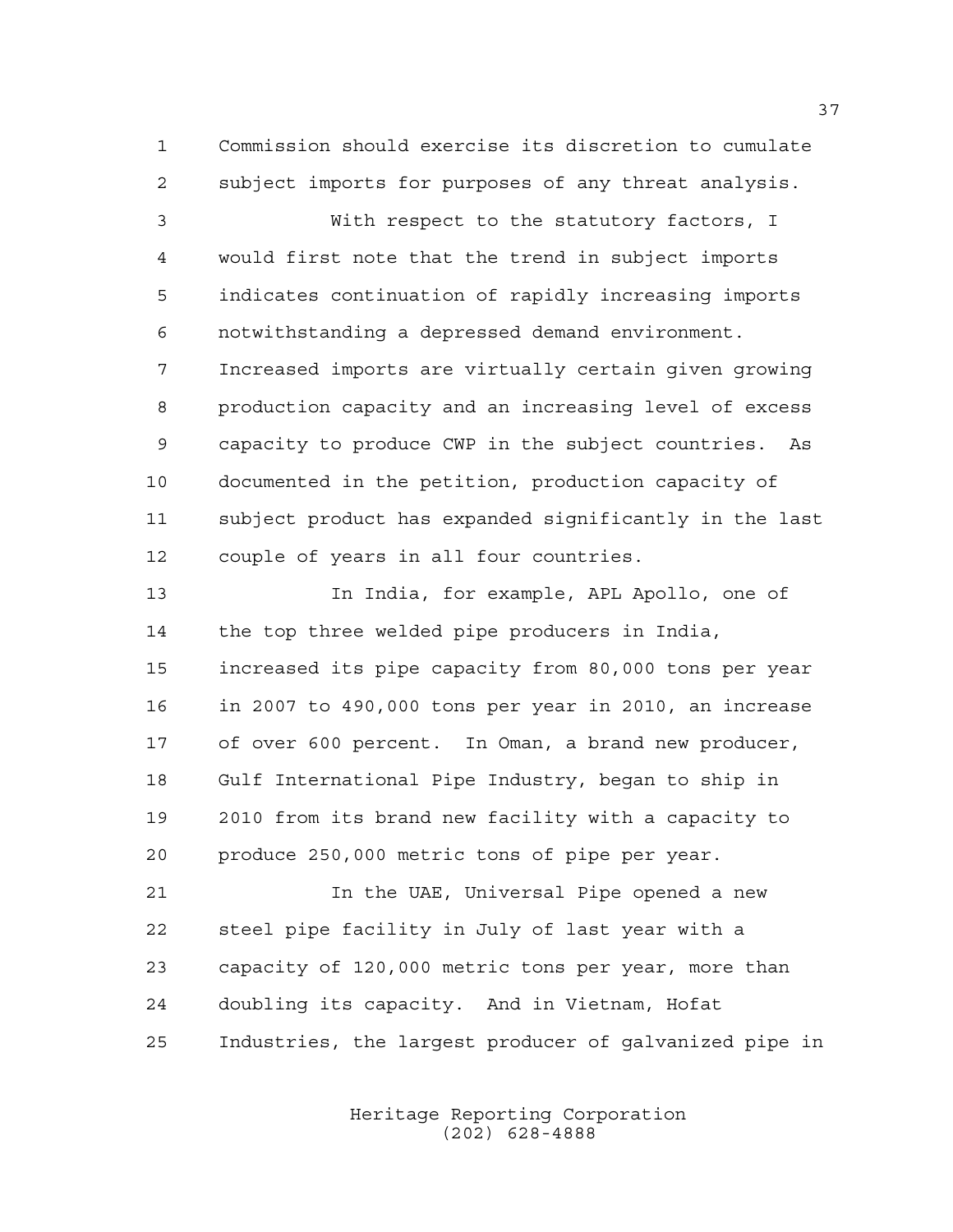Commission should exercise its discretion to cumulate subject imports for purposes of any threat analysis.

 With respect to the statutory factors, I would first note that the trend in subject imports indicates continuation of rapidly increasing imports notwithstanding a depressed demand environment. Increased imports are virtually certain given growing production capacity and an increasing level of excess capacity to produce CWP in the subject countries. As documented in the petition, production capacity of subject product has expanded significantly in the last couple of years in all four countries.

 In India, for example, APL Apollo, one of the top three welded pipe producers in India, increased its pipe capacity from 80,000 tons per year in 2007 to 490,000 tons per year in 2010, an increase of over 600 percent. In Oman, a brand new producer, Gulf International Pipe Industry, began to ship in 2010 from its brand new facility with a capacity to produce 250,000 metric tons of pipe per year.

 In the UAE, Universal Pipe opened a new steel pipe facility in July of last year with a capacity of 120,000 metric tons per year, more than doubling its capacity. And in Vietnam, Hofat Industries, the largest producer of galvanized pipe in

> Heritage Reporting Corporation (202) 628-4888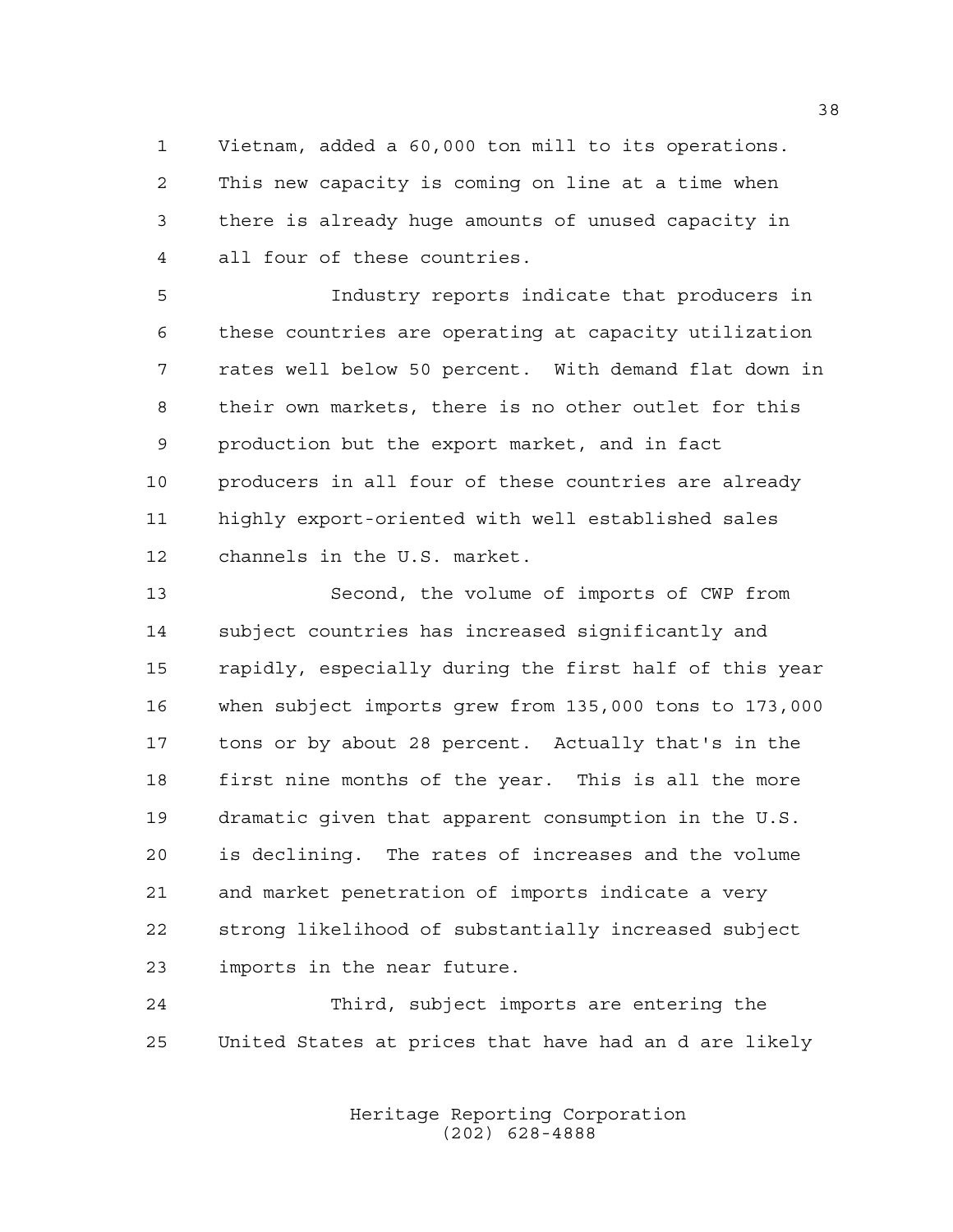Vietnam, added a 60,000 ton mill to its operations. This new capacity is coming on line at a time when there is already huge amounts of unused capacity in all four of these countries.

 Industry reports indicate that producers in these countries are operating at capacity utilization rates well below 50 percent. With demand flat down in their own markets, there is no other outlet for this production but the export market, and in fact producers in all four of these countries are already highly export-oriented with well established sales channels in the U.S. market.

 Second, the volume of imports of CWP from subject countries has increased significantly and rapidly, especially during the first half of this year when subject imports grew from 135,000 tons to 173,000 tons or by about 28 percent. Actually that's in the first nine months of the year. This is all the more dramatic given that apparent consumption in the U.S. is declining. The rates of increases and the volume and market penetration of imports indicate a very strong likelihood of substantially increased subject imports in the near future.

 Third, subject imports are entering the United States at prices that have had an d are likely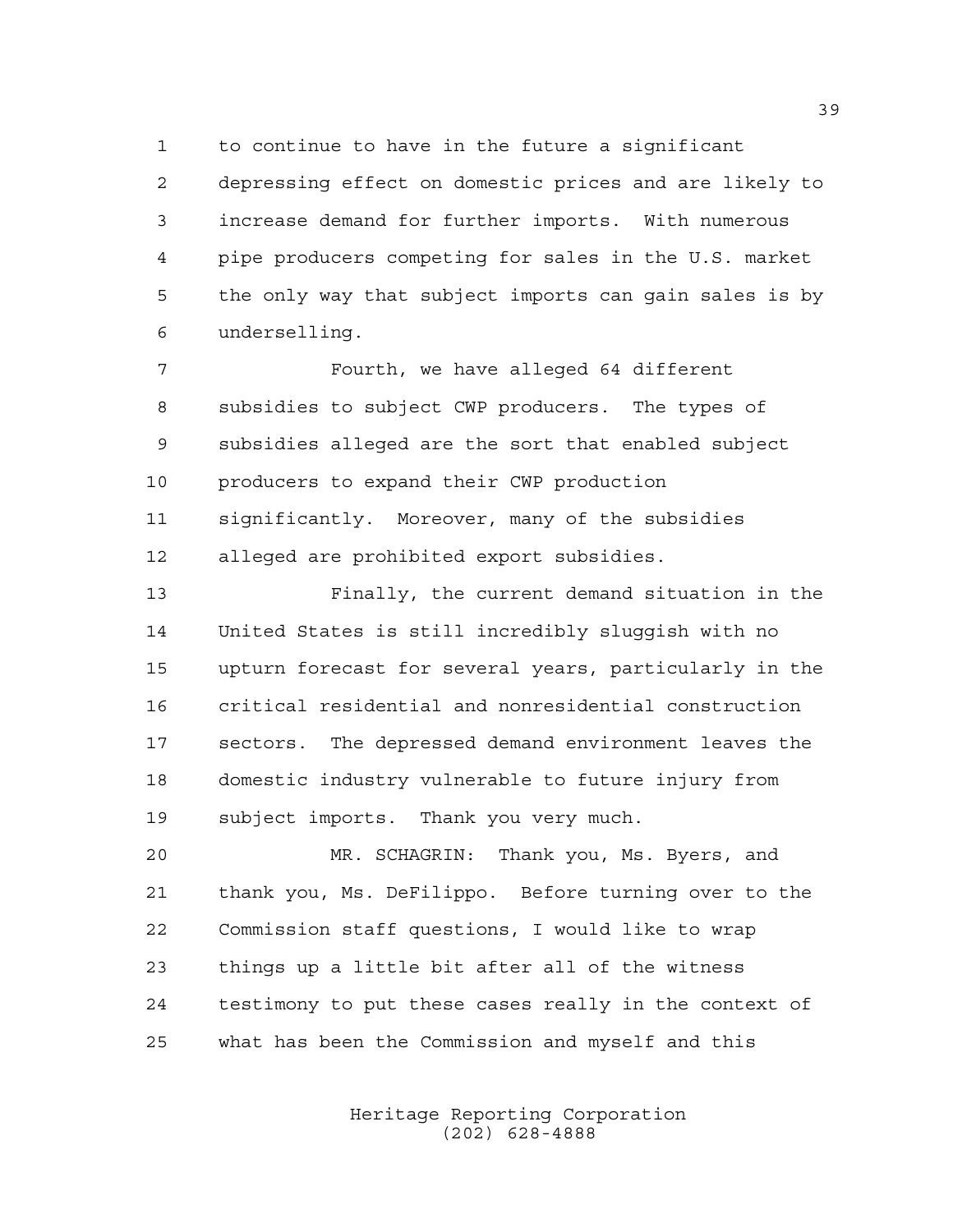to continue to have in the future a significant depressing effect on domestic prices and are likely to increase demand for further imports. With numerous pipe producers competing for sales in the U.S. market the only way that subject imports can gain sales is by underselling.

 Fourth, we have alleged 64 different subsidies to subject CWP producers. The types of subsidies alleged are the sort that enabled subject producers to expand their CWP production significantly. Moreover, many of the subsidies alleged are prohibited export subsidies.

 Finally, the current demand situation in the United States is still incredibly sluggish with no upturn forecast for several years, particularly in the critical residential and nonresidential construction sectors. The depressed demand environment leaves the domestic industry vulnerable to future injury from subject imports. Thank you very much.

 MR. SCHAGRIN: Thank you, Ms. Byers, and thank you, Ms. DeFilippo. Before turning over to the Commission staff questions, I would like to wrap things up a little bit after all of the witness testimony to put these cases really in the context of what has been the Commission and myself and this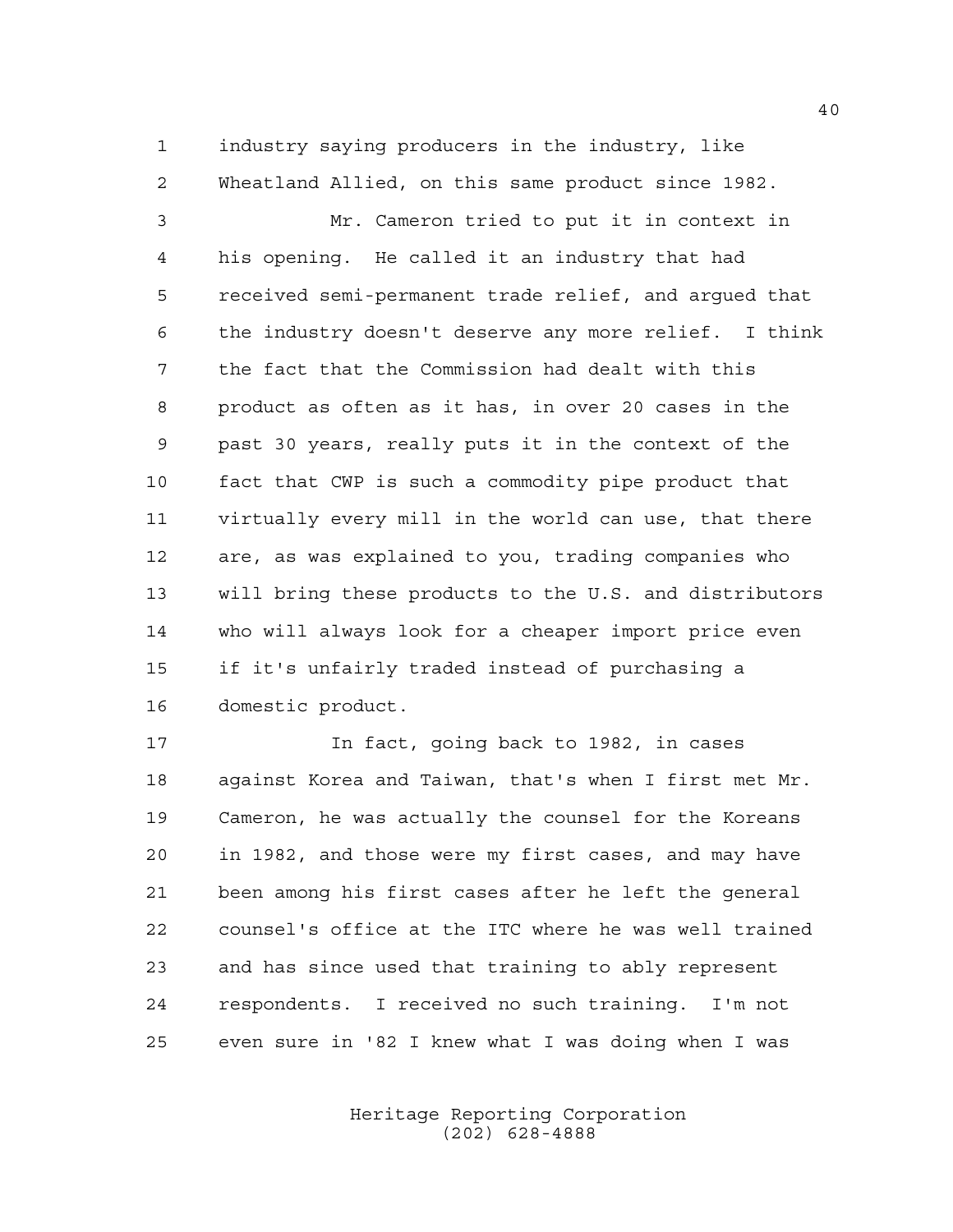industry saying producers in the industry, like Wheatland Allied, on this same product since 1982.

 Mr. Cameron tried to put it in context in his opening. He called it an industry that had received semi-permanent trade relief, and argued that the industry doesn't deserve any more relief. I think the fact that the Commission had dealt with this product as often as it has, in over 20 cases in the past 30 years, really puts it in the context of the fact that CWP is such a commodity pipe product that virtually every mill in the world can use, that there are, as was explained to you, trading companies who will bring these products to the U.S. and distributors who will always look for a cheaper import price even if it's unfairly traded instead of purchasing a domestic product.

 In fact, going back to 1982, in cases against Korea and Taiwan, that's when I first met Mr. Cameron, he was actually the counsel for the Koreans in 1982, and those were my first cases, and may have been among his first cases after he left the general counsel's office at the ITC where he was well trained and has since used that training to ably represent respondents. I received no such training. I'm not even sure in '82 I knew what I was doing when I was

> Heritage Reporting Corporation (202) 628-4888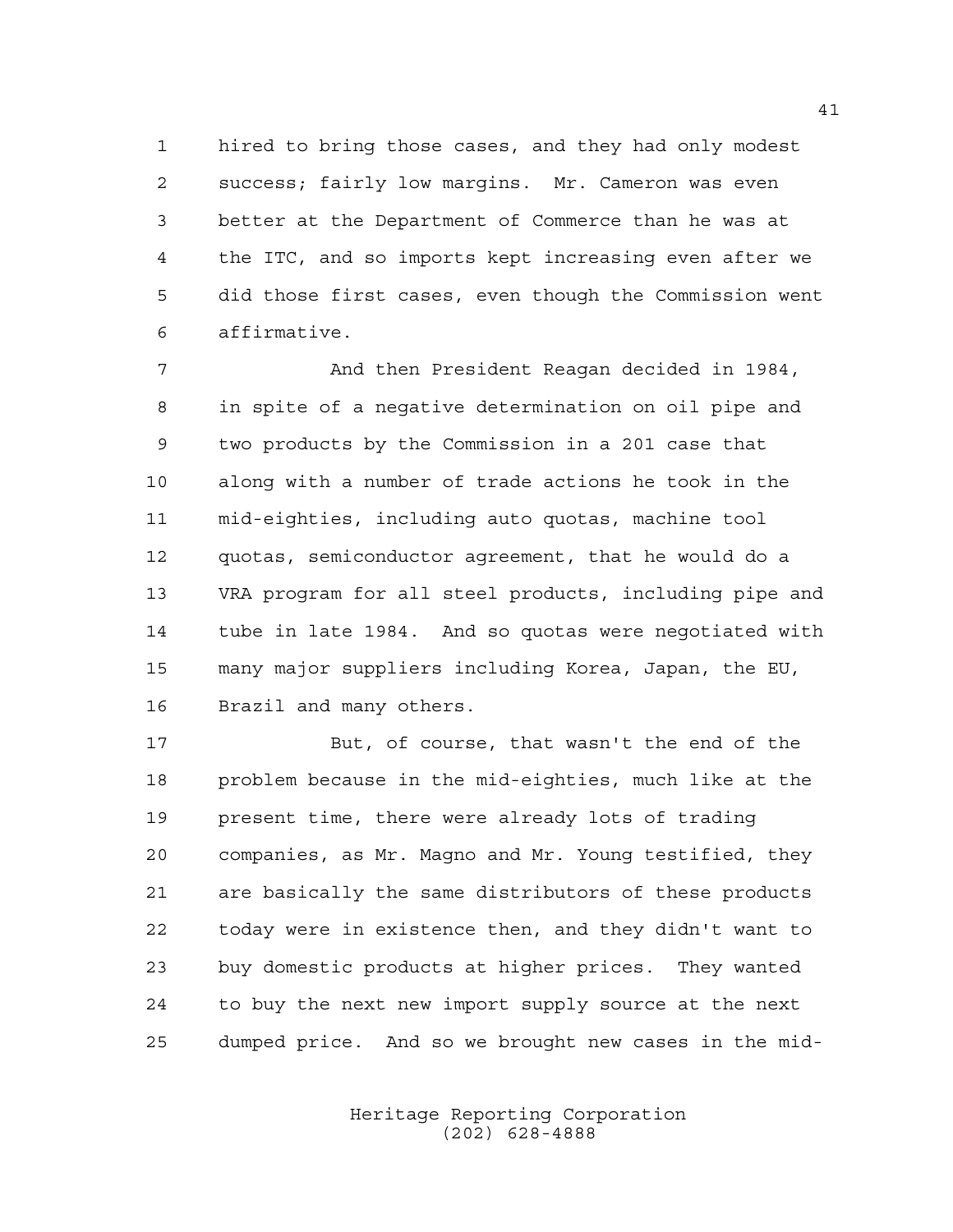hired to bring those cases, and they had only modest success; fairly low margins. Mr. Cameron was even better at the Department of Commerce than he was at the ITC, and so imports kept increasing even after we did those first cases, even though the Commission went affirmative.

 And then President Reagan decided in 1984, in spite of a negative determination on oil pipe and two products by the Commission in a 201 case that along with a number of trade actions he took in the mid-eighties, including auto quotas, machine tool quotas, semiconductor agreement, that he would do a VRA program for all steel products, including pipe and tube in late 1984. And so quotas were negotiated with many major suppliers including Korea, Japan, the EU, Brazil and many others.

 But, of course, that wasn't the end of the problem because in the mid-eighties, much like at the present time, there were already lots of trading companies, as Mr. Magno and Mr. Young testified, they are basically the same distributors of these products today were in existence then, and they didn't want to buy domestic products at higher prices. They wanted to buy the next new import supply source at the next dumped price. And so we brought new cases in the mid-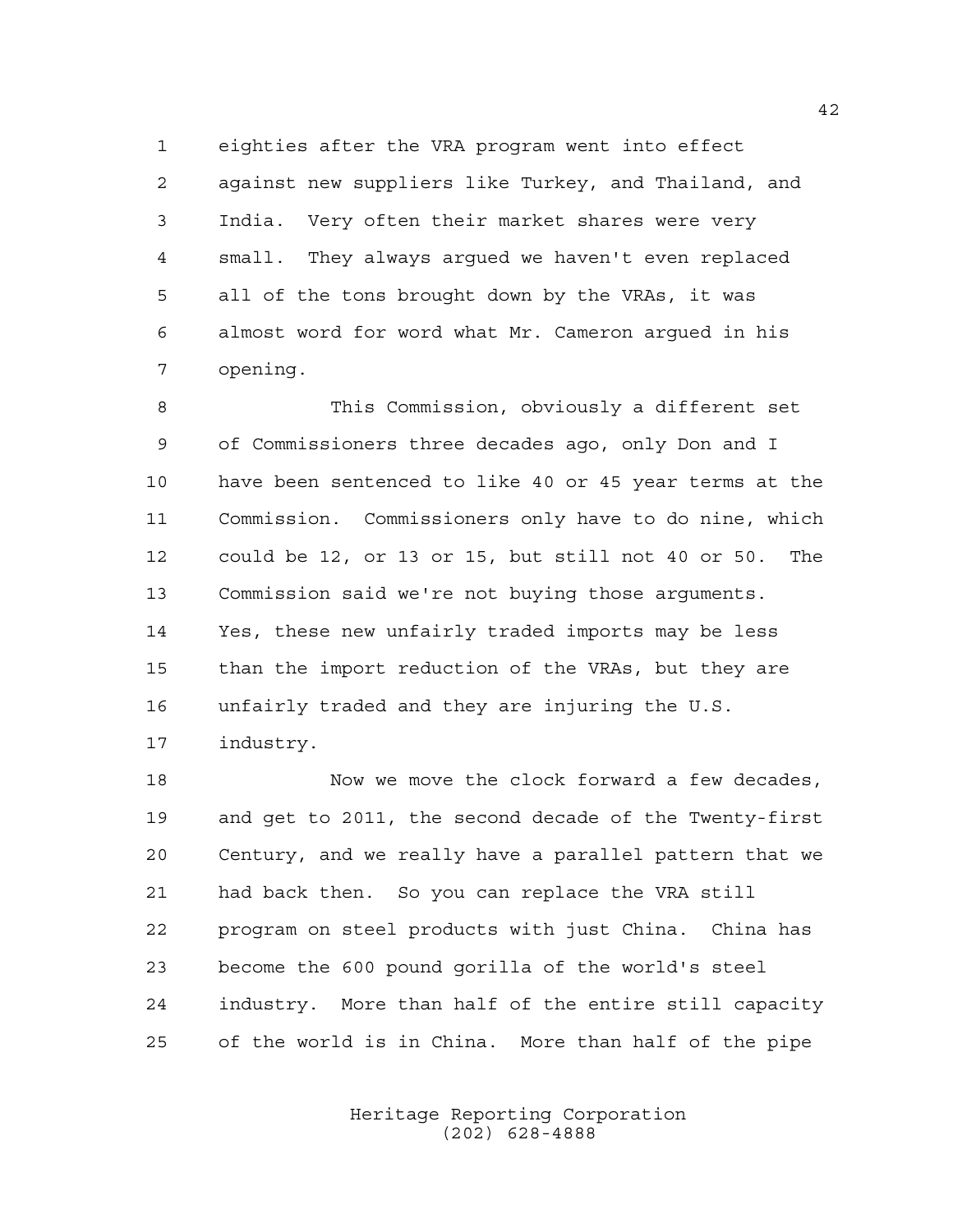eighties after the VRA program went into effect against new suppliers like Turkey, and Thailand, and India. Very often their market shares were very small. They always argued we haven't even replaced all of the tons brought down by the VRAs, it was almost word for word what Mr. Cameron argued in his opening.

 This Commission, obviously a different set of Commissioners three decades ago, only Don and I have been sentenced to like 40 or 45 year terms at the Commission. Commissioners only have to do nine, which could be 12, or 13 or 15, but still not 40 or 50. The Commission said we're not buying those arguments. Yes, these new unfairly traded imports may be less than the import reduction of the VRAs, but they are unfairly traded and they are injuring the U.S. industry.

18 Now we move the clock forward a few decades, and get to 2011, the second decade of the Twenty-first Century, and we really have a parallel pattern that we had back then. So you can replace the VRA still program on steel products with just China. China has become the 600 pound gorilla of the world's steel industry. More than half of the entire still capacity of the world is in China. More than half of the pipe

> Heritage Reporting Corporation (202) 628-4888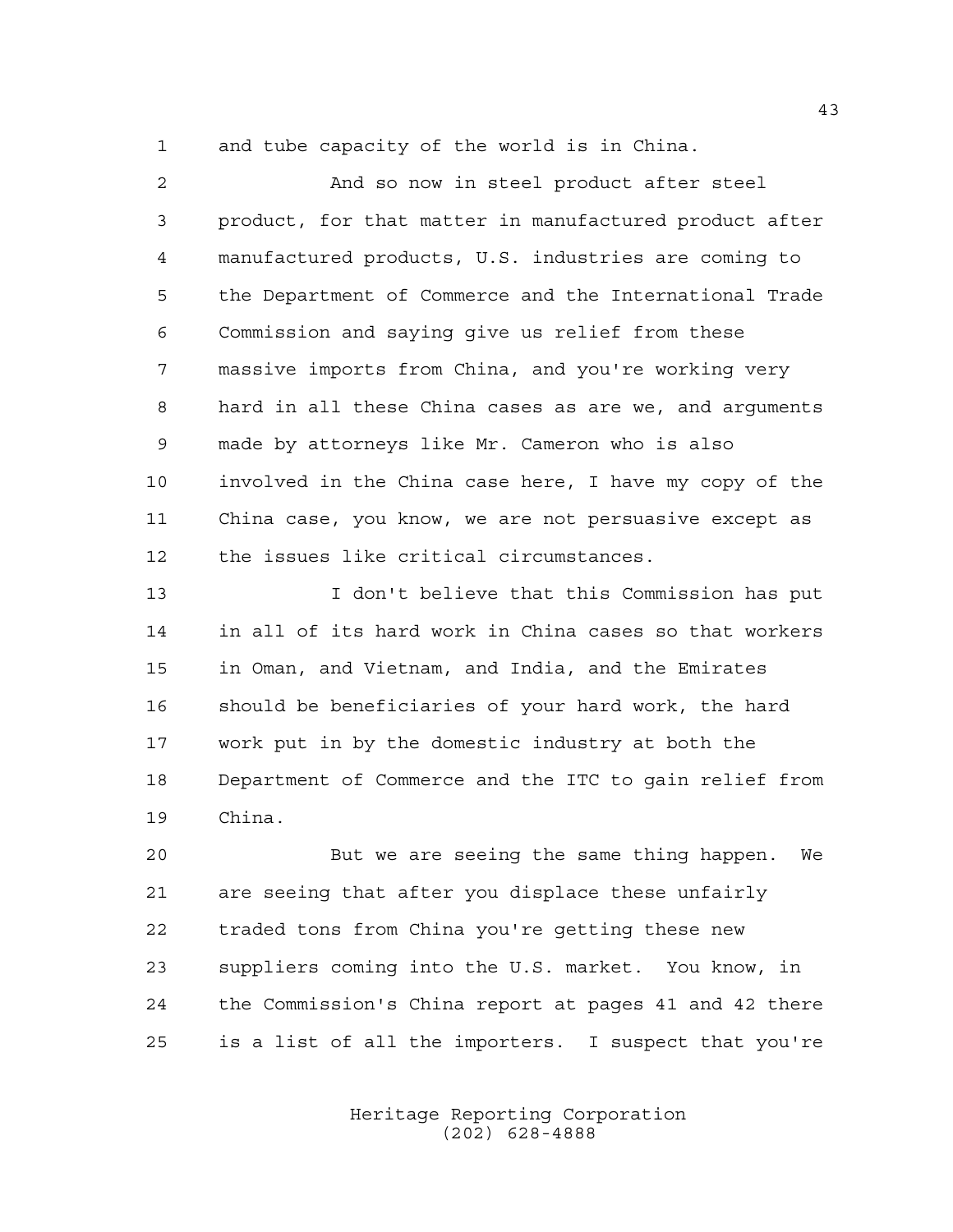and tube capacity of the world is in China.

 And so now in steel product after steel product, for that matter in manufactured product after manufactured products, U.S. industries are coming to the Department of Commerce and the International Trade Commission and saying give us relief from these massive imports from China, and you're working very hard in all these China cases as are we, and arguments made by attorneys like Mr. Cameron who is also involved in the China case here, I have my copy of the China case, you know, we are not persuasive except as the issues like critical circumstances. I don't believe that this Commission has put in all of its hard work in China cases so that workers

 in Oman, and Vietnam, and India, and the Emirates should be beneficiaries of your hard work, the hard work put in by the domestic industry at both the Department of Commerce and the ITC to gain relief from China.

 But we are seeing the same thing happen. We are seeing that after you displace these unfairly traded tons from China you're getting these new suppliers coming into the U.S. market. You know, in the Commission's China report at pages 41 and 42 there is a list of all the importers. I suspect that you're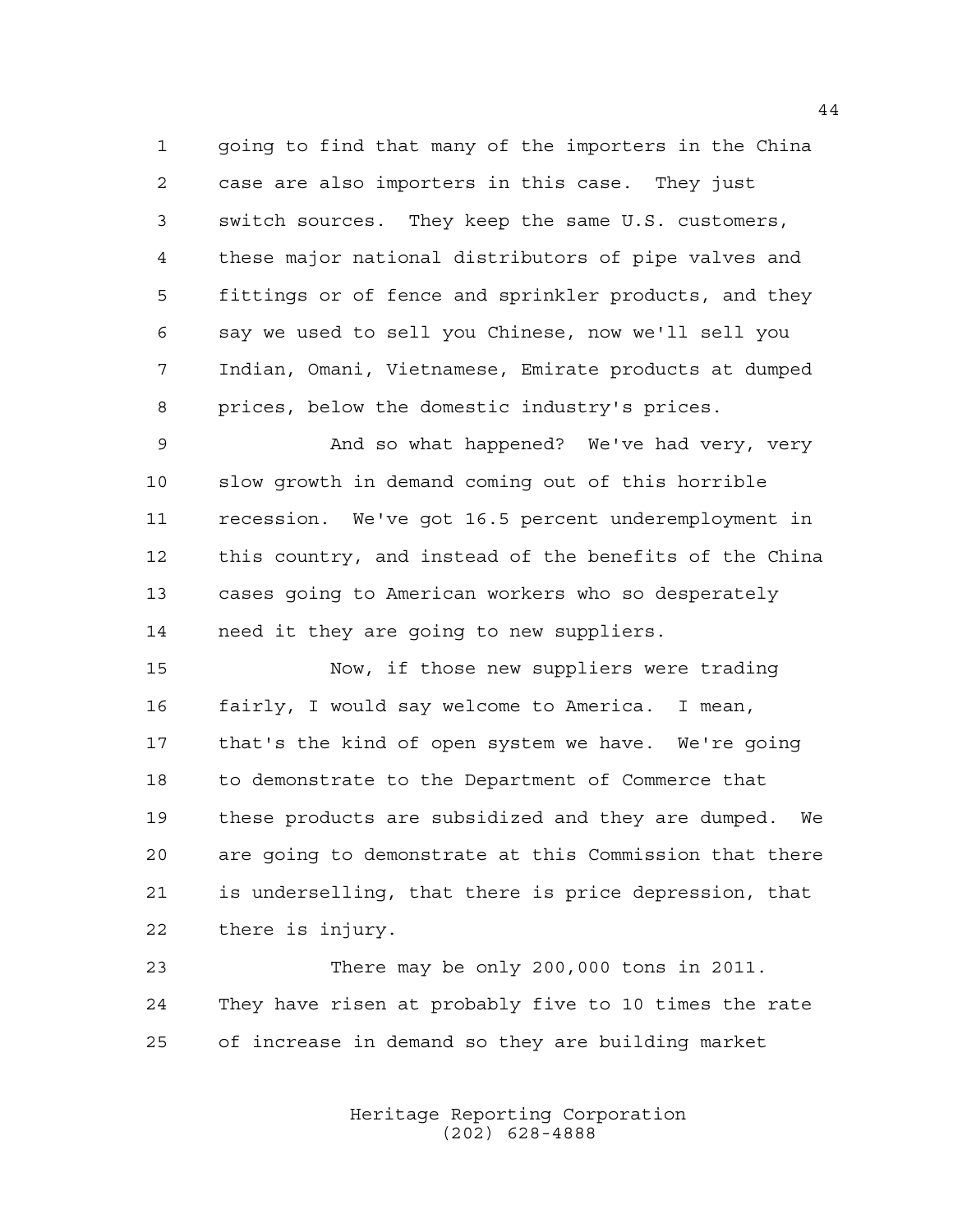going to find that many of the importers in the China case are also importers in this case. They just switch sources. They keep the same U.S. customers, these major national distributors of pipe valves and fittings or of fence and sprinkler products, and they say we used to sell you Chinese, now we'll sell you Indian, Omani, Vietnamese, Emirate products at dumped prices, below the domestic industry's prices.

 And so what happened? We've had very, very slow growth in demand coming out of this horrible recession. We've got 16.5 percent underemployment in this country, and instead of the benefits of the China cases going to American workers who so desperately need it they are going to new suppliers.

 Now, if those new suppliers were trading fairly, I would say welcome to America. I mean, that's the kind of open system we have. We're going to demonstrate to the Department of Commerce that these products are subsidized and they are dumped. We are going to demonstrate at this Commission that there is underselling, that there is price depression, that there is injury.

 There may be only 200,000 tons in 2011. They have risen at probably five to 10 times the rate of increase in demand so they are building market

> Heritage Reporting Corporation (202) 628-4888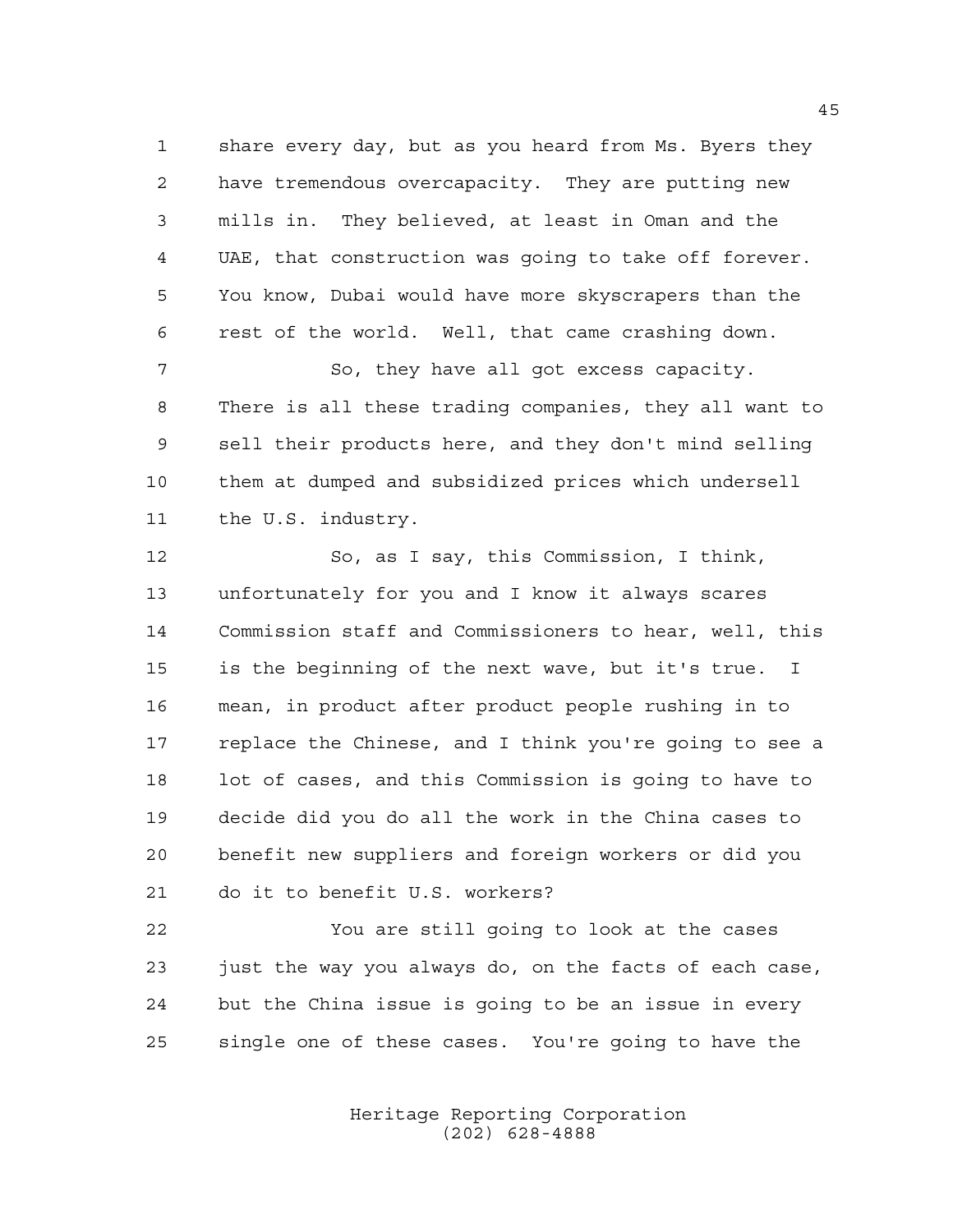share every day, but as you heard from Ms. Byers they have tremendous overcapacity. They are putting new mills in. They believed, at least in Oman and the UAE, that construction was going to take off forever. You know, Dubai would have more skyscrapers than the rest of the world. Well, that came crashing down. So, they have all got excess capacity. There is all these trading companies, they all want to

 sell their products here, and they don't mind selling them at dumped and subsidized prices which undersell the U.S. industry.

 So, as I say, this Commission, I think, unfortunately for you and I know it always scares Commission staff and Commissioners to hear, well, this is the beginning of the next wave, but it's true. I mean, in product after product people rushing in to replace the Chinese, and I think you're going to see a lot of cases, and this Commission is going to have to decide did you do all the work in the China cases to benefit new suppliers and foreign workers or did you do it to benefit U.S. workers?

 You are still going to look at the cases just the way you always do, on the facts of each case, but the China issue is going to be an issue in every single one of these cases. You're going to have the

> Heritage Reporting Corporation (202) 628-4888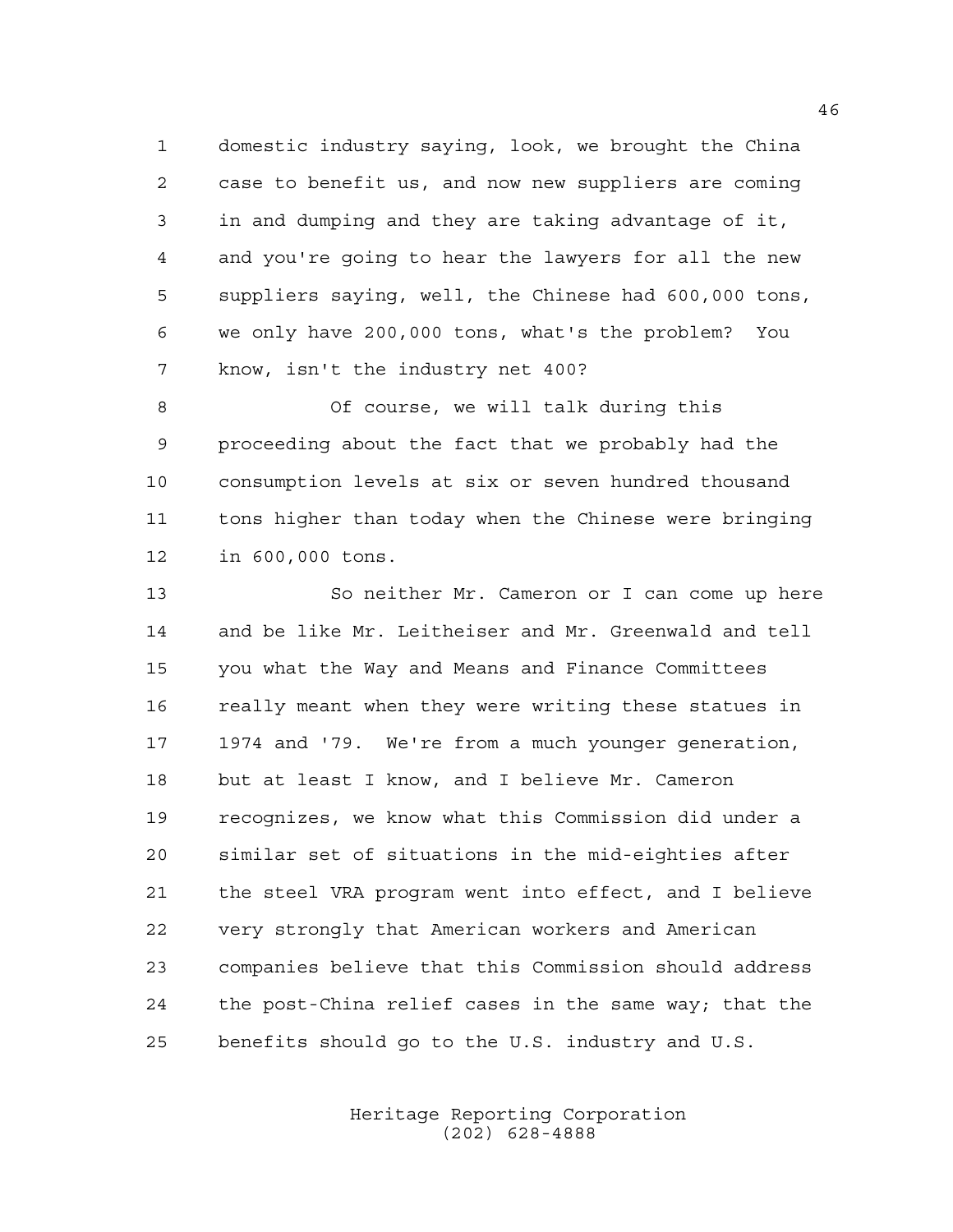domestic industry saying, look, we brought the China case to benefit us, and now new suppliers are coming in and dumping and they are taking advantage of it, and you're going to hear the lawyers for all the new suppliers saying, well, the Chinese had 600,000 tons, we only have 200,000 tons, what's the problem? You know, isn't the industry net 400?

 Of course, we will talk during this proceeding about the fact that we probably had the consumption levels at six or seven hundred thousand tons higher than today when the Chinese were bringing in 600,000 tons.

 So neither Mr. Cameron or I can come up here and be like Mr. Leitheiser and Mr. Greenwald and tell you what the Way and Means and Finance Committees 16 really meant when they were writing these statues in 1974 and '79. We're from a much younger generation, but at least I know, and I believe Mr. Cameron recognizes, we know what this Commission did under a similar set of situations in the mid-eighties after the steel VRA program went into effect, and I believe very strongly that American workers and American companies believe that this Commission should address the post-China relief cases in the same way; that the benefits should go to the U.S. industry and U.S.

> Heritage Reporting Corporation (202) 628-4888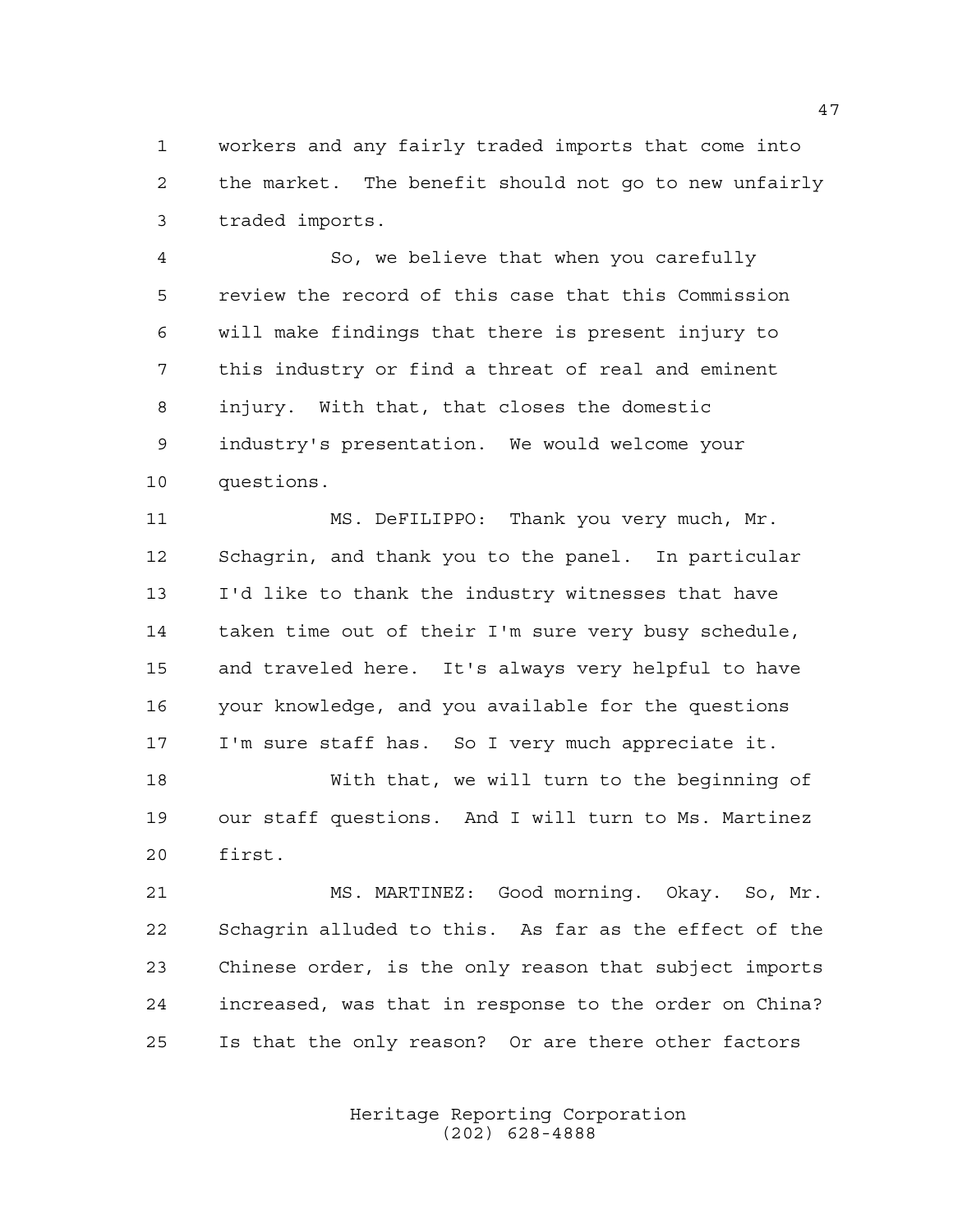workers and any fairly traded imports that come into the market. The benefit should not go to new unfairly traded imports.

 So, we believe that when you carefully review the record of this case that this Commission will make findings that there is present injury to this industry or find a threat of real and eminent injury. With that, that closes the domestic industry's presentation. We would welcome your questions.

 MS. DeFILIPPO: Thank you very much, Mr. Schagrin, and thank you to the panel. In particular I'd like to thank the industry witnesses that have taken time out of their I'm sure very busy schedule, and traveled here. It's always very helpful to have your knowledge, and you available for the questions I'm sure staff has. So I very much appreciate it.

 With that, we will turn to the beginning of our staff questions. And I will turn to Ms. Martinez first.

 MS. MARTINEZ: Good morning. Okay. So, Mr. Schagrin alluded to this. As far as the effect of the Chinese order, is the only reason that subject imports increased, was that in response to the order on China? Is that the only reason? Or are there other factors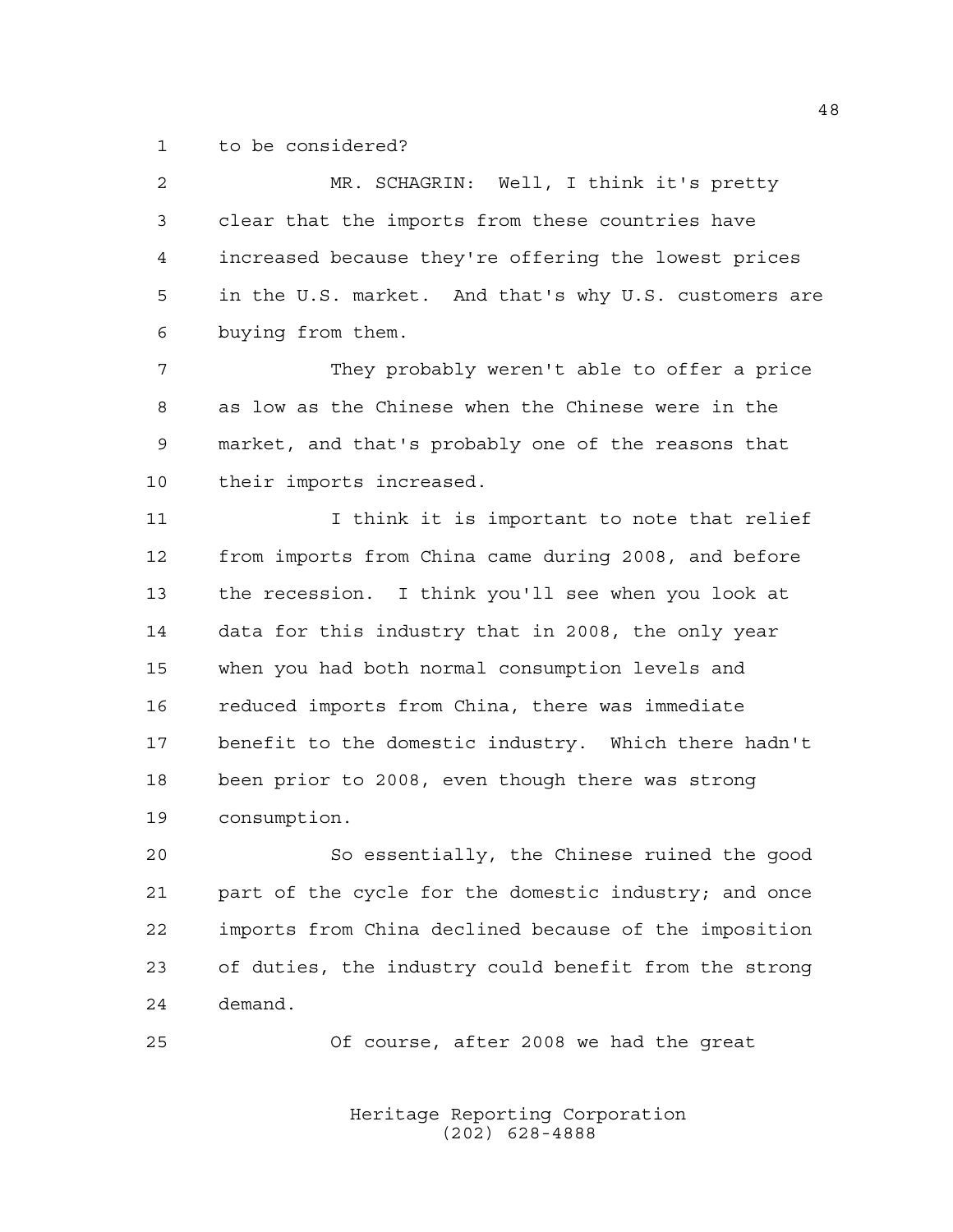to be considered?

 MR. SCHAGRIN: Well, I think it's pretty clear that the imports from these countries have increased because they're offering the lowest prices in the U.S. market. And that's why U.S. customers are buying from them.

 They probably weren't able to offer a price as low as the Chinese when the Chinese were in the market, and that's probably one of the reasons that their imports increased.

11 11 I think it is important to note that relief from imports from China came during 2008, and before the recession. I think you'll see when you look at data for this industry that in 2008, the only year when you had both normal consumption levels and reduced imports from China, there was immediate benefit to the domestic industry. Which there hadn't been prior to 2008, even though there was strong consumption.

 So essentially, the Chinese ruined the good part of the cycle for the domestic industry; and once imports from China declined because of the imposition of duties, the industry could benefit from the strong demand.

Of course, after 2008 we had the great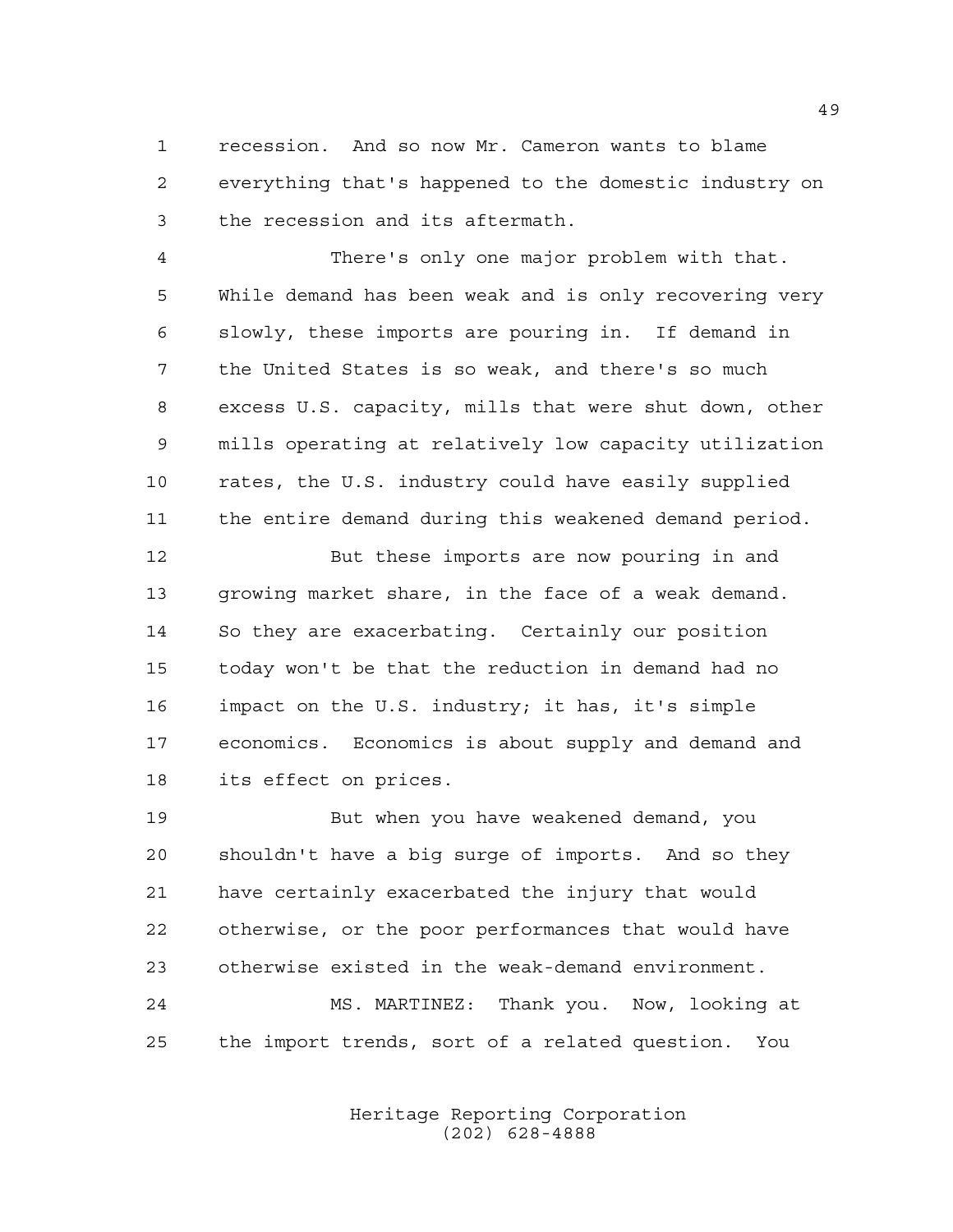recession. And so now Mr. Cameron wants to blame everything that's happened to the domestic industry on the recession and its aftermath.

 There's only one major problem with that. While demand has been weak and is only recovering very slowly, these imports are pouring in. If demand in the United States is so weak, and there's so much excess U.S. capacity, mills that were shut down, other mills operating at relatively low capacity utilization rates, the U.S. industry could have easily supplied the entire demand during this weakened demand period.

 But these imports are now pouring in and growing market share, in the face of a weak demand. So they are exacerbating. Certainly our position today won't be that the reduction in demand had no impact on the U.S. industry; it has, it's simple economics. Economics is about supply and demand and its effect on prices.

 But when you have weakened demand, you shouldn't have a big surge of imports. And so they have certainly exacerbated the injury that would otherwise, or the poor performances that would have otherwise existed in the weak-demand environment. MS. MARTINEZ: Thank you. Now, looking at

the import trends, sort of a related question. You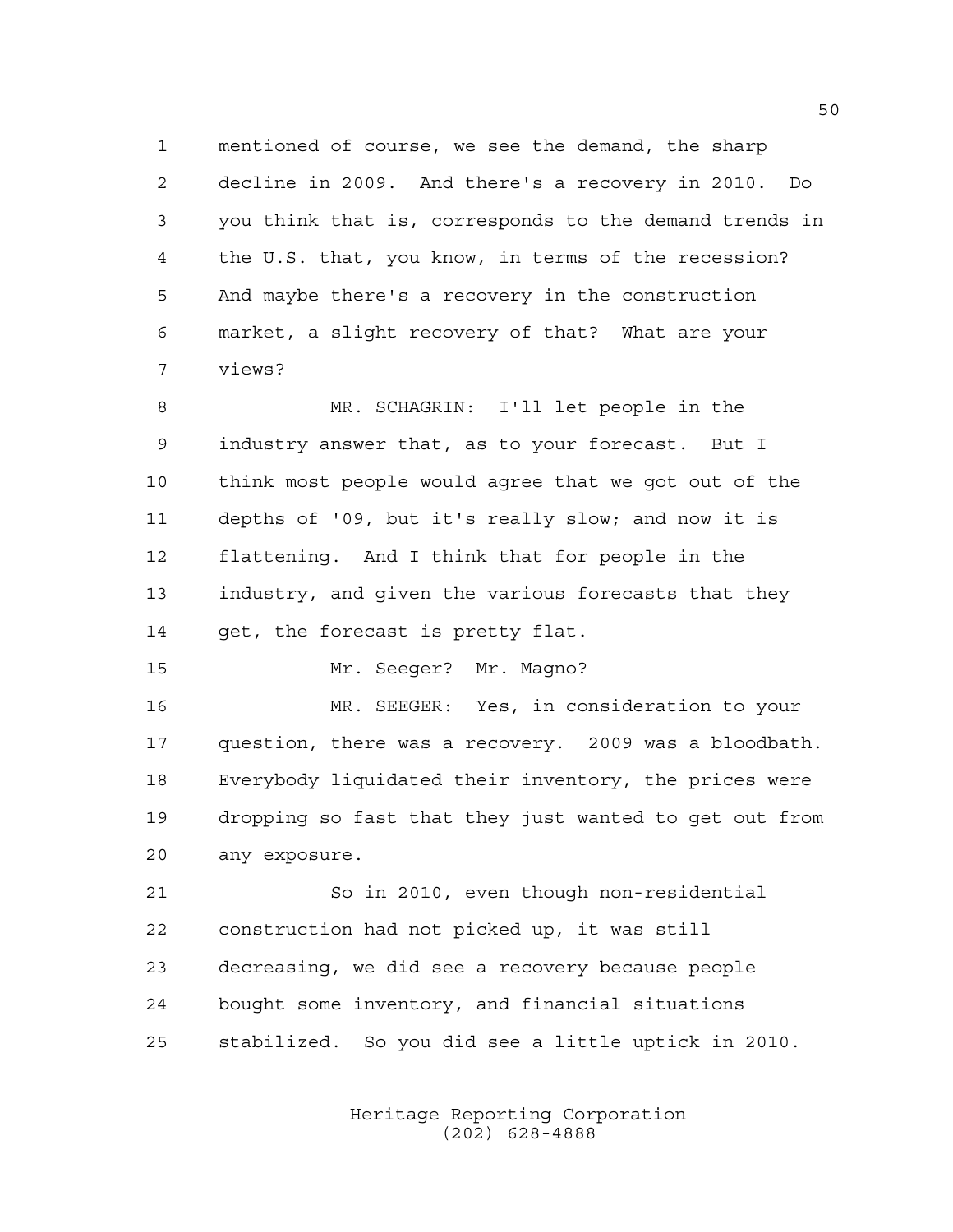mentioned of course, we see the demand, the sharp decline in 2009. And there's a recovery in 2010. Do you think that is, corresponds to the demand trends in the U.S. that, you know, in terms of the recession? And maybe there's a recovery in the construction market, a slight recovery of that? What are your views?

 MR. SCHAGRIN: I'll let people in the industry answer that, as to your forecast. But I think most people would agree that we got out of the depths of '09, but it's really slow; and now it is flattening. And I think that for people in the industry, and given the various forecasts that they get, the forecast is pretty flat.

Mr. Seeger? Mr. Magno?

 MR. SEEGER: Yes, in consideration to your question, there was a recovery. 2009 was a bloodbath. Everybody liquidated their inventory, the prices were dropping so fast that they just wanted to get out from any exposure.

 So in 2010, even though non-residential construction had not picked up, it was still decreasing, we did see a recovery because people bought some inventory, and financial situations stabilized. So you did see a little uptick in 2010.

> Heritage Reporting Corporation (202) 628-4888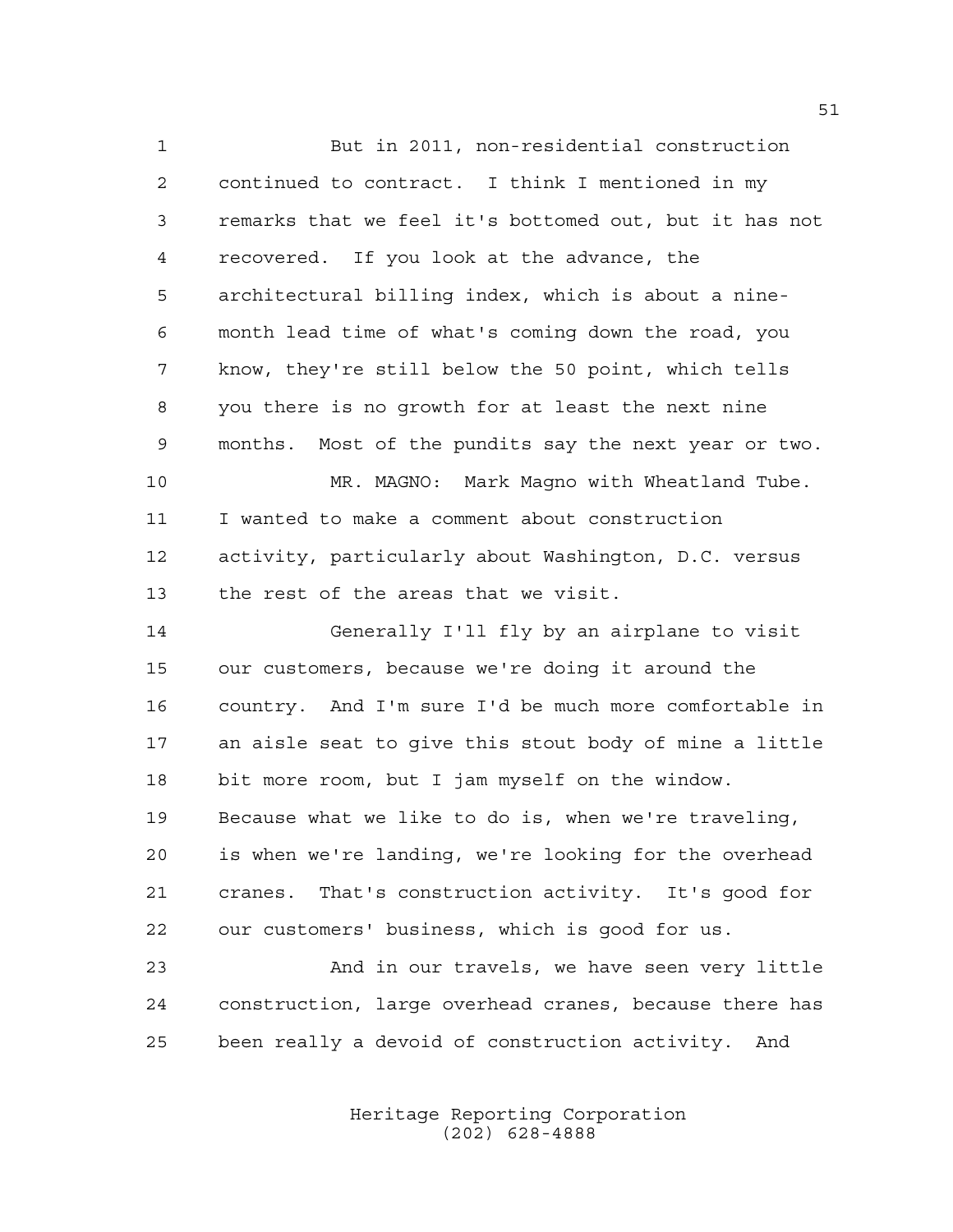But in 2011, non-residential construction continued to contract. I think I mentioned in my remarks that we feel it's bottomed out, but it has not recovered. If you look at the advance, the architectural billing index, which is about a nine- month lead time of what's coming down the road, you know, they're still below the 50 point, which tells you there is no growth for at least the next nine months. Most of the pundits say the next year or two. MR. MAGNO: Mark Magno with Wheatland Tube. I wanted to make a comment about construction activity, particularly about Washington, D.C. versus the rest of the areas that we visit. Generally I'll fly by an airplane to visit our customers, because we're doing it around the country. And I'm sure I'd be much more comfortable in an aisle seat to give this stout body of mine a little bit more room, but I jam myself on the window. Because what we like to do is, when we're traveling, is when we're landing, we're looking for the overhead cranes. That's construction activity. It's good for our customers' business, which is good for us. And in our travels, we have seen very little

 construction, large overhead cranes, because there has been really a devoid of construction activity. And

> Heritage Reporting Corporation (202) 628-4888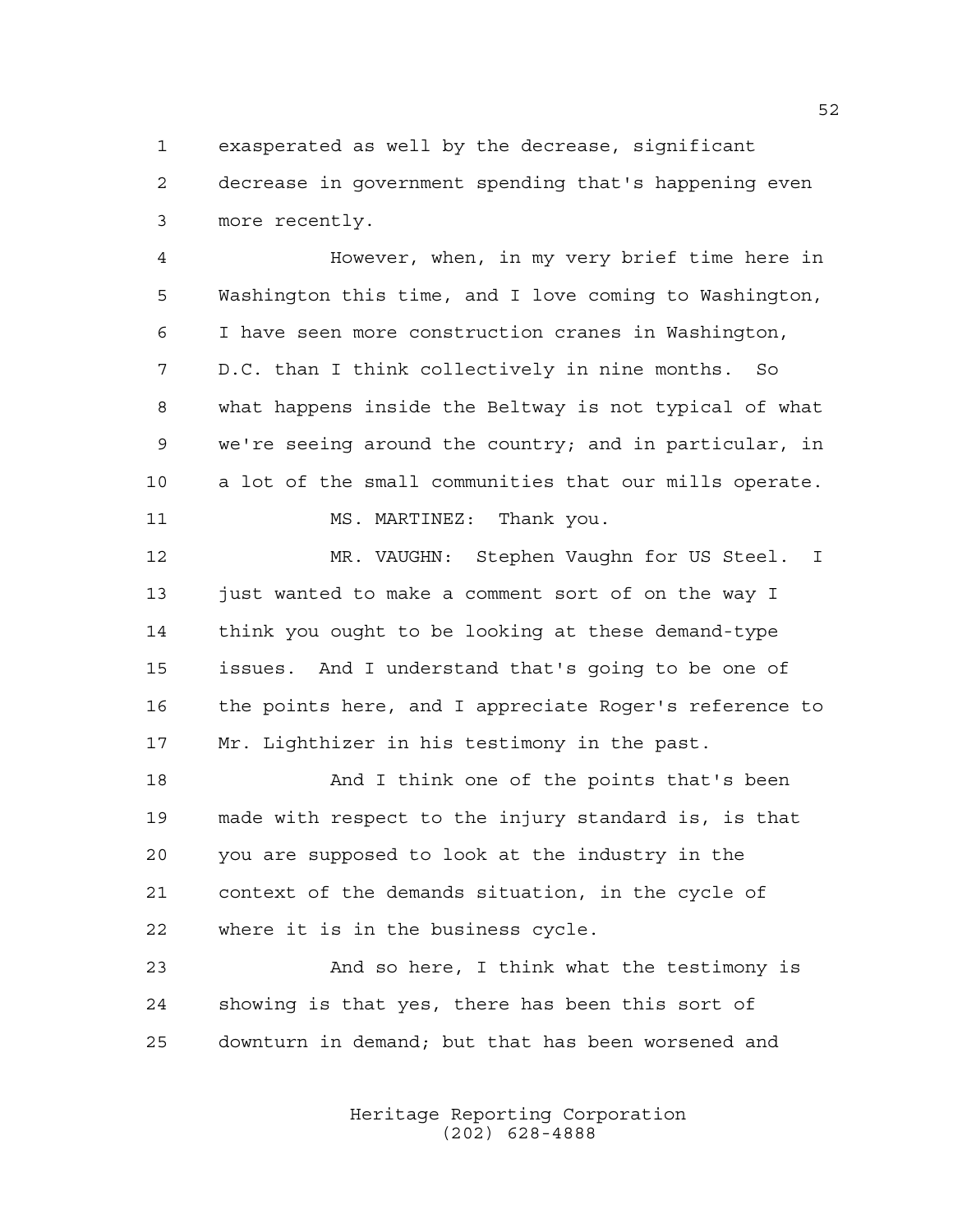exasperated as well by the decrease, significant decrease in government spending that's happening even more recently.

 However, when, in my very brief time here in Washington this time, and I love coming to Washington, I have seen more construction cranes in Washington, D.C. than I think collectively in nine months. So what happens inside the Beltway is not typical of what we're seeing around the country; and in particular, in a lot of the small communities that our mills operate. 11 MS. MARTINEZ: Thank you.

 MR. VAUGHN: Stephen Vaughn for US Steel. I 13 just wanted to make a comment sort of on the way I think you ought to be looking at these demand-type issues. And I understand that's going to be one of the points here, and I appreciate Roger's reference to Mr. Lighthizer in his testimony in the past.

 And I think one of the points that's been made with respect to the injury standard is, is that you are supposed to look at the industry in the context of the demands situation, in the cycle of where it is in the business cycle.

 And so here, I think what the testimony is showing is that yes, there has been this sort of downturn in demand; but that has been worsened and

> Heritage Reporting Corporation (202) 628-4888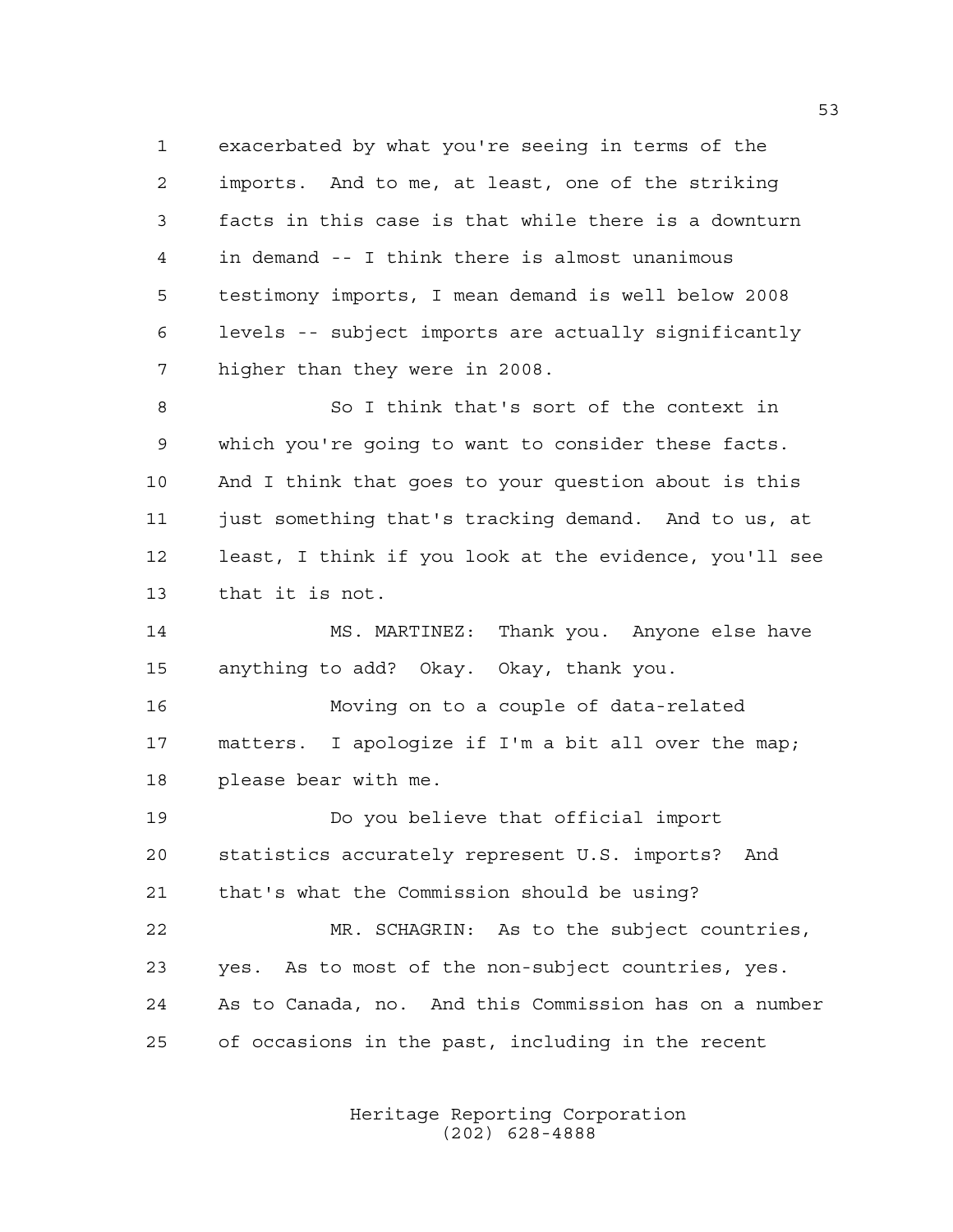exacerbated by what you're seeing in terms of the imports. And to me, at least, one of the striking facts in this case is that while there is a downturn in demand -- I think there is almost unanimous testimony imports, I mean demand is well below 2008 levels -- subject imports are actually significantly higher than they were in 2008.

 So I think that's sort of the context in which you're going to want to consider these facts. And I think that goes to your question about is this just something that's tracking demand. And to us, at least, I think if you look at the evidence, you'll see that it is not.

 MS. MARTINEZ: Thank you. Anyone else have anything to add? Okay. Okay, thank you.

 Moving on to a couple of data-related matters. I apologize if I'm a bit all over the map; please bear with me.

 Do you believe that official import statistics accurately represent U.S. imports? And that's what the Commission should be using? MR. SCHAGRIN: As to the subject countries, yes. As to most of the non-subject countries, yes.

 As to Canada, no. And this Commission has on a number of occasions in the past, including in the recent

> Heritage Reporting Corporation (202) 628-4888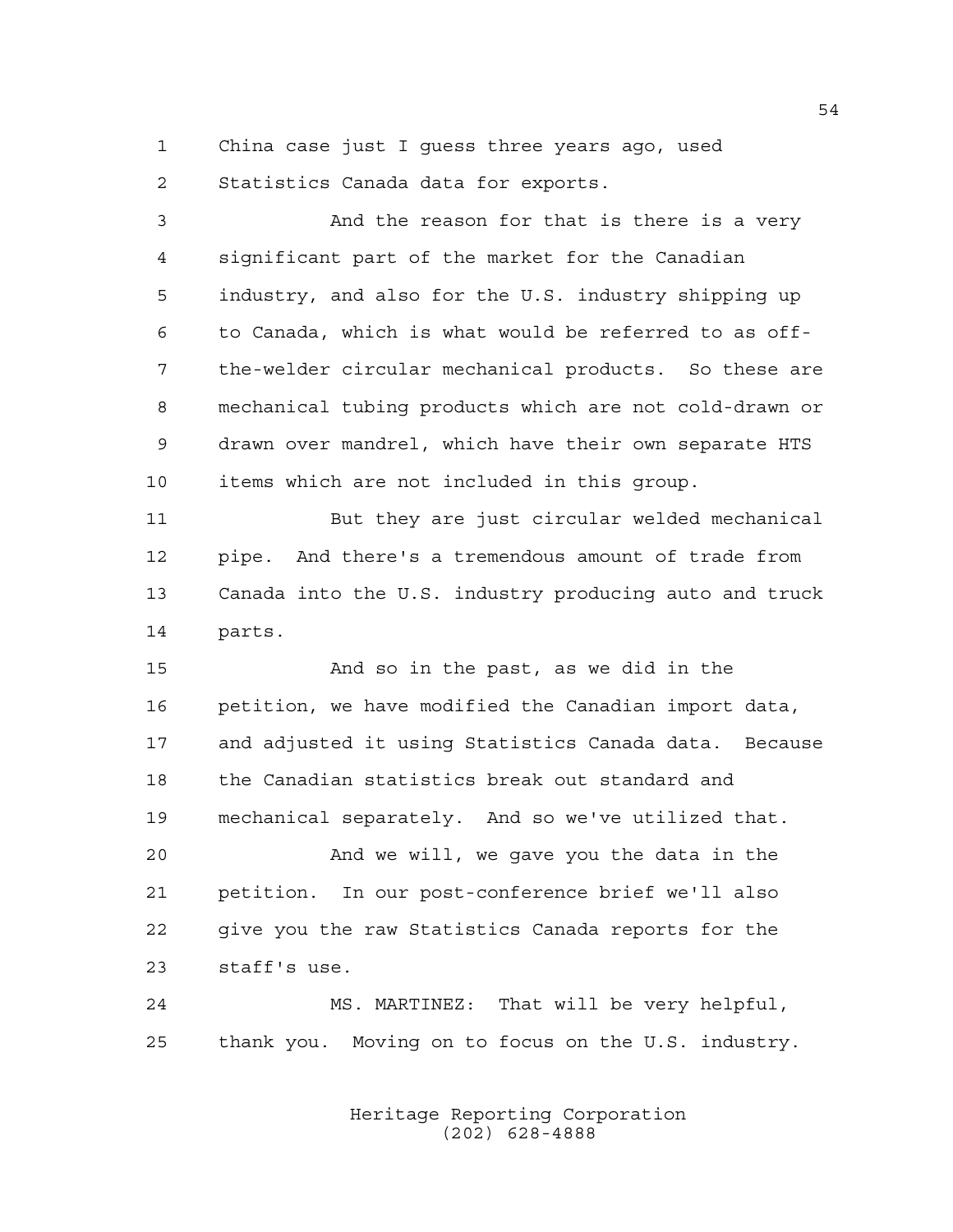China case just I guess three years ago, used

Statistics Canada data for exports.

 And the reason for that is there is a very significant part of the market for the Canadian industry, and also for the U.S. industry shipping up to Canada, which is what would be referred to as off- the-welder circular mechanical products. So these are mechanical tubing products which are not cold-drawn or drawn over mandrel, which have their own separate HTS items which are not included in this group. But they are just circular welded mechanical pipe. And there's a tremendous amount of trade from Canada into the U.S. industry producing auto and truck parts. And so in the past, as we did in the petition, we have modified the Canadian import data, and adjusted it using Statistics Canada data. Because the Canadian statistics break out standard and mechanical separately. And so we've utilized that.

 And we will, we gave you the data in the petition. In our post-conference brief we'll also give you the raw Statistics Canada reports for the staff's use.

 MS. MARTINEZ: That will be very helpful, thank you. Moving on to focus on the U.S. industry.

> Heritage Reporting Corporation (202) 628-4888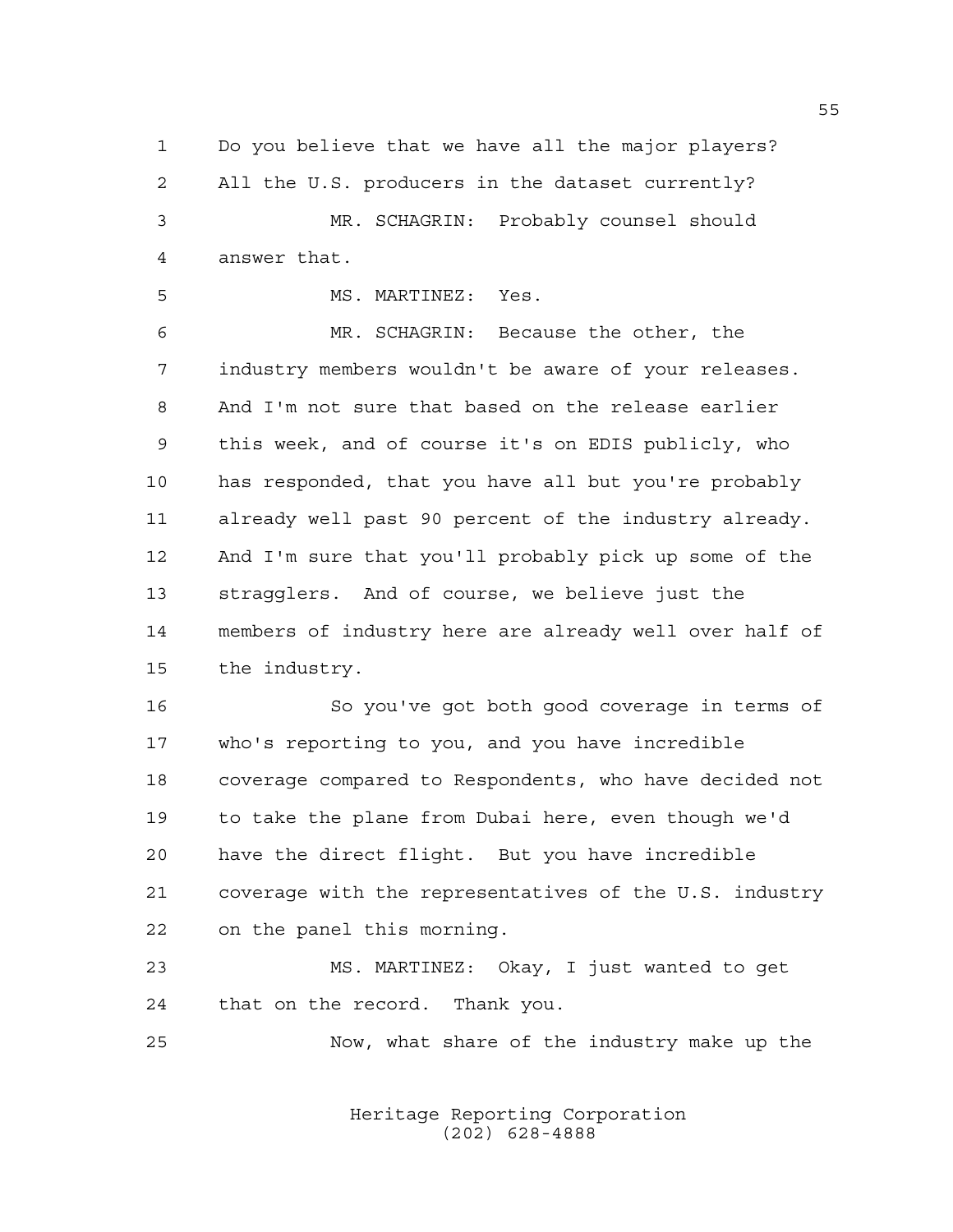Do you believe that we have all the major players? All the U.S. producers in the dataset currently? MR. SCHAGRIN: Probably counsel should answer that.

MS. MARTINEZ: Yes.

 MR. SCHAGRIN: Because the other, the industry members wouldn't be aware of your releases. And I'm not sure that based on the release earlier this week, and of course it's on EDIS publicly, who has responded, that you have all but you're probably already well past 90 percent of the industry already. And I'm sure that you'll probably pick up some of the stragglers. And of course, we believe just the members of industry here are already well over half of the industry.

 So you've got both good coverage in terms of who's reporting to you, and you have incredible coverage compared to Respondents, who have decided not to take the plane from Dubai here, even though we'd have the direct flight. But you have incredible coverage with the representatives of the U.S. industry on the panel this morning.

 MS. MARTINEZ: Okay, I just wanted to get that on the record. Thank you.

Now, what share of the industry make up the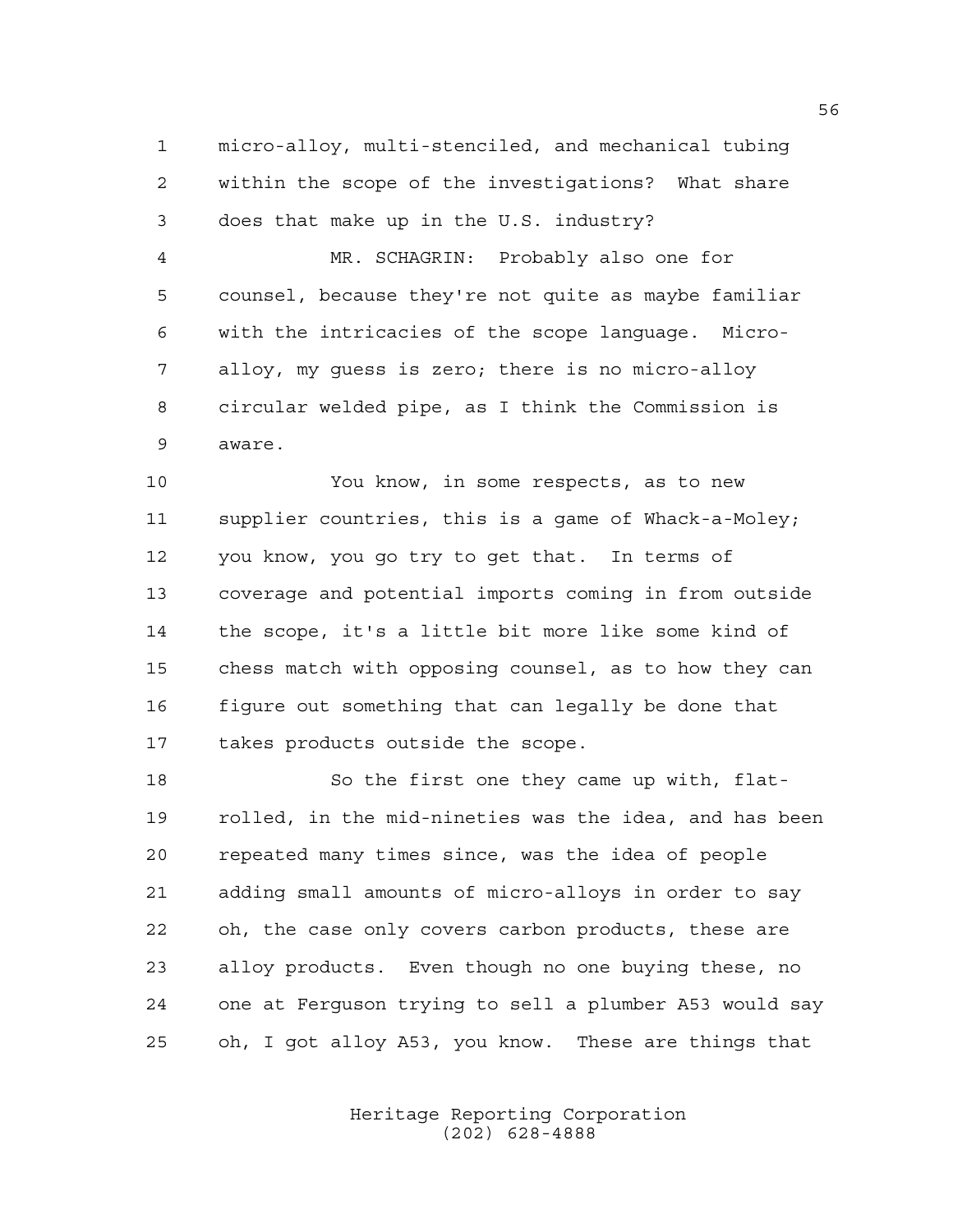micro-alloy, multi-stenciled, and mechanical tubing within the scope of the investigations? What share does that make up in the U.S. industry?

 MR. SCHAGRIN: Probably also one for counsel, because they're not quite as maybe familiar with the intricacies of the scope language. Micro- alloy, my guess is zero; there is no micro-alloy circular welded pipe, as I think the Commission is aware.

 You know, in some respects, as to new supplier countries, this is a game of Whack-a-Moley; you know, you go try to get that. In terms of coverage and potential imports coming in from outside the scope, it's a little bit more like some kind of chess match with opposing counsel, as to how they can figure out something that can legally be done that takes products outside the scope.

18 So the first one they came up with, flat- rolled, in the mid-nineties was the idea, and has been repeated many times since, was the idea of people adding small amounts of micro-alloys in order to say oh, the case only covers carbon products, these are alloy products. Even though no one buying these, no one at Ferguson trying to sell a plumber A53 would say oh, I got alloy A53, you know. These are things that

> Heritage Reporting Corporation (202) 628-4888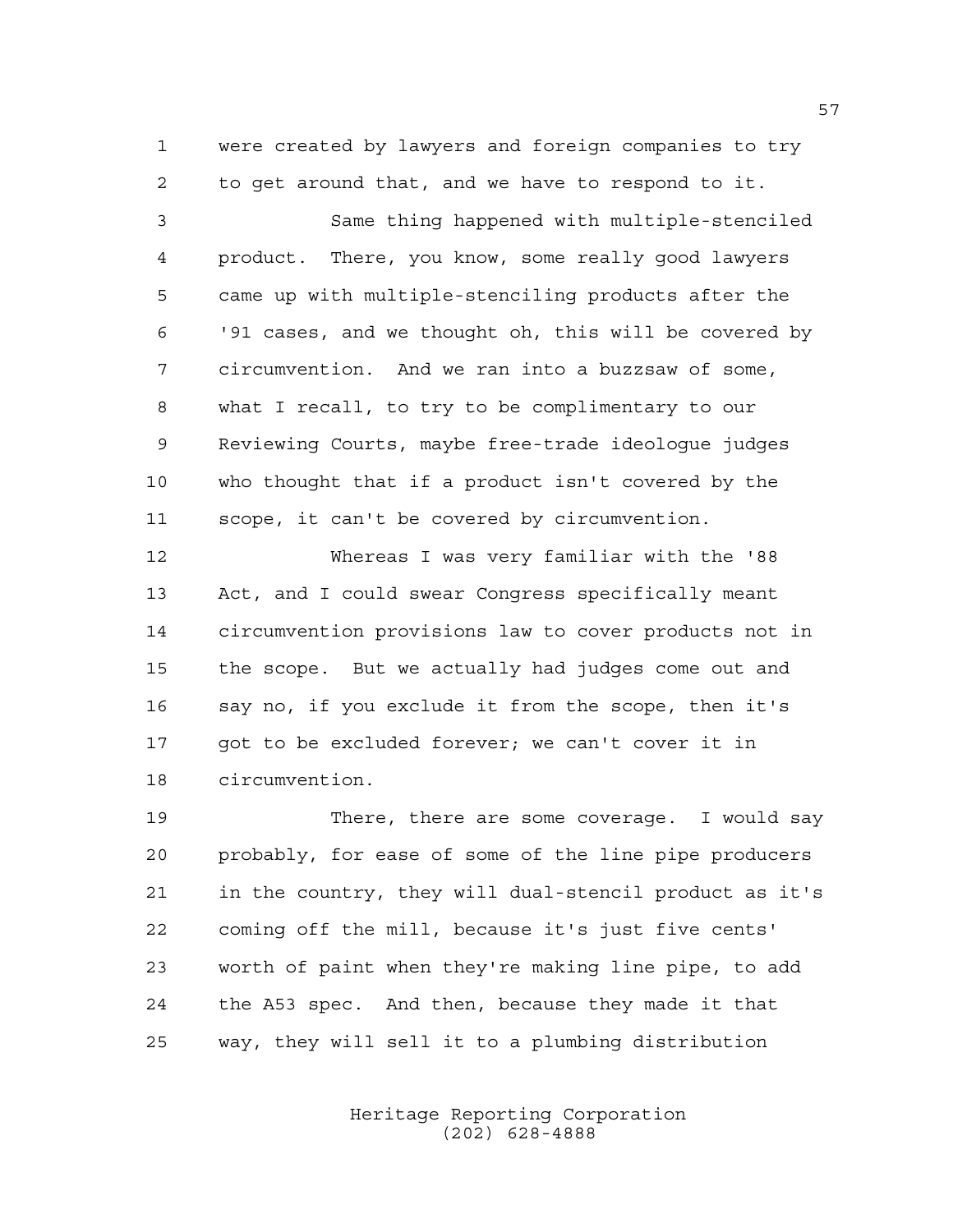were created by lawyers and foreign companies to try to get around that, and we have to respond to it.

 Same thing happened with multiple-stenciled product. There, you know, some really good lawyers came up with multiple-stenciling products after the '91 cases, and we thought oh, this will be covered by circumvention. And we ran into a buzzsaw of some, what I recall, to try to be complimentary to our Reviewing Courts, maybe free-trade ideologue judges who thought that if a product isn't covered by the scope, it can't be covered by circumvention.

 Whereas I was very familiar with the '88 Act, and I could swear Congress specifically meant circumvention provisions law to cover products not in the scope. But we actually had judges come out and say no, if you exclude it from the scope, then it's 17 got to be excluded forever; we can't cover it in circumvention.

 There, there are some coverage. I would say probably, for ease of some of the line pipe producers in the country, they will dual-stencil product as it's coming off the mill, because it's just five cents' worth of paint when they're making line pipe, to add the A53 spec. And then, because they made it that way, they will sell it to a plumbing distribution

> Heritage Reporting Corporation (202) 628-4888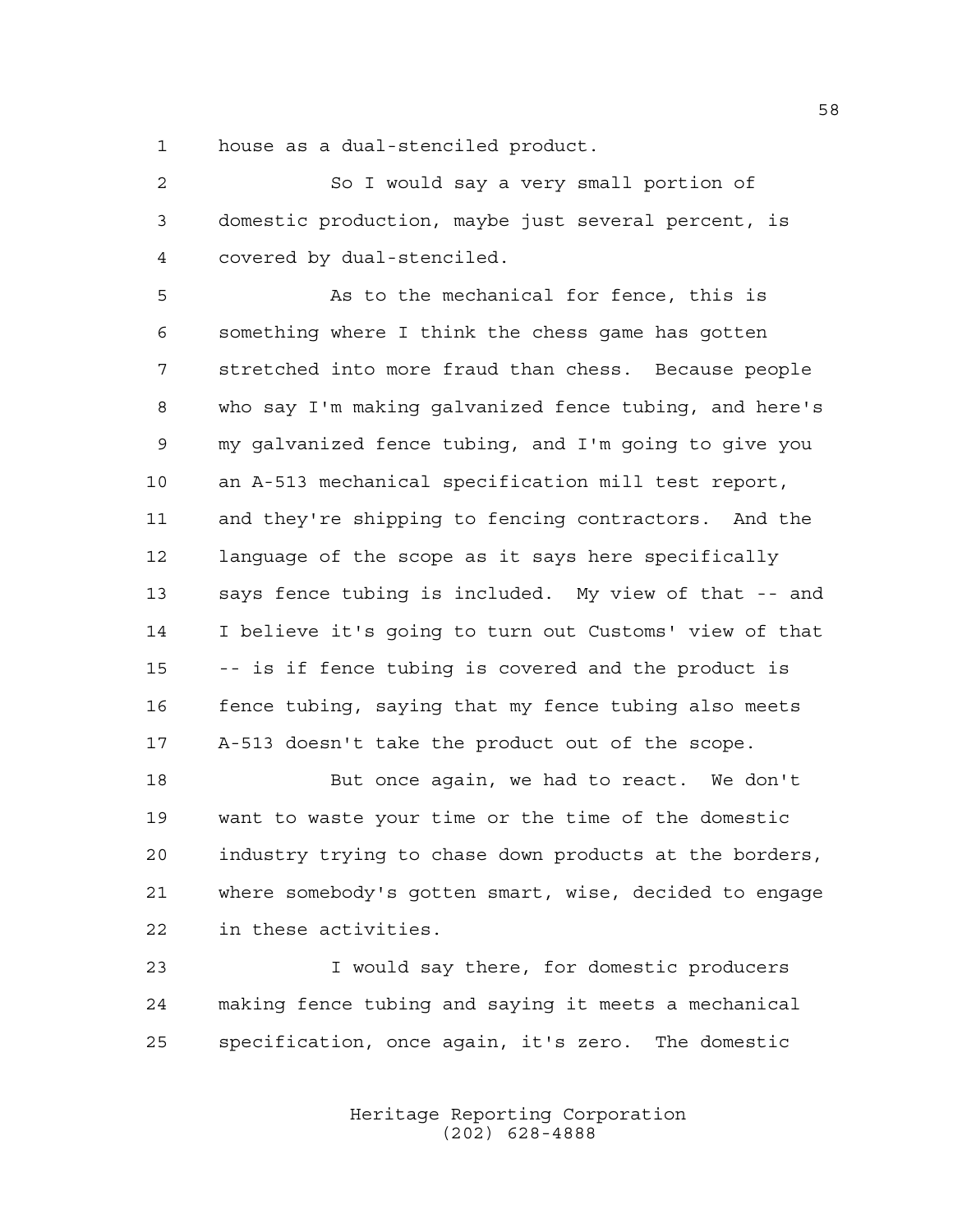house as a dual-stenciled product.

 So I would say a very small portion of domestic production, maybe just several percent, is covered by dual-stenciled.

 As to the mechanical for fence, this is something where I think the chess game has gotten stretched into more fraud than chess. Because people who say I'm making galvanized fence tubing, and here's my galvanized fence tubing, and I'm going to give you an A-513 mechanical specification mill test report, and they're shipping to fencing contractors. And the language of the scope as it says here specifically says fence tubing is included. My view of that -- and I believe it's going to turn out Customs' view of that -- is if fence tubing is covered and the product is fence tubing, saying that my fence tubing also meets A-513 doesn't take the product out of the scope.

18 But once again, we had to react. We don't want to waste your time or the time of the domestic industry trying to chase down products at the borders, where somebody's gotten smart, wise, decided to engage in these activities.

 I would say there, for domestic producers making fence tubing and saying it meets a mechanical specification, once again, it's zero. The domestic

> Heritage Reporting Corporation (202) 628-4888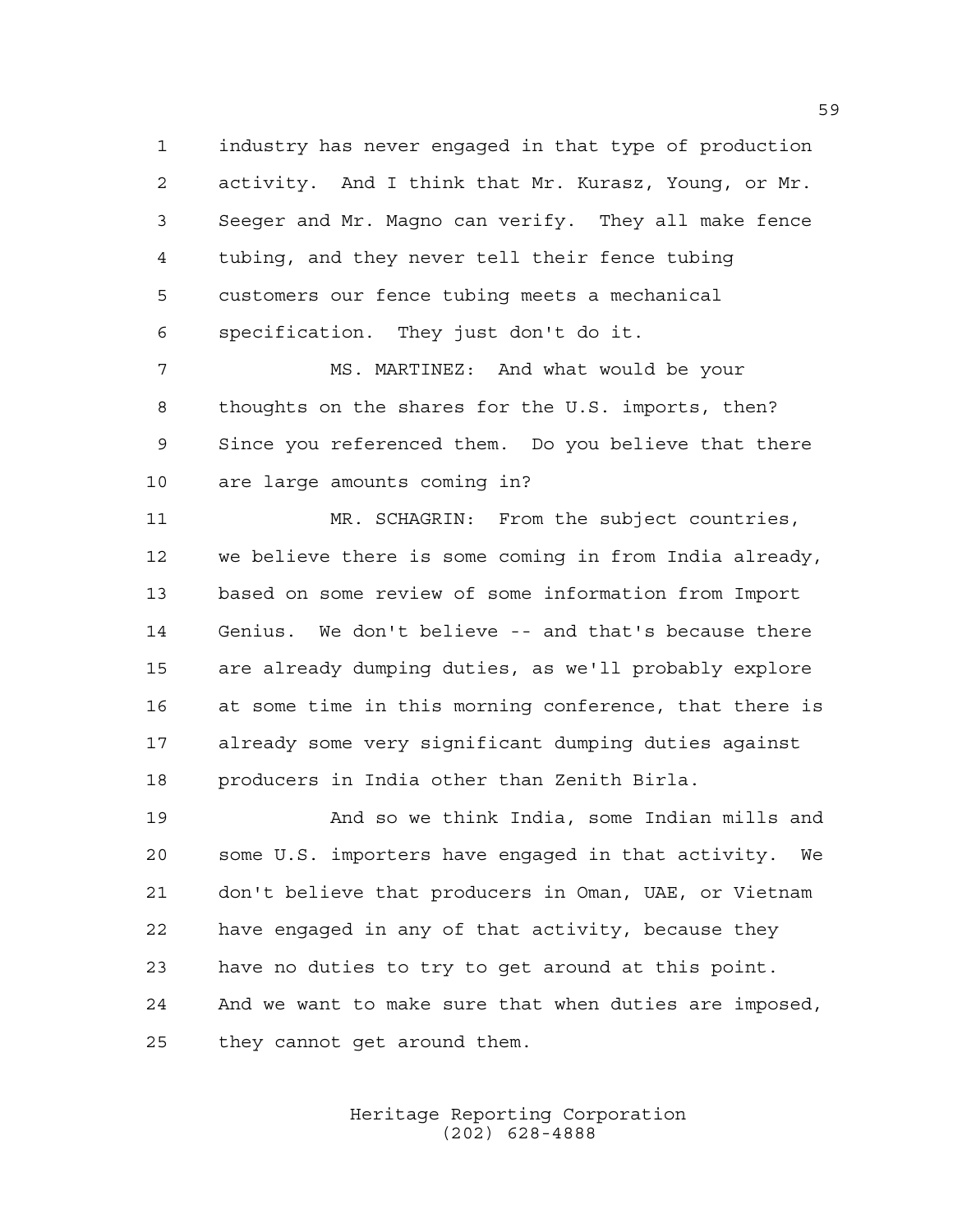industry has never engaged in that type of production activity. And I think that Mr. Kurasz, Young, or Mr. Seeger and Mr. Magno can verify. They all make fence tubing, and they never tell their fence tubing customers our fence tubing meets a mechanical specification. They just don't do it.

 MS. MARTINEZ: And what would be your thoughts on the shares for the U.S. imports, then? Since you referenced them. Do you believe that there are large amounts coming in?

 MR. SCHAGRIN: From the subject countries, we believe there is some coming in from India already, based on some review of some information from Import Genius. We don't believe -- and that's because there are already dumping duties, as we'll probably explore at some time in this morning conference, that there is already some very significant dumping duties against producers in India other than Zenith Birla.

 And so we think India, some Indian mills and some U.S. importers have engaged in that activity. We don't believe that producers in Oman, UAE, or Vietnam have engaged in any of that activity, because they have no duties to try to get around at this point. And we want to make sure that when duties are imposed, they cannot get around them.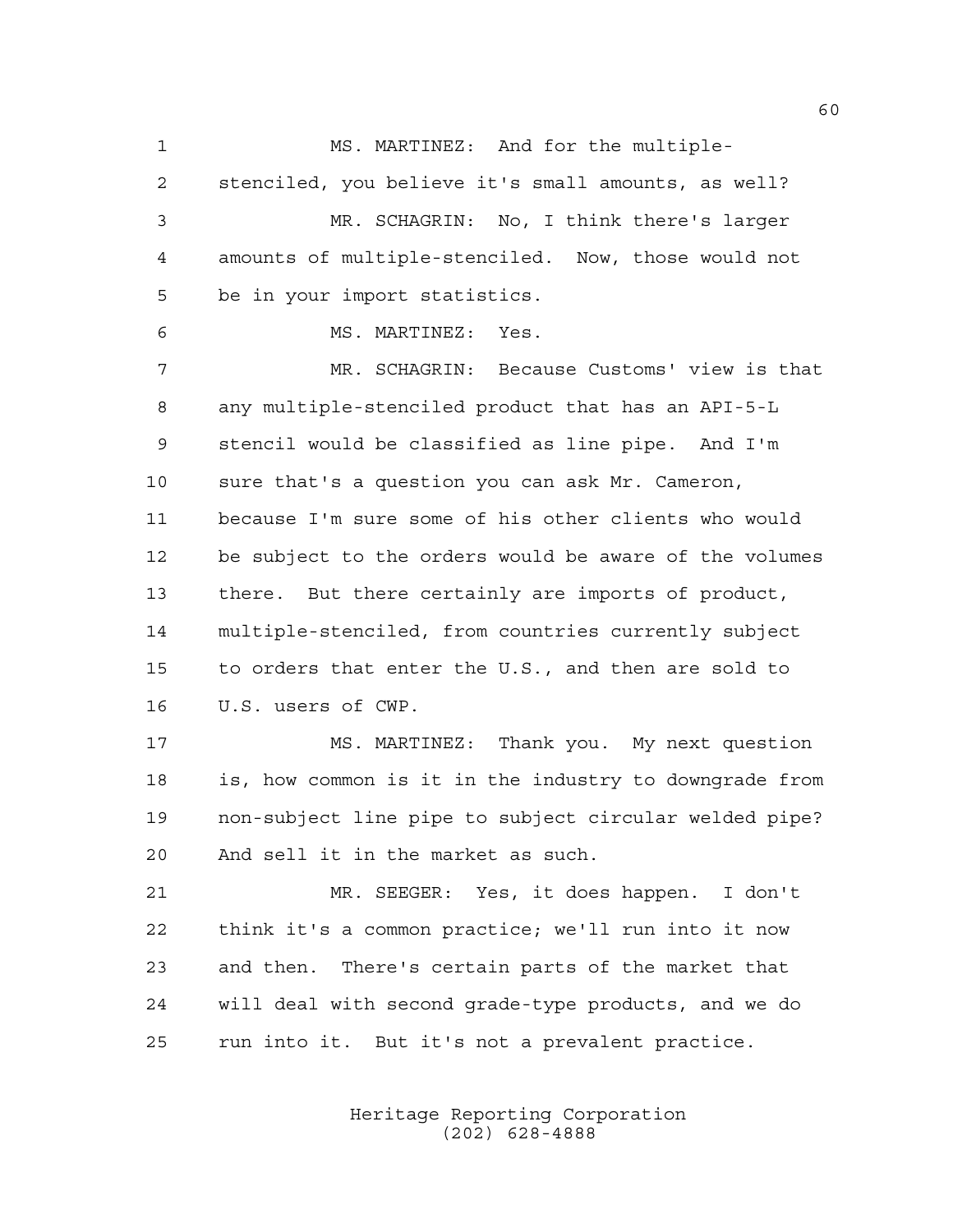1 MS. MARTINEZ: And for the multiple- stenciled, you believe it's small amounts, as well? MR. SCHAGRIN: No, I think there's larger amounts of multiple-stenciled. Now, those would not be in your import statistics. MS. MARTINEZ: Yes. MR. SCHAGRIN: Because Customs' view is that any multiple-stenciled product that has an API-5-L stencil would be classified as line pipe. And I'm sure that's a question you can ask Mr. Cameron, because I'm sure some of his other clients who would be subject to the orders would be aware of the volumes there. But there certainly are imports of product, multiple-stenciled, from countries currently subject to orders that enter the U.S., and then are sold to U.S. users of CWP. MS. MARTINEZ: Thank you. My next question is, how common is it in the industry to downgrade from non-subject line pipe to subject circular welded pipe? And sell it in the market as such. MR. SEEGER: Yes, it does happen. I don't think it's a common practice; we'll run into it now and then. There's certain parts of the market that will deal with second grade-type products, and we do run into it. But it's not a prevalent practice.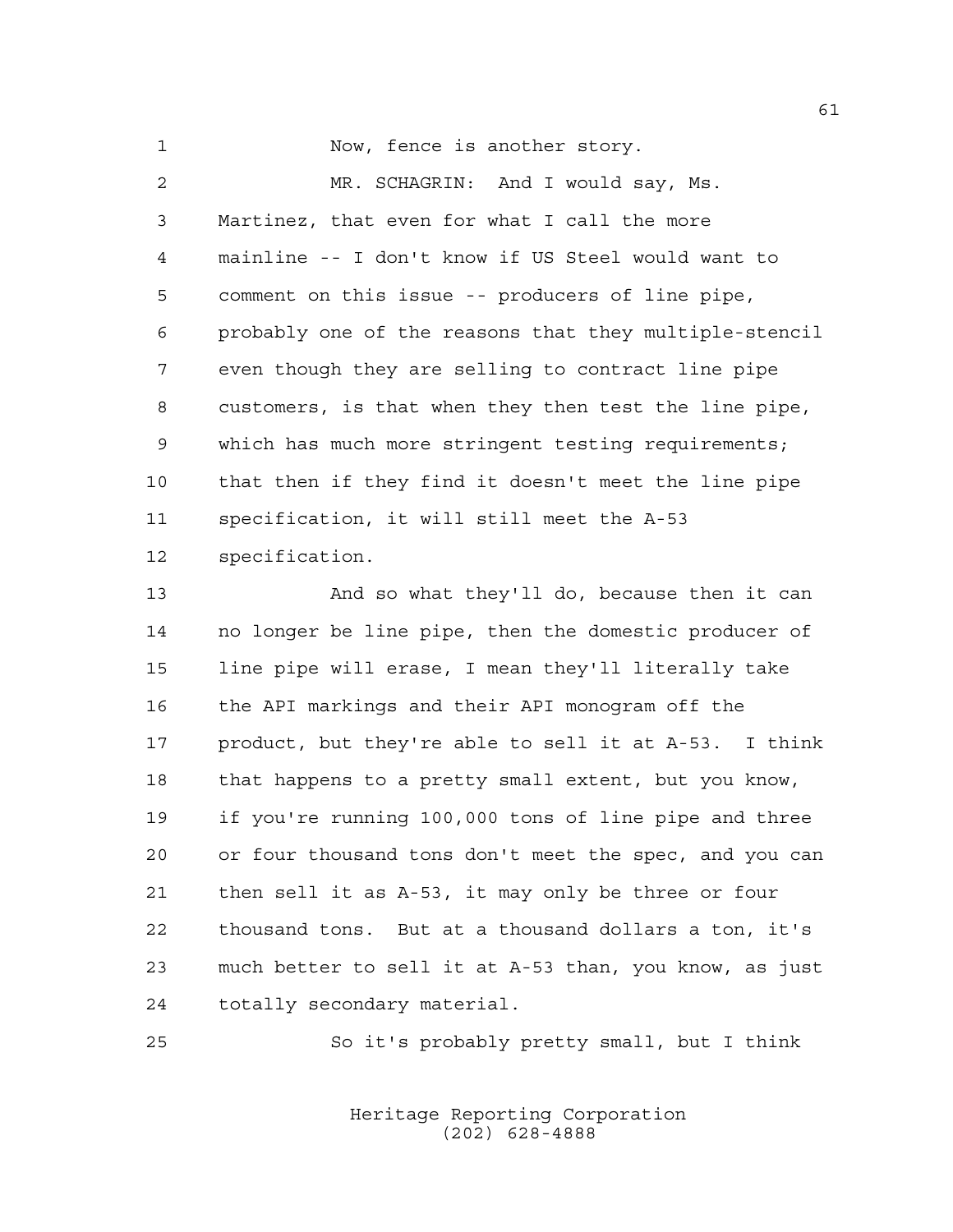1 Now, fence is another story.

 MR. SCHAGRIN: And I would say, Ms. Martinez, that even for what I call the more mainline -- I don't know if US Steel would want to comment on this issue -- producers of line pipe, probably one of the reasons that they multiple-stencil even though they are selling to contract line pipe customers, is that when they then test the line pipe, which has much more stringent testing requirements; that then if they find it doesn't meet the line pipe specification, it will still meet the A-53 specification.

 And so what they'll do, because then it can no longer be line pipe, then the domestic producer of line pipe will erase, I mean they'll literally take the API markings and their API monogram off the product, but they're able to sell it at A-53. I think 18 that happens to a pretty small extent, but you know, if you're running 100,000 tons of line pipe and three or four thousand tons don't meet the spec, and you can then sell it as A-53, it may only be three or four thousand tons. But at a thousand dollars a ton, it's much better to sell it at A-53 than, you know, as just totally secondary material.

So it's probably pretty small, but I think

Heritage Reporting Corporation (202) 628-4888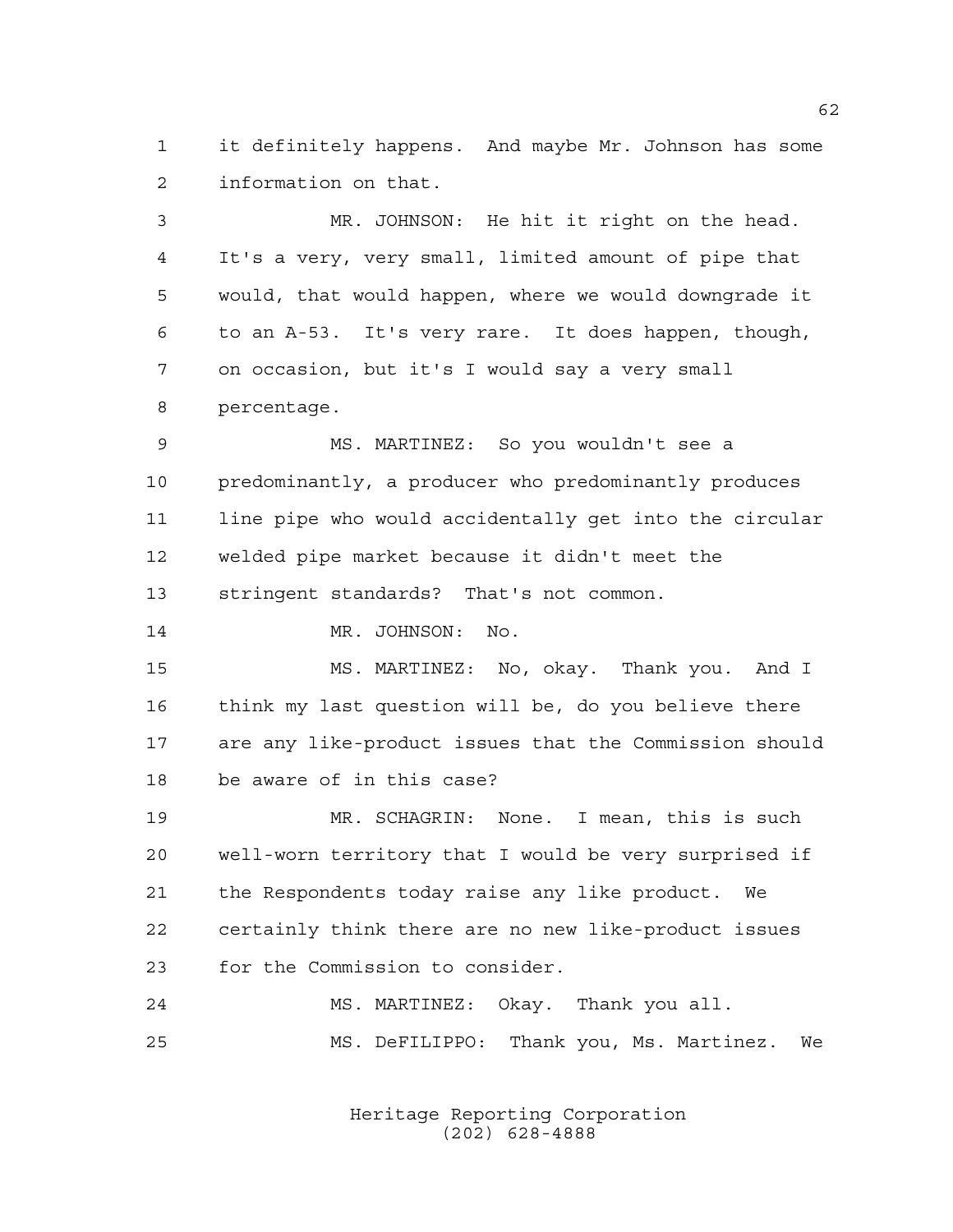it definitely happens. And maybe Mr. Johnson has some information on that.

 MR. JOHNSON: He hit it right on the head. It's a very, very small, limited amount of pipe that would, that would happen, where we would downgrade it to an A-53. It's very rare. It does happen, though, on occasion, but it's I would say a very small percentage.

 MS. MARTINEZ: So you wouldn't see a predominantly, a producer who predominantly produces line pipe who would accidentally get into the circular welded pipe market because it didn't meet the stringent standards? That's not common.

14 MR. JOHNSON: No.

 MS. MARTINEZ: No, okay. Thank you. And I think my last question will be, do you believe there are any like-product issues that the Commission should be aware of in this case?

 MR. SCHAGRIN: None. I mean, this is such well-worn territory that I would be very surprised if the Respondents today raise any like product. We certainly think there are no new like-product issues for the Commission to consider.

 MS. MARTINEZ: Okay. Thank you all. MS. DeFILIPPO: Thank you, Ms. Martinez. We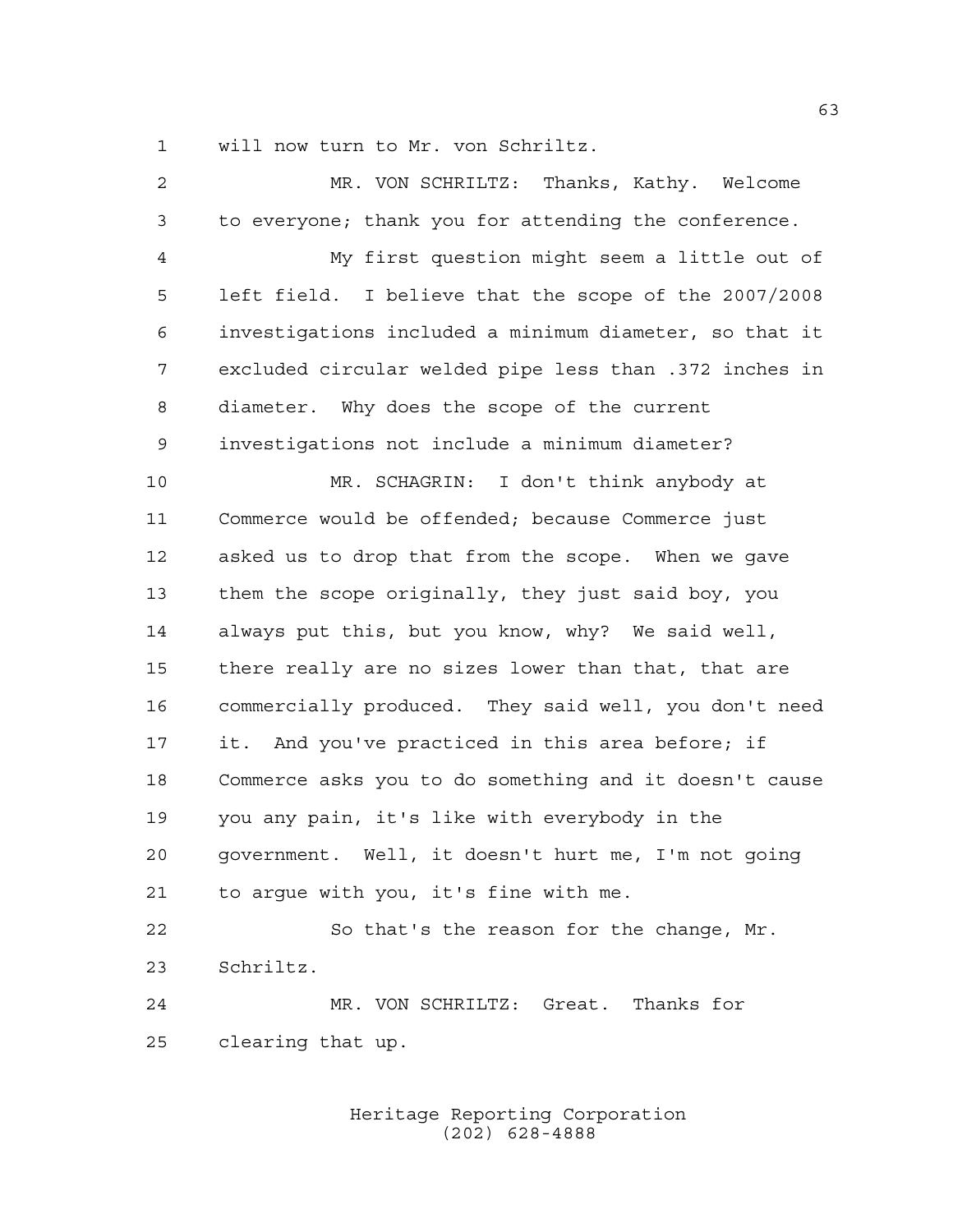will now turn to Mr. von Schriltz.

| $\overline{c}$ | MR. VON SCHRILTZ: Thanks, Kathy. Welcome               |
|----------------|--------------------------------------------------------|
| 3              | to everyone; thank you for attending the conference.   |
| $\overline{4}$ | My first question might seem a little out of           |
| 5              | left field. I believe that the scope of the 2007/2008  |
| 6              | investigations included a minimum diameter, so that it |
| 7              | excluded circular welded pipe less than .372 inches in |
| 8              | diameter. Why does the scope of the current            |
| 9              | investigations not include a minimum diameter?         |
| 10             | MR. SCHAGRIN: I don't think anybody at                 |
| 11             | Commerce would be offended; because Commerce just      |
| 12             | asked us to drop that from the scope. When we gave     |
| 13             | them the scope originally, they just said boy, you     |
| 14             | always put this, but you know, why? We said well,      |
| 15             | there really are no sizes lower than that, that are    |
| 16             | commercially produced. They said well, you don't need  |
| 17             | it. And you've practiced in this area before; if       |
| 18             | Commerce asks you to do something and it doesn't cause |
| 19             | you any pain, it's like with everybody in the          |
| 20             | government. Well, it doesn't hurt me, I'm not going    |
| 21             | to argue with you, it's fine with me.                  |
| 22             | So that's the reason for the change, Mr.               |
| 23             | Schriltz.                                              |
| 24             | MR. VON SCHRILTZ: Great. Thanks for                    |
| 25             | clearing that up.                                      |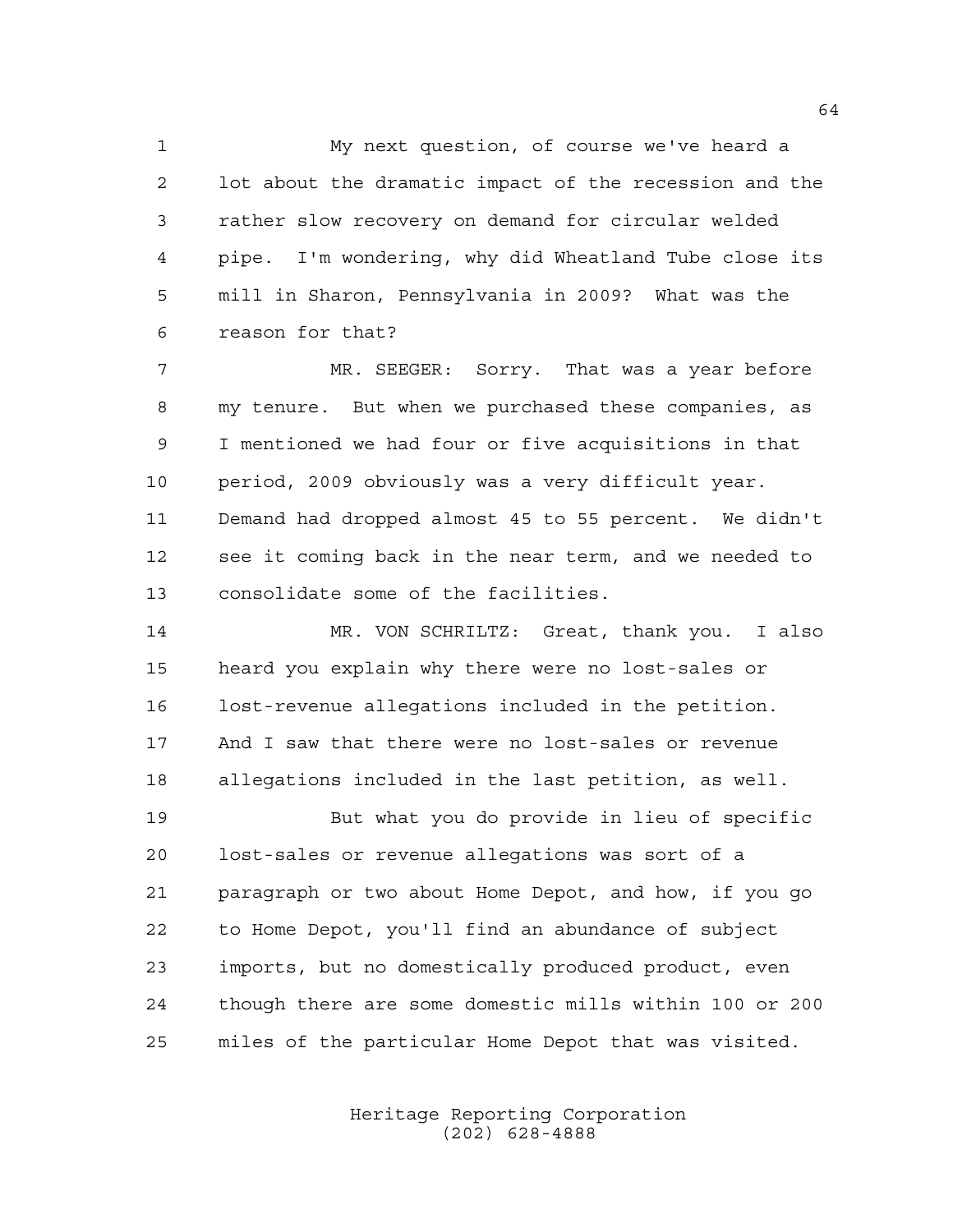My next question, of course we've heard a lot about the dramatic impact of the recession and the rather slow recovery on demand for circular welded pipe. I'm wondering, why did Wheatland Tube close its mill in Sharon, Pennsylvania in 2009? What was the reason for that?

 MR. SEEGER: Sorry. That was a year before my tenure. But when we purchased these companies, as I mentioned we had four or five acquisitions in that period, 2009 obviously was a very difficult year. Demand had dropped almost 45 to 55 percent. We didn't see it coming back in the near term, and we needed to consolidate some of the facilities.

 MR. VON SCHRILTZ: Great, thank you. I also heard you explain why there were no lost-sales or lost-revenue allegations included in the petition. And I saw that there were no lost-sales or revenue allegations included in the last petition, as well.

 But what you do provide in lieu of specific lost-sales or revenue allegations was sort of a paragraph or two about Home Depot, and how, if you go to Home Depot, you'll find an abundance of subject imports, but no domestically produced product, even though there are some domestic mills within 100 or 200 miles of the particular Home Depot that was visited.

> Heritage Reporting Corporation (202) 628-4888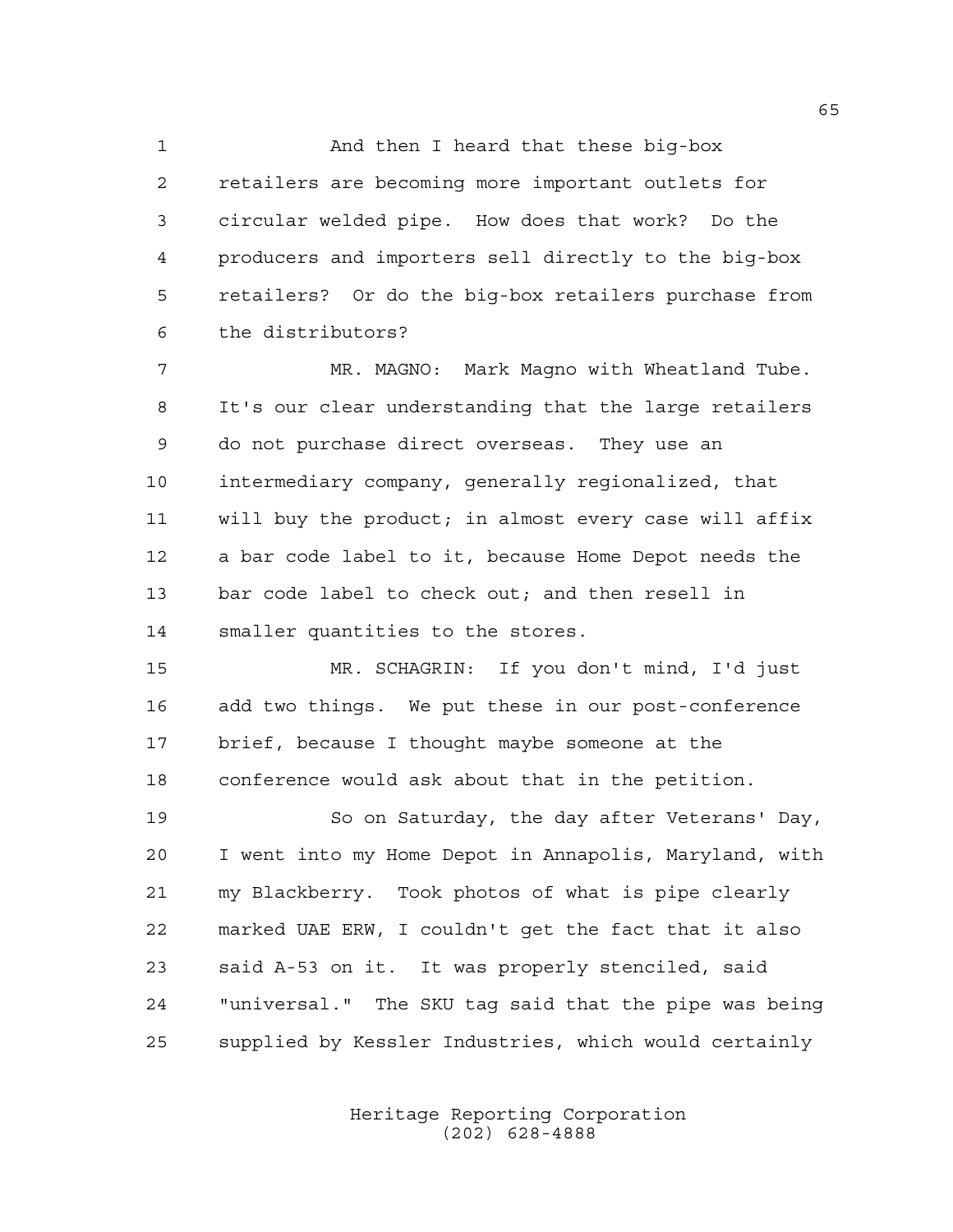And then I heard that these big-box retailers are becoming more important outlets for circular welded pipe. How does that work? Do the producers and importers sell directly to the big-box retailers? Or do the big-box retailers purchase from the distributors?

7 MR. MAGNO: Mark Magno with Wheatland Tube. It's our clear understanding that the large retailers do not purchase direct overseas. They use an intermediary company, generally regionalized, that will buy the product; in almost every case will affix a bar code label to it, because Home Depot needs the bar code label to check out; and then resell in smaller quantities to the stores.

 MR. SCHAGRIN: If you don't mind, I'd just add two things. We put these in our post-conference brief, because I thought maybe someone at the conference would ask about that in the petition.

 So on Saturday, the day after Veterans' Day, I went into my Home Depot in Annapolis, Maryland, with my Blackberry. Took photos of what is pipe clearly marked UAE ERW, I couldn't get the fact that it also said A-53 on it. It was properly stenciled, said "universal." The SKU tag said that the pipe was being supplied by Kessler Industries, which would certainly

> Heritage Reporting Corporation (202) 628-4888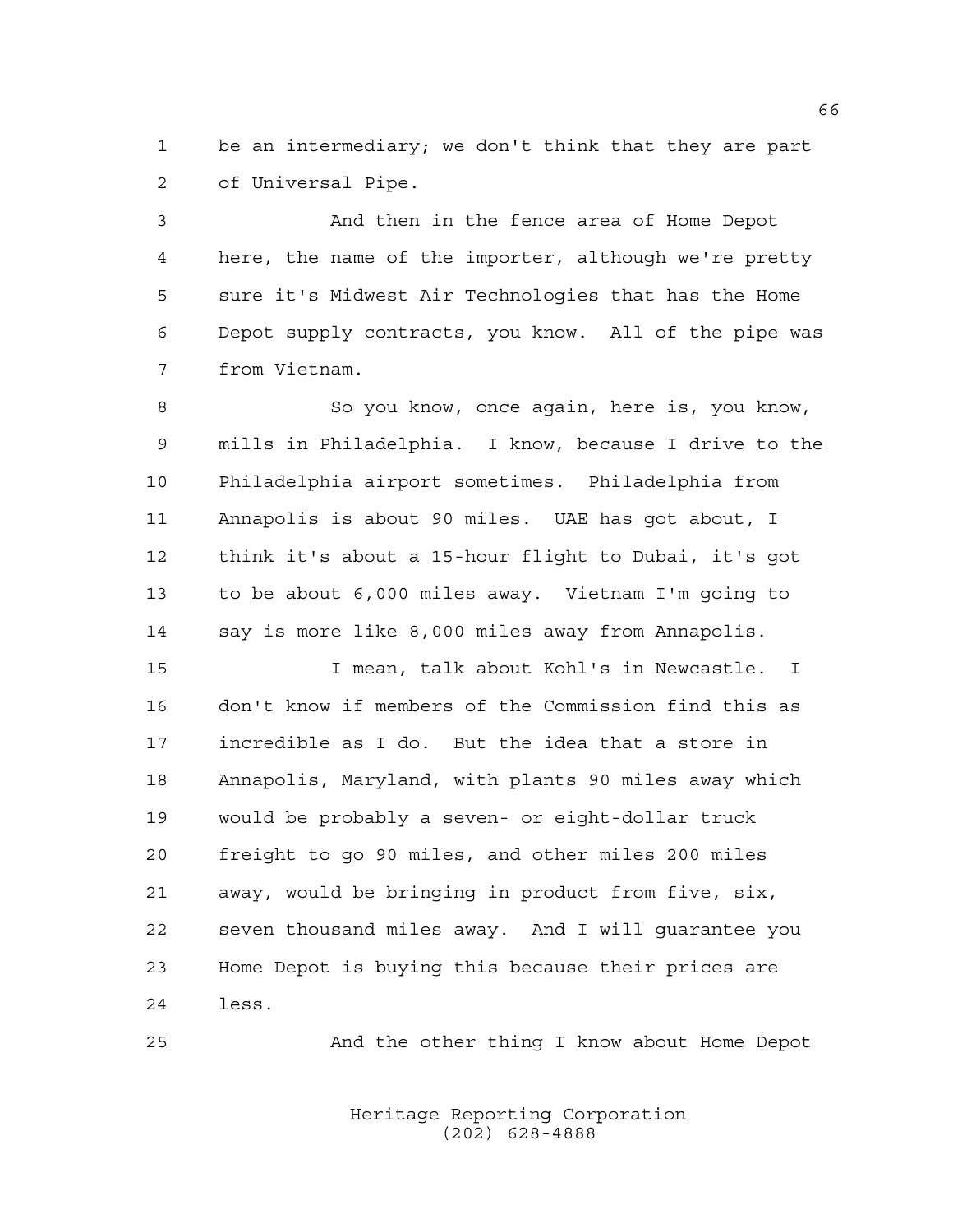be an intermediary; we don't think that they are part of Universal Pipe.

 And then in the fence area of Home Depot here, the name of the importer, although we're pretty sure it's Midwest Air Technologies that has the Home Depot supply contracts, you know. All of the pipe was from Vietnam.

 So you know, once again, here is, you know, mills in Philadelphia. I know, because I drive to the Philadelphia airport sometimes. Philadelphia from Annapolis is about 90 miles. UAE has got about, I think it's about a 15-hour flight to Dubai, it's got to be about 6,000 miles away. Vietnam I'm going to say is more like 8,000 miles away from Annapolis.

 I mean, talk about Kohl's in Newcastle. I don't know if members of the Commission find this as incredible as I do. But the idea that a store in Annapolis, Maryland, with plants 90 miles away which would be probably a seven- or eight-dollar truck freight to go 90 miles, and other miles 200 miles away, would be bringing in product from five, six, seven thousand miles away. And I will guarantee you Home Depot is buying this because their prices are less.

And the other thing I know about Home Depot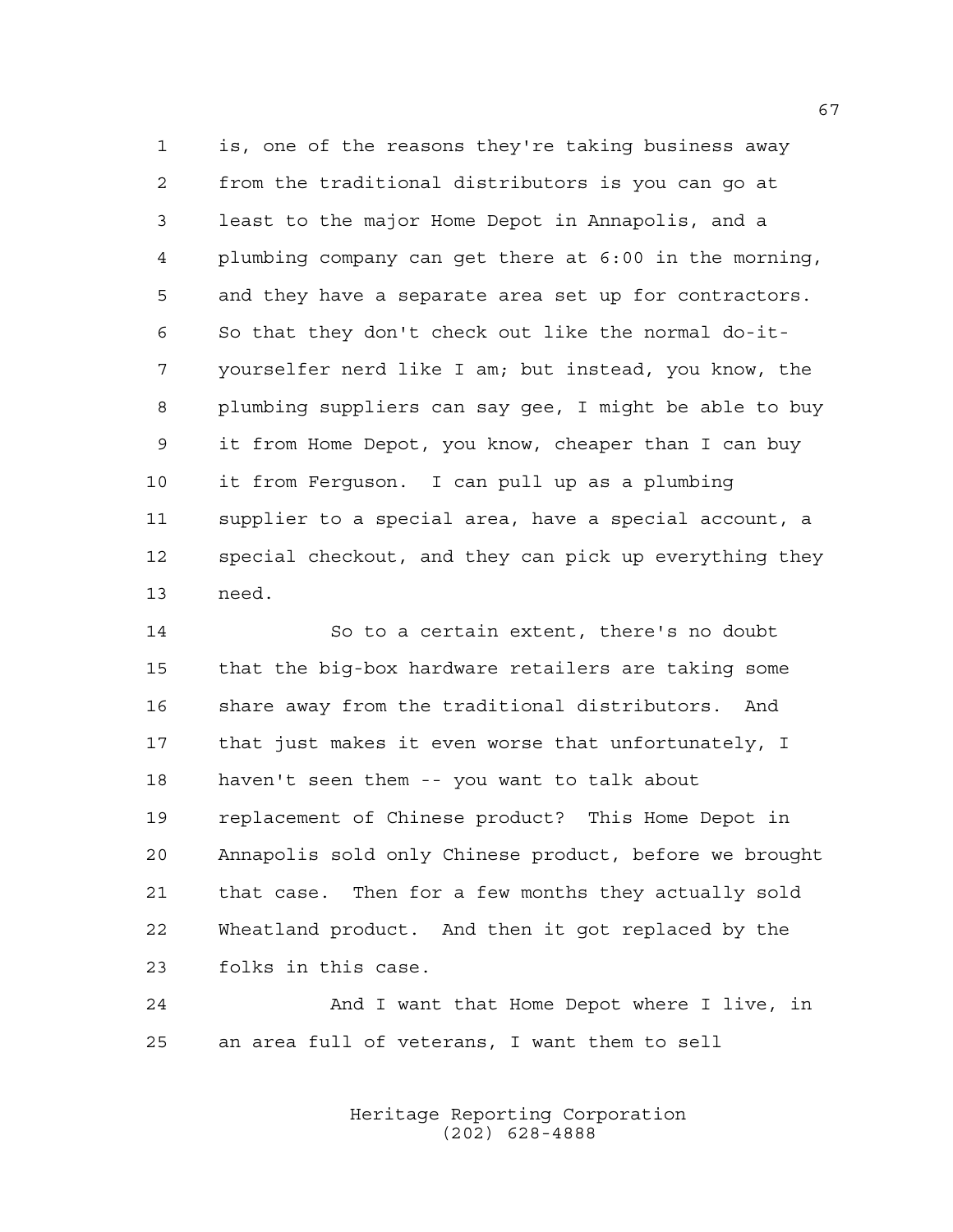is, one of the reasons they're taking business away from the traditional distributors is you can go at least to the major Home Depot in Annapolis, and a plumbing company can get there at 6:00 in the morning, and they have a separate area set up for contractors. So that they don't check out like the normal do-it- yourselfer nerd like I am; but instead, you know, the plumbing suppliers can say gee, I might be able to buy it from Home Depot, you know, cheaper than I can buy it from Ferguson. I can pull up as a plumbing supplier to a special area, have a special account, a special checkout, and they can pick up everything they need.

 So to a certain extent, there's no doubt that the big-box hardware retailers are taking some share away from the traditional distributors. And that just makes it even worse that unfortunately, I haven't seen them -- you want to talk about replacement of Chinese product? This Home Depot in Annapolis sold only Chinese product, before we brought that case. Then for a few months they actually sold Wheatland product. And then it got replaced by the folks in this case.

 And I want that Home Depot where I live, in an area full of veterans, I want them to sell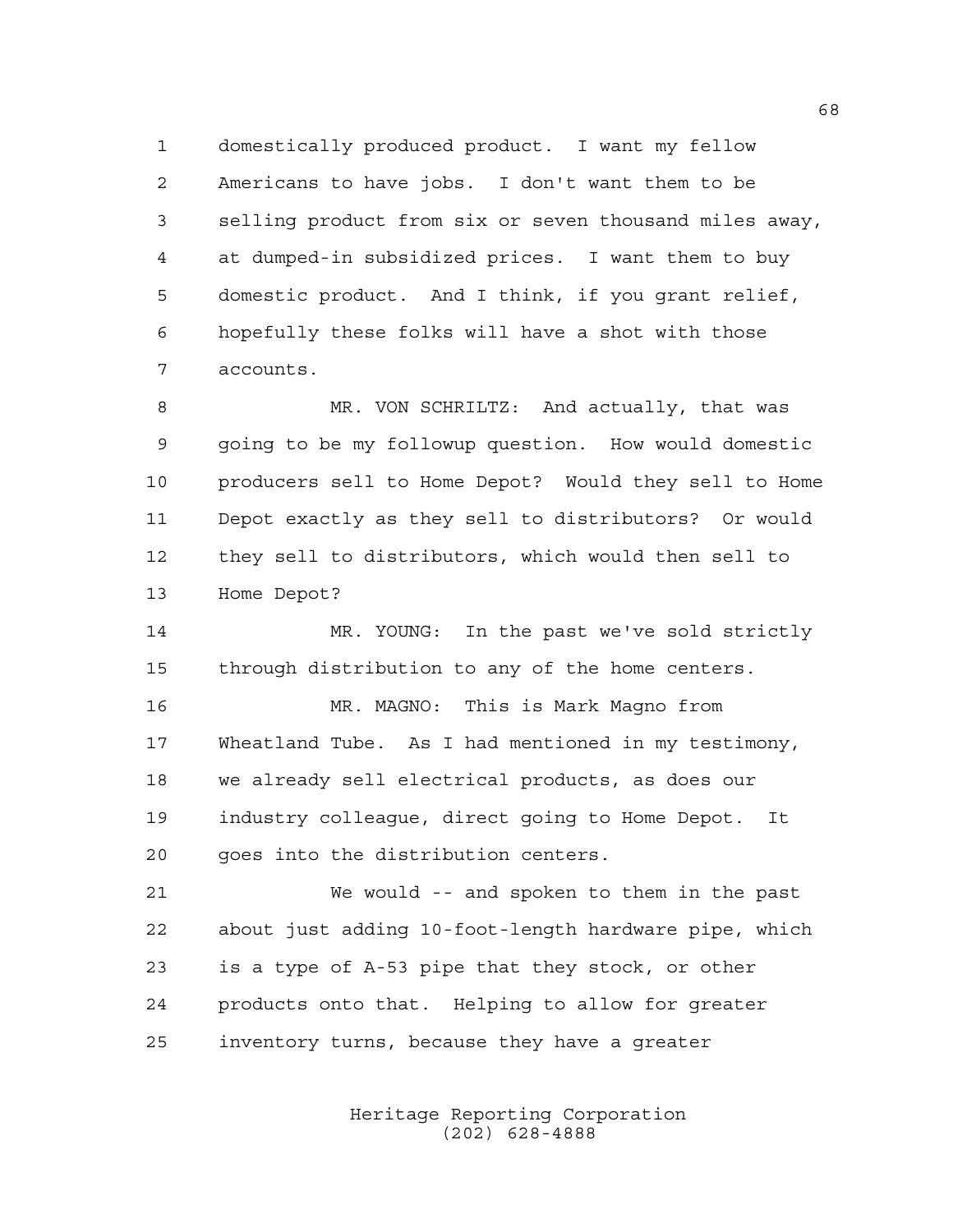domestically produced product. I want my fellow Americans to have jobs. I don't want them to be selling product from six or seven thousand miles away, at dumped-in subsidized prices. I want them to buy domestic product. And I think, if you grant relief, hopefully these folks will have a shot with those accounts.

 MR. VON SCHRILTZ: And actually, that was going to be my followup question. How would domestic producers sell to Home Depot? Would they sell to Home Depot exactly as they sell to distributors? Or would they sell to distributors, which would then sell to Home Depot?

 MR. YOUNG: In the past we've sold strictly through distribution to any of the home centers.

 MR. MAGNO: This is Mark Magno from Wheatland Tube. As I had mentioned in my testimony, we already sell electrical products, as does our industry colleague, direct going to Home Depot. It goes into the distribution centers.

 We would -- and spoken to them in the past about just adding 10-foot-length hardware pipe, which is a type of A-53 pipe that they stock, or other products onto that. Helping to allow for greater inventory turns, because they have a greater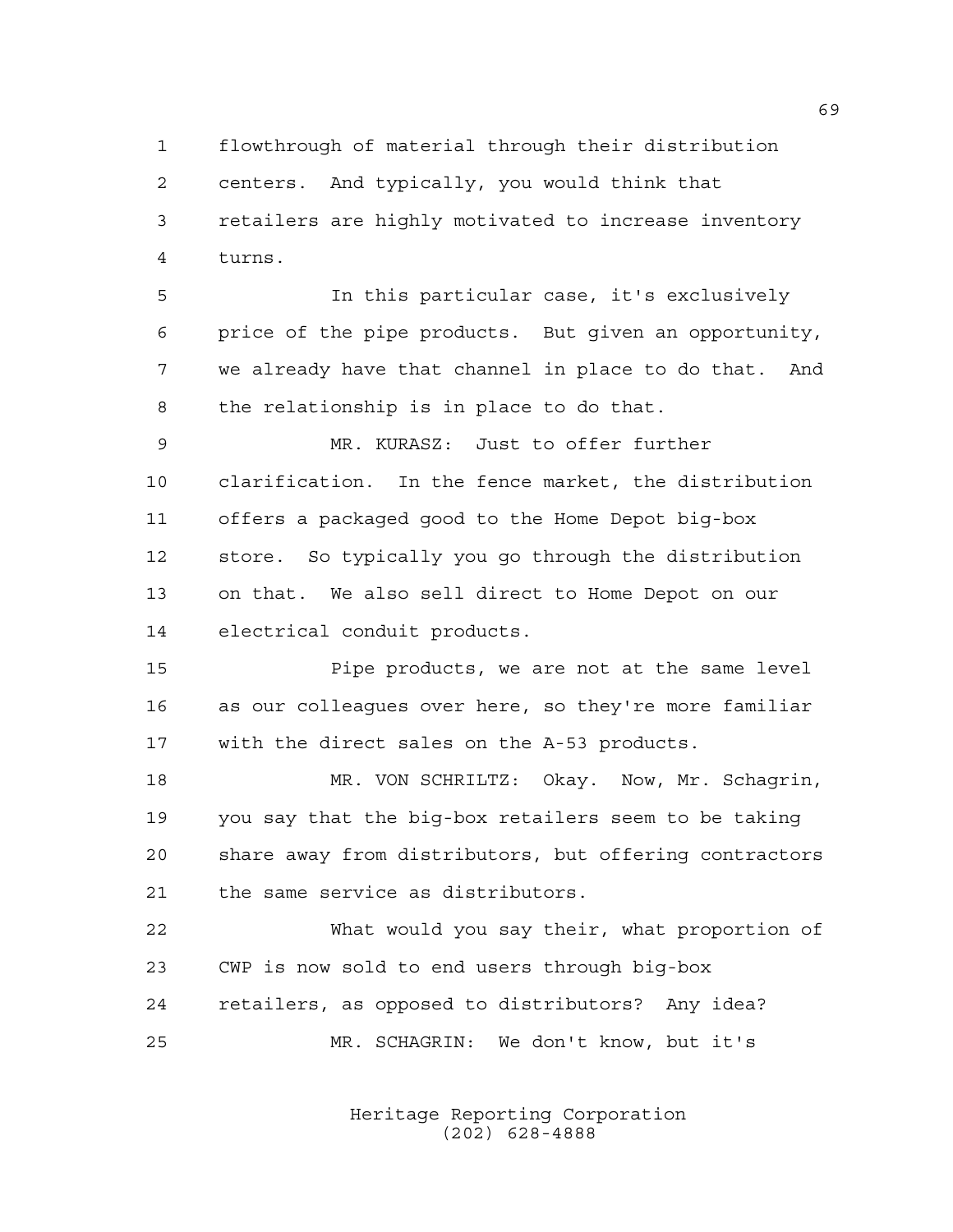flowthrough of material through their distribution centers. And typically, you would think that retailers are highly motivated to increase inventory turns.

 In this particular case, it's exclusively price of the pipe products. But given an opportunity, we already have that channel in place to do that. And the relationship is in place to do that.

 MR. KURASZ: Just to offer further clarification. In the fence market, the distribution offers a packaged good to the Home Depot big-box store. So typically you go through the distribution on that. We also sell direct to Home Depot on our electrical conduit products.

 Pipe products, we are not at the same level as our colleagues over here, so they're more familiar with the direct sales on the A-53 products.

18 MR. VON SCHRILTZ: Okay. Now, Mr. Schagrin, you say that the big-box retailers seem to be taking share away from distributors, but offering contractors the same service as distributors.

 What would you say their, what proportion of CWP is now sold to end users through big-box retailers, as opposed to distributors? Any idea? MR. SCHAGRIN: We don't know, but it's

> Heritage Reporting Corporation (202) 628-4888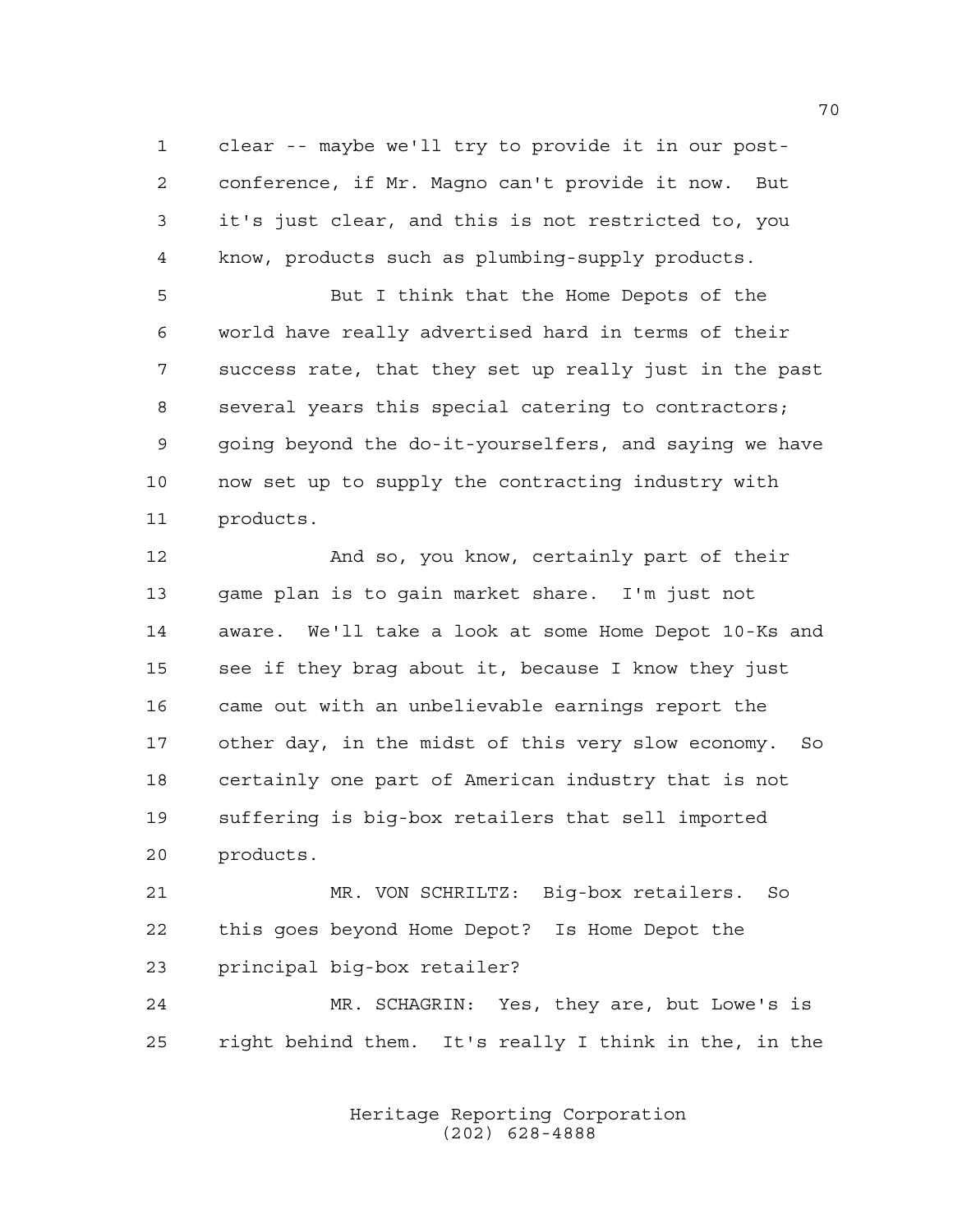clear -- maybe we'll try to provide it in our post- conference, if Mr. Magno can't provide it now. But it's just clear, and this is not restricted to, you know, products such as plumbing-supply products.

 But I think that the Home Depots of the world have really advertised hard in terms of their success rate, that they set up really just in the past several years this special catering to contractors; going beyond the do-it-yourselfers, and saying we have now set up to supply the contracting industry with products.

12 And so, you know, certainly part of their game plan is to gain market share. I'm just not aware. We'll take a look at some Home Depot 10-Ks and see if they brag about it, because I know they just came out with an unbelievable earnings report the other day, in the midst of this very slow economy. So certainly one part of American industry that is not suffering is big-box retailers that sell imported products.

 MR. VON SCHRILTZ: Big-box retailers. So this goes beyond Home Depot? Is Home Depot the principal big-box retailer?

 MR. SCHAGRIN: Yes, they are, but Lowe's is right behind them. It's really I think in the, in the

> Heritage Reporting Corporation (202) 628-4888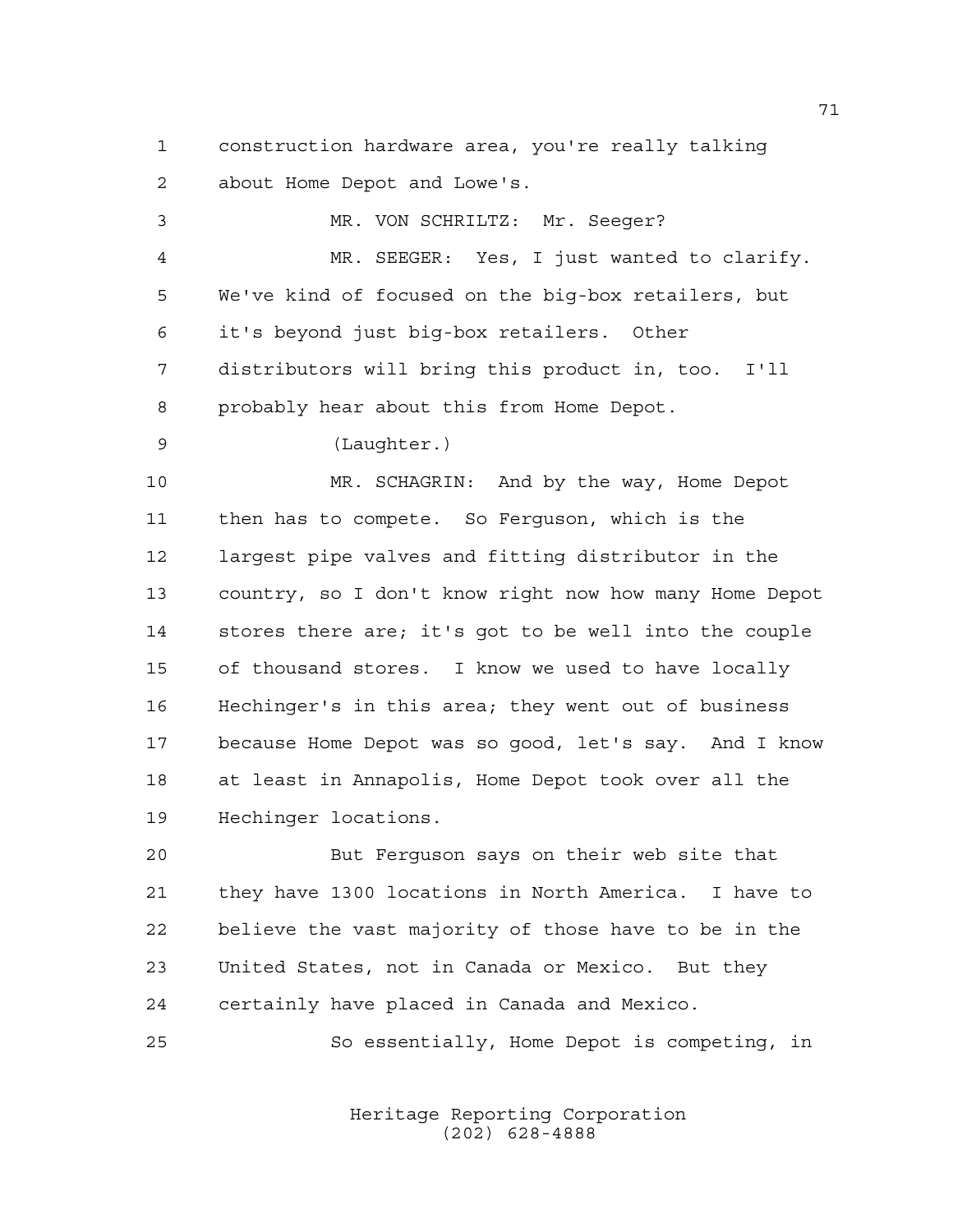construction hardware area, you're really talking about Home Depot and Lowe's.

| 3  | MR. VON SCHRILTZ: Mr. Seeger?                          |
|----|--------------------------------------------------------|
| 4  | MR. SEEGER: Yes, I just wanted to clarify.             |
| 5  | We've kind of focused on the big-box retailers, but    |
| 6  | it's beyond just big-box retailers. Other              |
| 7  | distributors will bring this product in, too. I'll     |
| 8  | probably hear about this from Home Depot.              |
| 9  | (Laughter.)                                            |
| 10 | MR. SCHAGRIN: And by the way, Home Depot               |
| 11 | then has to compete. So Ferguson, which is the         |
| 12 | largest pipe valves and fitting distributor in the     |
| 13 | country, so I don't know right now how many Home Depot |
| 14 | stores there are; it's got to be well into the couple  |
| 15 | of thousand stores. I know we used to have locally     |
| 16 | Hechinger's in this area; they went out of business    |
| 17 | because Home Depot was so good, let's say. And I know  |
| 18 | at least in Annapolis, Home Depot took over all the    |
| 19 | Hechinger locations.                                   |
| 20 | But Ferquson says on their web site that               |

 they have 1300 locations in North America. I have to believe the vast majority of those have to be in the United States, not in Canada or Mexico. But they certainly have placed in Canada and Mexico.

So essentially, Home Depot is competing, in

Heritage Reporting Corporation (202) 628-4888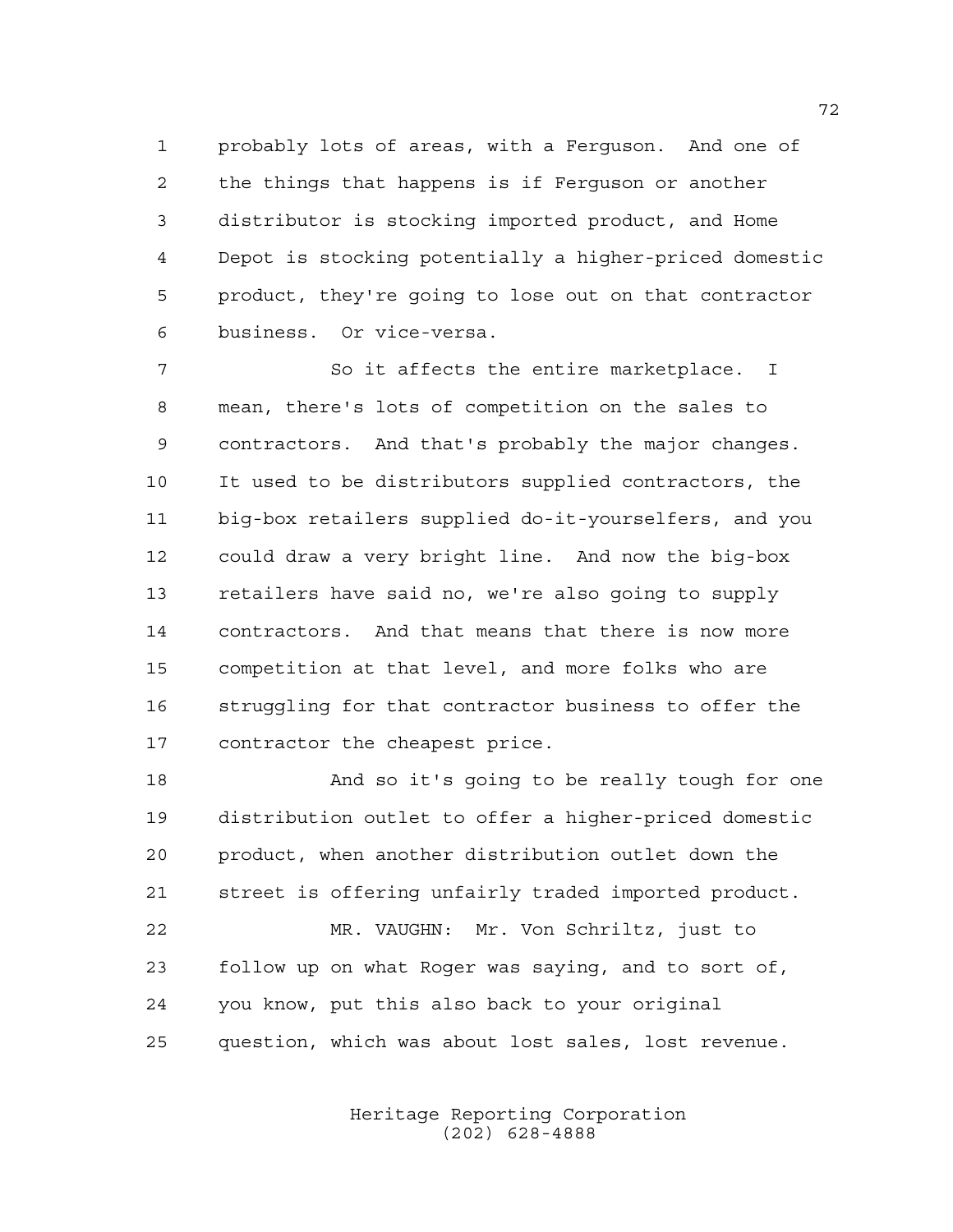probably lots of areas, with a Ferguson. And one of the things that happens is if Ferguson or another distributor is stocking imported product, and Home Depot is stocking potentially a higher-priced domestic product, they're going to lose out on that contractor business. Or vice-versa.

 So it affects the entire marketplace. I mean, there's lots of competition on the sales to contractors. And that's probably the major changes. It used to be distributors supplied contractors, the big-box retailers supplied do-it-yourselfers, and you could draw a very bright line. And now the big-box retailers have said no, we're also going to supply contractors. And that means that there is now more competition at that level, and more folks who are struggling for that contractor business to offer the contractor the cheapest price.

 And so it's going to be really tough for one distribution outlet to offer a higher-priced domestic product, when another distribution outlet down the street is offering unfairly traded imported product. MR. VAUGHN: Mr. Von Schriltz, just to follow up on what Roger was saying, and to sort of, you know, put this also back to your original question, which was about lost sales, lost revenue.

> Heritage Reporting Corporation (202) 628-4888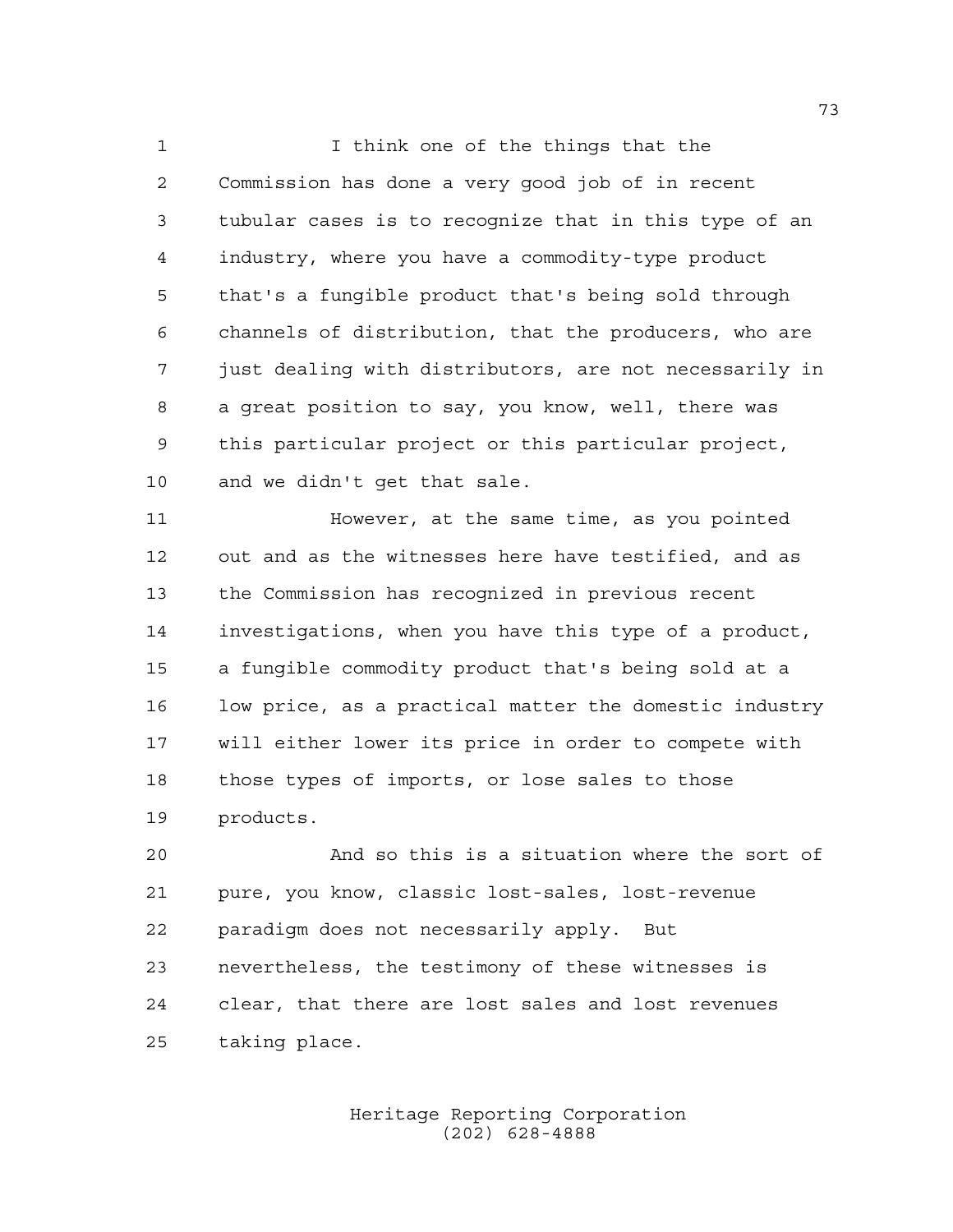1 I think one of the things that the Commission has done a very good job of in recent tubular cases is to recognize that in this type of an industry, where you have a commodity-type product that's a fungible product that's being sold through channels of distribution, that the producers, who are just dealing with distributors, are not necessarily in a great position to say, you know, well, there was this particular project or this particular project, and we didn't get that sale.

 However, at the same time, as you pointed out and as the witnesses here have testified, and as the Commission has recognized in previous recent investigations, when you have this type of a product, a fungible commodity product that's being sold at a low price, as a practical matter the domestic industry will either lower its price in order to compete with those types of imports, or lose sales to those products.

 And so this is a situation where the sort of pure, you know, classic lost-sales, lost-revenue paradigm does not necessarily apply. But nevertheless, the testimony of these witnesses is clear, that there are lost sales and lost revenues taking place.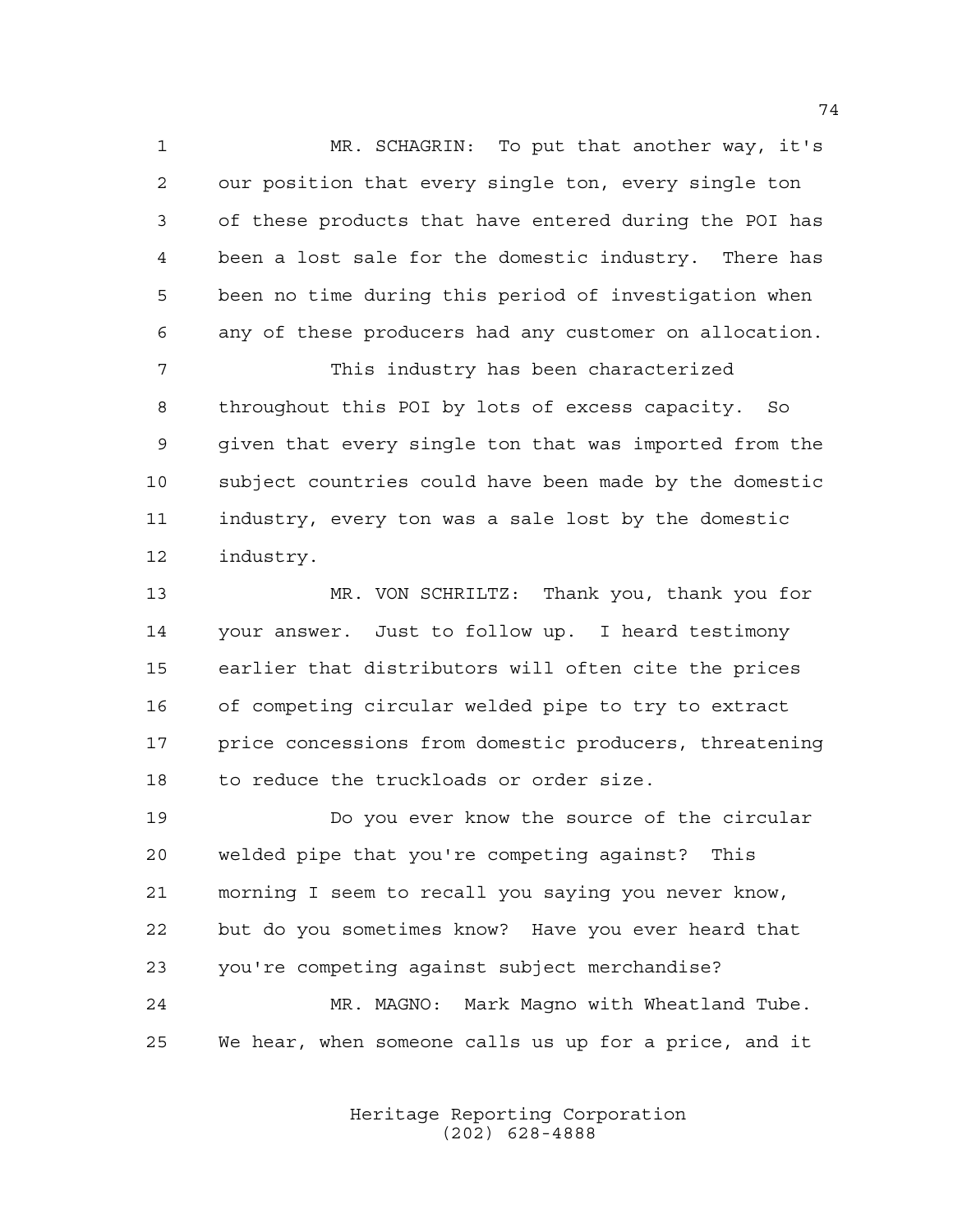MR. SCHAGRIN: To put that another way, it's our position that every single ton, every single ton of these products that have entered during the POI has been a lost sale for the domestic industry. There has been no time during this period of investigation when any of these producers had any customer on allocation. This industry has been characterized

 throughout this POI by lots of excess capacity. So given that every single ton that was imported from the subject countries could have been made by the domestic industry, every ton was a sale lost by the domestic industry.

 MR. VON SCHRILTZ: Thank you, thank you for your answer. Just to follow up. I heard testimony earlier that distributors will often cite the prices of competing circular welded pipe to try to extract price concessions from domestic producers, threatening to reduce the truckloads or order size.

 Do you ever know the source of the circular welded pipe that you're competing against? This morning I seem to recall you saying you never know, but do you sometimes know? Have you ever heard that you're competing against subject merchandise? MR. MAGNO: Mark Magno with Wheatland Tube. We hear, when someone calls us up for a price, and it

> Heritage Reporting Corporation (202) 628-4888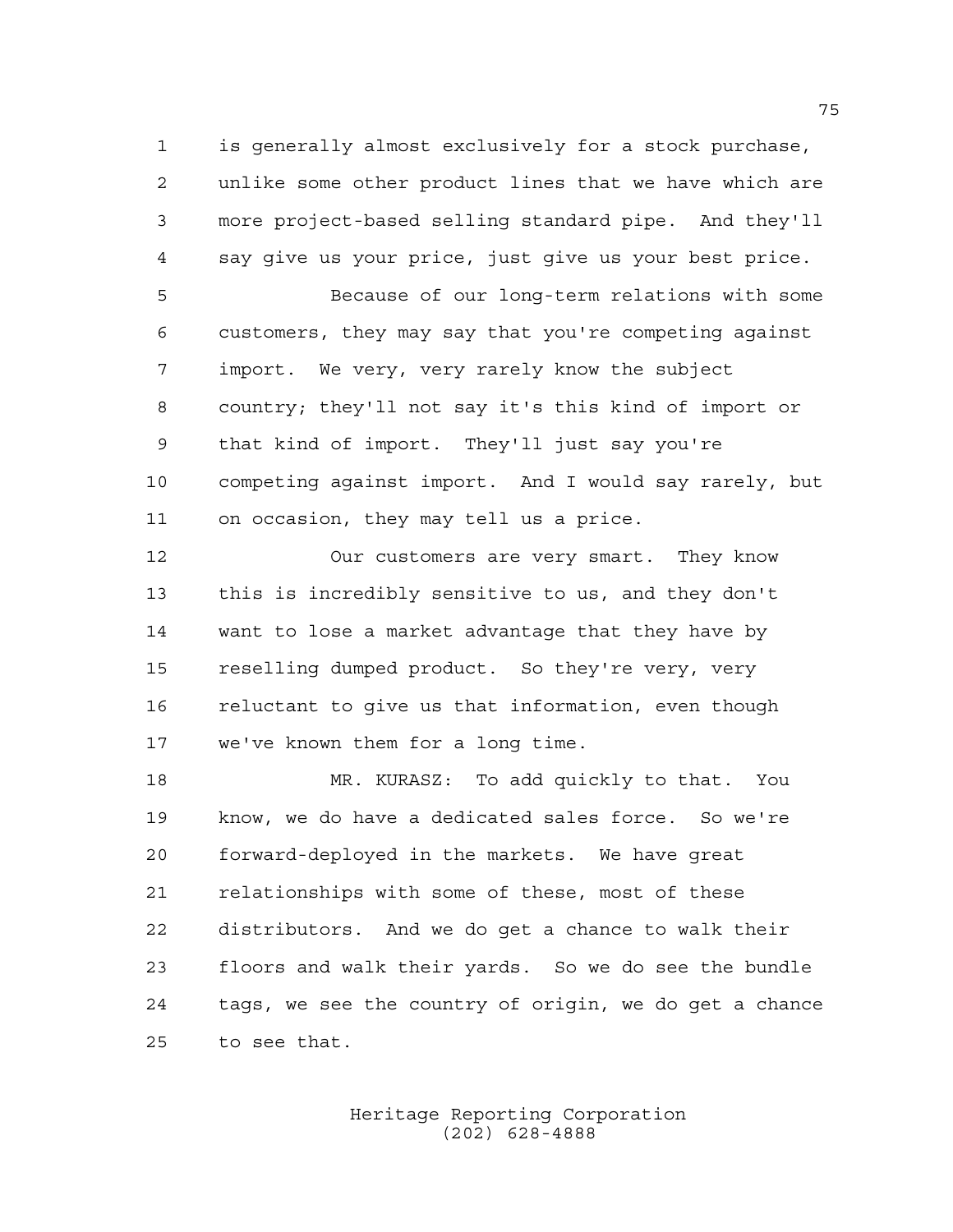is generally almost exclusively for a stock purchase, unlike some other product lines that we have which are more project-based selling standard pipe. And they'll say give us your price, just give us your best price.

 Because of our long-term relations with some customers, they may say that you're competing against import. We very, very rarely know the subject country; they'll not say it's this kind of import or that kind of import. They'll just say you're competing against import. And I would say rarely, but on occasion, they may tell us a price.

 Our customers are very smart. They know this is incredibly sensitive to us, and they don't want to lose a market advantage that they have by reselling dumped product. So they're very, very reluctant to give us that information, even though we've known them for a long time.

 MR. KURASZ: To add quickly to that. You know, we do have a dedicated sales force. So we're forward-deployed in the markets. We have great relationships with some of these, most of these distributors. And we do get a chance to walk their floors and walk their yards. So we do see the bundle tags, we see the country of origin, we do get a chance to see that.

> Heritage Reporting Corporation (202) 628-4888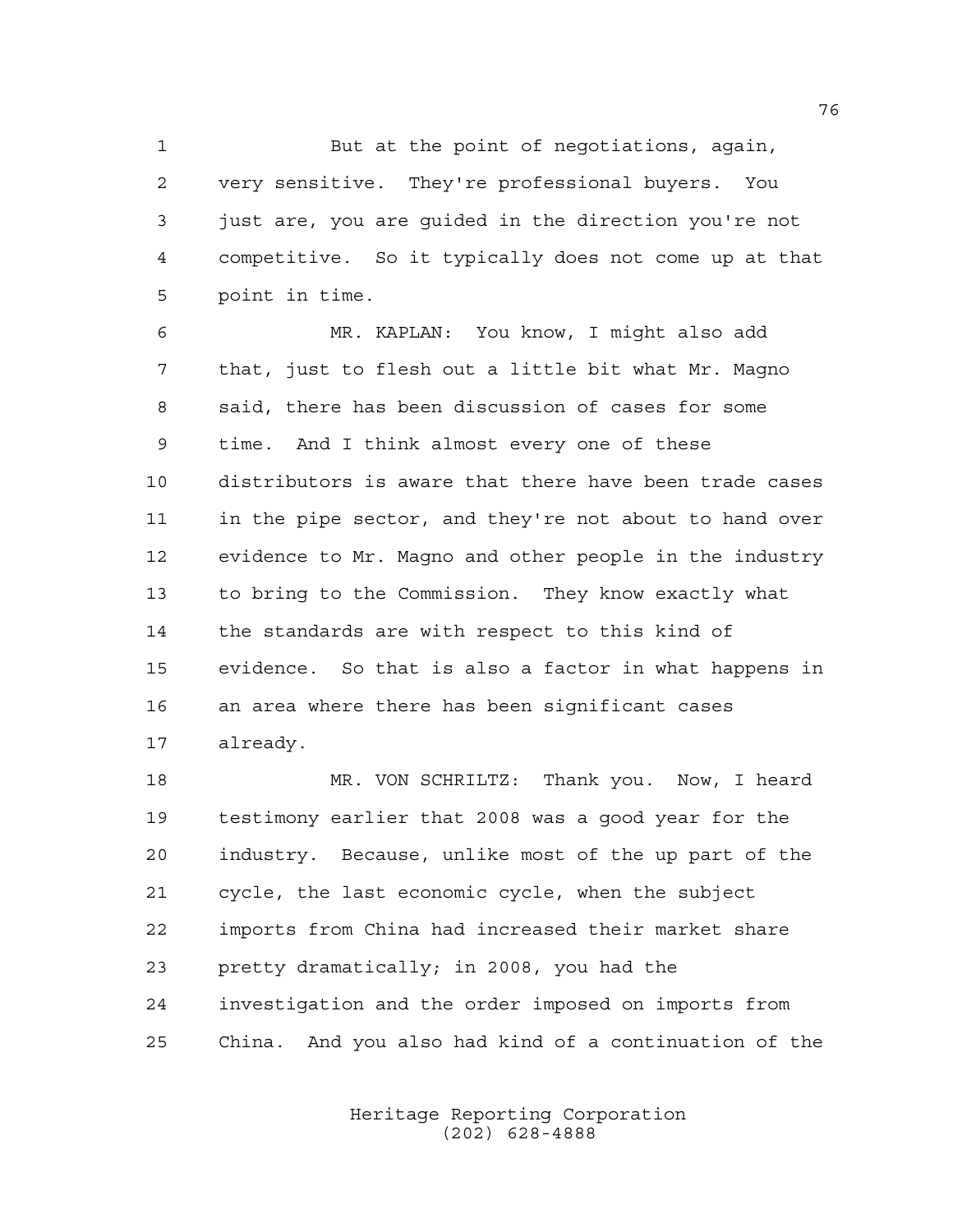But at the point of negotiations, again, very sensitive. They're professional buyers. You just are, you are guided in the direction you're not competitive. So it typically does not come up at that point in time.

 MR. KAPLAN: You know, I might also add that, just to flesh out a little bit what Mr. Magno said, there has been discussion of cases for some time. And I think almost every one of these distributors is aware that there have been trade cases in the pipe sector, and they're not about to hand over evidence to Mr. Magno and other people in the industry to bring to the Commission. They know exactly what the standards are with respect to this kind of evidence. So that is also a factor in what happens in an area where there has been significant cases already.

 MR. VON SCHRILTZ: Thank you. Now, I heard testimony earlier that 2008 was a good year for the industry. Because, unlike most of the up part of the cycle, the last economic cycle, when the subject imports from China had increased their market share pretty dramatically; in 2008, you had the investigation and the order imposed on imports from China. And you also had kind of a continuation of the

> Heritage Reporting Corporation (202) 628-4888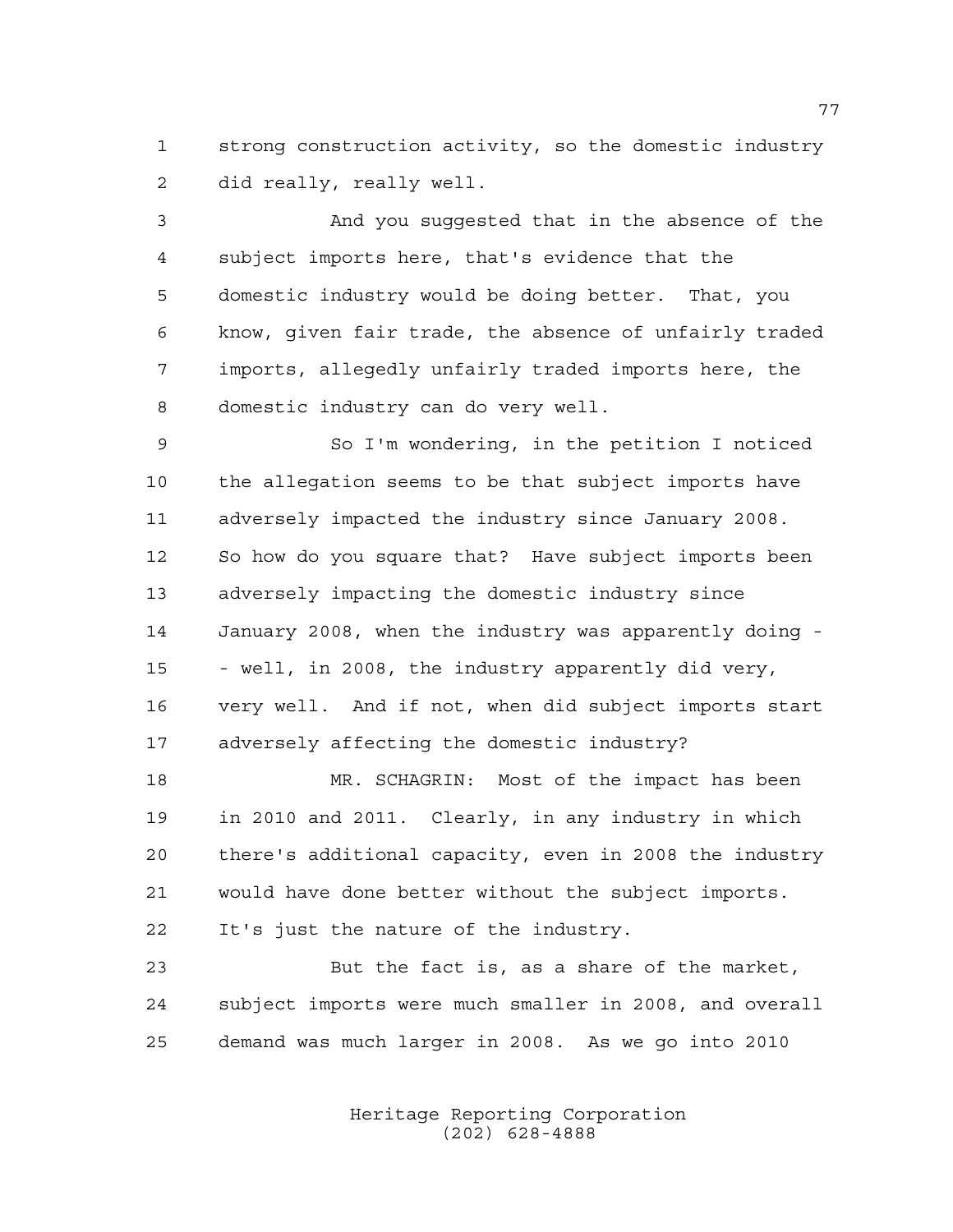strong construction activity, so the domestic industry did really, really well.

 And you suggested that in the absence of the subject imports here, that's evidence that the domestic industry would be doing better. That, you know, given fair trade, the absence of unfairly traded imports, allegedly unfairly traded imports here, the domestic industry can do very well.

 So I'm wondering, in the petition I noticed the allegation seems to be that subject imports have adversely impacted the industry since January 2008. So how do you square that? Have subject imports been adversely impacting the domestic industry since January 2008, when the industry was apparently doing - - well, in 2008, the industry apparently did very, very well. And if not, when did subject imports start adversely affecting the domestic industry?

 MR. SCHAGRIN: Most of the impact has been in 2010 and 2011. Clearly, in any industry in which there's additional capacity, even in 2008 the industry would have done better without the subject imports. It's just the nature of the industry.

 But the fact is, as a share of the market, subject imports were much smaller in 2008, and overall demand was much larger in 2008. As we go into 2010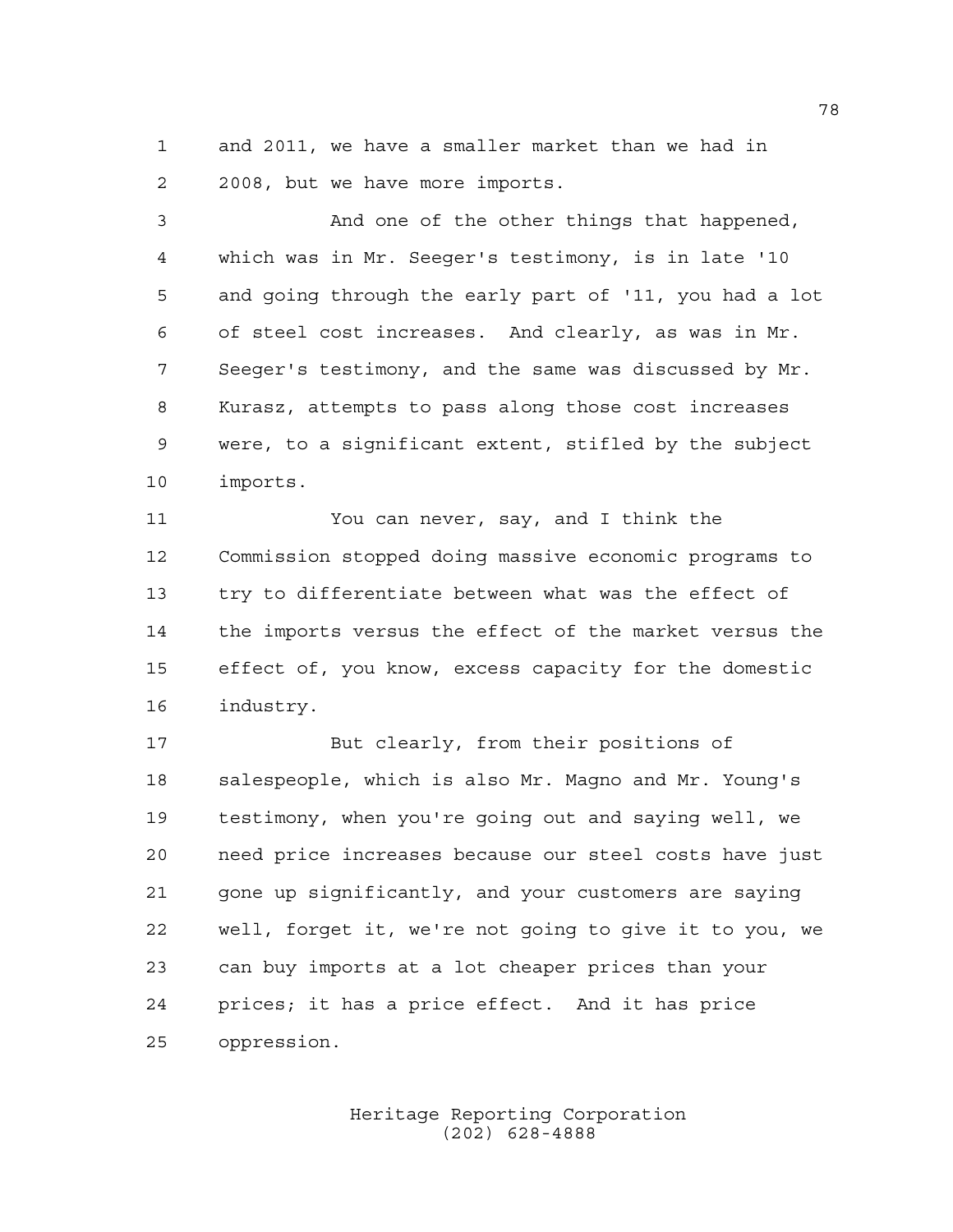and 2011, we have a smaller market than we had in 2008, but we have more imports.

 And one of the other things that happened, which was in Mr. Seeger's testimony, is in late '10 and going through the early part of '11, you had a lot of steel cost increases. And clearly, as was in Mr. Seeger's testimony, and the same was discussed by Mr. Kurasz, attempts to pass along those cost increases were, to a significant extent, stifled by the subject imports.

 You can never, say, and I think the Commission stopped doing massive economic programs to try to differentiate between what was the effect of the imports versus the effect of the market versus the effect of, you know, excess capacity for the domestic industry.

 But clearly, from their positions of salespeople, which is also Mr. Magno and Mr. Young's testimony, when you're going out and saying well, we need price increases because our steel costs have just gone up significantly, and your customers are saying well, forget it, we're not going to give it to you, we can buy imports at a lot cheaper prices than your prices; it has a price effect. And it has price oppression.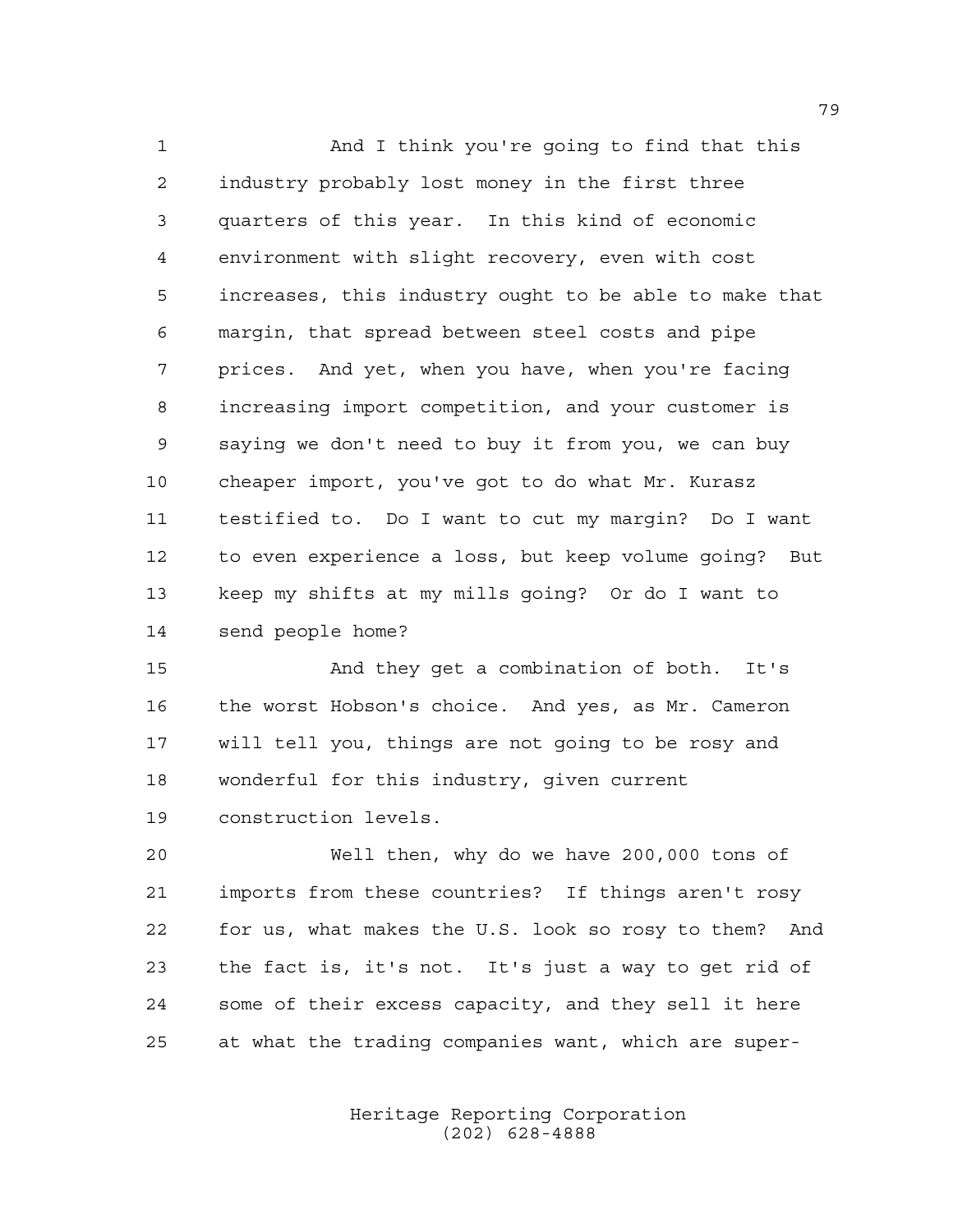And I think you're going to find that this industry probably lost money in the first three quarters of this year. In this kind of economic environment with slight recovery, even with cost increases, this industry ought to be able to make that margin, that spread between steel costs and pipe prices. And yet, when you have, when you're facing increasing import competition, and your customer is saying we don't need to buy it from you, we can buy cheaper import, you've got to do what Mr. Kurasz testified to. Do I want to cut my margin? Do I want to even experience a loss, but keep volume going? But keep my shifts at my mills going? Or do I want to send people home?

 And they get a combination of both. It's the worst Hobson's choice. And yes, as Mr. Cameron will tell you, things are not going to be rosy and wonderful for this industry, given current construction levels.

 Well then, why do we have 200,000 tons of imports from these countries? If things aren't rosy for us, what makes the U.S. look so rosy to them? And the fact is, it's not. It's just a way to get rid of some of their excess capacity, and they sell it here at what the trading companies want, which are super-

> Heritage Reporting Corporation (202) 628-4888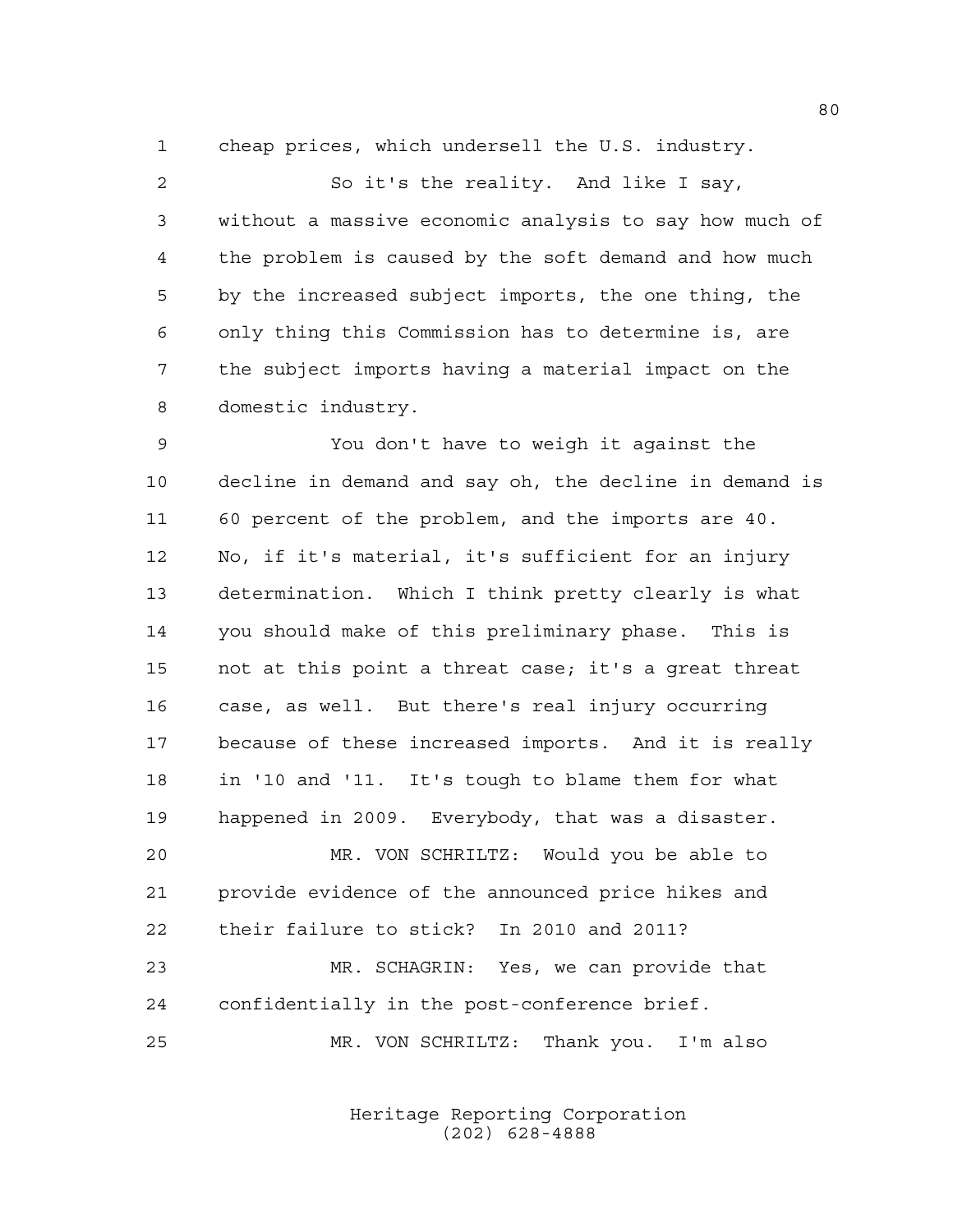cheap prices, which undersell the U.S. industry.

 So it's the reality. And like I say, without a massive economic analysis to say how much of the problem is caused by the soft demand and how much by the increased subject imports, the one thing, the only thing this Commission has to determine is, are the subject imports having a material impact on the domestic industry.

 You don't have to weigh it against the decline in demand and say oh, the decline in demand is 60 percent of the problem, and the imports are 40. No, if it's material, it's sufficient for an injury determination. Which I think pretty clearly is what you should make of this preliminary phase. This is not at this point a threat case; it's a great threat case, as well. But there's real injury occurring because of these increased imports. And it is really in '10 and '11. It's tough to blame them for what happened in 2009. Everybody, that was a disaster. MR. VON SCHRILTZ: Would you be able to provide evidence of the announced price hikes and their failure to stick? In 2010 and 2011? MR. SCHAGRIN: Yes, we can provide that confidentially in the post-conference brief.

MR. VON SCHRILTZ: Thank you. I'm also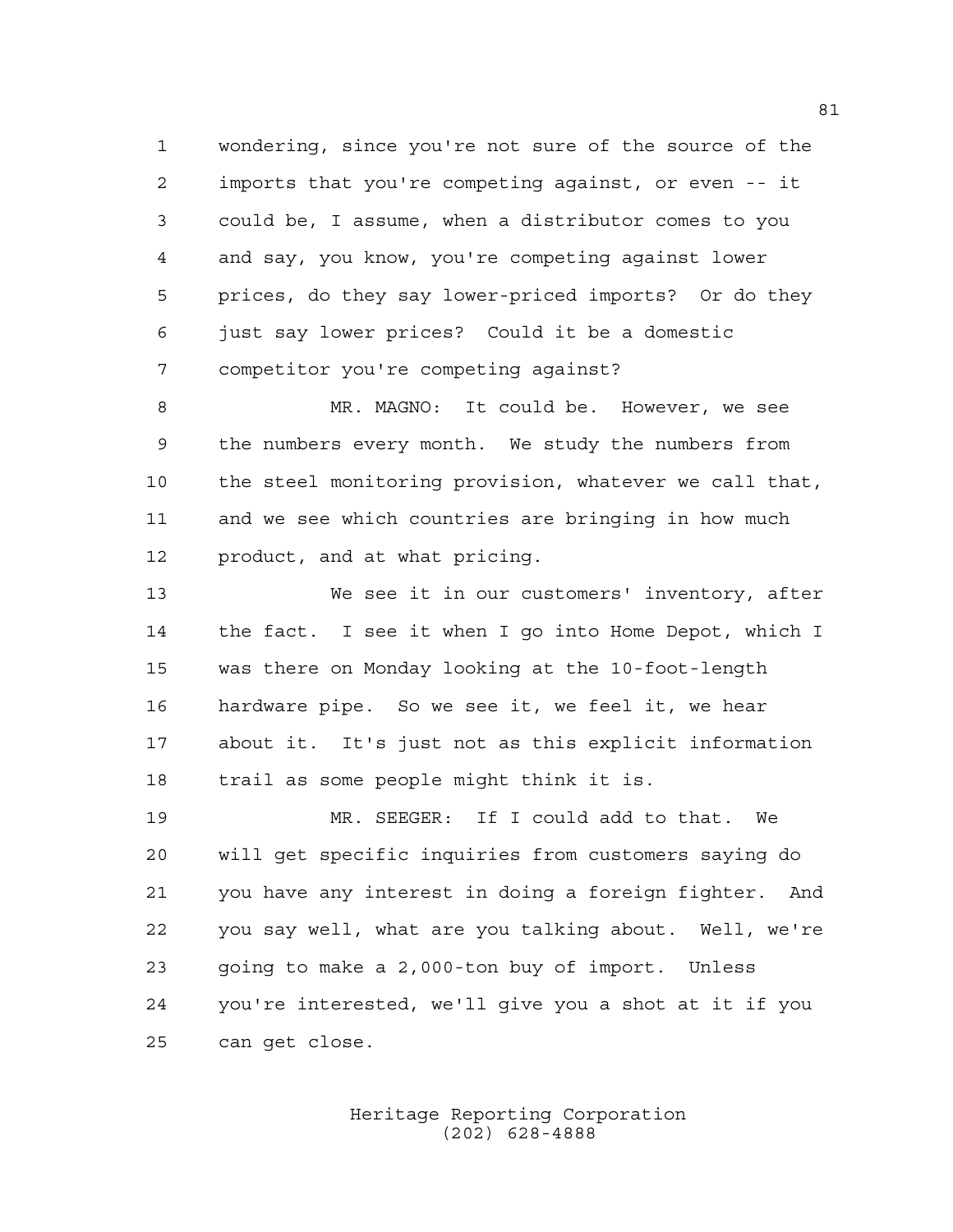wondering, since you're not sure of the source of the imports that you're competing against, or even -- it could be, I assume, when a distributor comes to you and say, you know, you're competing against lower prices, do they say lower-priced imports? Or do they just say lower prices? Could it be a domestic competitor you're competing against?

 MR. MAGNO: It could be. However, we see the numbers every month. We study the numbers from the steel monitoring provision, whatever we call that, and we see which countries are bringing in how much product, and at what pricing.

 We see it in our customers' inventory, after the fact. I see it when I go into Home Depot, which I was there on Monday looking at the 10-foot-length hardware pipe. So we see it, we feel it, we hear about it. It's just not as this explicit information trail as some people might think it is.

 MR. SEEGER: If I could add to that. We will get specific inquiries from customers saying do you have any interest in doing a foreign fighter. And you say well, what are you talking about. Well, we're going to make a 2,000-ton buy of import. Unless you're interested, we'll give you a shot at it if you can get close.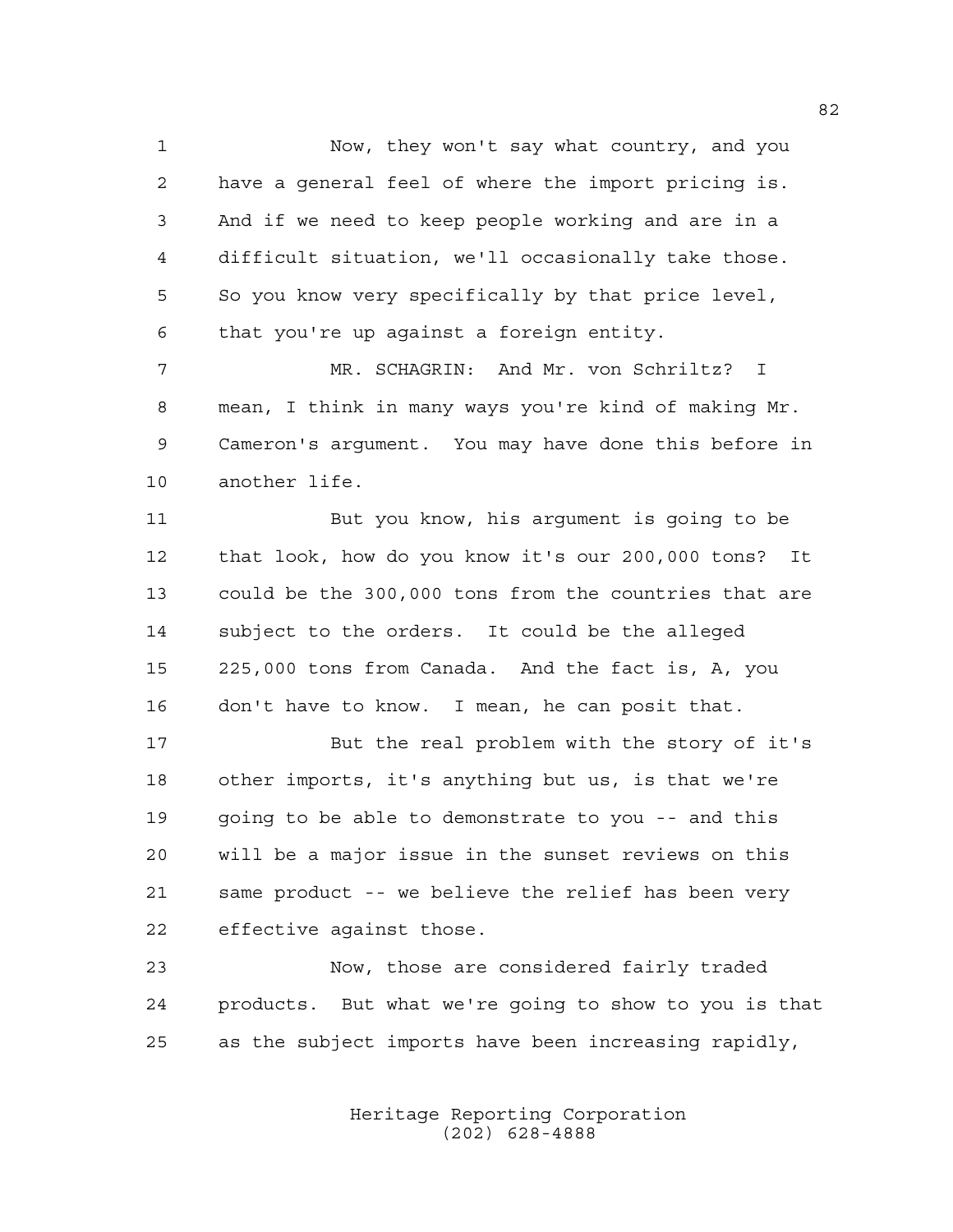Now, they won't say what country, and you have a general feel of where the import pricing is. And if we need to keep people working and are in a difficult situation, we'll occasionally take those. So you know very specifically by that price level, that you're up against a foreign entity.

 MR. SCHAGRIN: And Mr. von Schriltz? I mean, I think in many ways you're kind of making Mr. Cameron's argument. You may have done this before in another life.

 But you know, his argument is going to be that look, how do you know it's our 200,000 tons? It could be the 300,000 tons from the countries that are subject to the orders. It could be the alleged 225,000 tons from Canada. And the fact is, A, you don't have to know. I mean, he can posit that.

 But the real problem with the story of it's other imports, it's anything but us, is that we're going to be able to demonstrate to you -- and this will be a major issue in the sunset reviews on this same product -- we believe the relief has been very effective against those.

 Now, those are considered fairly traded products. But what we're going to show to you is that as the subject imports have been increasing rapidly,

> Heritage Reporting Corporation (202) 628-4888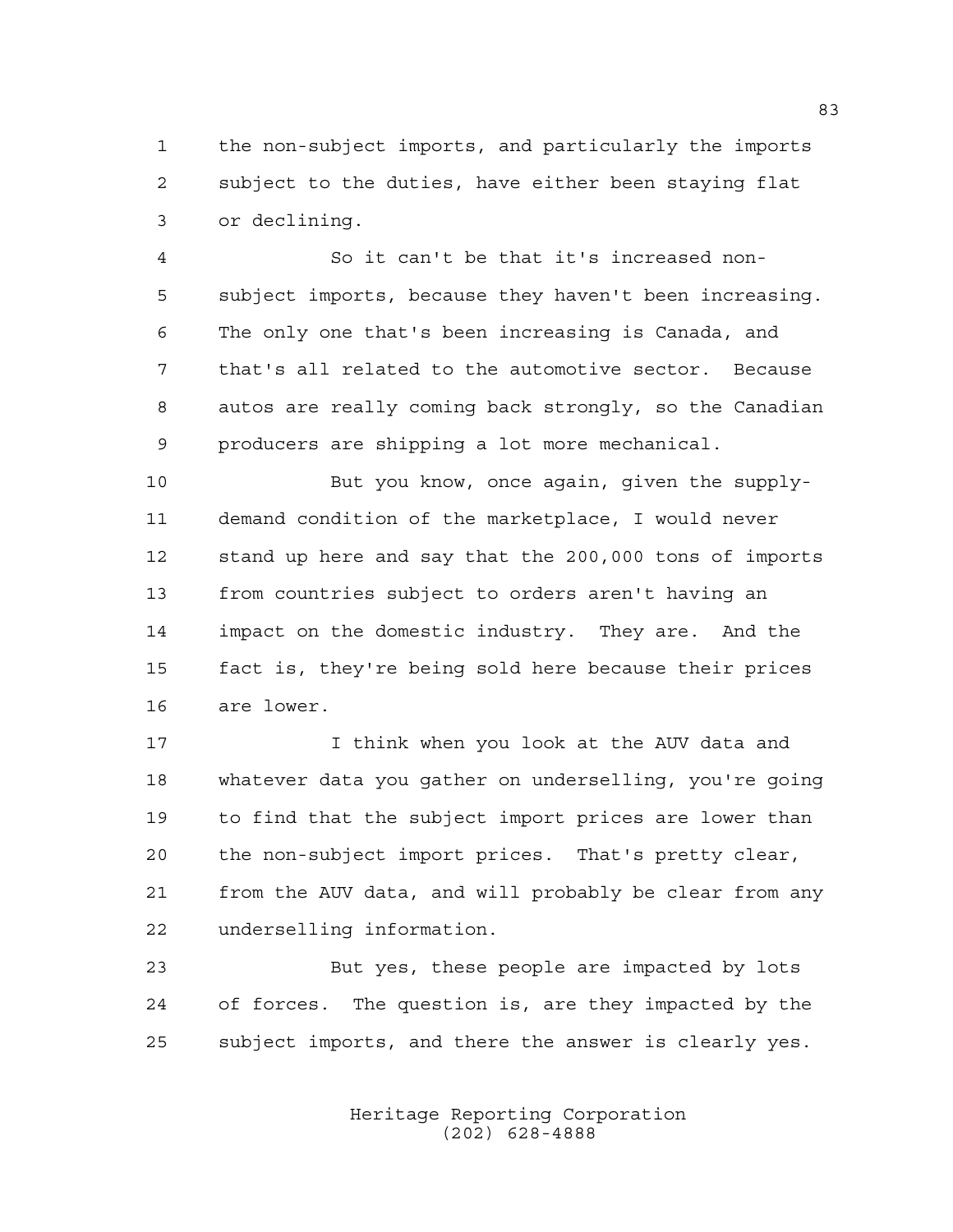the non-subject imports, and particularly the imports subject to the duties, have either been staying flat or declining.

 So it can't be that it's increased non- subject imports, because they haven't been increasing. The only one that's been increasing is Canada, and that's all related to the automotive sector. Because autos are really coming back strongly, so the Canadian producers are shipping a lot more mechanical.

 But you know, once again, given the supply- demand condition of the marketplace, I would never stand up here and say that the 200,000 tons of imports from countries subject to orders aren't having an impact on the domestic industry. They are. And the fact is, they're being sold here because their prices are lower.

 I think when you look at the AUV data and whatever data you gather on underselling, you're going to find that the subject import prices are lower than the non-subject import prices. That's pretty clear, from the AUV data, and will probably be clear from any underselling information.

 But yes, these people are impacted by lots of forces. The question is, are they impacted by the subject imports, and there the answer is clearly yes.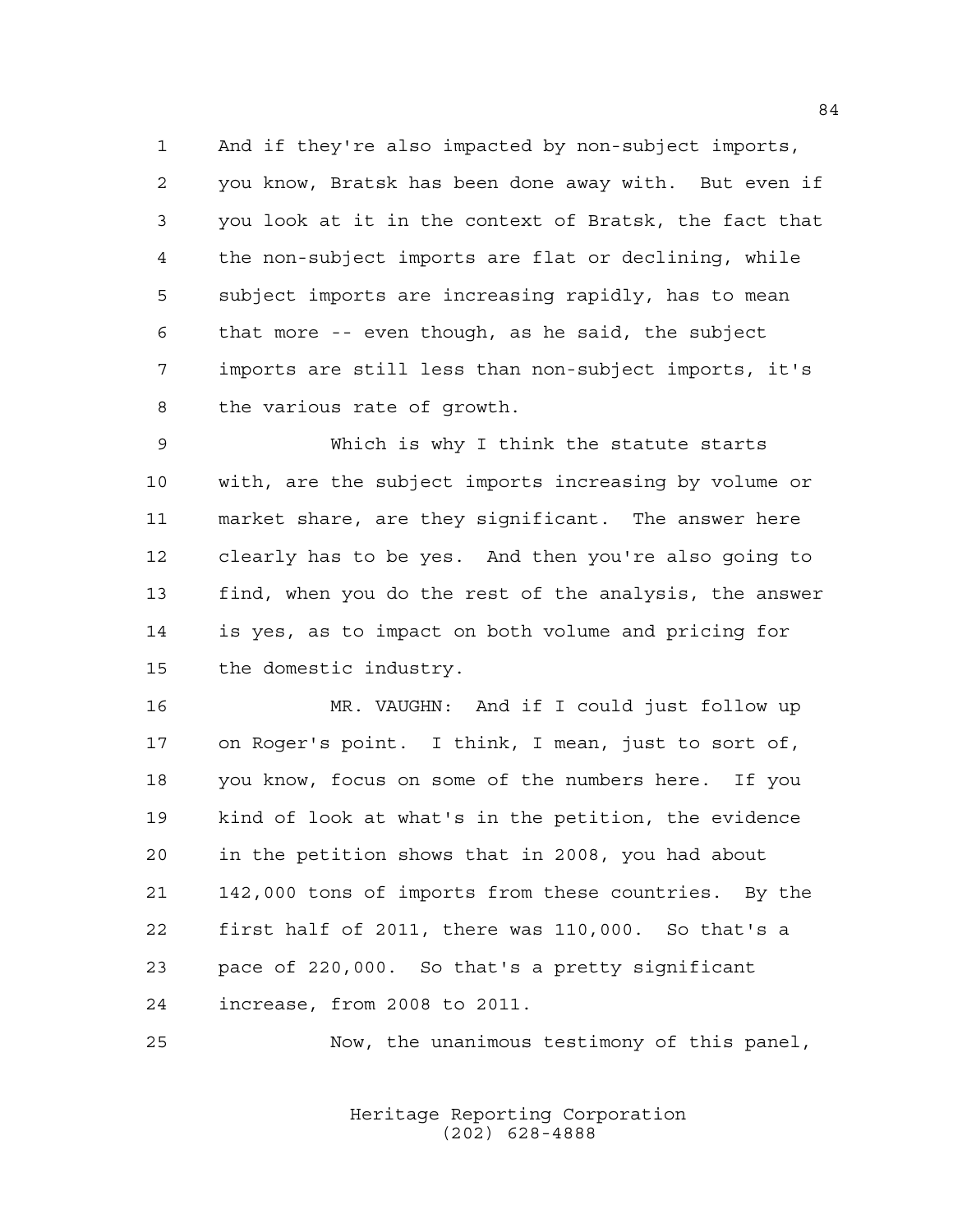And if they're also impacted by non-subject imports, you know, Bratsk has been done away with. But even if you look at it in the context of Bratsk, the fact that the non-subject imports are flat or declining, while subject imports are increasing rapidly, has to mean that more -- even though, as he said, the subject imports are still less than non-subject imports, it's the various rate of growth.

 Which is why I think the statute starts with, are the subject imports increasing by volume or market share, are they significant. The answer here clearly has to be yes. And then you're also going to find, when you do the rest of the analysis, the answer is yes, as to impact on both volume and pricing for the domestic industry.

 MR. VAUGHN: And if I could just follow up on Roger's point. I think, I mean, just to sort of, you know, focus on some of the numbers here. If you kind of look at what's in the petition, the evidence in the petition shows that in 2008, you had about 142,000 tons of imports from these countries. By the first half of 2011, there was 110,000. So that's a pace of 220,000. So that's a pretty significant increase, from 2008 to 2011.

Now, the unanimous testimony of this panel,

Heritage Reporting Corporation (202) 628-4888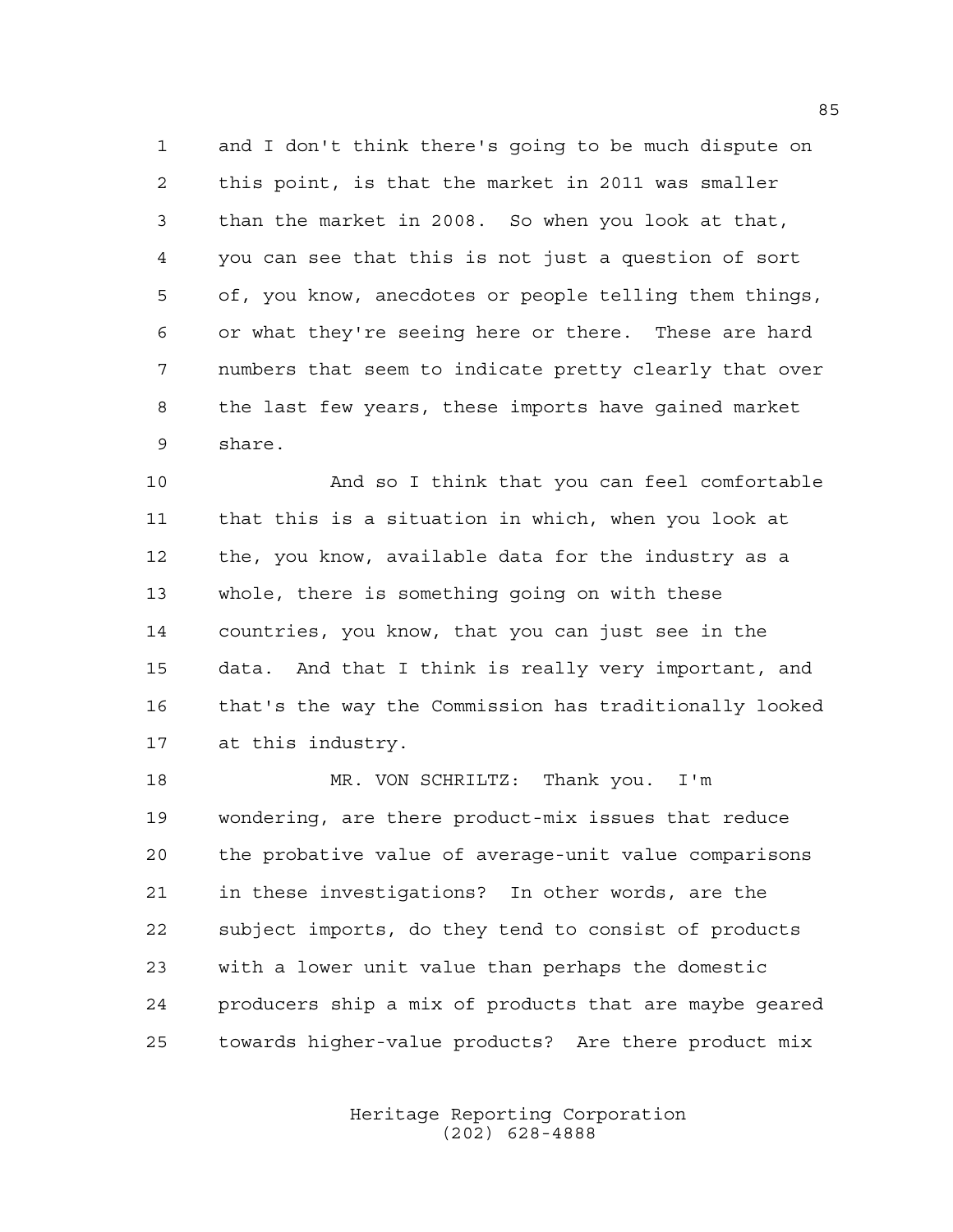and I don't think there's going to be much dispute on this point, is that the market in 2011 was smaller than the market in 2008. So when you look at that, you can see that this is not just a question of sort of, you know, anecdotes or people telling them things, or what they're seeing here or there. These are hard numbers that seem to indicate pretty clearly that over the last few years, these imports have gained market share.

 And so I think that you can feel comfortable that this is a situation in which, when you look at the, you know, available data for the industry as a whole, there is something going on with these countries, you know, that you can just see in the data. And that I think is really very important, and that's the way the Commission has traditionally looked at this industry.

 MR. VON SCHRILTZ: Thank you. I'm wondering, are there product-mix issues that reduce the probative value of average-unit value comparisons in these investigations? In other words, are the subject imports, do they tend to consist of products with a lower unit value than perhaps the domestic producers ship a mix of products that are maybe geared towards higher-value products? Are there product mix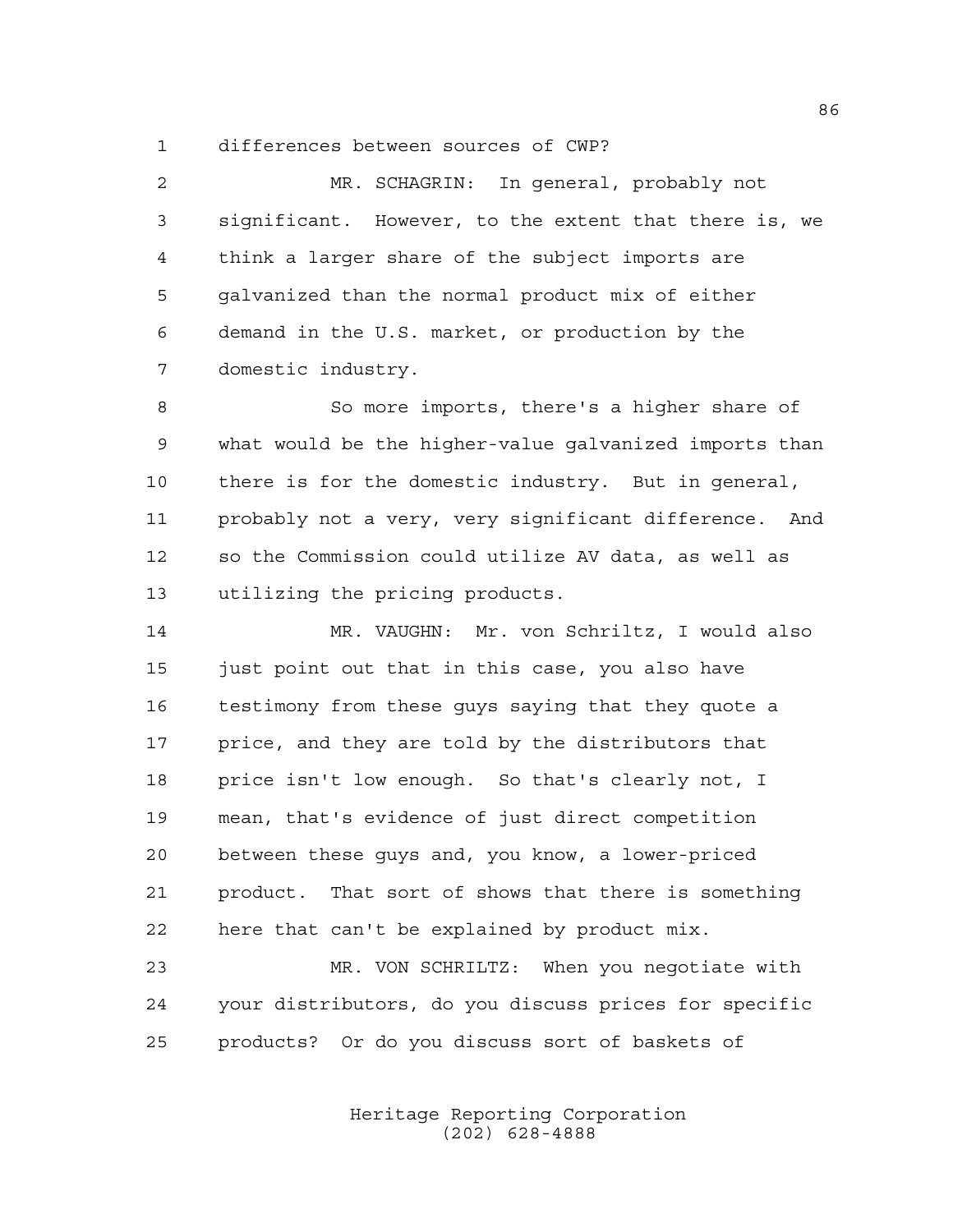differences between sources of CWP?

 MR. SCHAGRIN: In general, probably not significant. However, to the extent that there is, we think a larger share of the subject imports are galvanized than the normal product mix of either demand in the U.S. market, or production by the domestic industry.

 So more imports, there's a higher share of what would be the higher-value galvanized imports than there is for the domestic industry. But in general, probably not a very, very significant difference. And so the Commission could utilize AV data, as well as utilizing the pricing products.

 MR. VAUGHN: Mr. von Schriltz, I would also 15 just point out that in this case, you also have testimony from these guys saying that they quote a price, and they are told by the distributors that price isn't low enough. So that's clearly not, I mean, that's evidence of just direct competition between these guys and, you know, a lower-priced product. That sort of shows that there is something here that can't be explained by product mix.

 MR. VON SCHRILTZ: When you negotiate with your distributors, do you discuss prices for specific products? Or do you discuss sort of baskets of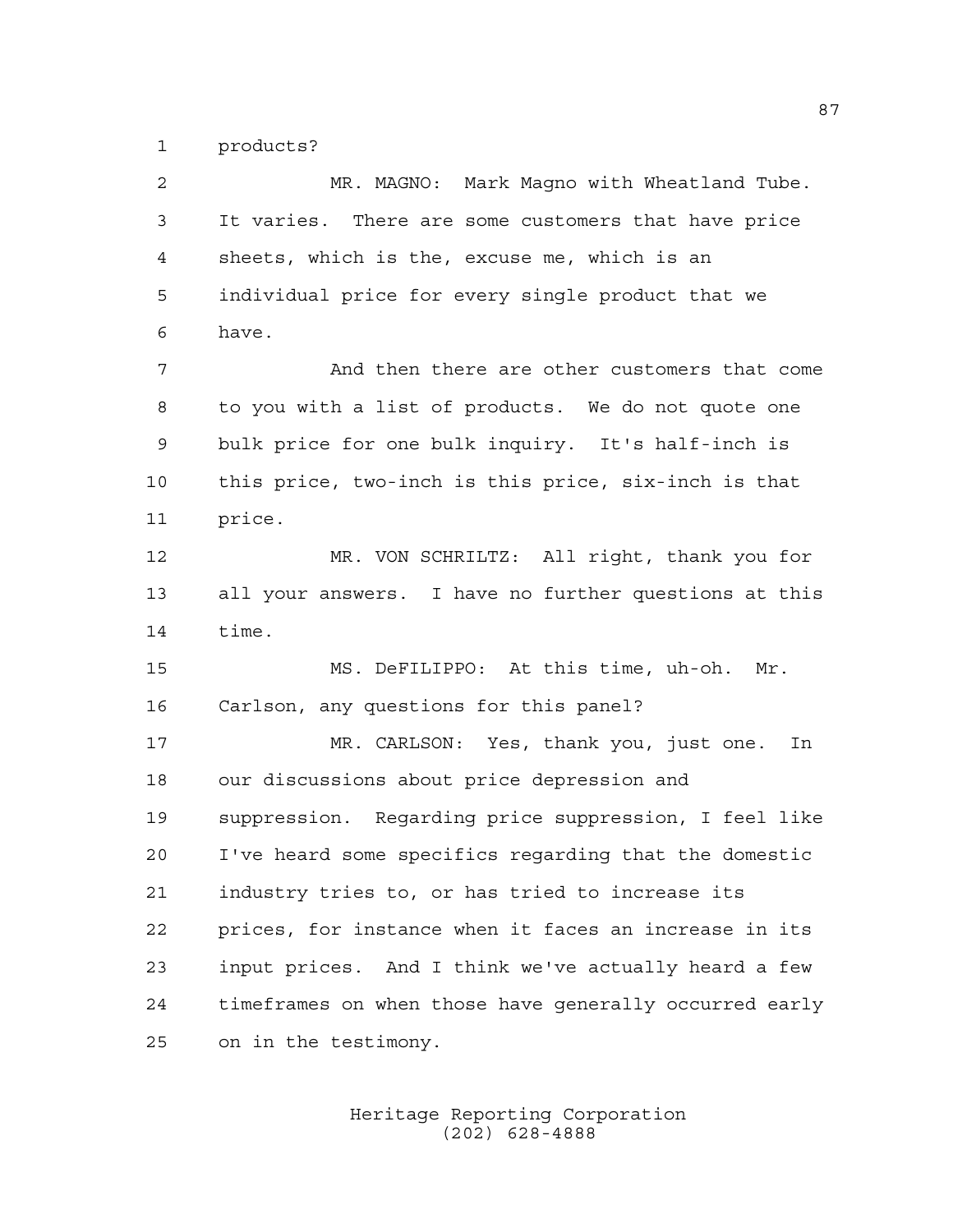products?

| 2  | MR. MAGNO: Mark Magno with Wheatland Tube.             |
|----|--------------------------------------------------------|
| 3  | It varies. There are some customers that have price    |
| 4  | sheets, which is the, excuse me, which is an           |
| 5  | individual price for every single product that we      |
| 6  | have.                                                  |
| 7  | And then there are other customers that come           |
| 8  | to you with a list of products. We do not quote one    |
| 9  | bulk price for one bulk inquiry. It's half-inch is     |
| 10 | this price, two-inch is this price, six-inch is that   |
| 11 | price.                                                 |
| 12 | MR. VON SCHRILTZ: All right, thank you for             |
| 13 | all your answers. I have no further questions at this  |
| 14 | time.                                                  |
| 15 | MS. DeFILIPPO: At this time, uh-oh. Mr.                |
| 16 | Carlson, any questions for this panel?                 |
| 17 | MR. CARLSON: Yes, thank you, just one.<br>In           |
| 18 | our discussions about price depression and             |
| 19 | suppression. Regarding price suppression, I feel like  |
| 20 | I've heard some specifics regarding that the domestic  |
| 21 | industry tries to, or has tried to increase its        |
| 22 | prices, for instance when it faces an increase in its  |
| 23 | input prices. And I think we've actually heard a few   |
| 24 | timeframes on when those have generally occurred early |
| 25 | on in the testimony.                                   |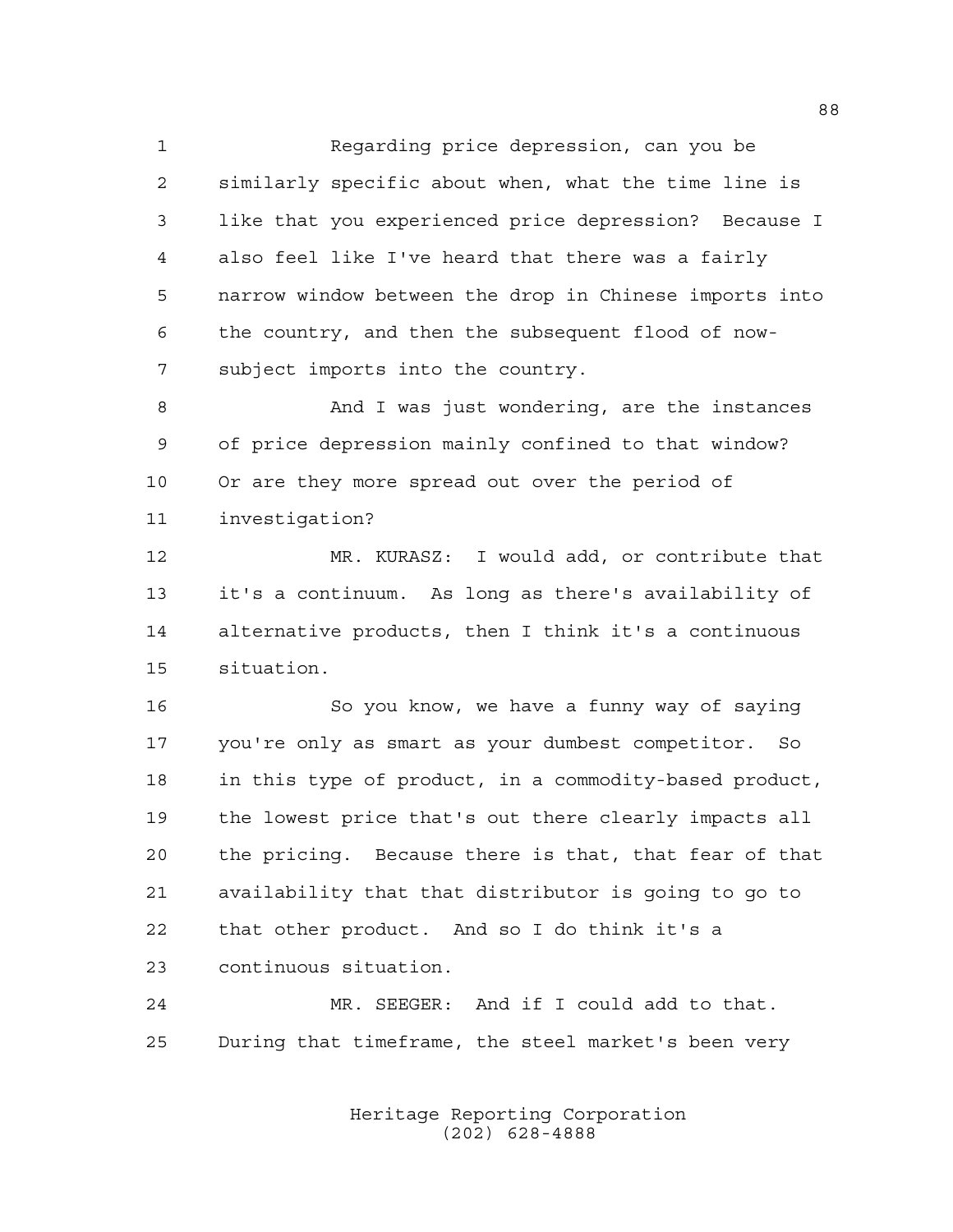Regarding price depression, can you be similarly specific about when, what the time line is like that you experienced price depression? Because I also feel like I've heard that there was a fairly narrow window between the drop in Chinese imports into the country, and then the subsequent flood of now-subject imports into the country.

 And I was just wondering, are the instances of price depression mainly confined to that window? Or are they more spread out over the period of investigation?

 MR. KURASZ: I would add, or contribute that it's a continuum. As long as there's availability of alternative products, then I think it's a continuous situation.

 So you know, we have a funny way of saying you're only as smart as your dumbest competitor. So in this type of product, in a commodity-based product, the lowest price that's out there clearly impacts all the pricing. Because there is that, that fear of that availability that that distributor is going to go to that other product. And so I do think it's a continuous situation.

 MR. SEEGER: And if I could add to that. During that timeframe, the steel market's been very

> Heritage Reporting Corporation (202) 628-4888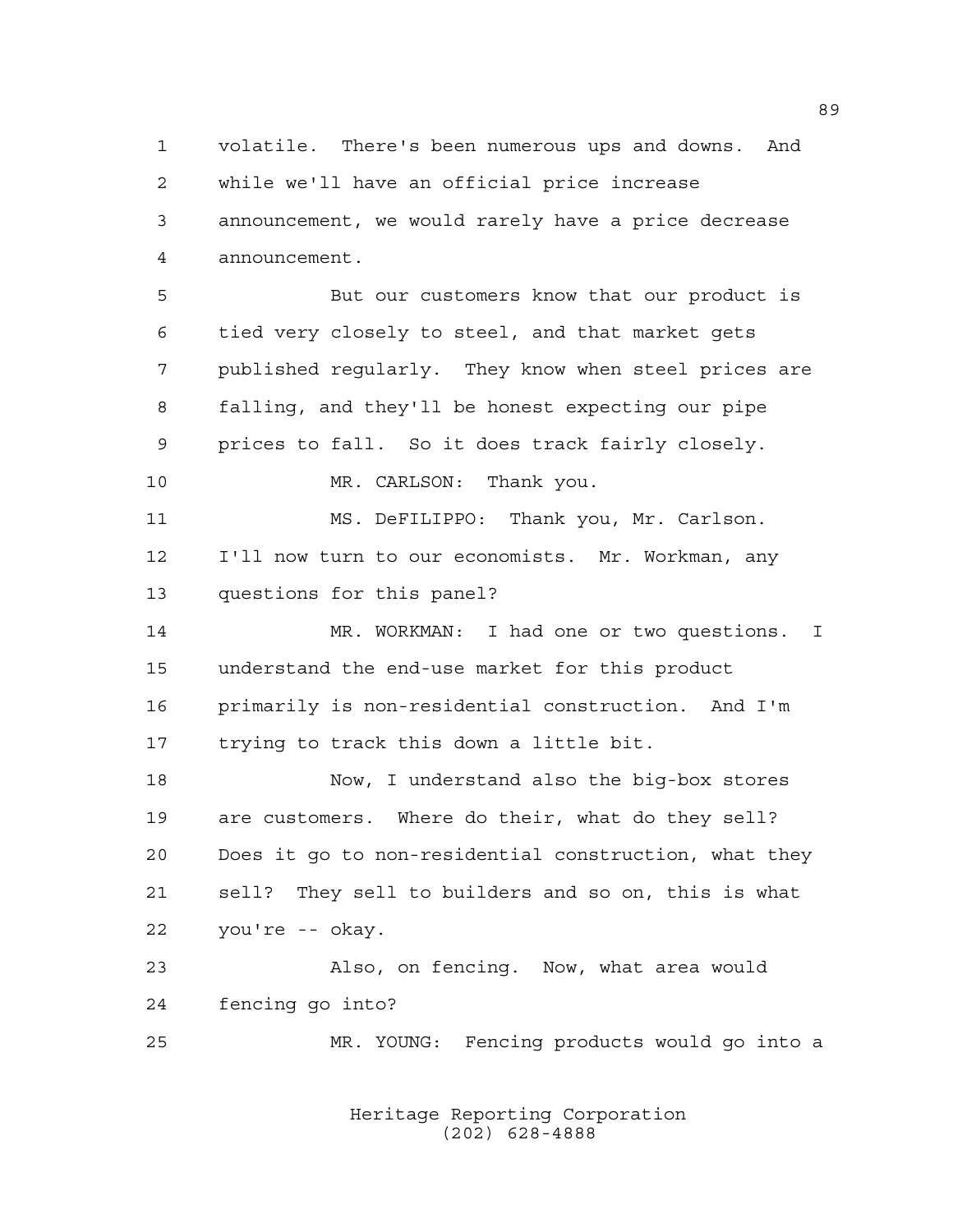volatile. There's been numerous ups and downs. And while we'll have an official price increase announcement, we would rarely have a price decrease announcement. But our customers know that our product is tied very closely to steel, and that market gets published regularly. They know when steel prices are falling, and they'll be honest expecting our pipe prices to fall. So it does track fairly closely. 10 MR. CARLSON: Thank you. MS. DeFILIPPO: Thank you, Mr. Carlson. I'll now turn to our economists. Mr. Workman, any questions for this panel? MR. WORKMAN: I had one or two questions. I understand the end-use market for this product primarily is non-residential construction. And I'm trying to track this down a little bit. Now, I understand also the big-box stores are customers. Where do their, what do they sell? Does it go to non-residential construction, what they sell? They sell to builders and so on, this is what you're -- okay. Also, on fencing. Now, what area would fencing go into? MR. YOUNG: Fencing products would go into a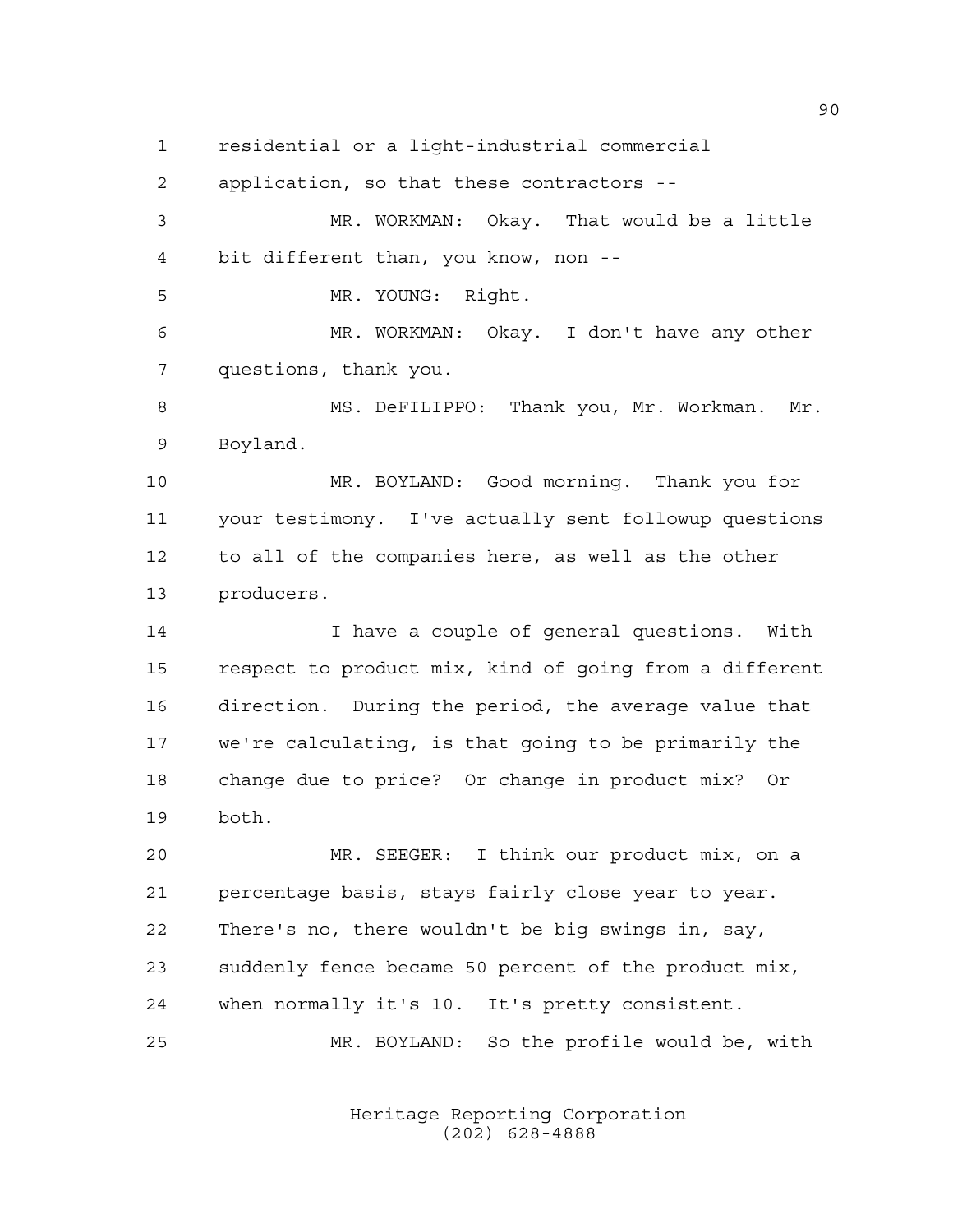residential or a light-industrial commercial

application, so that these contractors --

 MR. WORKMAN: Okay. That would be a little bit different than, you know, non --

MR. YOUNG: Right.

 MR. WORKMAN: Okay. I don't have any other questions, thank you.

8 MS. DeFILIPPO: Thank you, Mr. Workman. Mr. Boyland.

 MR. BOYLAND: Good morning. Thank you for your testimony. I've actually sent followup questions to all of the companies here, as well as the other producers.

 I have a couple of general questions. With respect to product mix, kind of going from a different direction. During the period, the average value that we're calculating, is that going to be primarily the change due to price? Or change in product mix? Or both.

 MR. SEEGER: I think our product mix, on a percentage basis, stays fairly close year to year. There's no, there wouldn't be big swings in, say, suddenly fence became 50 percent of the product mix, when normally it's 10. It's pretty consistent. MR. BOYLAND: So the profile would be, with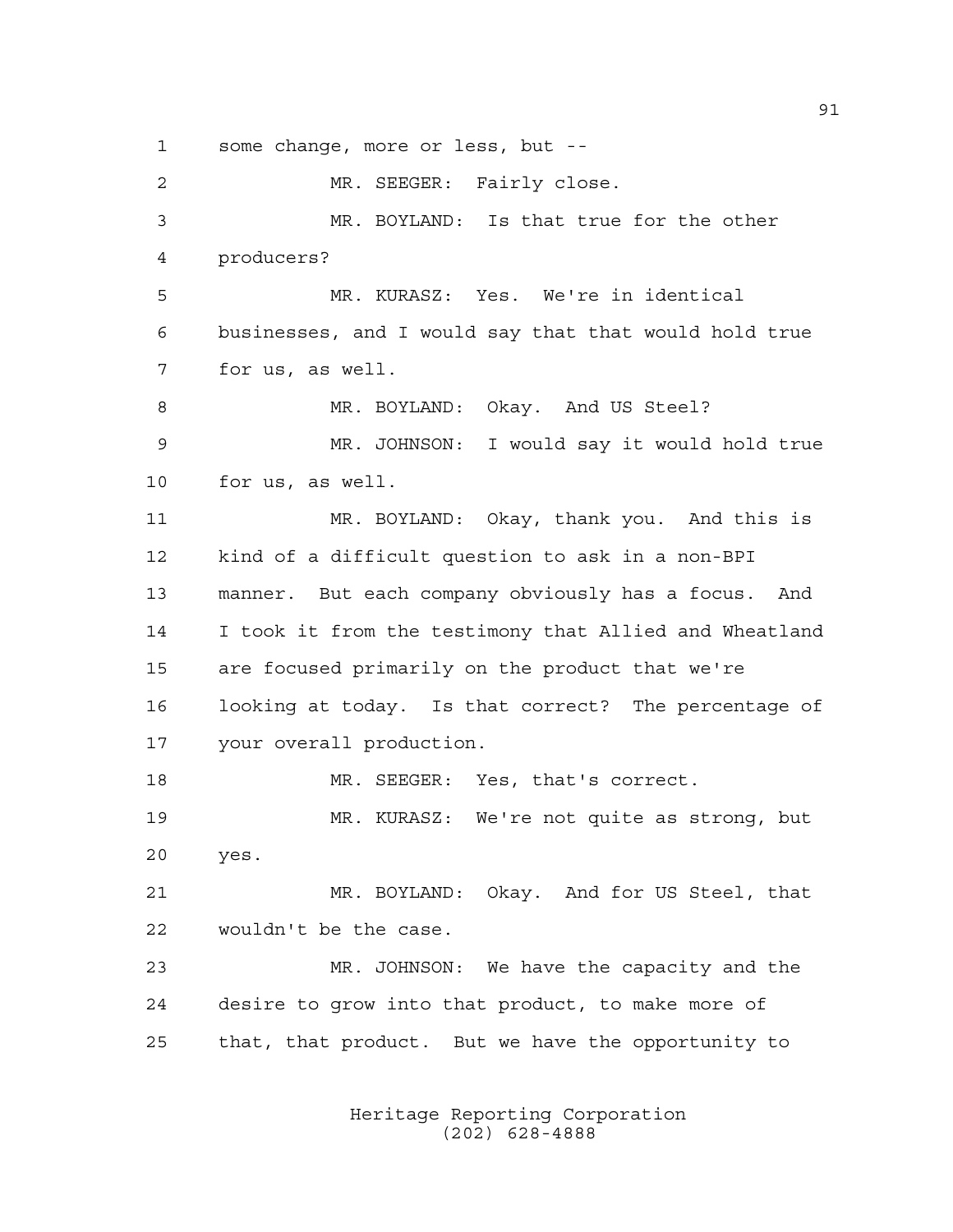some change, more or less, but --

 MR. SEEGER: Fairly close. MR. BOYLAND: Is that true for the other producers? MR. KURASZ: Yes. We're in identical businesses, and I would say that that would hold true for us, as well. 8 MR. BOYLAND: Okay. And US Steel? MR. JOHNSON: I would say it would hold true for us, as well. MR. BOYLAND: Okay, thank you. And this is kind of a difficult question to ask in a non-BPI manner. But each company obviously has a focus. And I took it from the testimony that Allied and Wheatland are focused primarily on the product that we're looking at today. Is that correct? The percentage of your overall production. 18 MR. SEEGER: Yes, that's correct. MR. KURASZ: We're not quite as strong, but yes. MR. BOYLAND: Okay. And for US Steel, that wouldn't be the case. MR. JOHNSON: We have the capacity and the desire to grow into that product, to make more of that, that product. But we have the opportunity to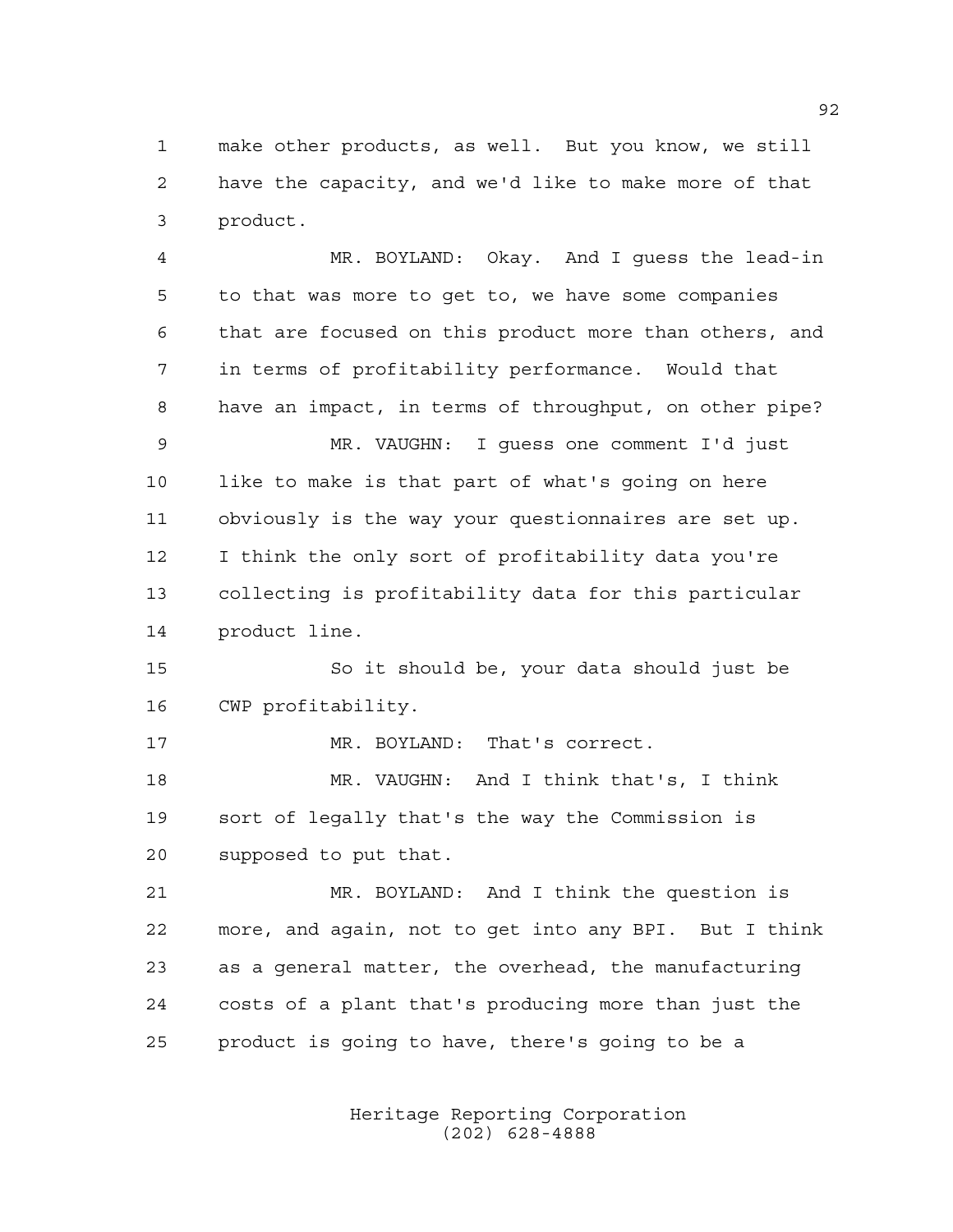make other products, as well. But you know, we still have the capacity, and we'd like to make more of that product.

 MR. BOYLAND: Okay. And I guess the lead-in to that was more to get to, we have some companies that are focused on this product more than others, and in terms of profitability performance. Would that have an impact, in terms of throughput, on other pipe? MR. VAUGHN: I guess one comment I'd just like to make is that part of what's going on here obviously is the way your questionnaires are set up. I think the only sort of profitability data you're collecting is profitability data for this particular product line. So it should be, your data should just be CWP profitability. MR. BOYLAND: That's correct. MR. VAUGHN: And I think that's, I think

 sort of legally that's the way the Commission is supposed to put that.

 MR. BOYLAND: And I think the question is more, and again, not to get into any BPI. But I think as a general matter, the overhead, the manufacturing costs of a plant that's producing more than just the product is going to have, there's going to be a

> Heritage Reporting Corporation (202) 628-4888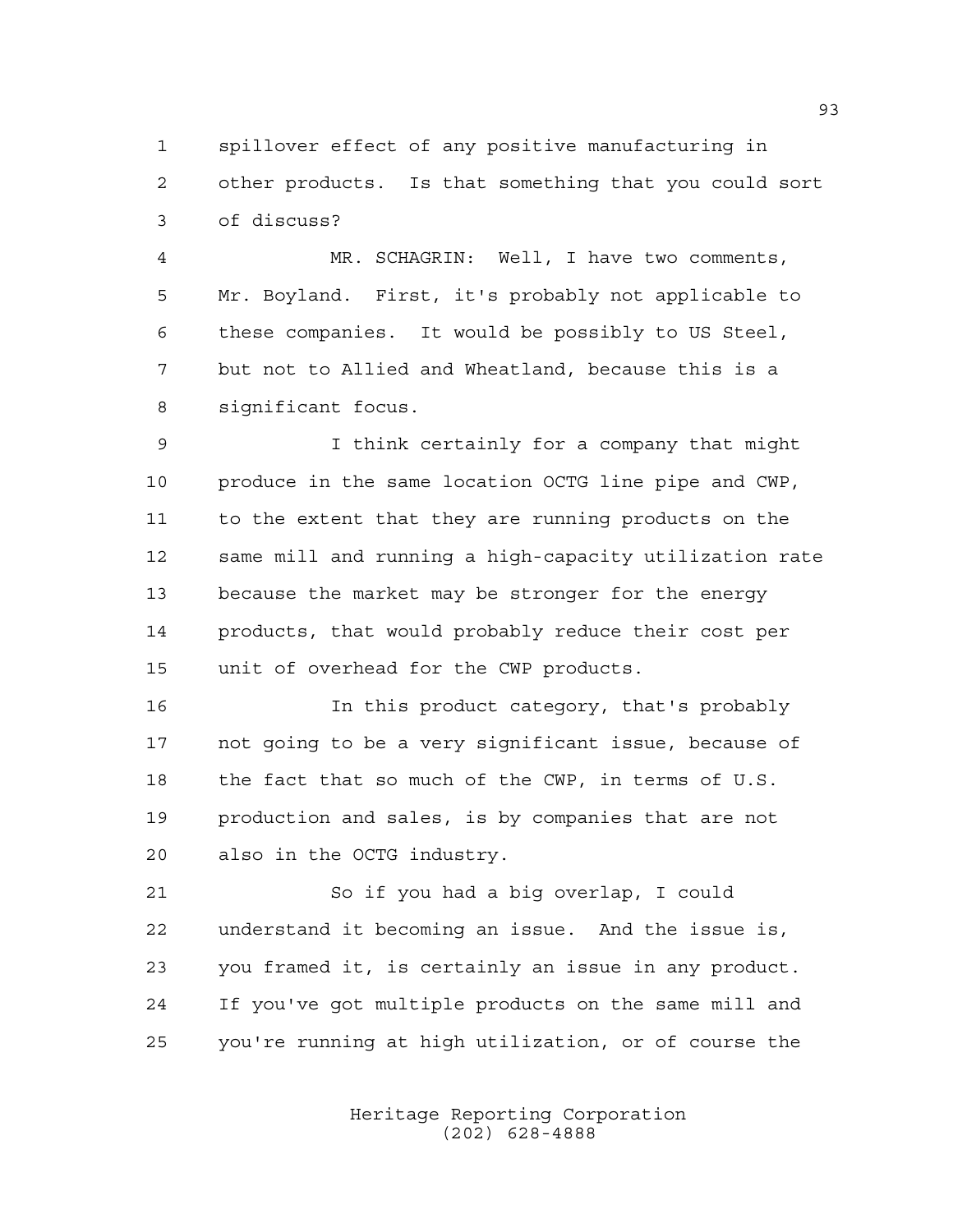spillover effect of any positive manufacturing in other products. Is that something that you could sort of discuss?

 MR. SCHAGRIN: Well, I have two comments, Mr. Boyland. First, it's probably not applicable to these companies. It would be possibly to US Steel, but not to Allied and Wheatland, because this is a significant focus.

 I think certainly for a company that might produce in the same location OCTG line pipe and CWP, to the extent that they are running products on the same mill and running a high-capacity utilization rate because the market may be stronger for the energy products, that would probably reduce their cost per unit of overhead for the CWP products.

 In this product category, that's probably not going to be a very significant issue, because of the fact that so much of the CWP, in terms of U.S. production and sales, is by companies that are not also in the OCTG industry.

 So if you had a big overlap, I could understand it becoming an issue. And the issue is, you framed it, is certainly an issue in any product. If you've got multiple products on the same mill and you're running at high utilization, or of course the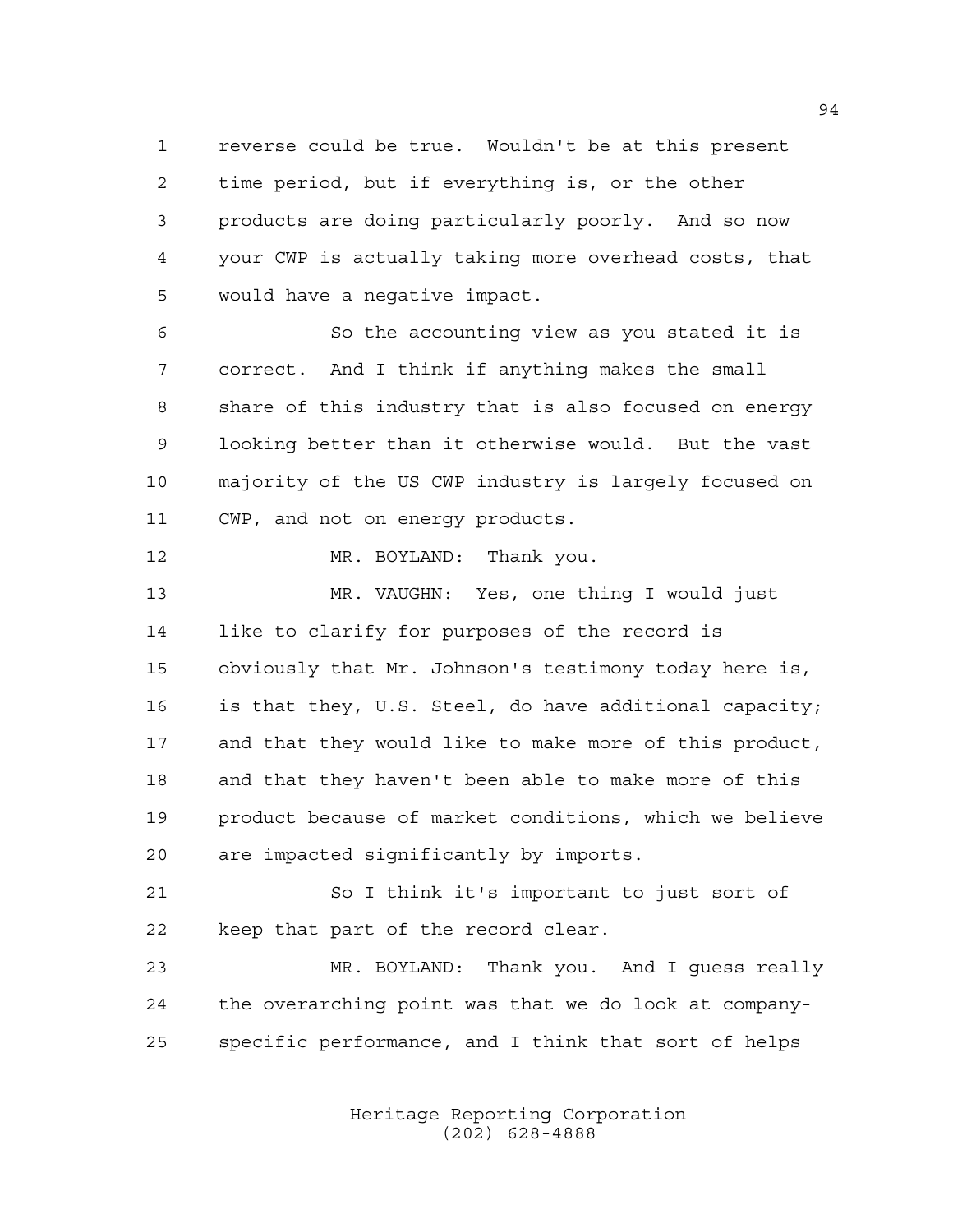reverse could be true. Wouldn't be at this present time period, but if everything is, or the other products are doing particularly poorly. And so now your CWP is actually taking more overhead costs, that would have a negative impact.

 So the accounting view as you stated it is correct. And I think if anything makes the small share of this industry that is also focused on energy looking better than it otherwise would. But the vast majority of the US CWP industry is largely focused on CWP, and not on energy products.

MR. BOYLAND: Thank you.

 MR. VAUGHN: Yes, one thing I would just like to clarify for purposes of the record is obviously that Mr. Johnson's testimony today here is, is that they, U.S. Steel, do have additional capacity; and that they would like to make more of this product, and that they haven't been able to make more of this product because of market conditions, which we believe are impacted significantly by imports.

 So I think it's important to just sort of keep that part of the record clear.

 MR. BOYLAND: Thank you. And I guess really the overarching point was that we do look at company-specific performance, and I think that sort of helps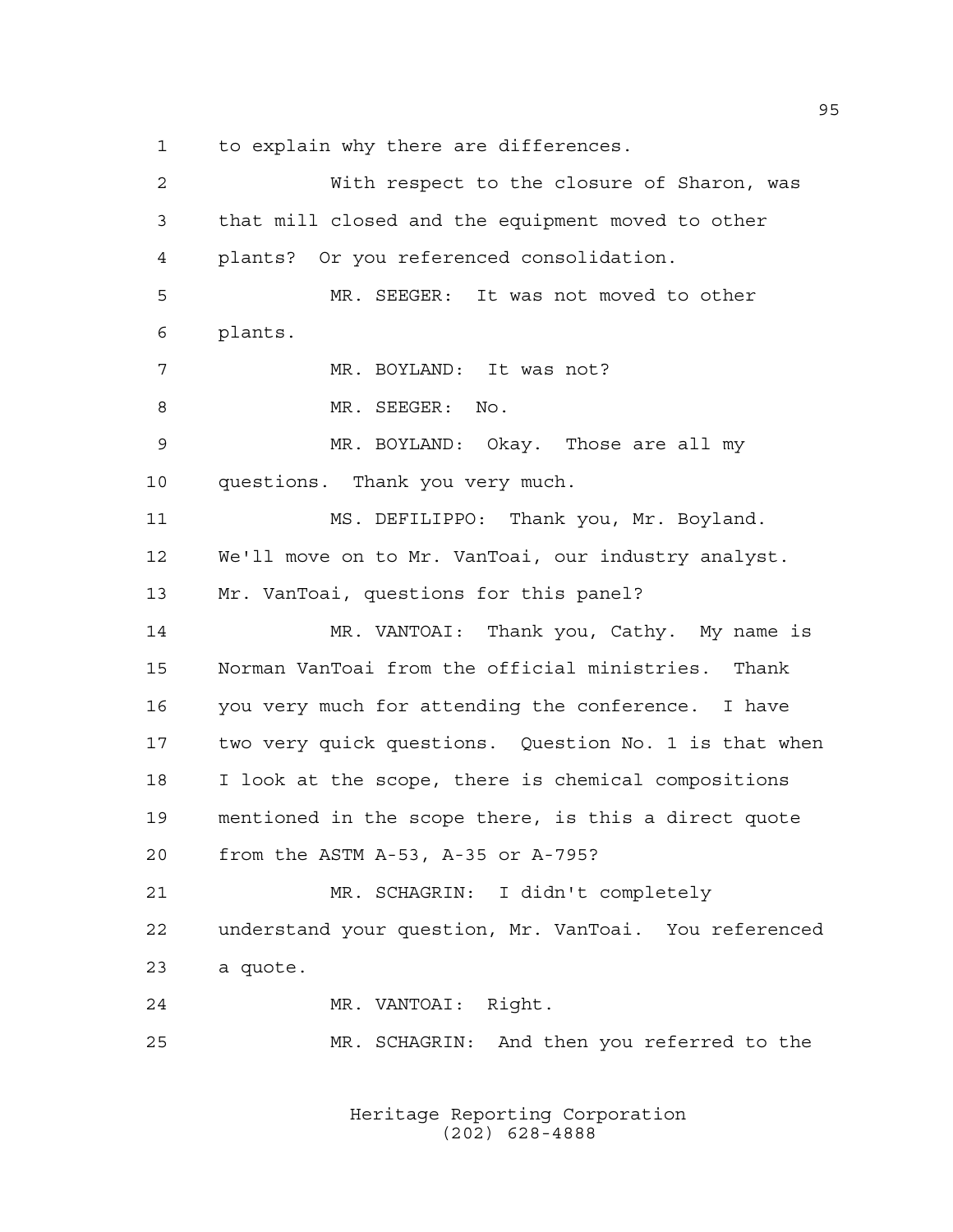to explain why there are differences.

| 2  | With respect to the closure of Sharon, was            |
|----|-------------------------------------------------------|
| 3  | that mill closed and the equipment moved to other     |
| 4  | plants? Or you referenced consolidation.              |
| 5  | MR. SEEGER: It was not moved to other                 |
| 6  | plants.                                               |
| 7  | MR. BOYLAND: It was not?                              |
| 8  | MR. SEEGER: No.                                       |
| 9  | MR. BOYLAND: Okay. Those are all my                   |
| 10 | questions. Thank you very much.                       |
| 11 | MS. DEFILIPPO: Thank you, Mr. Boyland.                |
| 12 | We'll move on to Mr. VanToai, our industry analyst.   |
| 13 | Mr. VanToai, questions for this panel?                |
| 14 | MR. VANTOAI: Thank you, Cathy. My name is             |
| 15 | Norman VanToai from the official ministries. Thank    |
| 16 | you very much for attending the conference. I have    |
| 17 | two very quick questions. Question No. 1 is that when |
| 18 | I look at the scope, there is chemical compositions   |
| 19 | mentioned in the scope there, is this a direct quote  |
| 20 | from the ASTM A-53, A-35 or A-795?                    |
| 21 | MR. SCHAGRIN: I didn't completely                     |
| 22 | understand your question, Mr. VanToai. You referenced |
| 23 | a quote.                                              |
| 24 | MR. VANTOAI: Right.                                   |
| 25 | MR. SCHAGRIN: And then you referred to the            |
|    |                                                       |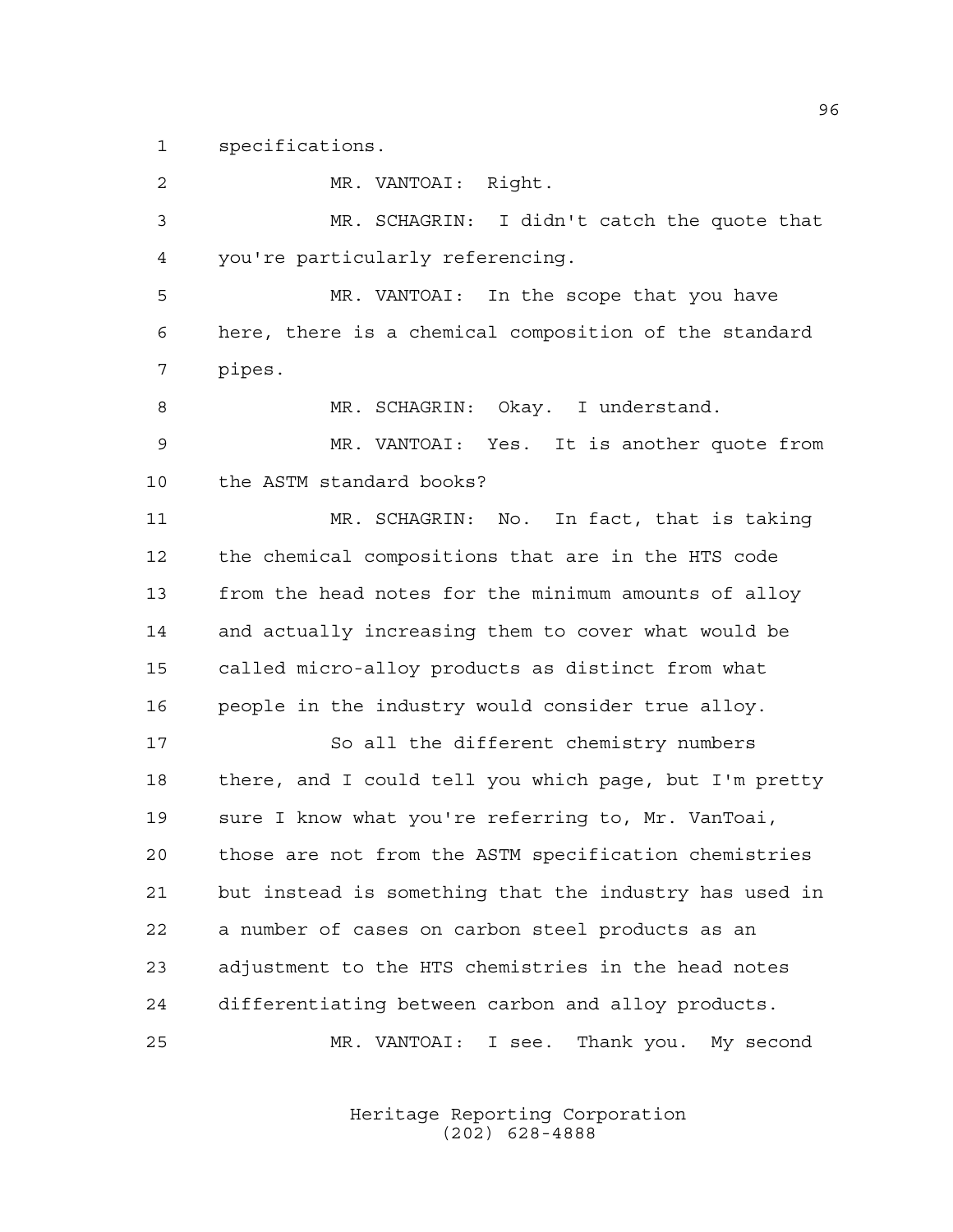specifications.

 MR. VANTOAI: Right. MR. SCHAGRIN: I didn't catch the quote that you're particularly referencing. MR. VANTOAI: In the scope that you have here, there is a chemical composition of the standard pipes. MR. SCHAGRIN: Okay. I understand. MR. VANTOAI: Yes. It is another quote from the ASTM standard books? MR. SCHAGRIN: No. In fact, that is taking the chemical compositions that are in the HTS code from the head notes for the minimum amounts of alloy and actually increasing them to cover what would be called micro-alloy products as distinct from what people in the industry would consider true alloy. So all the different chemistry numbers there, and I could tell you which page, but I'm pretty sure I know what you're referring to, Mr. VanToai, those are not from the ASTM specification chemistries but instead is something that the industry has used in a number of cases on carbon steel products as an adjustment to the HTS chemistries in the head notes differentiating between carbon and alloy products. MR. VANTOAI: I see. Thank you. My second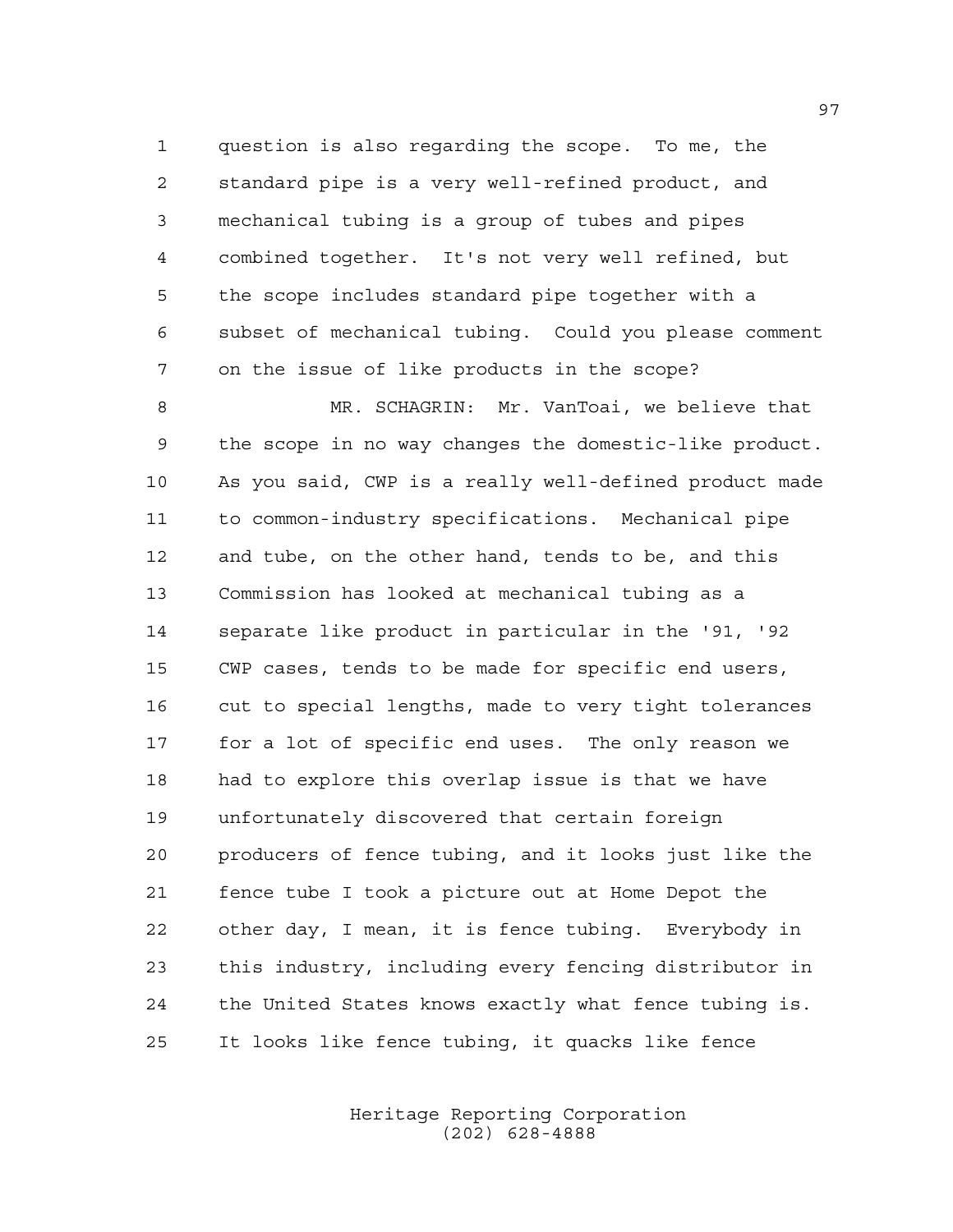question is also regarding the scope. To me, the standard pipe is a very well-refined product, and mechanical tubing is a group of tubes and pipes combined together. It's not very well refined, but the scope includes standard pipe together with a subset of mechanical tubing. Could you please comment on the issue of like products in the scope?

 MR. SCHAGRIN: Mr. VanToai, we believe that the scope in no way changes the domestic-like product. As you said, CWP is a really well-defined product made to common-industry specifications. Mechanical pipe and tube, on the other hand, tends to be, and this Commission has looked at mechanical tubing as a separate like product in particular in the '91, '92 CWP cases, tends to be made for specific end users, cut to special lengths, made to very tight tolerances for a lot of specific end uses. The only reason we had to explore this overlap issue is that we have unfortunately discovered that certain foreign producers of fence tubing, and it looks just like the fence tube I took a picture out at Home Depot the other day, I mean, it is fence tubing. Everybody in this industry, including every fencing distributor in the United States knows exactly what fence tubing is. It looks like fence tubing, it quacks like fence

> Heritage Reporting Corporation (202) 628-4888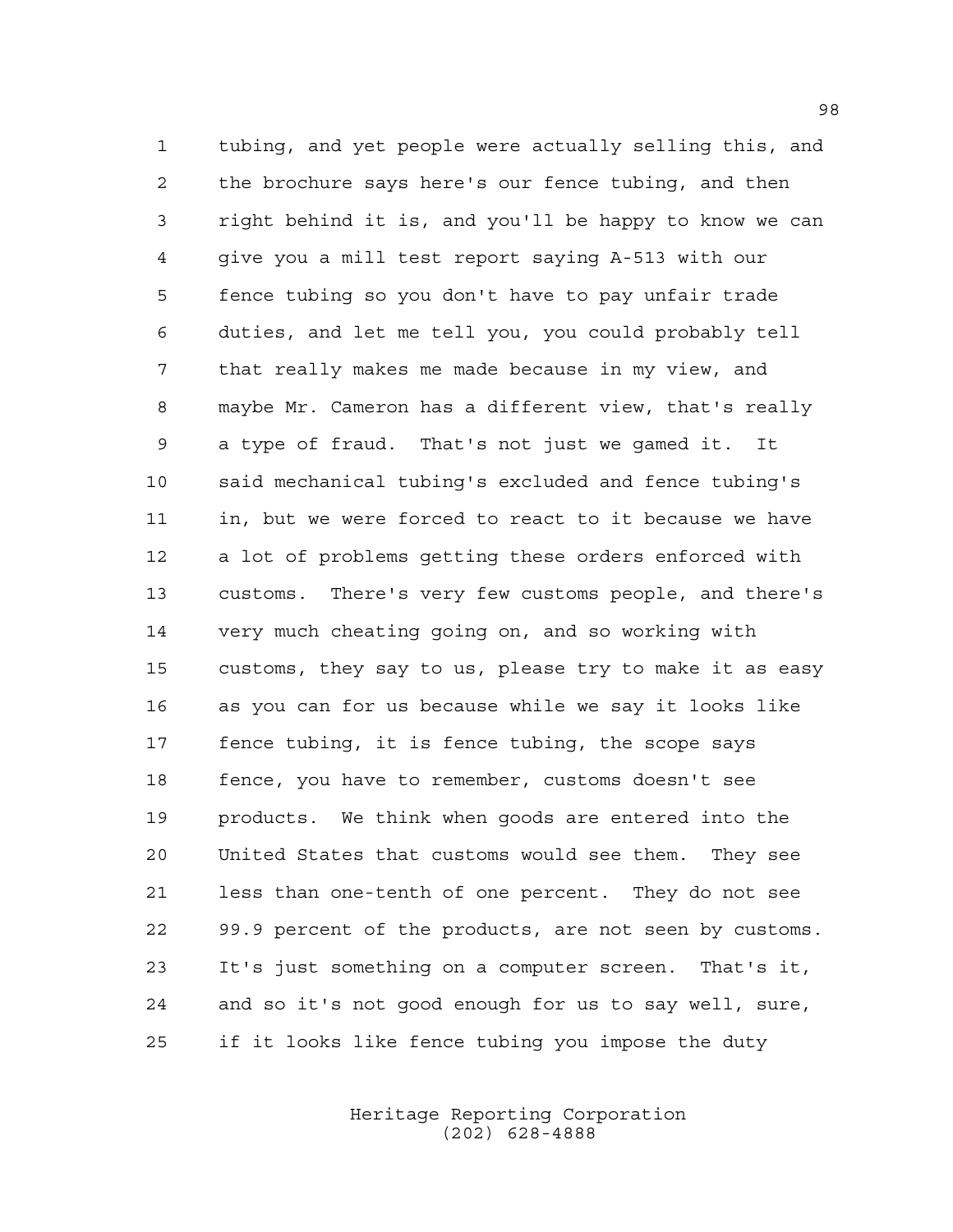tubing, and yet people were actually selling this, and the brochure says here's our fence tubing, and then right behind it is, and you'll be happy to know we can give you a mill test report saying A-513 with our fence tubing so you don't have to pay unfair trade duties, and let me tell you, you could probably tell that really makes me made because in my view, and maybe Mr. Cameron has a different view, that's really a type of fraud. That's not just we gamed it. It said mechanical tubing's excluded and fence tubing's in, but we were forced to react to it because we have a lot of problems getting these orders enforced with customs. There's very few customs people, and there's very much cheating going on, and so working with customs, they say to us, please try to make it as easy as you can for us because while we say it looks like fence tubing, it is fence tubing, the scope says fence, you have to remember, customs doesn't see products. We think when goods are entered into the United States that customs would see them. They see less than one-tenth of one percent. They do not see 99.9 percent of the products, are not seen by customs. It's just something on a computer screen. That's it, and so it's not good enough for us to say well, sure, if it looks like fence tubing you impose the duty

> Heritage Reporting Corporation (202) 628-4888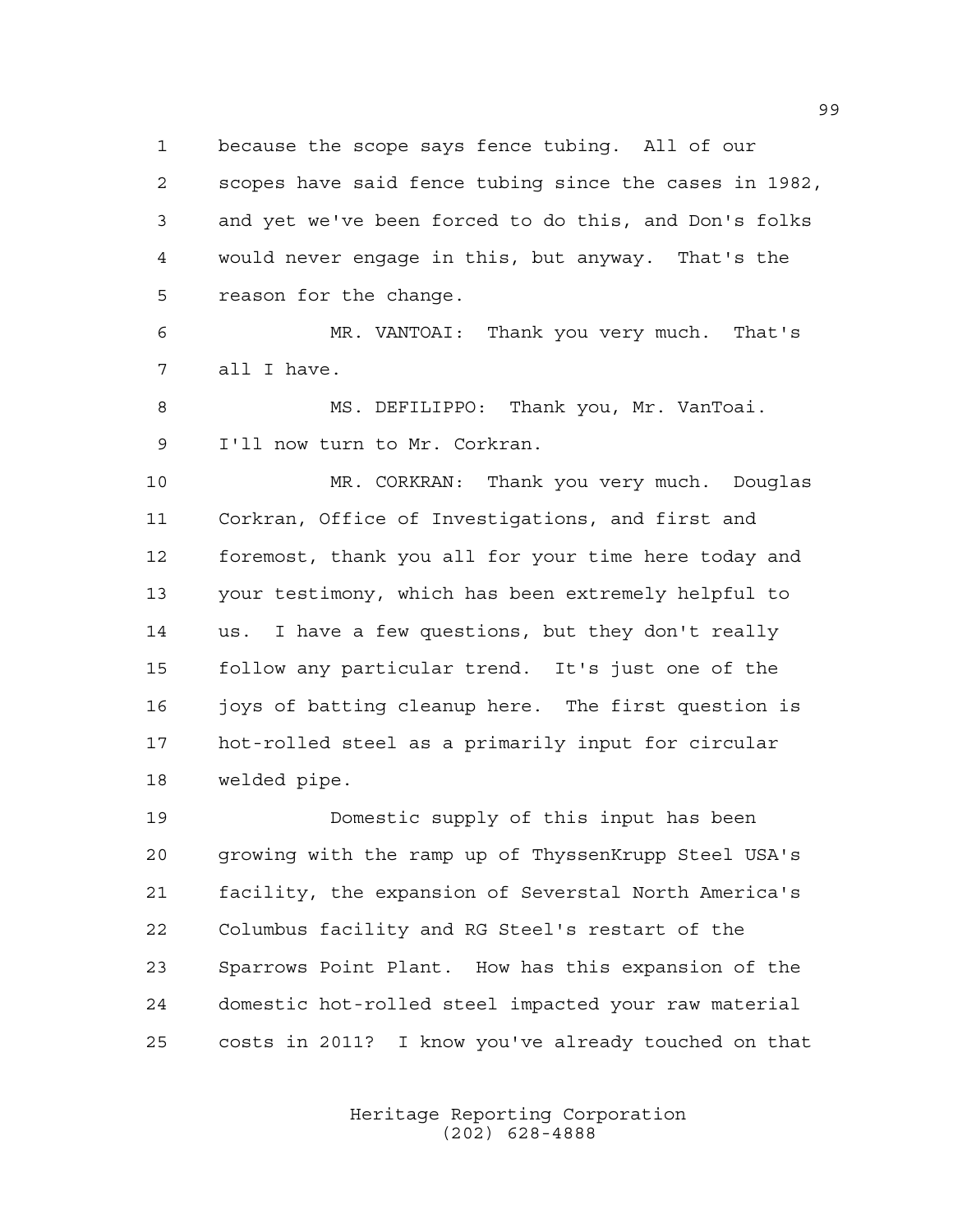because the scope says fence tubing. All of our

 scopes have said fence tubing since the cases in 1982, and yet we've been forced to do this, and Don's folks would never engage in this, but anyway. That's the reason for the change.

 MR. VANTOAI: Thank you very much. That's all I have.

 MS. DEFILIPPO: Thank you, Mr. VanToai. I'll now turn to Mr. Corkran.

 MR. CORKRAN: Thank you very much. Douglas Corkran, Office of Investigations, and first and foremost, thank you all for your time here today and your testimony, which has been extremely helpful to us. I have a few questions, but they don't really follow any particular trend. It's just one of the 16 joys of batting cleanup here. The first question is hot-rolled steel as a primarily input for circular welded pipe.

 Domestic supply of this input has been growing with the ramp up of ThyssenKrupp Steel USA's facility, the expansion of Severstal North America's Columbus facility and RG Steel's restart of the Sparrows Point Plant. How has this expansion of the domestic hot-rolled steel impacted your raw material costs in 2011? I know you've already touched on that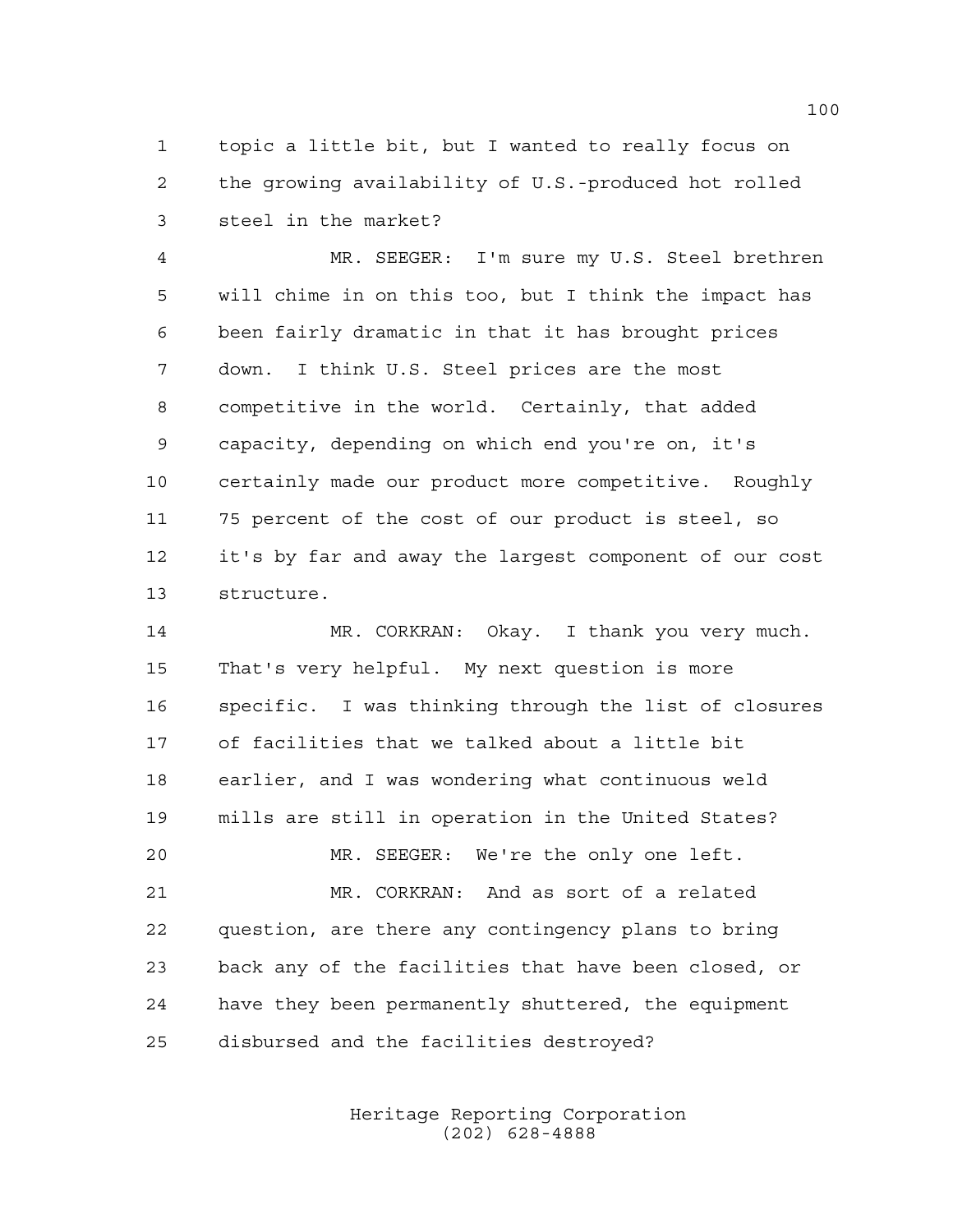topic a little bit, but I wanted to really focus on the growing availability of U.S.-produced hot rolled steel in the market?

 MR. SEEGER: I'm sure my U.S. Steel brethren will chime in on this too, but I think the impact has been fairly dramatic in that it has brought prices down. I think U.S. Steel prices are the most competitive in the world. Certainly, that added capacity, depending on which end you're on, it's certainly made our product more competitive. Roughly 75 percent of the cost of our product is steel, so it's by far and away the largest component of our cost structure.

 MR. CORKRAN: Okay. I thank you very much. That's very helpful. My next question is more specific. I was thinking through the list of closures of facilities that we talked about a little bit earlier, and I was wondering what continuous weld mills are still in operation in the United States? MR. SEEGER: We're the only one left. MR. CORKRAN: And as sort of a related question, are there any contingency plans to bring back any of the facilities that have been closed, or have they been permanently shuttered, the equipment disbursed and the facilities destroyed?

> Heritage Reporting Corporation (202) 628-4888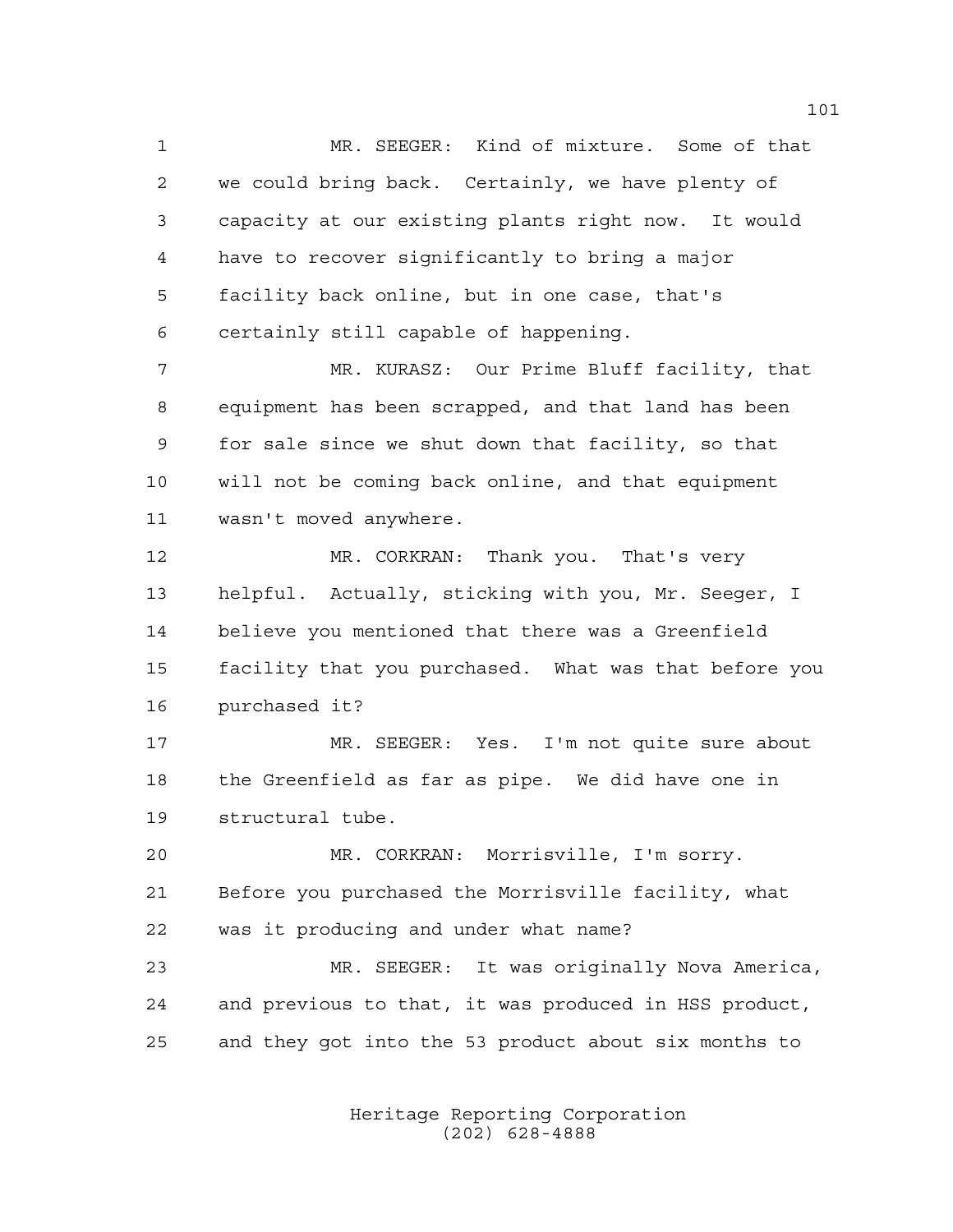MR. SEEGER: Kind of mixture. Some of that we could bring back. Certainly, we have plenty of capacity at our existing plants right now. It would have to recover significantly to bring a major facility back online, but in one case, that's certainly still capable of happening.

 MR. KURASZ: Our Prime Bluff facility, that equipment has been scrapped, and that land has been for sale since we shut down that facility, so that will not be coming back online, and that equipment wasn't moved anywhere.

 MR. CORKRAN: Thank you. That's very helpful. Actually, sticking with you, Mr. Seeger, I believe you mentioned that there was a Greenfield facility that you purchased. What was that before you purchased it?

 MR. SEEGER: Yes. I'm not quite sure about the Greenfield as far as pipe. We did have one in structural tube.

 MR. CORKRAN: Morrisville, I'm sorry. Before you purchased the Morrisville facility, what was it producing and under what name?

 MR. SEEGER: It was originally Nova America, and previous to that, it was produced in HSS product, and they got into the 53 product about six months to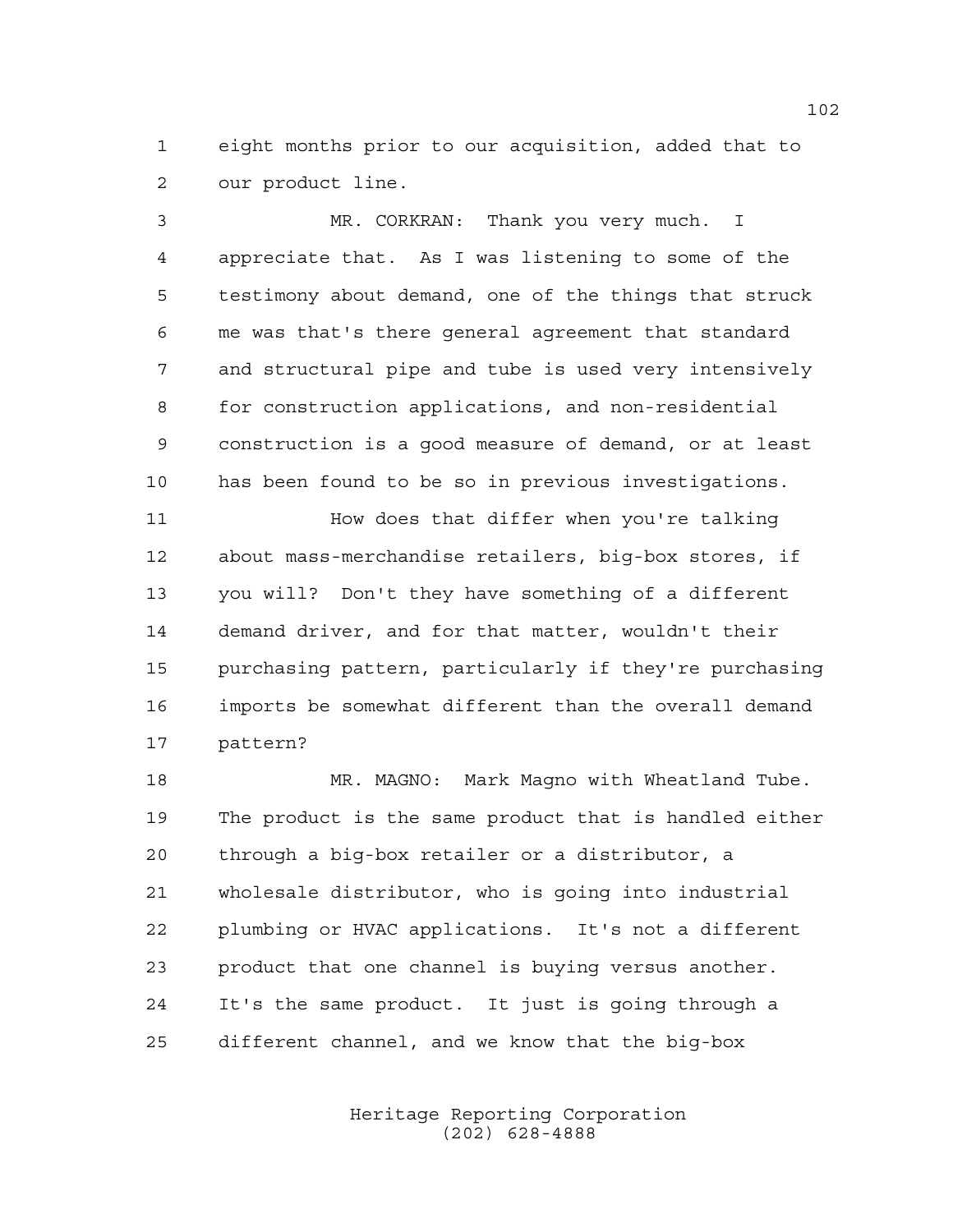eight months prior to our acquisition, added that to our product line.

 MR. CORKRAN: Thank you very much. I appreciate that. As I was listening to some of the testimony about demand, one of the things that struck me was that's there general agreement that standard and structural pipe and tube is used very intensively for construction applications, and non-residential construction is a good measure of demand, or at least has been found to be so in previous investigations.

11 How does that differ when you're talking about mass-merchandise retailers, big-box stores, if you will? Don't they have something of a different demand driver, and for that matter, wouldn't their purchasing pattern, particularly if they're purchasing imports be somewhat different than the overall demand pattern?

 MR. MAGNO: Mark Magno with Wheatland Tube. The product is the same product that is handled either through a big-box retailer or a distributor, a wholesale distributor, who is going into industrial plumbing or HVAC applications. It's not a different product that one channel is buying versus another. It's the same product. It just is going through a different channel, and we know that the big-box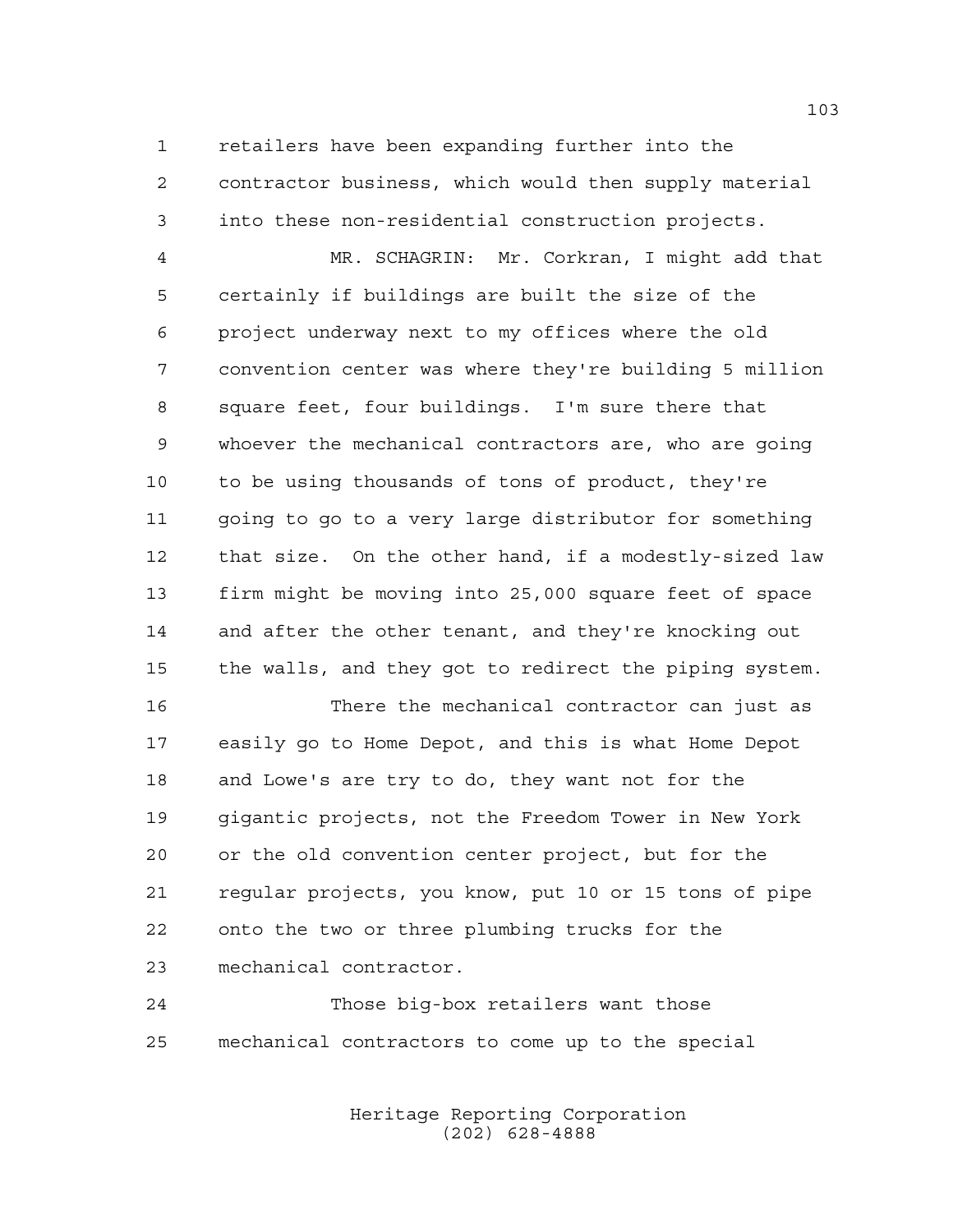retailers have been expanding further into the contractor business, which would then supply material into these non-residential construction projects.

 MR. SCHAGRIN: Mr. Corkran, I might add that certainly if buildings are built the size of the project underway next to my offices where the old convention center was where they're building 5 million square feet, four buildings. I'm sure there that whoever the mechanical contractors are, who are going to be using thousands of tons of product, they're going to go to a very large distributor for something that size. On the other hand, if a modestly-sized law firm might be moving into 25,000 square feet of space and after the other tenant, and they're knocking out the walls, and they got to redirect the piping system.

 There the mechanical contractor can just as easily go to Home Depot, and this is what Home Depot and Lowe's are try to do, they want not for the gigantic projects, not the Freedom Tower in New York or the old convention center project, but for the regular projects, you know, put 10 or 15 tons of pipe onto the two or three plumbing trucks for the mechanical contractor.

 Those big-box retailers want those mechanical contractors to come up to the special

> Heritage Reporting Corporation (202) 628-4888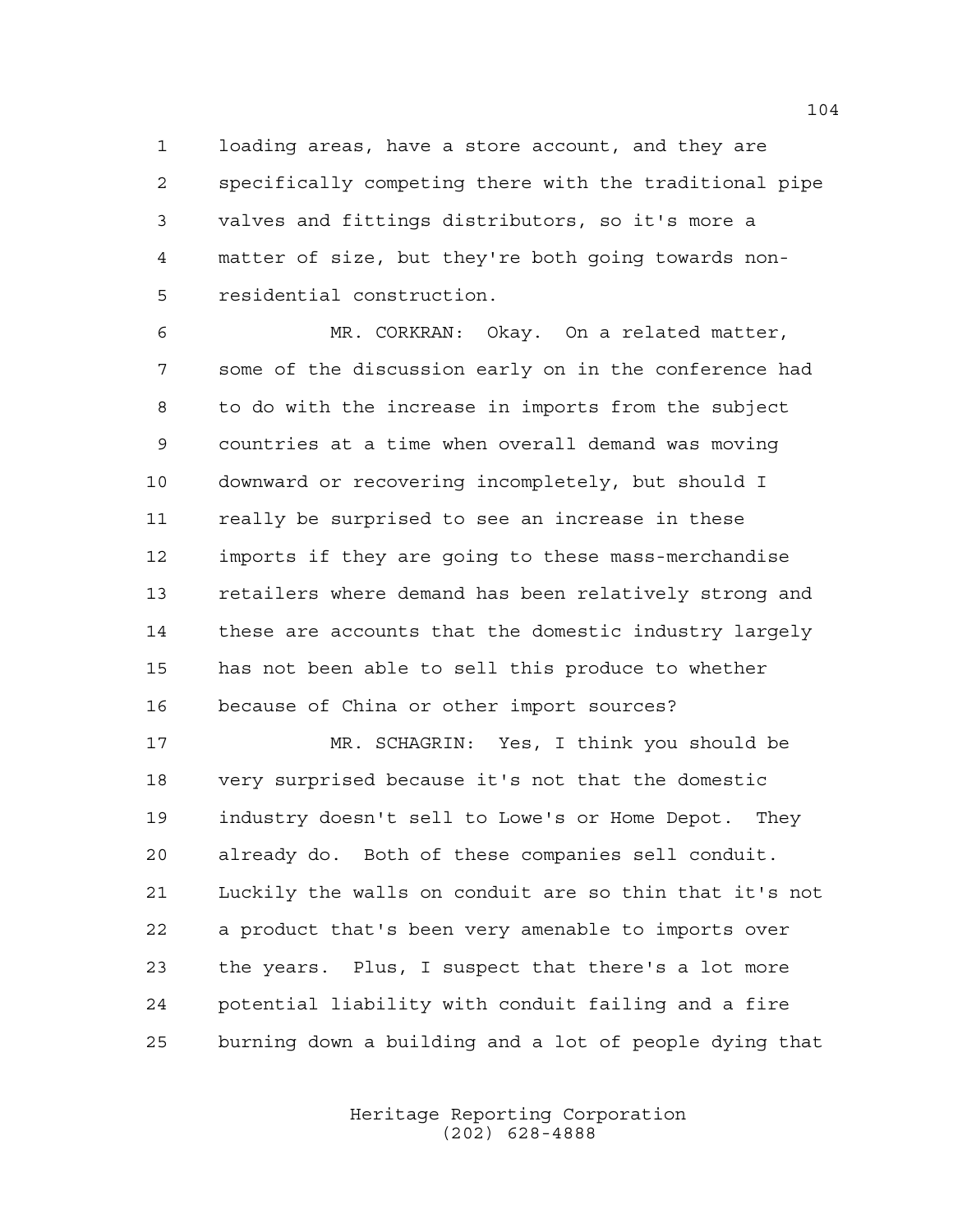loading areas, have a store account, and they are specifically competing there with the traditional pipe valves and fittings distributors, so it's more a matter of size, but they're both going towards non-residential construction.

 MR. CORKRAN: Okay. On a related matter, some of the discussion early on in the conference had to do with the increase in imports from the subject countries at a time when overall demand was moving downward or recovering incompletely, but should I really be surprised to see an increase in these imports if they are going to these mass-merchandise 13 retailers where demand has been relatively strong and these are accounts that the domestic industry largely has not been able to sell this produce to whether because of China or other import sources?

 MR. SCHAGRIN: Yes, I think you should be very surprised because it's not that the domestic industry doesn't sell to Lowe's or Home Depot. They already do. Both of these companies sell conduit. Luckily the walls on conduit are so thin that it's not a product that's been very amenable to imports over the years. Plus, I suspect that there's a lot more potential liability with conduit failing and a fire burning down a building and a lot of people dying that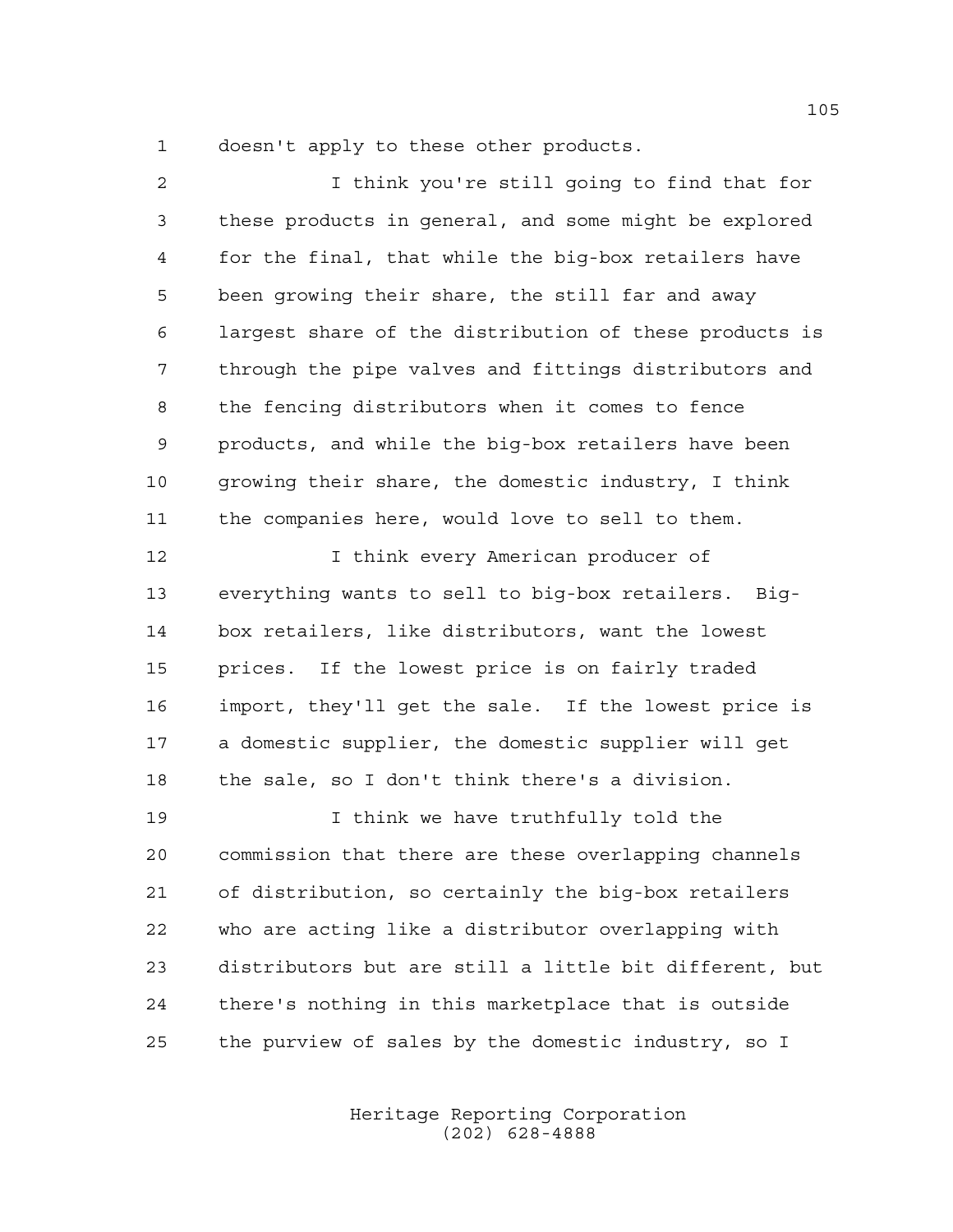doesn't apply to these other products.

 I think you're still going to find that for these products in general, and some might be explored for the final, that while the big-box retailers have been growing their share, the still far and away largest share of the distribution of these products is through the pipe valves and fittings distributors and the fencing distributors when it comes to fence products, and while the big-box retailers have been growing their share, the domestic industry, I think the companies here, would love to sell to them. **I** think every American producer of everything wants to sell to big-box retailers. Big- box retailers, like distributors, want the lowest prices. If the lowest price is on fairly traded import, they'll get the sale. If the lowest price is a domestic supplier, the domestic supplier will get the sale, so I don't think there's a division. I think we have truthfully told the commission that there are these overlapping channels of distribution, so certainly the big-box retailers who are acting like a distributor overlapping with distributors but are still a little bit different, but there's nothing in this marketplace that is outside the purview of sales by the domestic industry, so I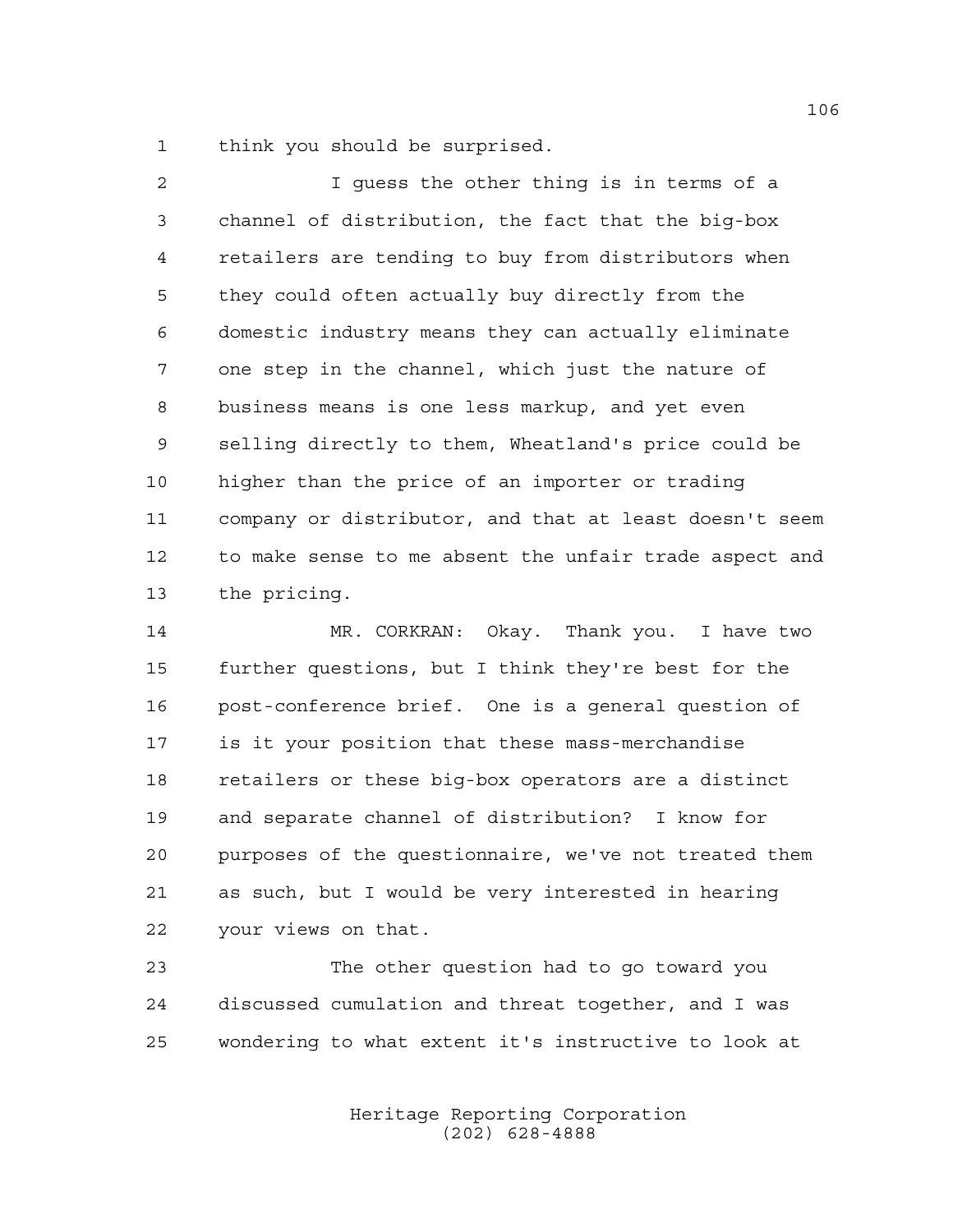think you should be surprised.

 I guess the other thing is in terms of a channel of distribution, the fact that the big-box retailers are tending to buy from distributors when they could often actually buy directly from the domestic industry means they can actually eliminate one step in the channel, which just the nature of business means is one less markup, and yet even selling directly to them, Wheatland's price could be higher than the price of an importer or trading company or distributor, and that at least doesn't seem to make sense to me absent the unfair trade aspect and the pricing.

 MR. CORKRAN: Okay. Thank you. I have two further questions, but I think they're best for the post-conference brief. One is a general question of is it your position that these mass-merchandise retailers or these big-box operators are a distinct and separate channel of distribution? I know for purposes of the questionnaire, we've not treated them as such, but I would be very interested in hearing your views on that.

 The other question had to go toward you discussed cumulation and threat together, and I was wondering to what extent it's instructive to look at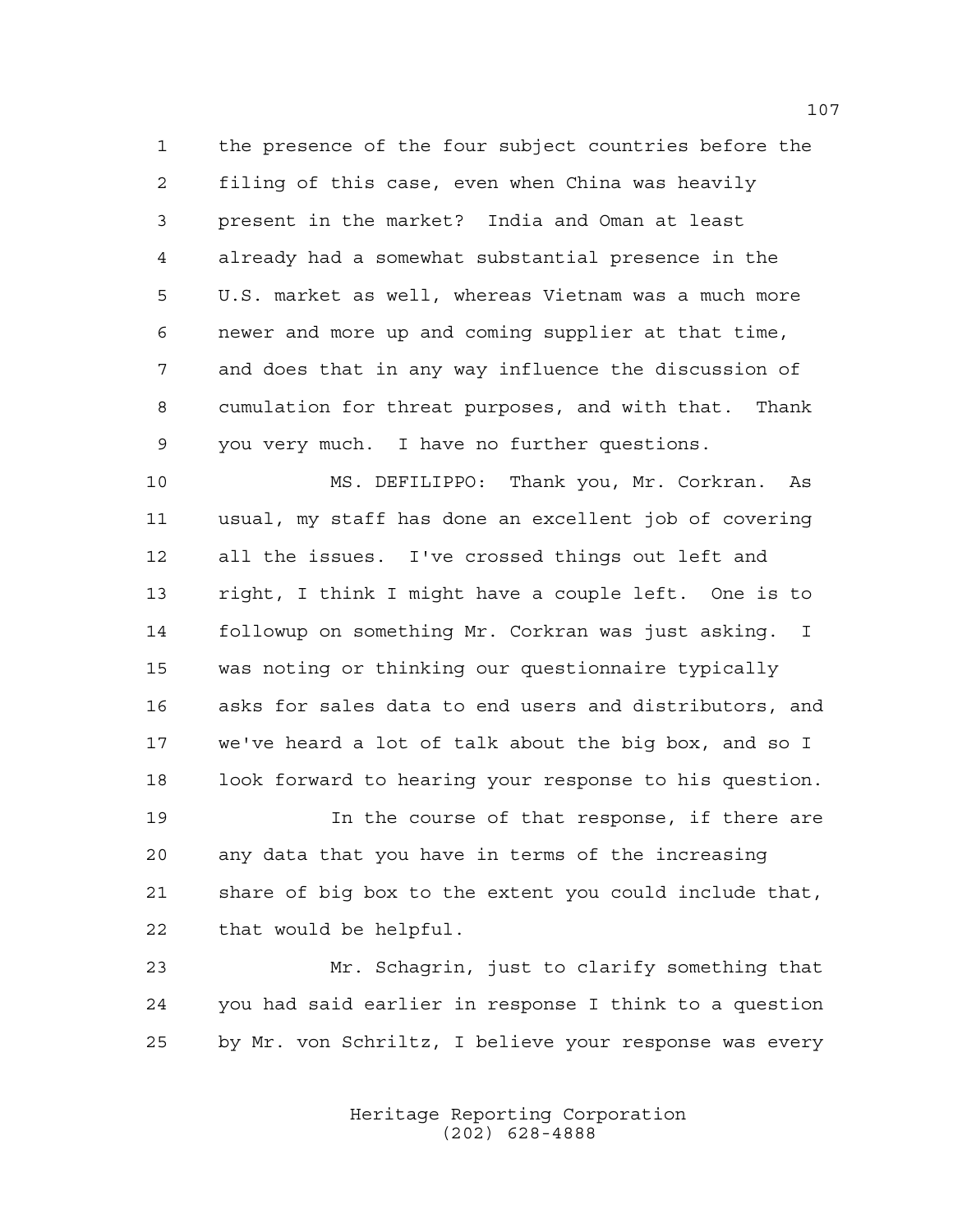the presence of the four subject countries before the filing of this case, even when China was heavily present in the market? India and Oman at least already had a somewhat substantial presence in the U.S. market as well, whereas Vietnam was a much more newer and more up and coming supplier at that time, and does that in any way influence the discussion of cumulation for threat purposes, and with that. Thank you very much. I have no further questions.

 MS. DEFILIPPO: Thank you, Mr. Corkran. As usual, my staff has done an excellent job of covering all the issues. I've crossed things out left and right, I think I might have a couple left. One is to followup on something Mr. Corkran was just asking. I was noting or thinking our questionnaire typically asks for sales data to end users and distributors, and we've heard a lot of talk about the big box, and so I 18 look forward to hearing your response to his question.

 In the course of that response, if there are any data that you have in terms of the increasing share of big box to the extent you could include that, that would be helpful.

 Mr. Schagrin, just to clarify something that you had said earlier in response I think to a question by Mr. von Schriltz, I believe your response was every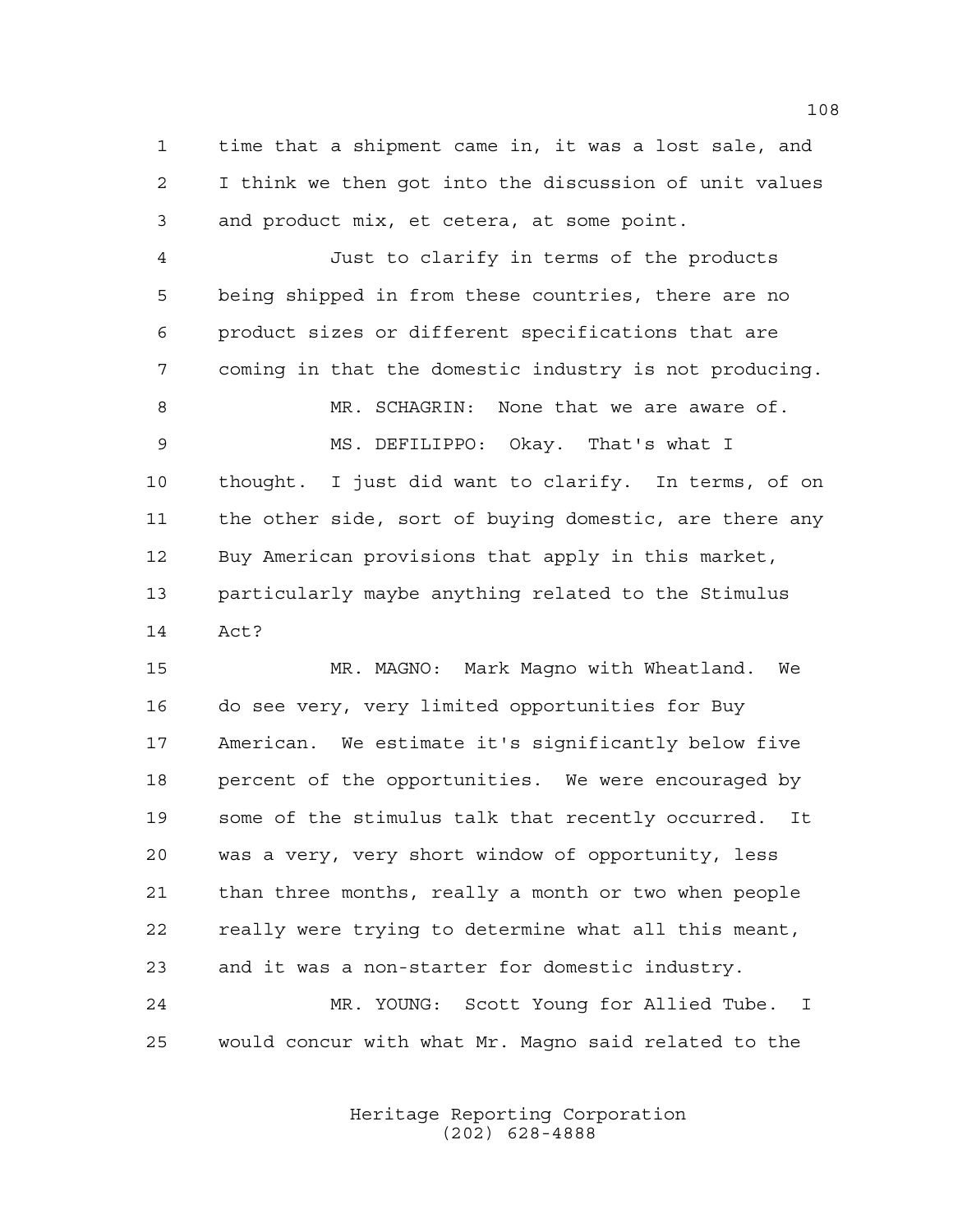time that a shipment came in, it was a lost sale, and I think we then got into the discussion of unit values and product mix, et cetera, at some point.

 Just to clarify in terms of the products being shipped in from these countries, there are no product sizes or different specifications that are coming in that the domestic industry is not producing. MR. SCHAGRIN: None that we are aware of. MS. DEFILIPPO: Okay. That's what I thought. I just did want to clarify. In terms, of on the other side, sort of buying domestic, are there any Buy American provisions that apply in this market, particularly maybe anything related to the Stimulus Act?

 MR. MAGNO: Mark Magno with Wheatland. We do see very, very limited opportunities for Buy American. We estimate it's significantly below five percent of the opportunities. We were encouraged by some of the stimulus talk that recently occurred. It was a very, very short window of opportunity, less than three months, really a month or two when people really were trying to determine what all this meant, and it was a non-starter for domestic industry.

 MR. YOUNG: Scott Young for Allied Tube. I would concur with what Mr. Magno said related to the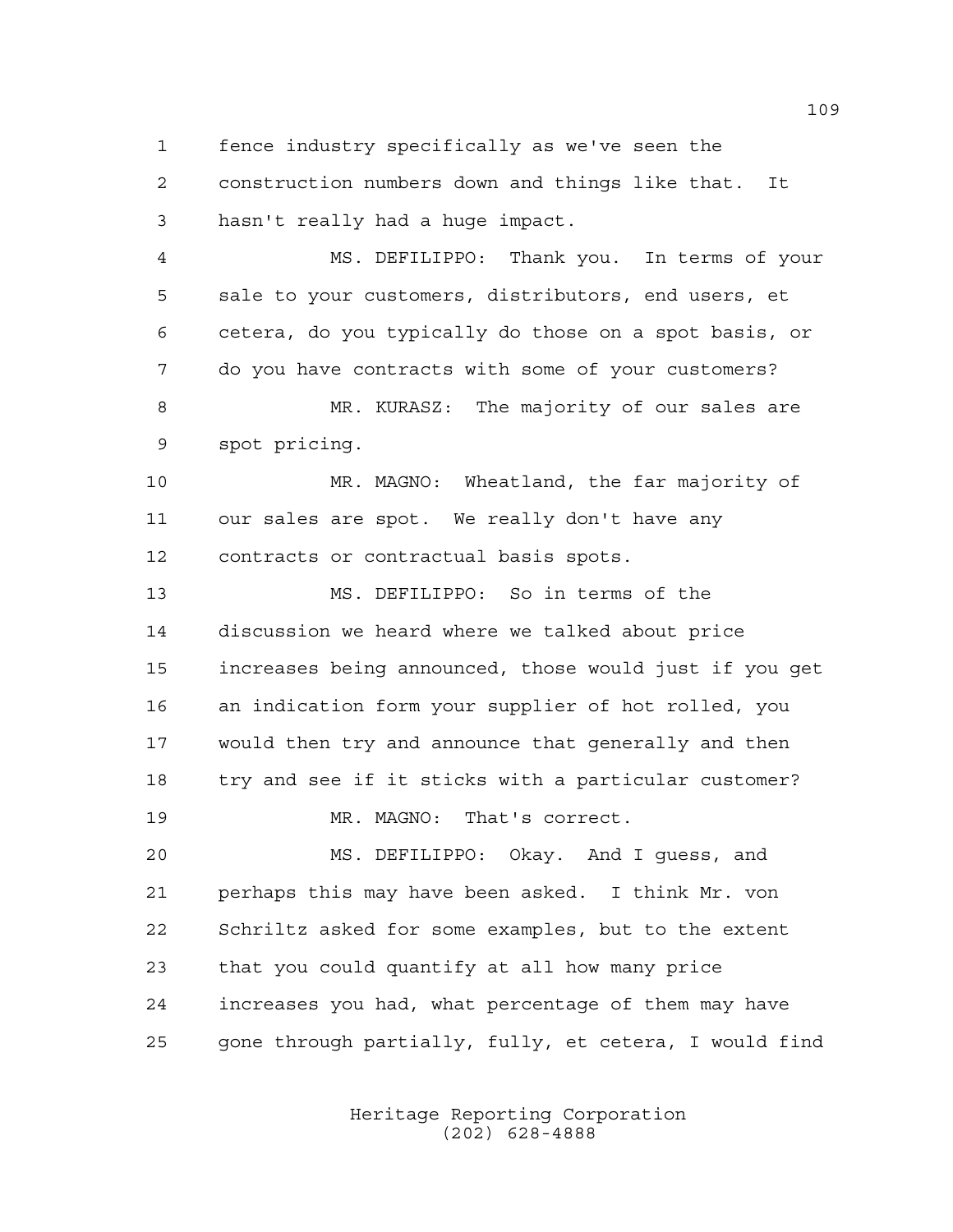fence industry specifically as we've seen the

 construction numbers down and things like that. It hasn't really had a huge impact.

 MS. DEFILIPPO: Thank you. In terms of your sale to your customers, distributors, end users, et cetera, do you typically do those on a spot basis, or do you have contracts with some of your customers?

 MR. KURASZ: The majority of our sales are spot pricing.

 MR. MAGNO: Wheatland, the far majority of our sales are spot. We really don't have any contracts or contractual basis spots.

 MS. DEFILIPPO: So in terms of the discussion we heard where we talked about price increases being announced, those would just if you get an indication form your supplier of hot rolled, you would then try and announce that generally and then try and see if it sticks with a particular customer?

MR. MAGNO: That's correct.

 MS. DEFILIPPO: Okay. And I guess, and perhaps this may have been asked. I think Mr. von Schriltz asked for some examples, but to the extent that you could quantify at all how many price increases you had, what percentage of them may have gone through partially, fully, et cetera, I would find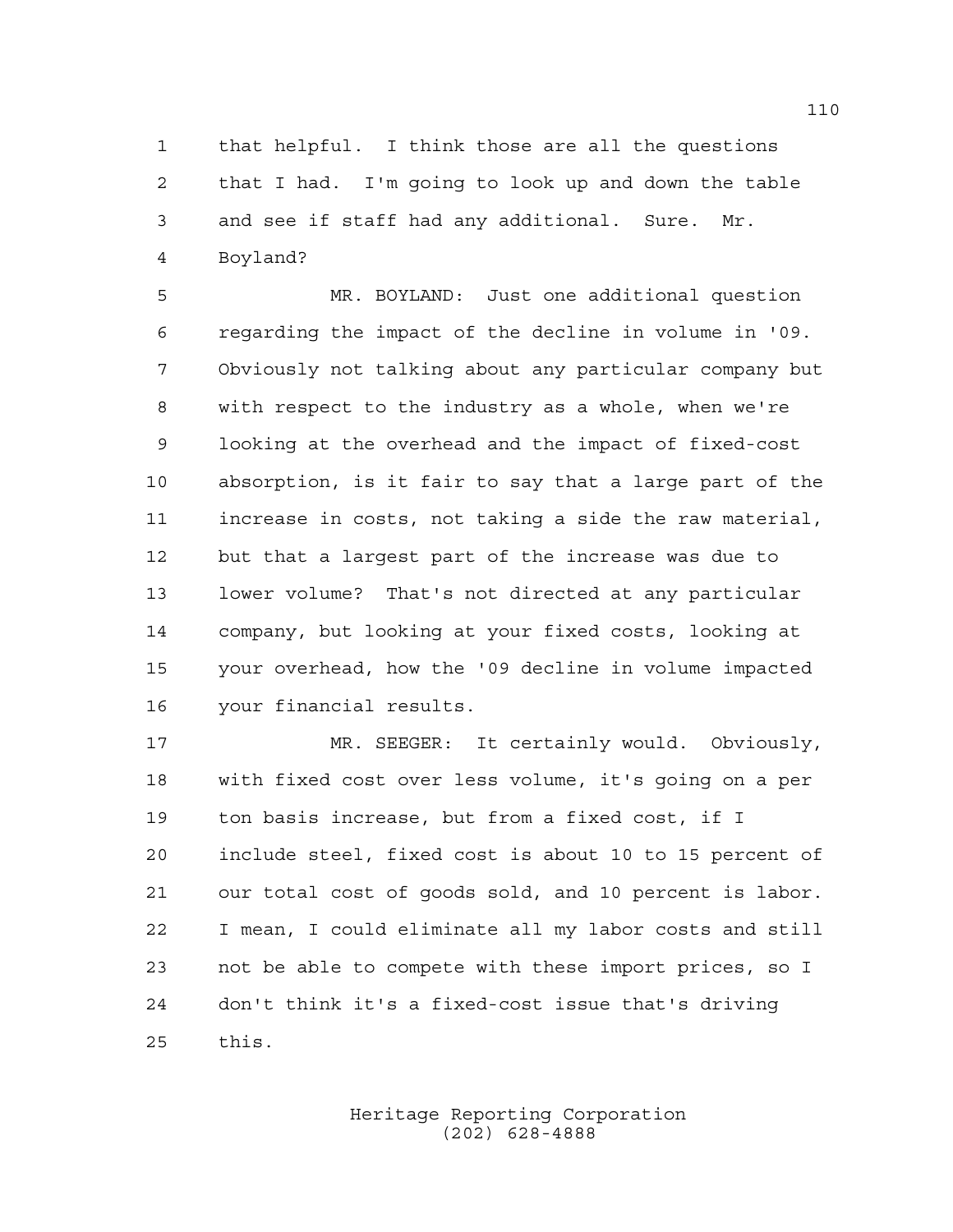that helpful. I think those are all the questions that I had. I'm going to look up and down the table and see if staff had any additional. Sure. Mr. Boyland?

 MR. BOYLAND: Just one additional question regarding the impact of the decline in volume in '09. Obviously not talking about any particular company but with respect to the industry as a whole, when we're looking at the overhead and the impact of fixed-cost absorption, is it fair to say that a large part of the increase in costs, not taking a side the raw material, but that a largest part of the increase was due to lower volume? That's not directed at any particular company, but looking at your fixed costs, looking at your overhead, how the '09 decline in volume impacted your financial results.

 MR. SEEGER: It certainly would. Obviously, with fixed cost over less volume, it's going on a per ton basis increase, but from a fixed cost, if I include steel, fixed cost is about 10 to 15 percent of our total cost of goods sold, and 10 percent is labor. I mean, I could eliminate all my labor costs and still not be able to compete with these import prices, so I don't think it's a fixed-cost issue that's driving this.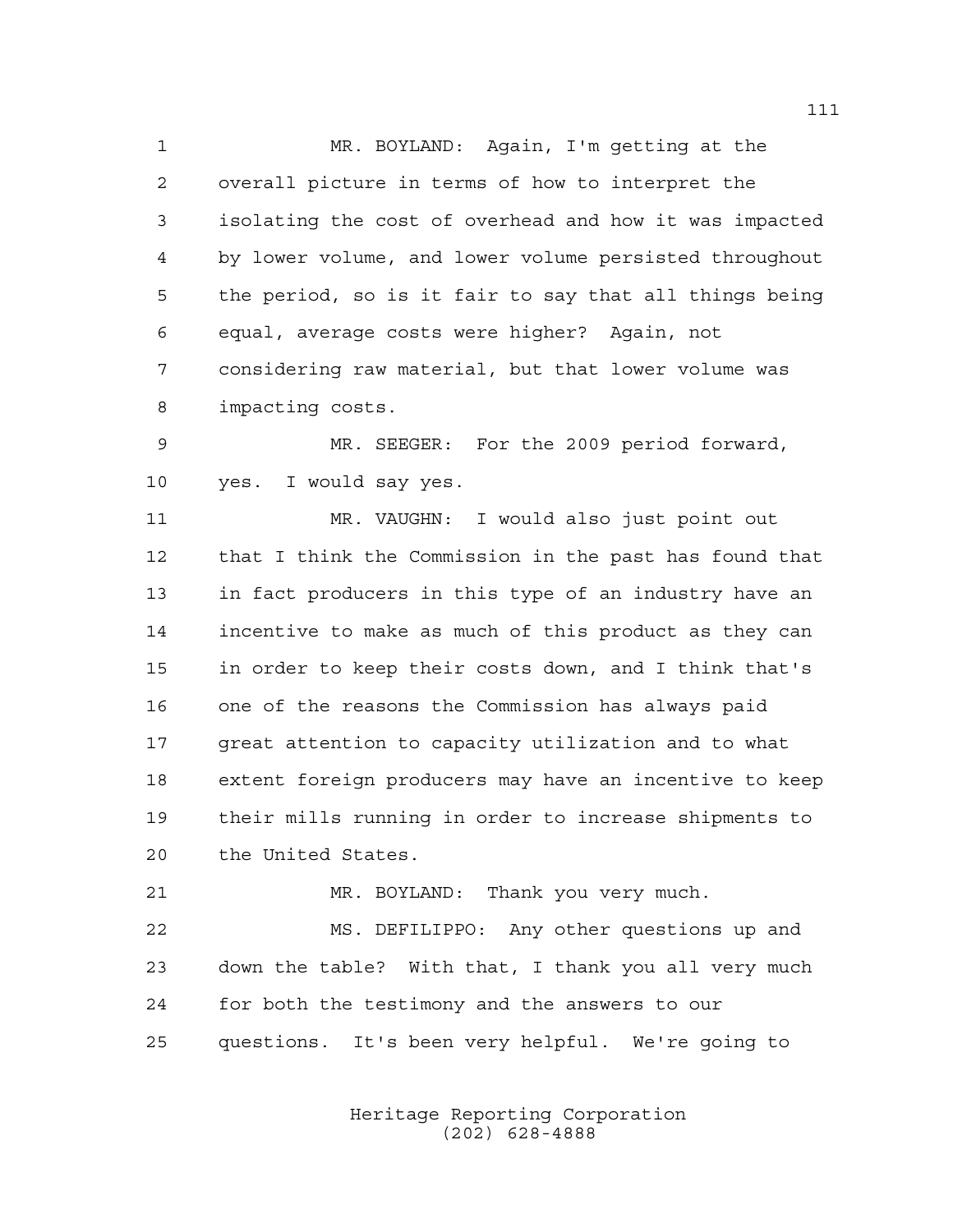MR. BOYLAND: Again, I'm getting at the overall picture in terms of how to interpret the isolating the cost of overhead and how it was impacted by lower volume, and lower volume persisted throughout the period, so is it fair to say that all things being equal, average costs were higher? Again, not considering raw material, but that lower volume was impacting costs.

 MR. SEEGER: For the 2009 period forward, yes. I would say yes.

 MR. VAUGHN: I would also just point out that I think the Commission in the past has found that in fact producers in this type of an industry have an incentive to make as much of this product as they can in order to keep their costs down, and I think that's one of the reasons the Commission has always paid great attention to capacity utilization and to what extent foreign producers may have an incentive to keep their mills running in order to increase shipments to the United States.

MR. BOYLAND: Thank you very much.

 MS. DEFILIPPO: Any other questions up and down the table? With that, I thank you all very much for both the testimony and the answers to our questions. It's been very helpful. We're going to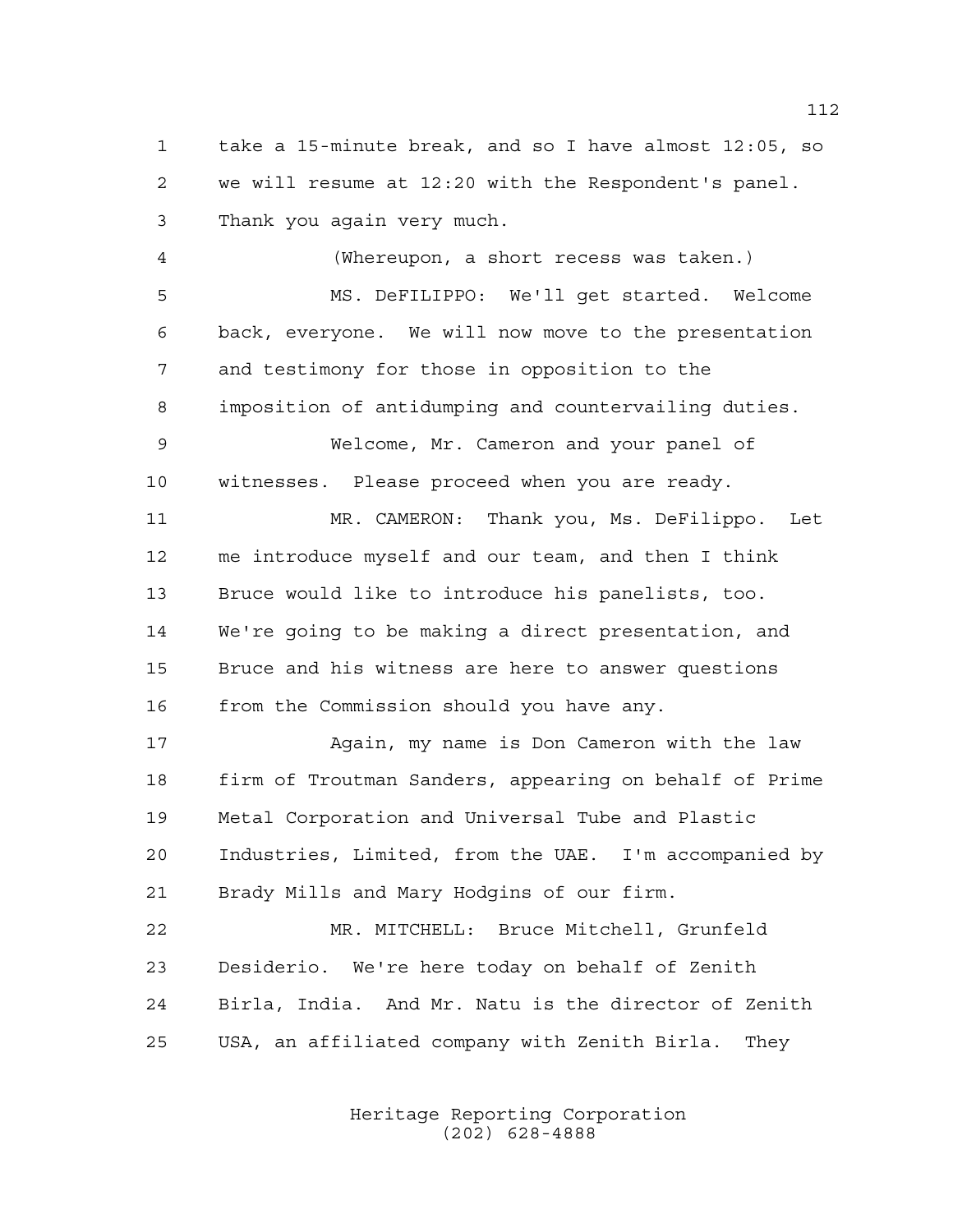take a 15-minute break, and so I have almost 12:05, so we will resume at 12:20 with the Respondent's panel. Thank you again very much.

 (Whereupon, a short recess was taken.) MS. DeFILIPPO: We'll get started. Welcome back, everyone. We will now move to the presentation and testimony for those in opposition to the imposition of antidumping and countervailing duties. Welcome, Mr. Cameron and your panel of witnesses. Please proceed when you are ready. MR. CAMERON: Thank you, Ms. DeFilippo. Let me introduce myself and our team, and then I think Bruce would like to introduce his panelists, too. We're going to be making a direct presentation, and Bruce and his witness are here to answer questions from the Commission should you have any.

 Again, my name is Don Cameron with the law firm of Troutman Sanders, appearing on behalf of Prime Metal Corporation and Universal Tube and Plastic Industries, Limited, from the UAE. I'm accompanied by Brady Mills and Mary Hodgins of our firm.

 MR. MITCHELL: Bruce Mitchell, Grunfeld Desiderio. We're here today on behalf of Zenith Birla, India. And Mr. Natu is the director of Zenith USA, an affiliated company with Zenith Birla. They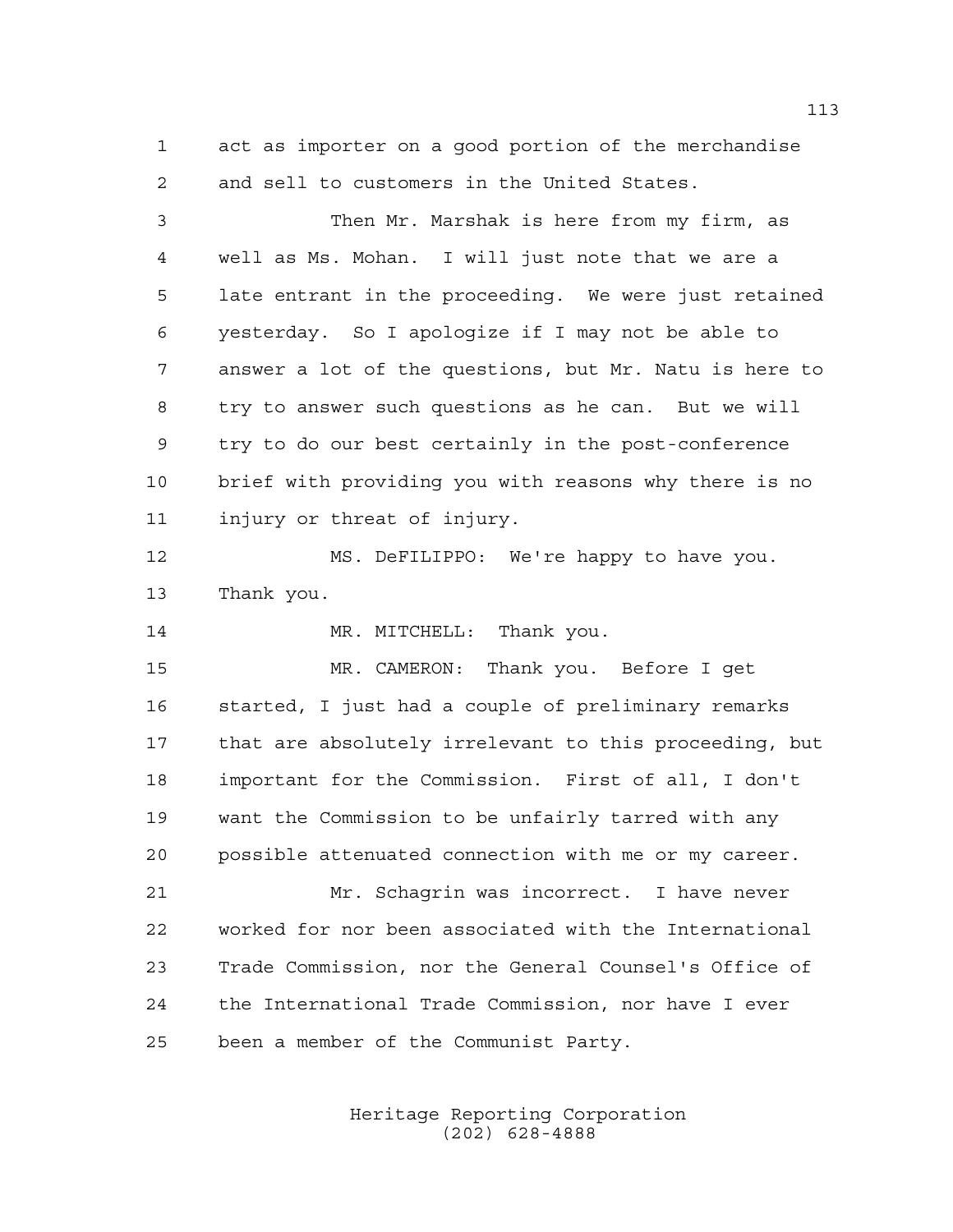act as importer on a good portion of the merchandise and sell to customers in the United States.

 Then Mr. Marshak is here from my firm, as well as Ms. Mohan. I will just note that we are a late entrant in the proceeding. We were just retained yesterday. So I apologize if I may not be able to answer a lot of the questions, but Mr. Natu is here to try to answer such questions as he can. But we will try to do our best certainly in the post-conference brief with providing you with reasons why there is no injury or threat of injury. MS. DeFILIPPO: We're happy to have you. Thank you. 14 MR. MITCHELL: Thank you. MR. CAMERON: Thank you. Before I get started, I just had a couple of preliminary remarks that are absolutely irrelevant to this proceeding, but

 important for the Commission. First of all, I don't want the Commission to be unfairly tarred with any possible attenuated connection with me or my career.

 Mr. Schagrin was incorrect. I have never worked for nor been associated with the International Trade Commission, nor the General Counsel's Office of the International Trade Commission, nor have I ever been a member of the Communist Party.

> Heritage Reporting Corporation (202) 628-4888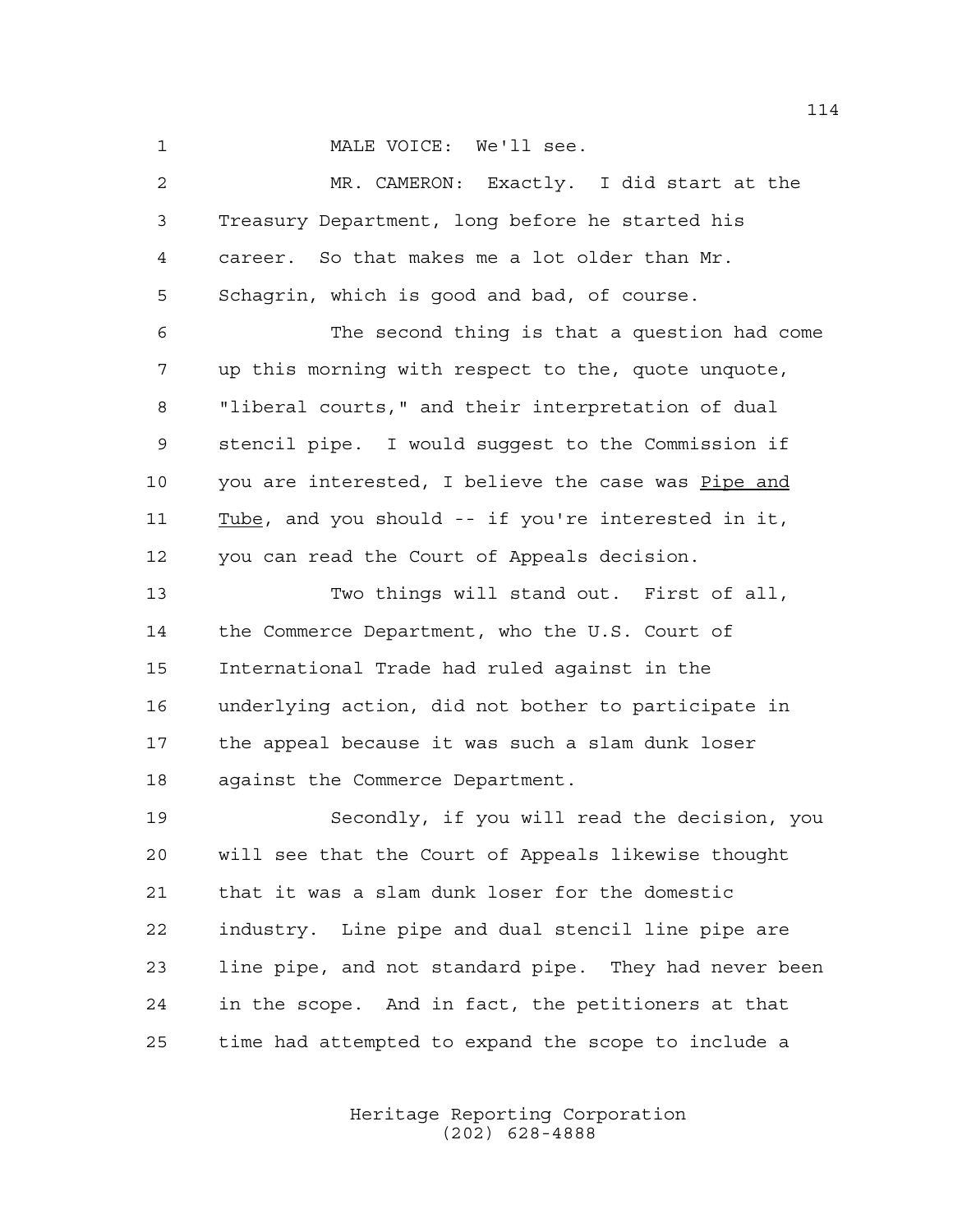MALE VOICE: We'll see.

 MR. CAMERON: Exactly. I did start at the Treasury Department, long before he started his career. So that makes me a lot older than Mr. Schagrin, which is good and bad, of course. The second thing is that a question had come up this morning with respect to the, quote unquote, "liberal courts," and their interpretation of dual stencil pipe. I would suggest to the Commission if you are interested, I believe the case was Pipe and Tube, and you should -- if you're interested in it, you can read the Court of Appeals decision. Two things will stand out. First of all, the Commerce Department, who the U.S. Court of International Trade had ruled against in the underlying action, did not bother to participate in the appeal because it was such a slam dunk loser against the Commerce Department. Secondly, if you will read the decision, you will see that the Court of Appeals likewise thought that it was a slam dunk loser for the domestic industry. Line pipe and dual stencil line pipe are line pipe, and not standard pipe. They had never been in the scope. And in fact, the petitioners at that time had attempted to expand the scope to include a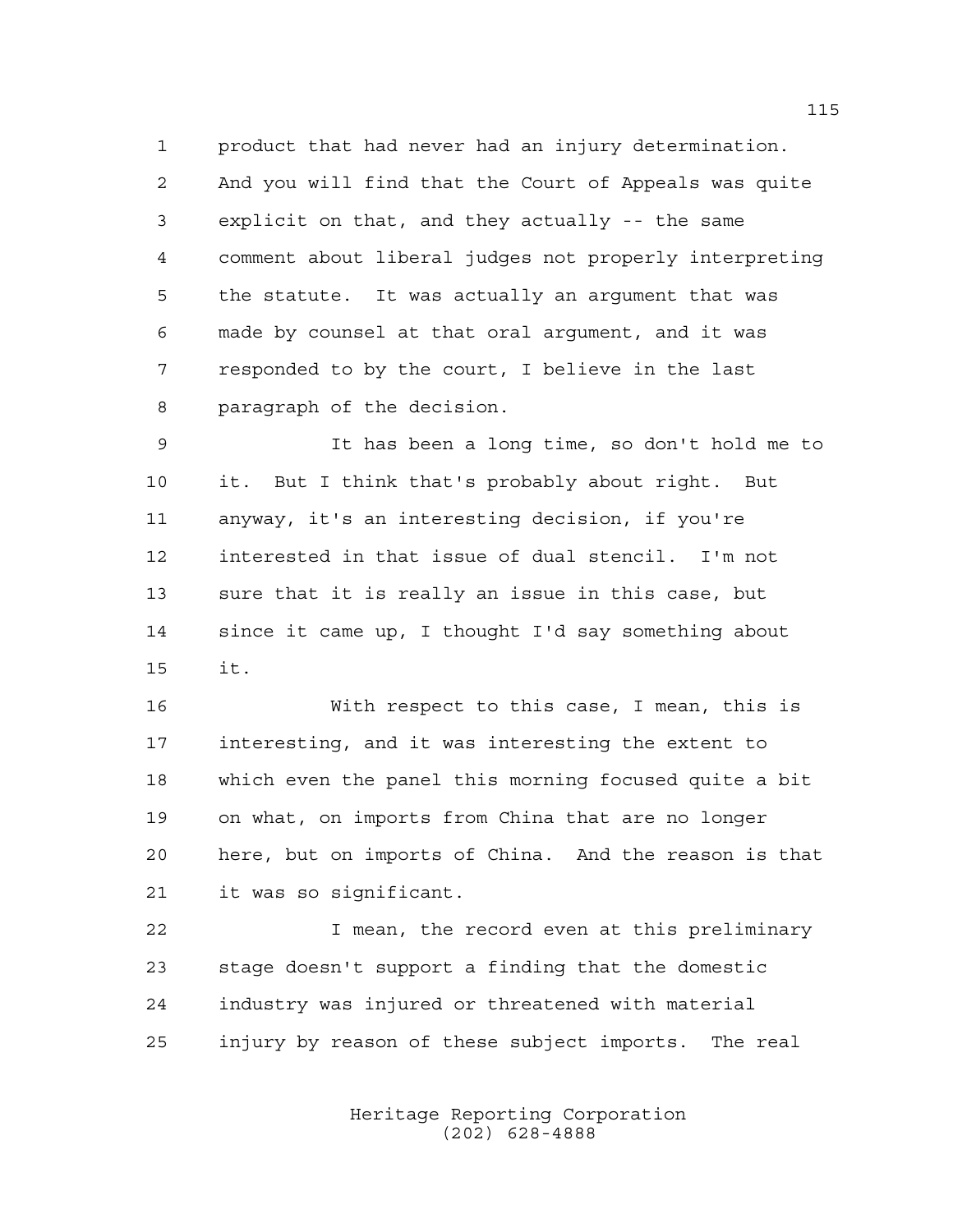product that had never had an injury determination. And you will find that the Court of Appeals was quite explicit on that, and they actually -- the same comment about liberal judges not properly interpreting the statute. It was actually an argument that was made by counsel at that oral argument, and it was responded to by the court, I believe in the last paragraph of the decision.

 It has been a long time, so don't hold me to it. But I think that's probably about right. But anyway, it's an interesting decision, if you're interested in that issue of dual stencil. I'm not sure that it is really an issue in this case, but since it came up, I thought I'd say something about it.

 With respect to this case, I mean, this is interesting, and it was interesting the extent to which even the panel this morning focused quite a bit on what, on imports from China that are no longer here, but on imports of China. And the reason is that it was so significant.

 I mean, the record even at this preliminary stage doesn't support a finding that the domestic industry was injured or threatened with material injury by reason of these subject imports. The real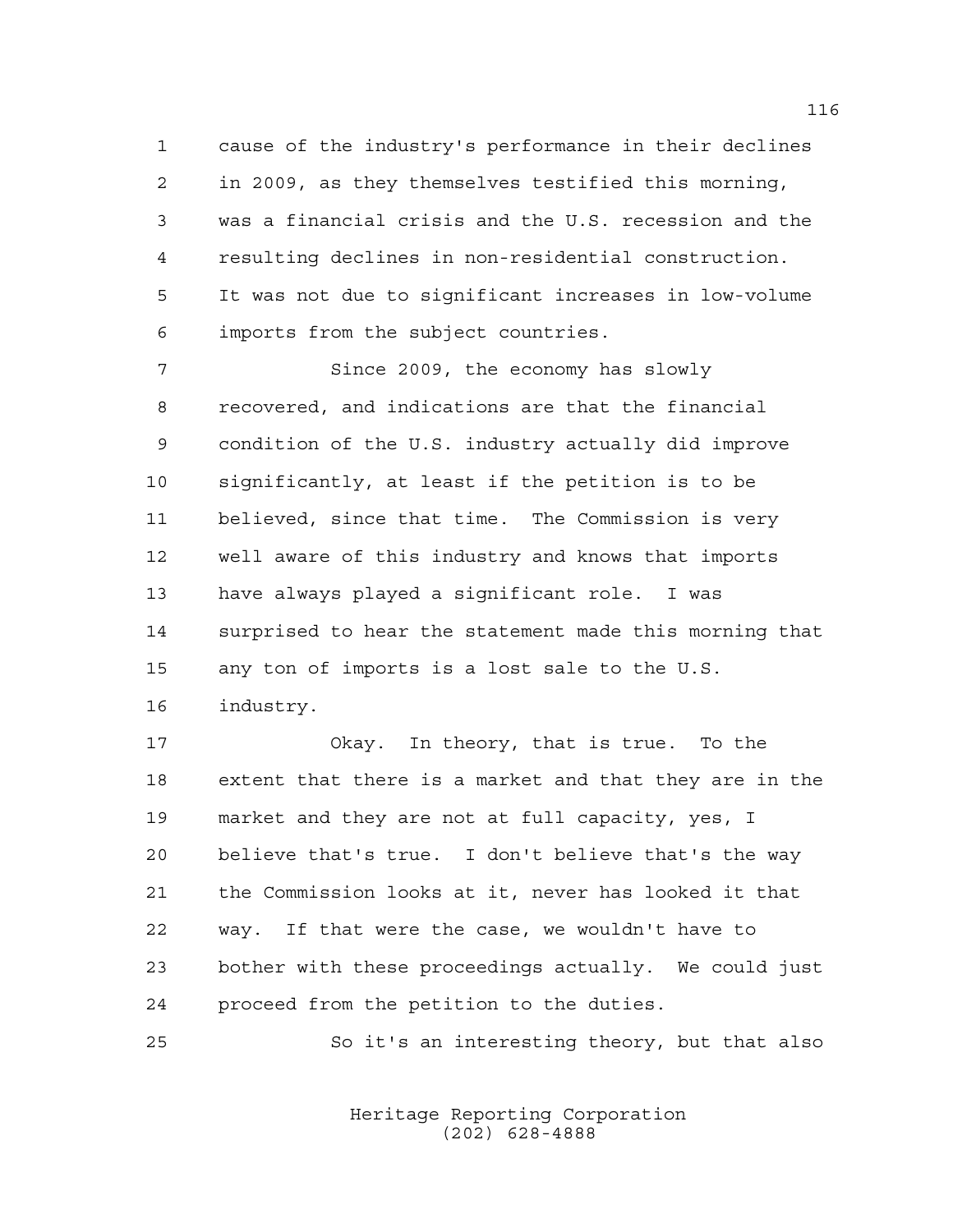cause of the industry's performance in their declines in 2009, as they themselves testified this morning, was a financial crisis and the U.S. recession and the resulting declines in non-residential construction. It was not due to significant increases in low-volume imports from the subject countries.

 Since 2009, the economy has slowly recovered, and indications are that the financial condition of the U.S. industry actually did improve significantly, at least if the petition is to be believed, since that time. The Commission is very well aware of this industry and knows that imports have always played a significant role. I was surprised to hear the statement made this morning that any ton of imports is a lost sale to the U.S. industry.

 Okay. In theory, that is true. To the extent that there is a market and that they are in the market and they are not at full capacity, yes, I believe that's true. I don't believe that's the way the Commission looks at it, never has looked it that way. If that were the case, we wouldn't have to bother with these proceedings actually. We could just proceed from the petition to the duties.

So it's an interesting theory, but that also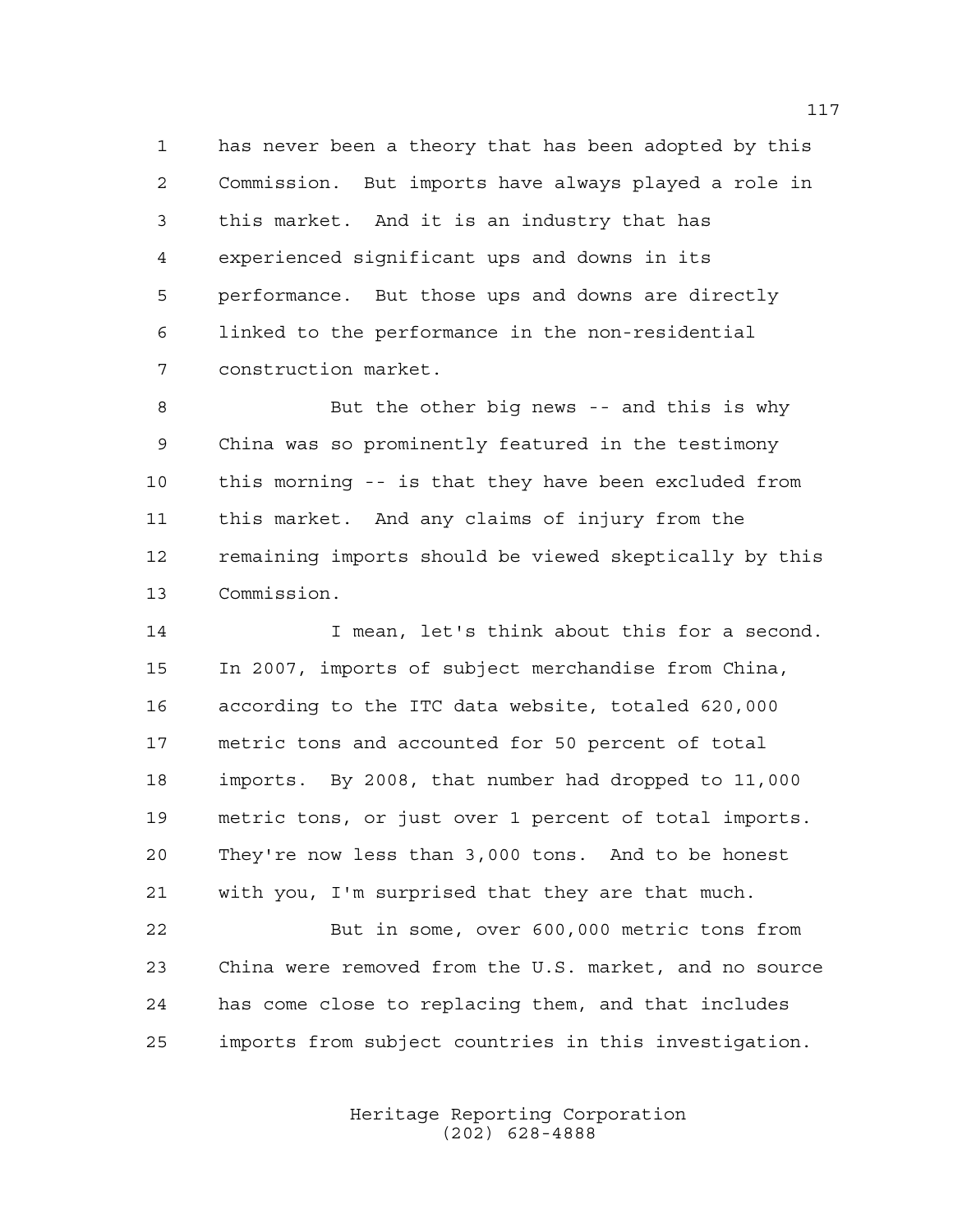has never been a theory that has been adopted by this Commission. But imports have always played a role in this market. And it is an industry that has experienced significant ups and downs in its performance. But those ups and downs are directly linked to the performance in the non-residential construction market.

 But the other big news -- and this is why China was so prominently featured in the testimony this morning -- is that they have been excluded from this market. And any claims of injury from the remaining imports should be viewed skeptically by this Commission.

14 I mean, let's think about this for a second. In 2007, imports of subject merchandise from China, according to the ITC data website, totaled 620,000 metric tons and accounted for 50 percent of total imports. By 2008, that number had dropped to 11,000 metric tons, or just over 1 percent of total imports. They're now less than 3,000 tons. And to be honest with you, I'm surprised that they are that much.

 But in some, over 600,000 metric tons from China were removed from the U.S. market, and no source has come close to replacing them, and that includes imports from subject countries in this investigation.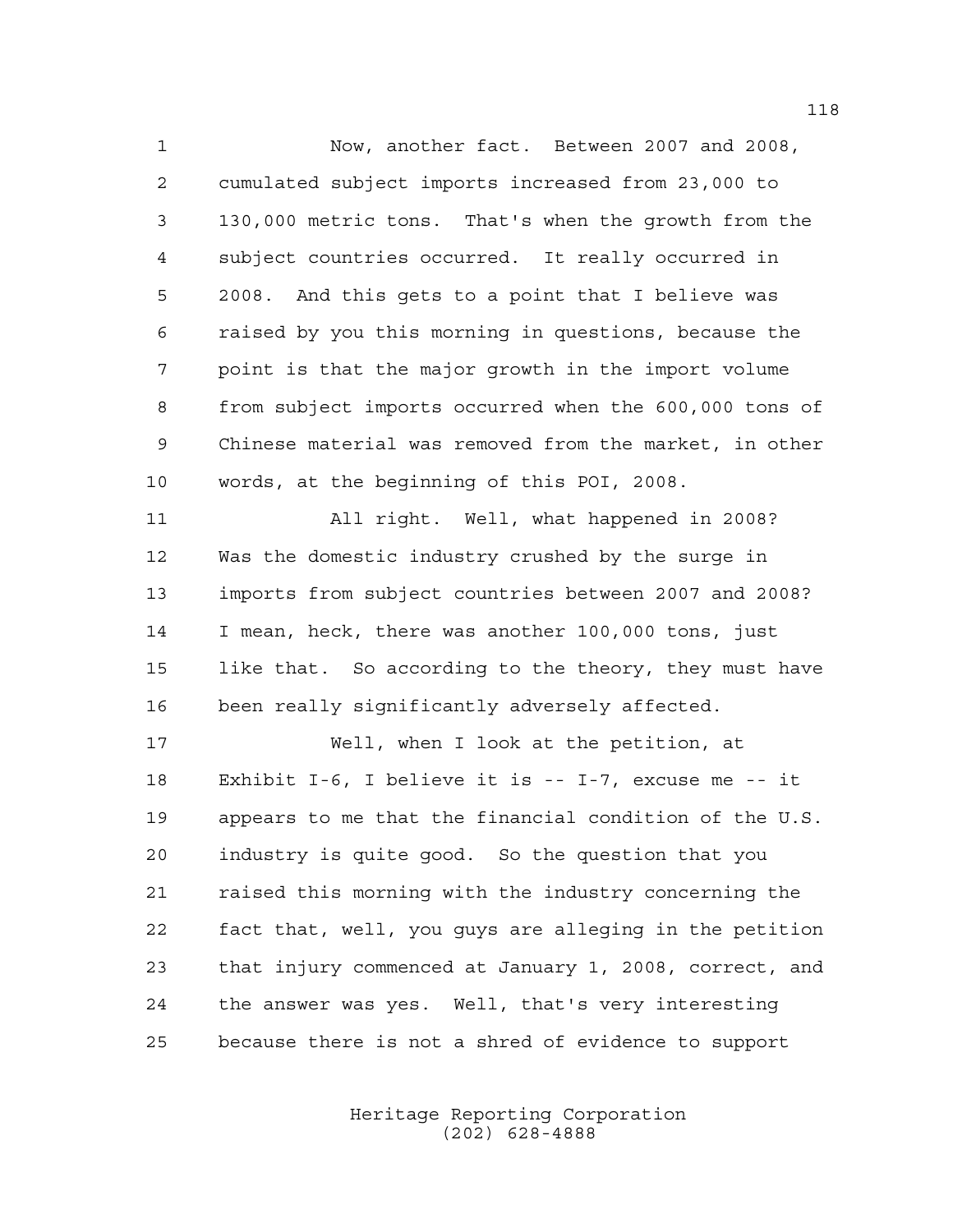Now, another fact. Between 2007 and 2008, cumulated subject imports increased from 23,000 to 130,000 metric tons. That's when the growth from the subject countries occurred. It really occurred in 2008. And this gets to a point that I believe was raised by you this morning in questions, because the point is that the major growth in the import volume from subject imports occurred when the 600,000 tons of Chinese material was removed from the market, in other words, at the beginning of this POI, 2008. All right. Well, what happened in 2008? Was the domestic industry crushed by the surge in imports from subject countries between 2007 and 2008? I mean, heck, there was another 100,000 tons, just like that. So according to the theory, they must have been really significantly adversely affected. Well, when I look at the petition, at Exhibit I-6, I believe it is -- I-7, excuse me -- it appears to me that the financial condition of the U.S. industry is quite good. So the question that you raised this morning with the industry concerning the fact that, well, you guys are alleging in the petition that injury commenced at January 1, 2008, correct, and the answer was yes. Well, that's very interesting

because there is not a shred of evidence to support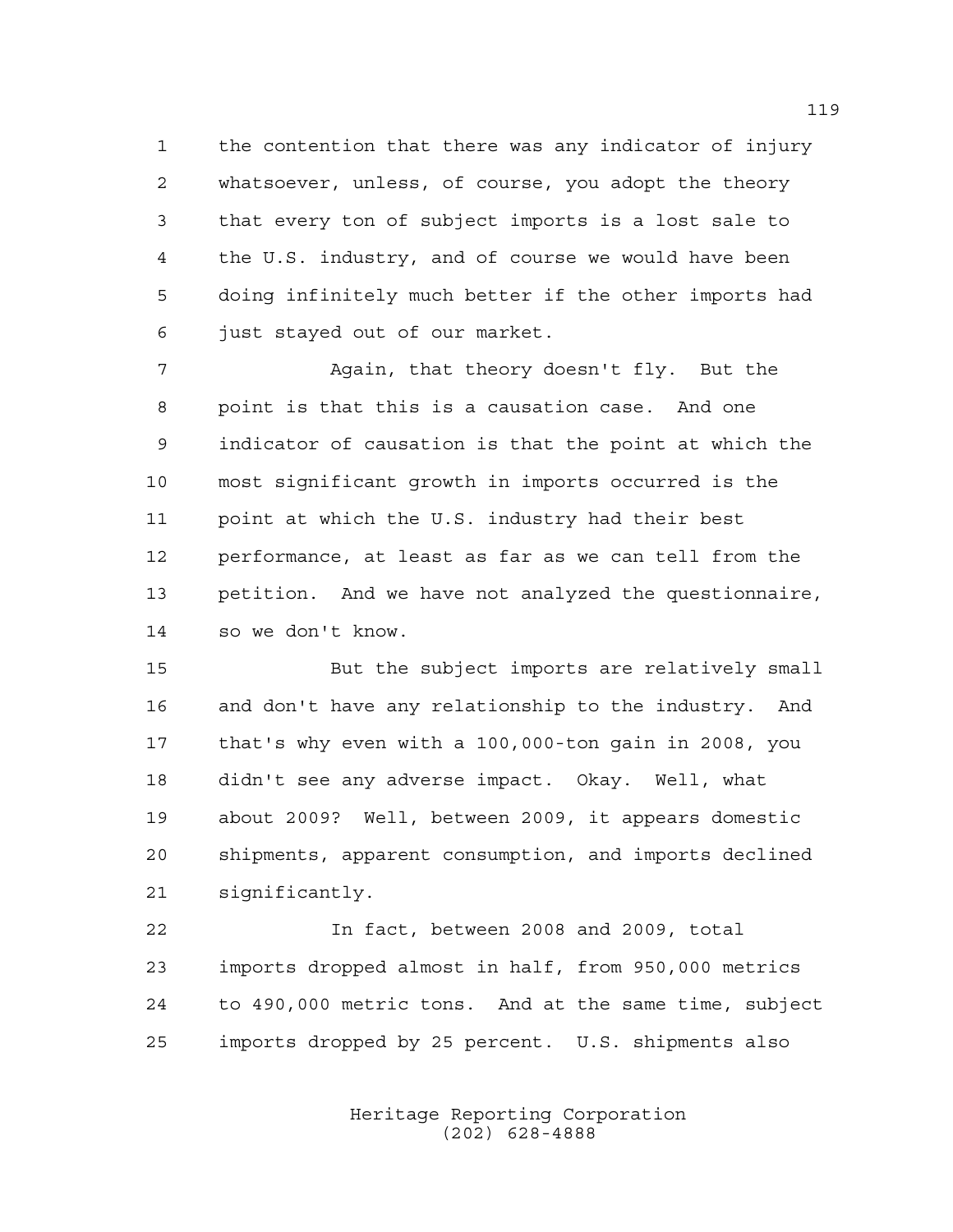the contention that there was any indicator of injury whatsoever, unless, of course, you adopt the theory that every ton of subject imports is a lost sale to the U.S. industry, and of course we would have been doing infinitely much better if the other imports had just stayed out of our market.

 Again, that theory doesn't fly. But the point is that this is a causation case. And one indicator of causation is that the point at which the most significant growth in imports occurred is the point at which the U.S. industry had their best performance, at least as far as we can tell from the petition. And we have not analyzed the questionnaire, so we don't know.

 But the subject imports are relatively small and don't have any relationship to the industry. And that's why even with a 100,000-ton gain in 2008, you didn't see any adverse impact. Okay. Well, what about 2009? Well, between 2009, it appears domestic shipments, apparent consumption, and imports declined significantly.

 In fact, between 2008 and 2009, total imports dropped almost in half, from 950,000 metrics to 490,000 metric tons. And at the same time, subject imports dropped by 25 percent. U.S. shipments also

> Heritage Reporting Corporation (202) 628-4888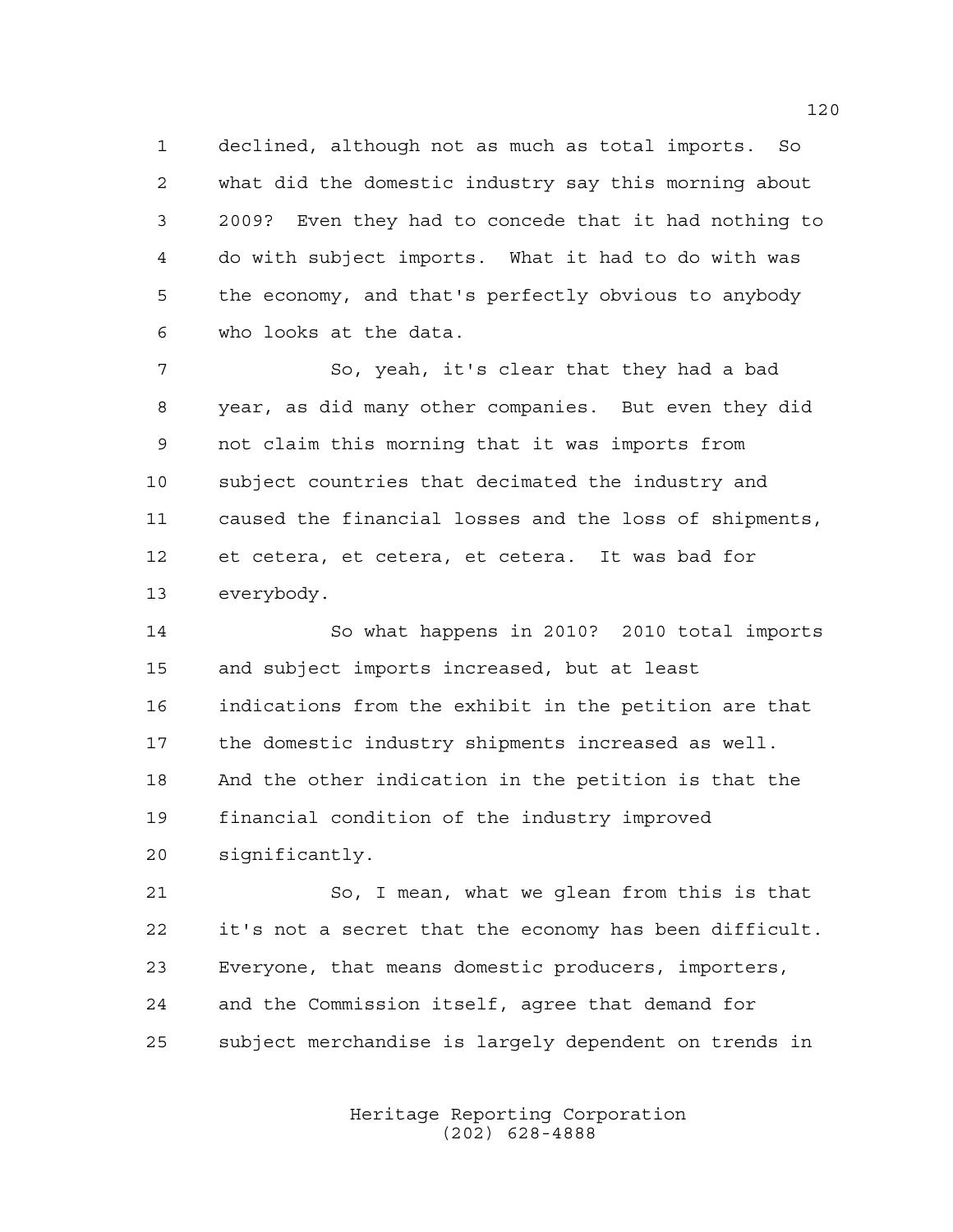declined, although not as much as total imports. So what did the domestic industry say this morning about 2009? Even they had to concede that it had nothing to do with subject imports. What it had to do with was the economy, and that's perfectly obvious to anybody who looks at the data.

 So, yeah, it's clear that they had a bad year, as did many other companies. But even they did not claim this morning that it was imports from subject countries that decimated the industry and caused the financial losses and the loss of shipments, et cetera, et cetera, et cetera. It was bad for everybody.

 So what happens in 2010? 2010 total imports and subject imports increased, but at least indications from the exhibit in the petition are that the domestic industry shipments increased as well. And the other indication in the petition is that the financial condition of the industry improved significantly.

 So, I mean, what we glean from this is that it's not a secret that the economy has been difficult. Everyone, that means domestic producers, importers, and the Commission itself, agree that demand for subject merchandise is largely dependent on trends in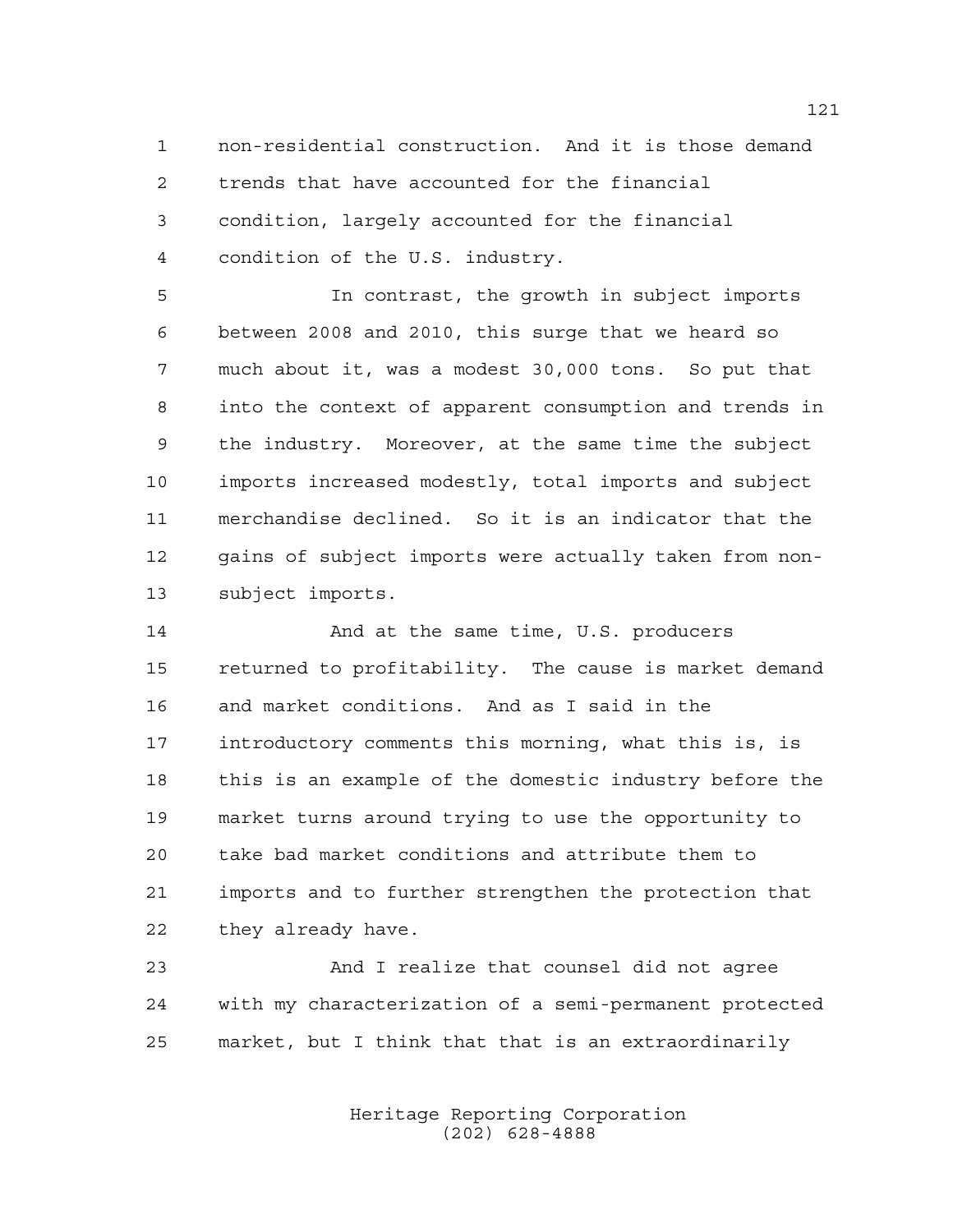non-residential construction. And it is those demand trends that have accounted for the financial condition, largely accounted for the financial condition of the U.S. industry.

 In contrast, the growth in subject imports between 2008 and 2010, this surge that we heard so much about it, was a modest 30,000 tons. So put that into the context of apparent consumption and trends in the industry. Moreover, at the same time the subject imports increased modestly, total imports and subject merchandise declined. So it is an indicator that the gains of subject imports were actually taken from non-subject imports.

 And at the same time, U.S. producers returned to profitability. The cause is market demand and market conditions. And as I said in the introductory comments this morning, what this is, is this is an example of the domestic industry before the market turns around trying to use the opportunity to take bad market conditions and attribute them to imports and to further strengthen the protection that they already have.

 And I realize that counsel did not agree with my characterization of a semi-permanent protected market, but I think that that is an extraordinarily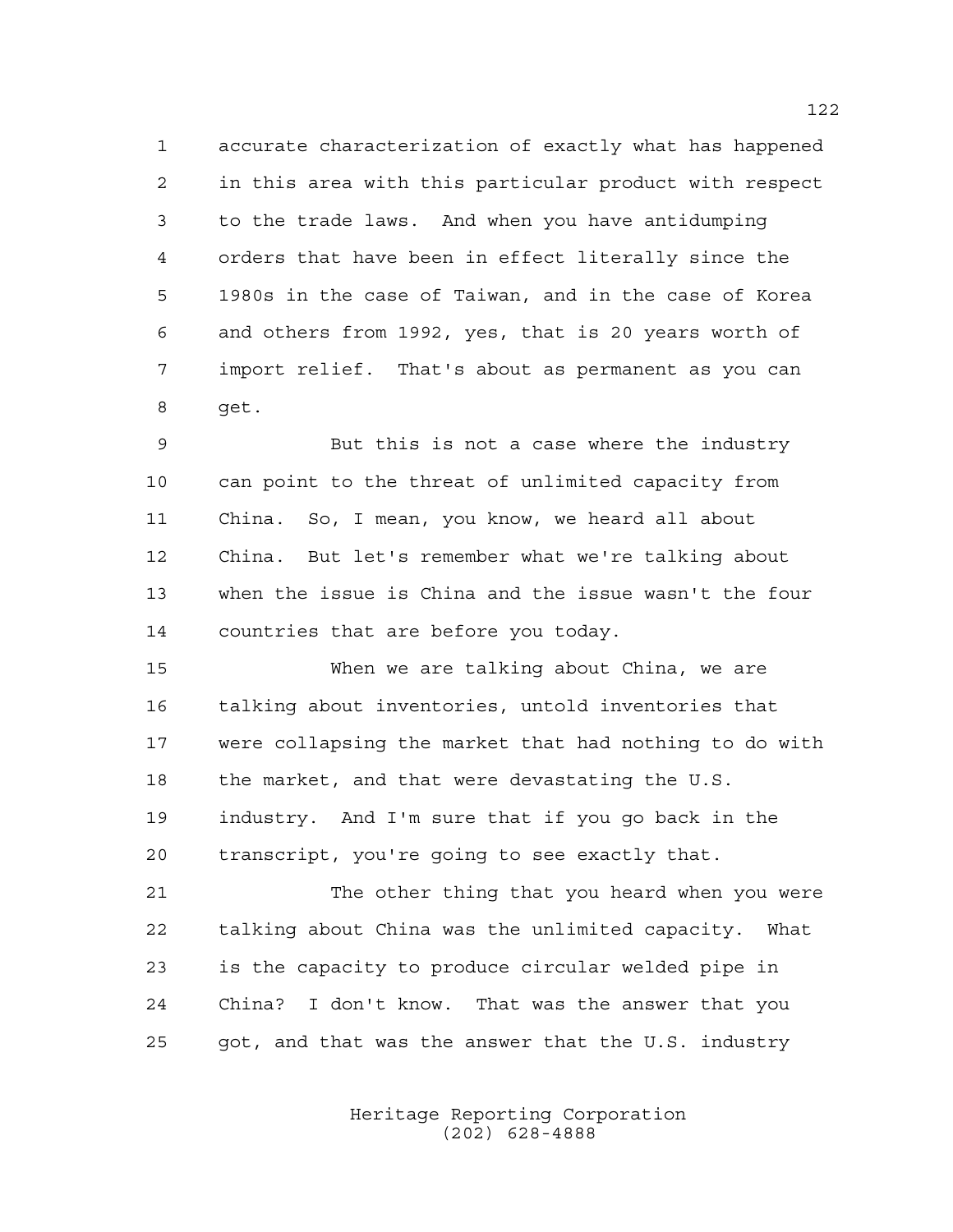accurate characterization of exactly what has happened in this area with this particular product with respect to the trade laws. And when you have antidumping orders that have been in effect literally since the 1980s in the case of Taiwan, and in the case of Korea and others from 1992, yes, that is 20 years worth of import relief. That's about as permanent as you can get.

 But this is not a case where the industry can point to the threat of unlimited capacity from China. So, I mean, you know, we heard all about China. But let's remember what we're talking about when the issue is China and the issue wasn't the four countries that are before you today.

 When we are talking about China, we are talking about inventories, untold inventories that were collapsing the market that had nothing to do with the market, and that were devastating the U.S. industry. And I'm sure that if you go back in the transcript, you're going to see exactly that.

 The other thing that you heard when you were talking about China was the unlimited capacity. What is the capacity to produce circular welded pipe in China? I don't know. That was the answer that you got, and that was the answer that the U.S. industry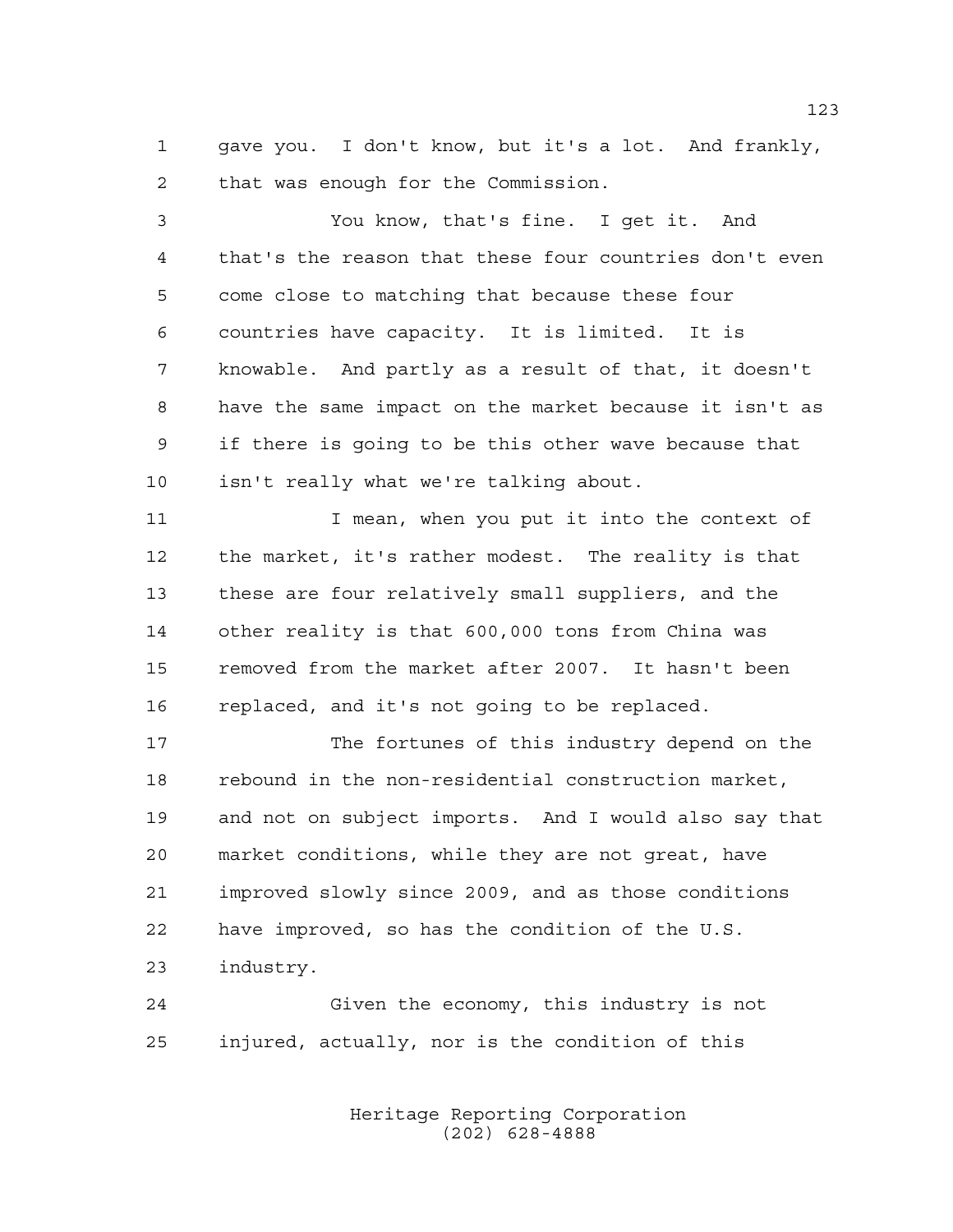gave you. I don't know, but it's a lot. And frankly, that was enough for the Commission.

 You know, that's fine. I get it. And that's the reason that these four countries don't even come close to matching that because these four countries have capacity. It is limited. It is knowable. And partly as a result of that, it doesn't have the same impact on the market because it isn't as if there is going to be this other wave because that isn't really what we're talking about. 11 I mean, when you put it into the context of the market, it's rather modest. The reality is that these are four relatively small suppliers, and the other reality is that 600,000 tons from China was removed from the market after 2007. It hasn't been replaced, and it's not going to be replaced. The fortunes of this industry depend on the rebound in the non-residential construction market, and not on subject imports. And I would also say that market conditions, while they are not great, have improved slowly since 2009, and as those conditions

have improved, so has the condition of the U.S.

industry.

 Given the economy, this industry is not injured, actually, nor is the condition of this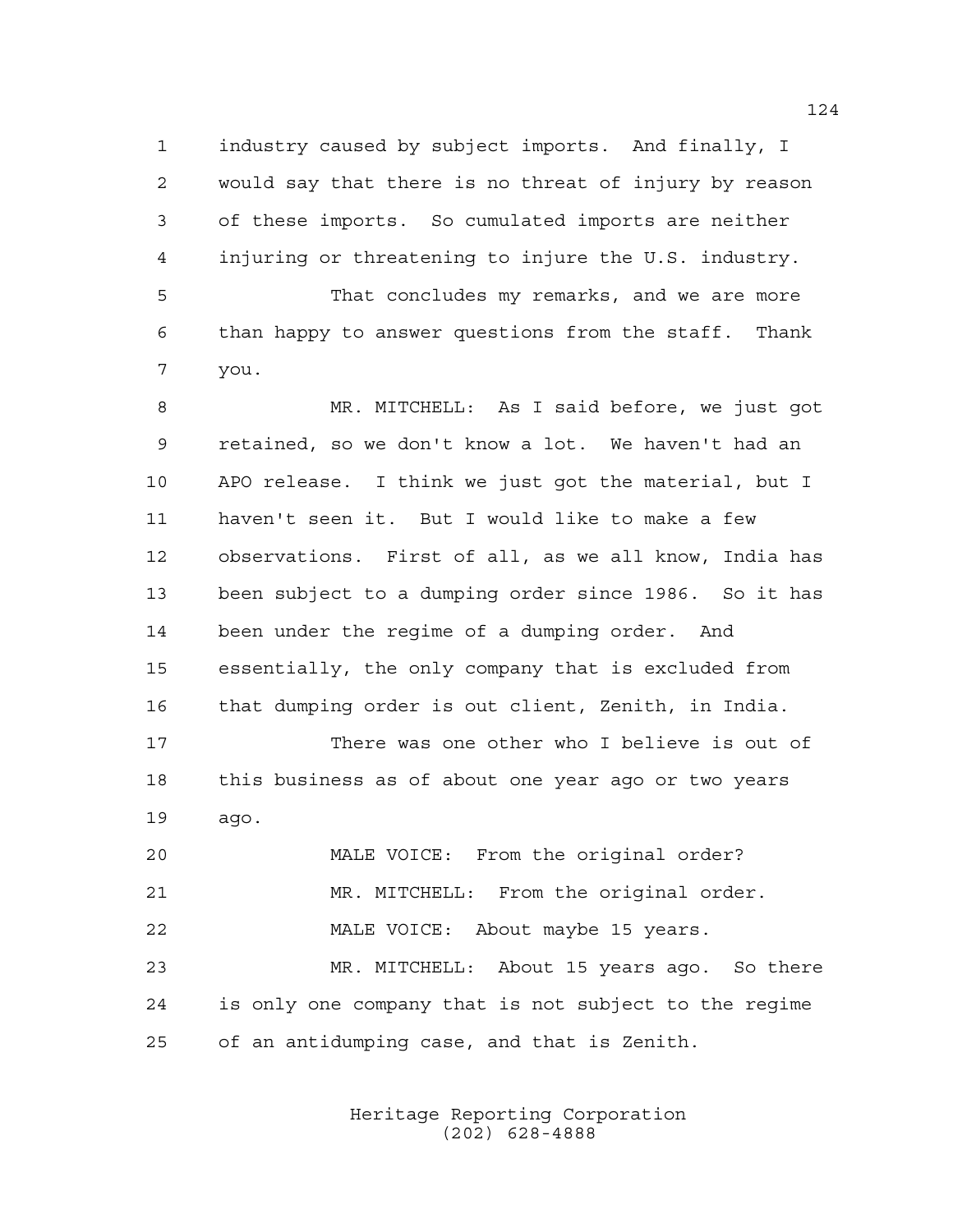industry caused by subject imports. And finally, I would say that there is no threat of injury by reason of these imports. So cumulated imports are neither injuring or threatening to injure the U.S. industry.

 That concludes my remarks, and we are more than happy to answer questions from the staff. Thank you.

 MR. MITCHELL: As I said before, we just got retained, so we don't know a lot. We haven't had an APO release. I think we just got the material, but I haven't seen it. But I would like to make a few observations. First of all, as we all know, India has been subject to a dumping order since 1986. So it has been under the regime of a dumping order. And essentially, the only company that is excluded from that dumping order is out client, Zenith, in India.

 There was one other who I believe is out of this business as of about one year ago or two years ago.

 MALE VOICE: From the original order? MR. MITCHELL: From the original order. MALE VOICE: About maybe 15 years. MR. MITCHELL: About 15 years ago. So there is only one company that is not subject to the regime of an antidumping case, and that is Zenith.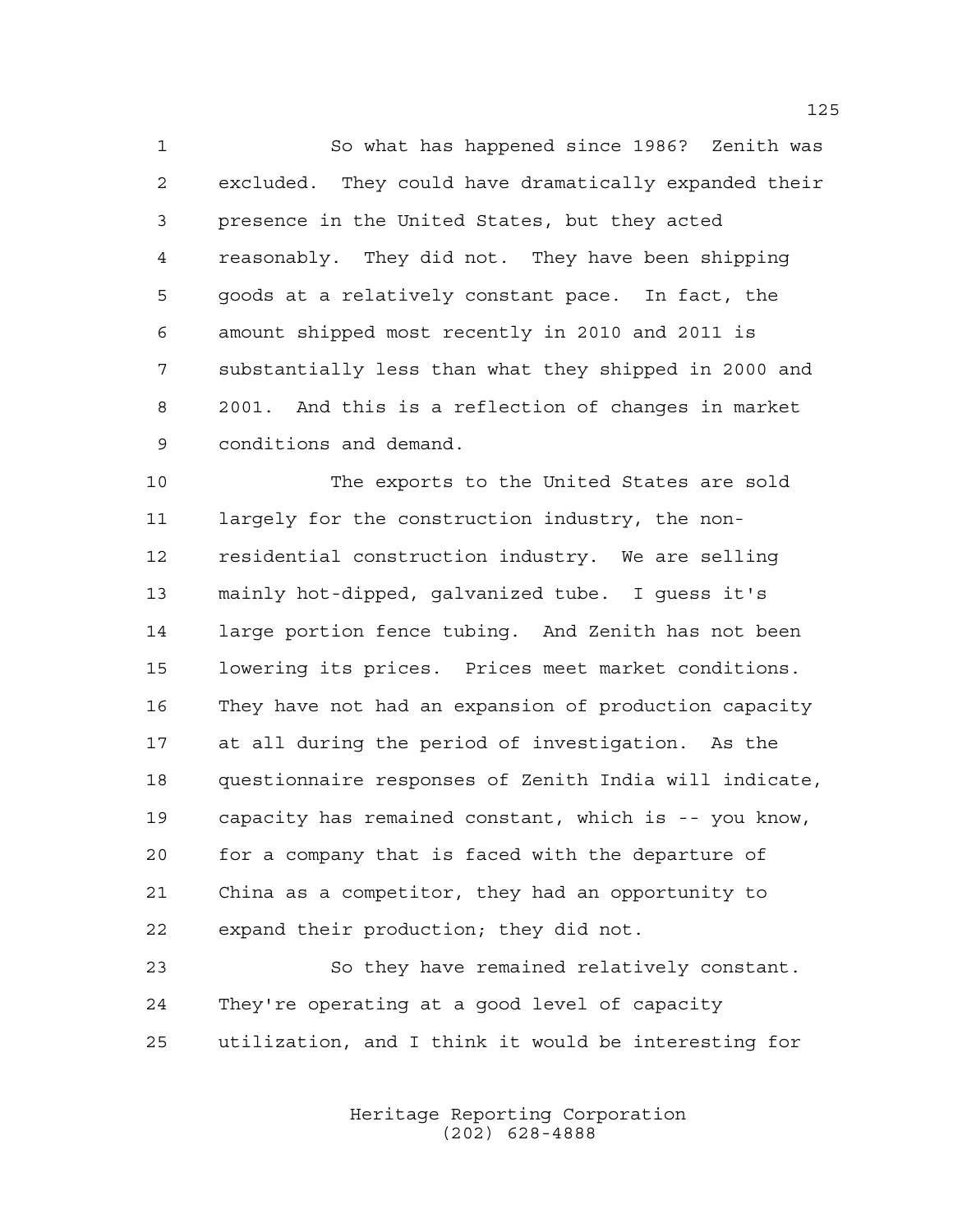So what has happened since 1986? Zenith was excluded. They could have dramatically expanded their presence in the United States, but they acted reasonably. They did not. They have been shipping goods at a relatively constant pace. In fact, the amount shipped most recently in 2010 and 2011 is substantially less than what they shipped in 2000 and 2001. And this is a reflection of changes in market conditions and demand.

 The exports to the United States are sold largely for the construction industry, the non- residential construction industry. We are selling mainly hot-dipped, galvanized tube. I guess it's large portion fence tubing. And Zenith has not been lowering its prices. Prices meet market conditions. They have not had an expansion of production capacity at all during the period of investigation. As the questionnaire responses of Zenith India will indicate, capacity has remained constant, which is -- you know, for a company that is faced with the departure of China as a competitor, they had an opportunity to expand their production; they did not.

 So they have remained relatively constant. They're operating at a good level of capacity utilization, and I think it would be interesting for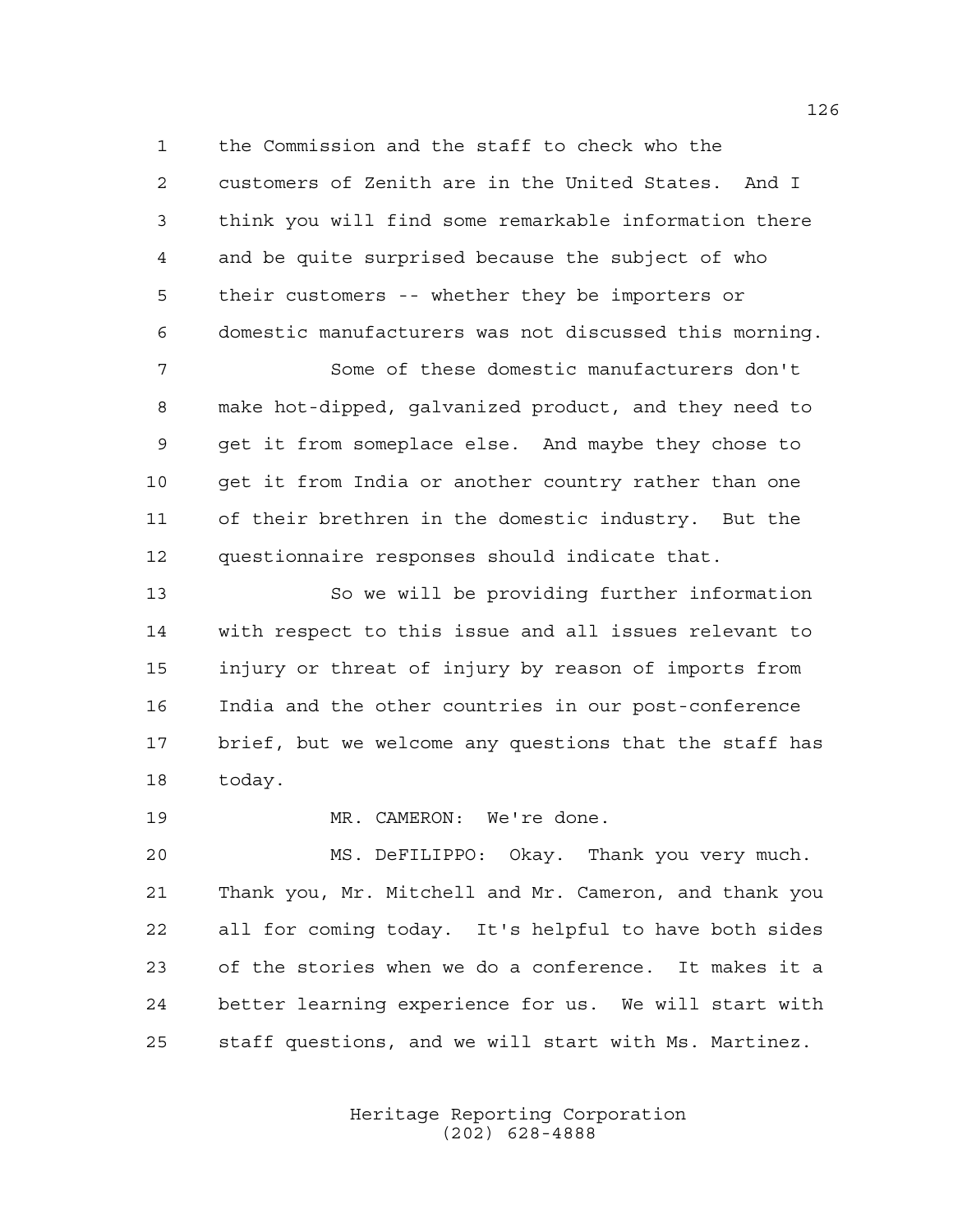the Commission and the staff to check who the customers of Zenith are in the United States. And I think you will find some remarkable information there and be quite surprised because the subject of who their customers -- whether they be importers or domestic manufacturers was not discussed this morning.

 Some of these domestic manufacturers don't make hot-dipped, galvanized product, and they need to get it from someplace else. And maybe they chose to get it from India or another country rather than one of their brethren in the domestic industry. But the questionnaire responses should indicate that.

 So we will be providing further information with respect to this issue and all issues relevant to injury or threat of injury by reason of imports from India and the other countries in our post-conference brief, but we welcome any questions that the staff has today.

MR. CAMERON: We're done.

 MS. DeFILIPPO: Okay. Thank you very much. Thank you, Mr. Mitchell and Mr. Cameron, and thank you all for coming today. It's helpful to have both sides of the stories when we do a conference. It makes it a better learning experience for us. We will start with staff questions, and we will start with Ms. Martinez.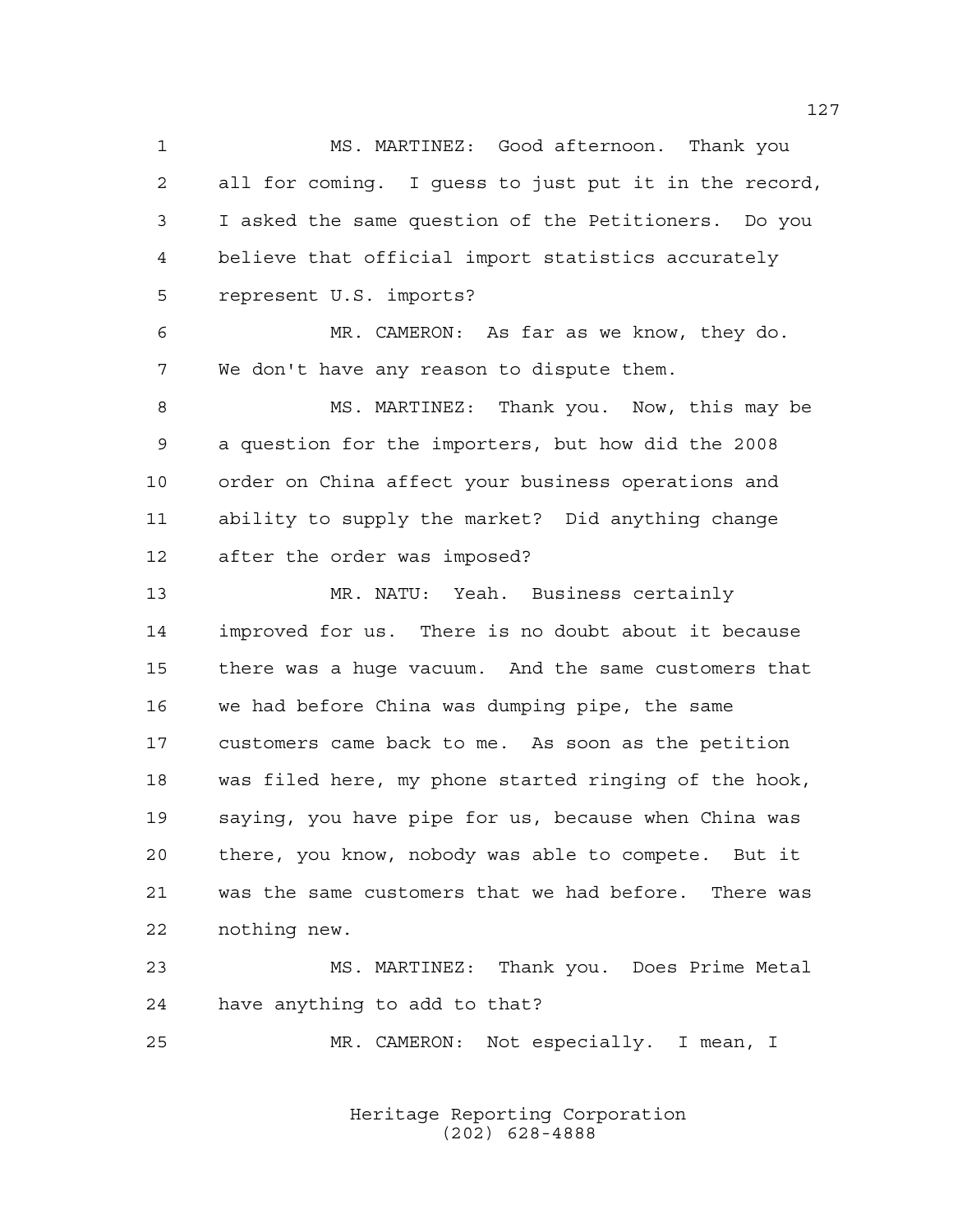MS. MARTINEZ: Good afternoon. Thank you all for coming. I guess to just put it in the record, I asked the same question of the Petitioners. Do you believe that official import statistics accurately represent U.S. imports?

 MR. CAMERON: As far as we know, they do. We don't have any reason to dispute them.

 MS. MARTINEZ: Thank you. Now, this may be a question for the importers, but how did the 2008 order on China affect your business operations and ability to supply the market? Did anything change after the order was imposed?

 MR. NATU: Yeah. Business certainly improved for us. There is no doubt about it because there was a huge vacuum. And the same customers that we had before China was dumping pipe, the same customers came back to me. As soon as the petition was filed here, my phone started ringing of the hook, saying, you have pipe for us, because when China was there, you know, nobody was able to compete. But it was the same customers that we had before. There was nothing new.

 MS. MARTINEZ: Thank you. Does Prime Metal have anything to add to that?

MR. CAMERON: Not especially. I mean, I

Heritage Reporting Corporation (202) 628-4888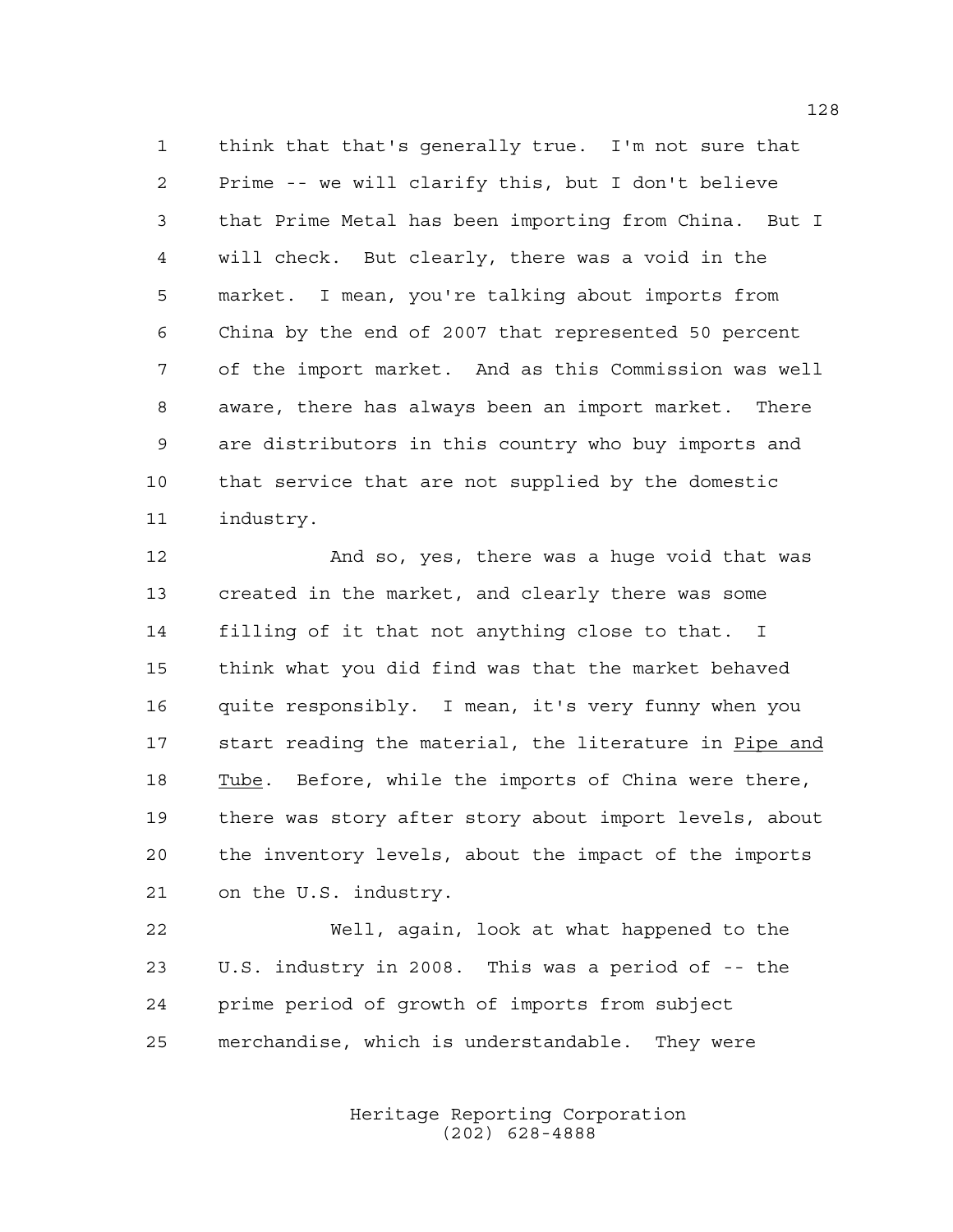think that that's generally true. I'm not sure that Prime -- we will clarify this, but I don't believe that Prime Metal has been importing from China. But I will check. But clearly, there was a void in the market. I mean, you're talking about imports from China by the end of 2007 that represented 50 percent of the import market. And as this Commission was well aware, there has always been an import market. There are distributors in this country who buy imports and that service that are not supplied by the domestic industry.

 And so, yes, there was a huge void that was created in the market, and clearly there was some filling of it that not anything close to that. I think what you did find was that the market behaved quite responsibly. I mean, it's very funny when you 17 start reading the material, the literature in Pipe and 18 Tube. Before, while the imports of China were there, there was story after story about import levels, about the inventory levels, about the impact of the imports on the U.S. industry.

 Well, again, look at what happened to the U.S. industry in 2008. This was a period of -- the prime period of growth of imports from subject merchandise, which is understandable. They were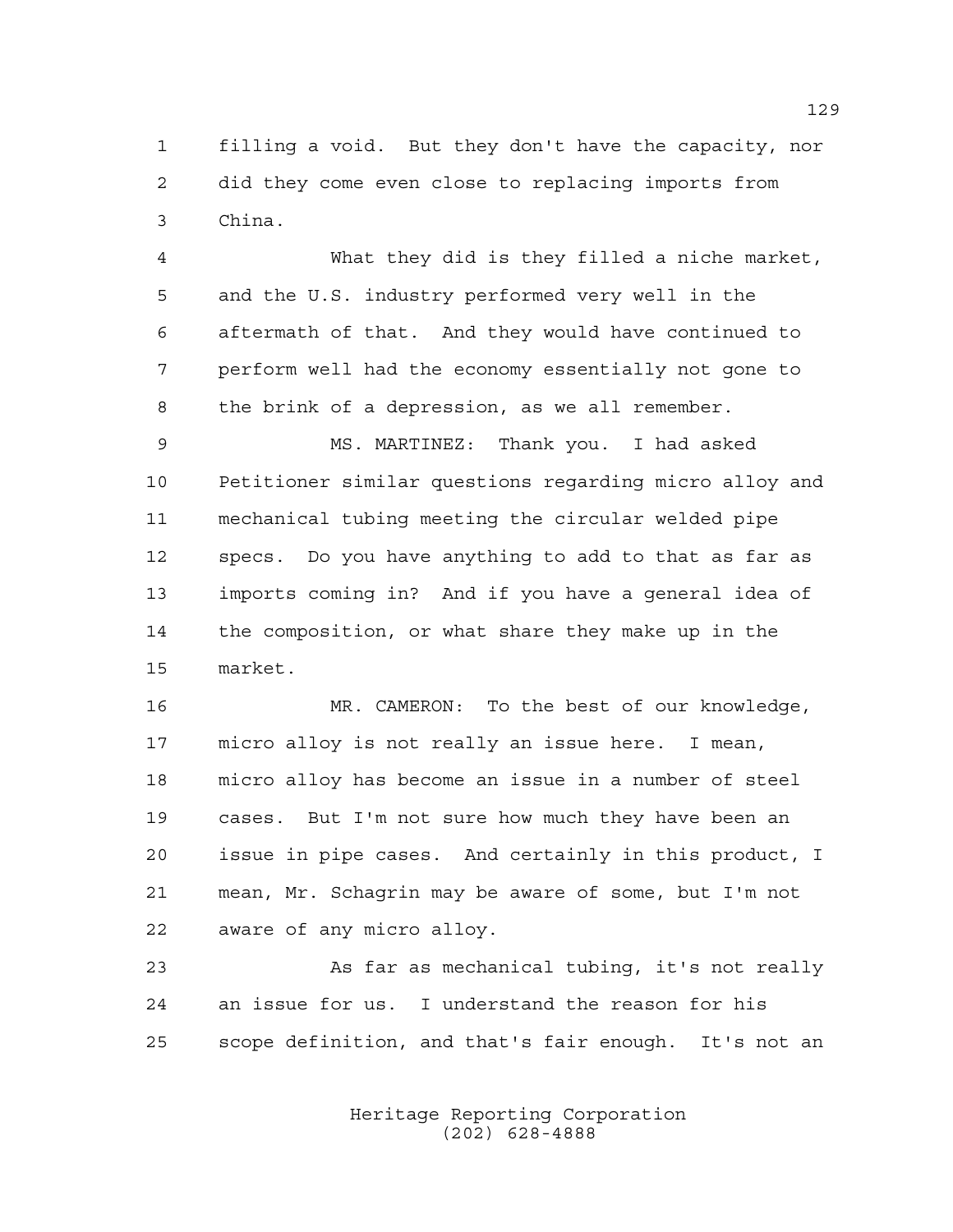filling a void. But they don't have the capacity, nor did they come even close to replacing imports from China.

 What they did is they filled a niche market, and the U.S. industry performed very well in the aftermath of that. And they would have continued to perform well had the economy essentially not gone to the brink of a depression, as we all remember.

 MS. MARTINEZ: Thank you. I had asked Petitioner similar questions regarding micro alloy and mechanical tubing meeting the circular welded pipe specs. Do you have anything to add to that as far as imports coming in? And if you have a general idea of the composition, or what share they make up in the market.

 MR. CAMERON: To the best of our knowledge, micro alloy is not really an issue here. I mean, micro alloy has become an issue in a number of steel cases. But I'm not sure how much they have been an issue in pipe cases. And certainly in this product, I mean, Mr. Schagrin may be aware of some, but I'm not aware of any micro alloy.

 As far as mechanical tubing, it's not really an issue for us. I understand the reason for his scope definition, and that's fair enough. It's not an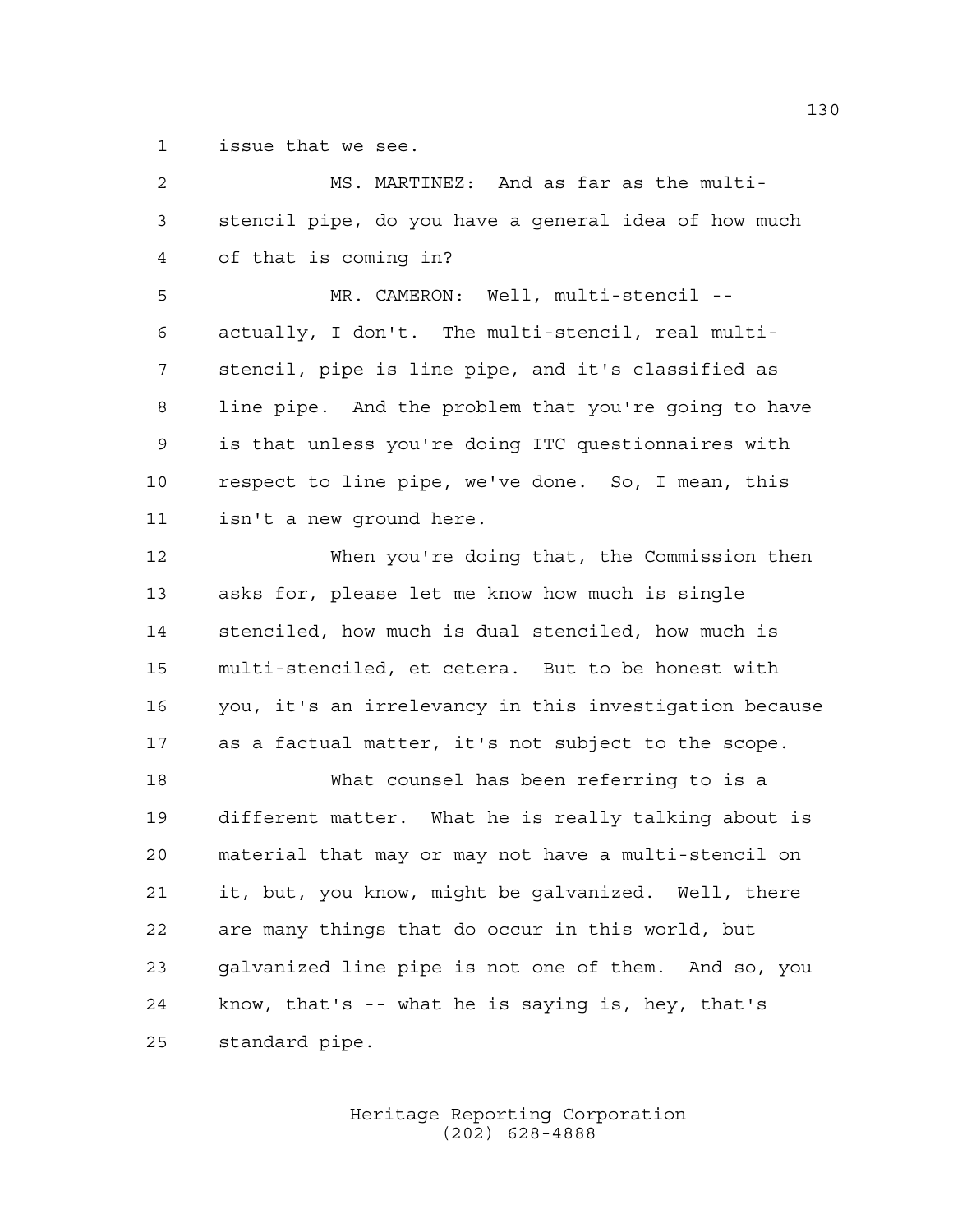issue that we see.

| 2  | MS. MARTINEZ: And as far as the multi-                 |
|----|--------------------------------------------------------|
| 3  | stencil pipe, do you have a general idea of how much   |
| 4  | of that is coming in?                                  |
| 5  | MR. CAMERON: Well, multi-stencil --                    |
| 6  | actually, I don't. The multi-stencil, real multi-      |
| 7  | stencil, pipe is line pipe, and it's classified as     |
| 8  | line pipe. And the problem that you're going to have   |
| 9  | is that unless you're doing ITC questionnaires with    |
| 10 | respect to line pipe, we've done. So, I mean, this     |
| 11 | isn't a new ground here.                               |
| 12 | When you're doing that, the Commission then            |
| 13 | asks for, please let me know how much is single        |
| 14 | stenciled, how much is dual stenciled, how much is     |
| 15 | multi-stenciled, et cetera. But to be honest with      |
| 16 | you, it's an irrelevancy in this investigation because |
| 17 | as a factual matter, it's not subject to the scope.    |
| 18 | What counsel has been referring to is a                |
| 19 | different matter. What he is really talking about is   |
| 20 | material that may or may not have a multi-stencil on   |
| 21 | it, but, you know, might be galvanized. Well, there    |
| 22 | are many things that do occur in this world, but       |
| 23 | galvanized line pipe is not one of them. And so, you   |
| 24 | know, that's -- what he is saying is, hey, that's      |
| 25 | standard pipe.                                         |
|    |                                                        |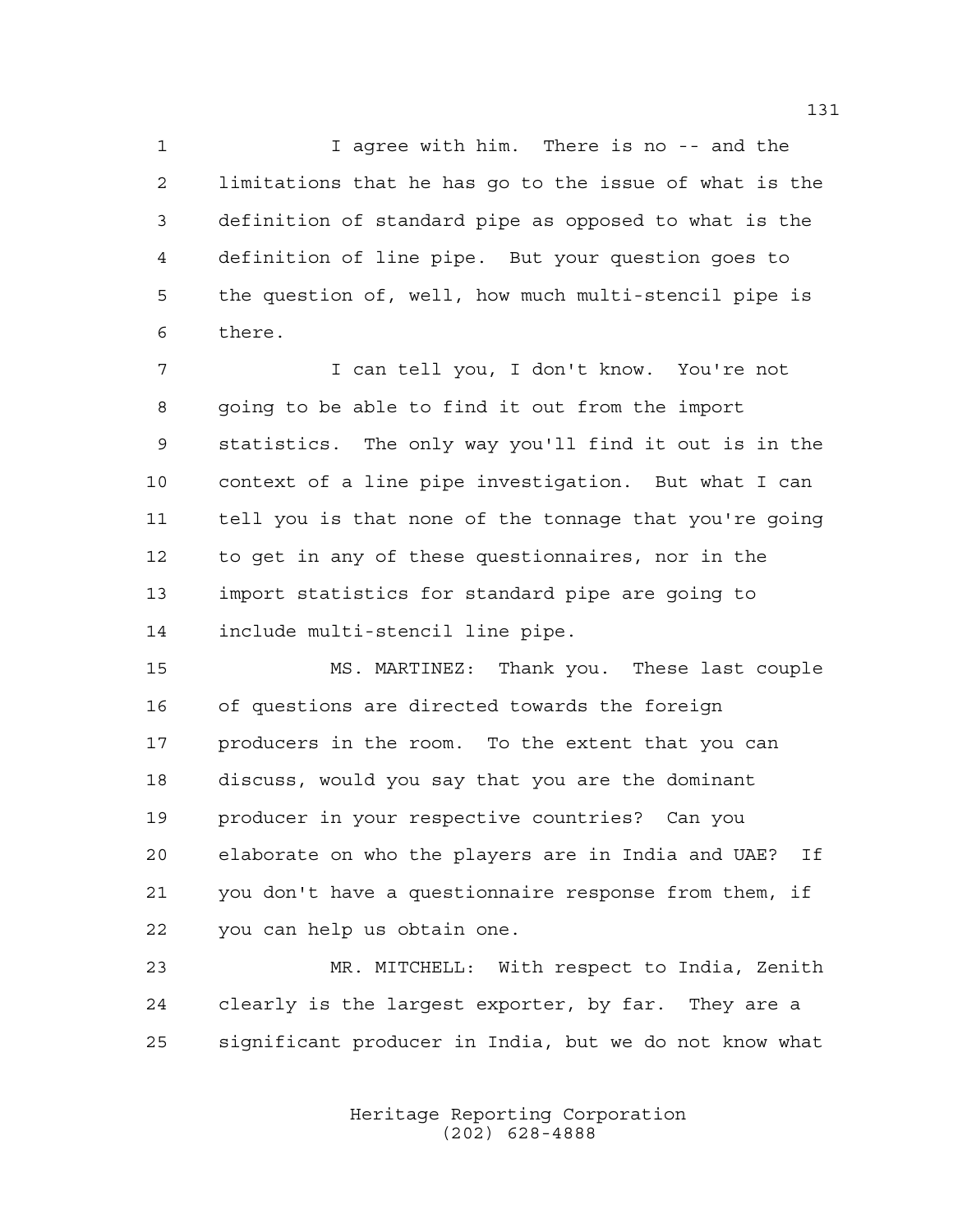I agree with him. There is no -- and the limitations that he has go to the issue of what is the definition of standard pipe as opposed to what is the definition of line pipe. But your question goes to the question of, well, how much multi-stencil pipe is there.

 I can tell you, I don't know. You're not going to be able to find it out from the import statistics. The only way you'll find it out is in the context of a line pipe investigation. But what I can tell you is that none of the tonnage that you're going to get in any of these questionnaires, nor in the import statistics for standard pipe are going to include multi-stencil line pipe.

 MS. MARTINEZ: Thank you. These last couple of questions are directed towards the foreign producers in the room. To the extent that you can discuss, would you say that you are the dominant producer in your respective countries? Can you elaborate on who the players are in India and UAE? If you don't have a questionnaire response from them, if you can help us obtain one.

 MR. MITCHELL: With respect to India, Zenith clearly is the largest exporter, by far. They are a significant producer in India, but we do not know what

> Heritage Reporting Corporation (202) 628-4888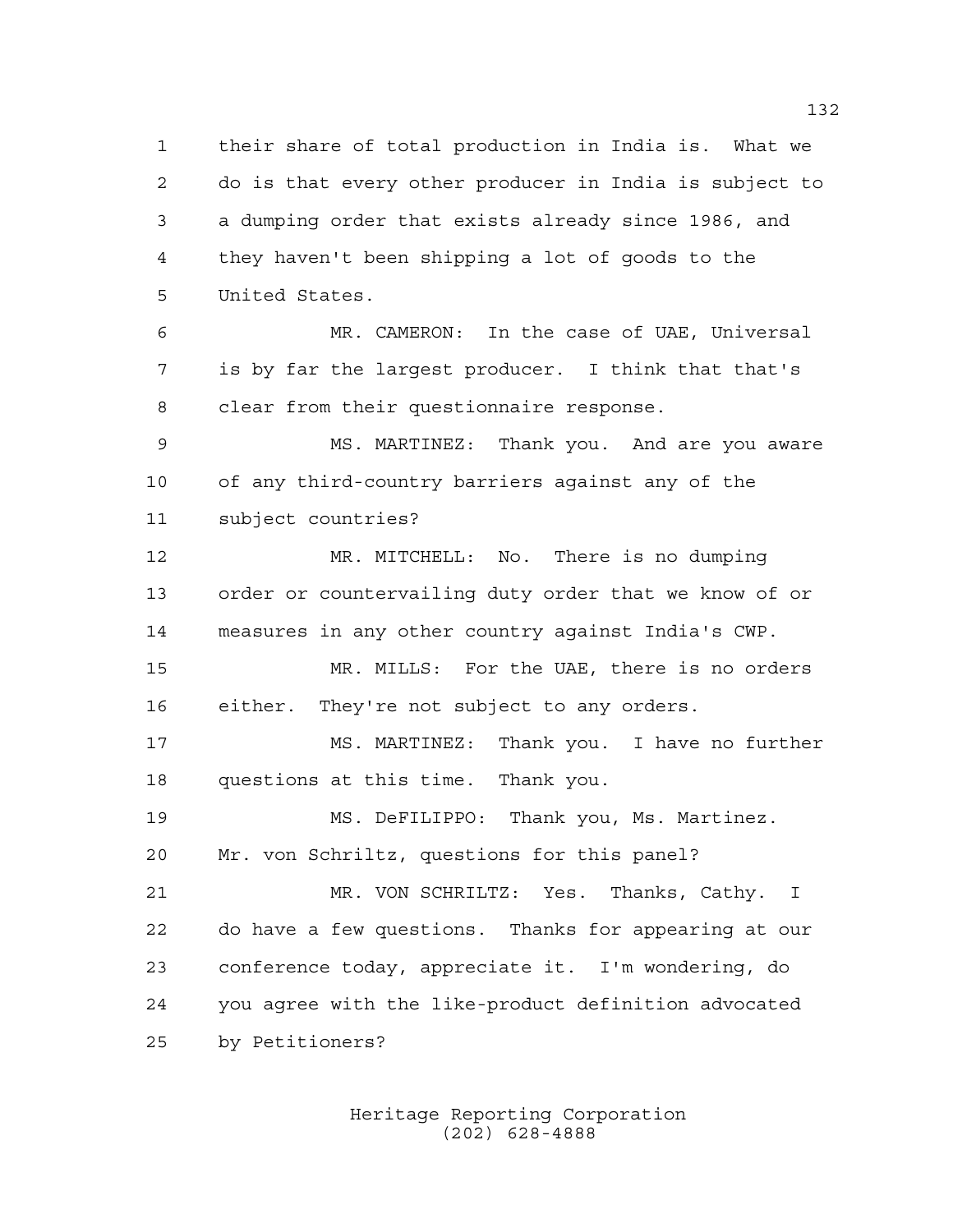their share of total production in India is. What we do is that every other producer in India is subject to a dumping order that exists already since 1986, and they haven't been shipping a lot of goods to the United States.

 MR. CAMERON: In the case of UAE, Universal is by far the largest producer. I think that that's clear from their questionnaire response.

 MS. MARTINEZ: Thank you. And are you aware of any third-country barriers against any of the subject countries?

 MR. MITCHELL: No. There is no dumping order or countervailing duty order that we know of or measures in any other country against India's CWP.

 MR. MILLS: For the UAE, there is no orders either. They're not subject to any orders.

 MS. MARTINEZ: Thank you. I have no further questions at this time. Thank you.

 MS. DeFILIPPO: Thank you, Ms. Martinez. Mr. von Schriltz, questions for this panel?

 MR. VON SCHRILTZ: Yes. Thanks, Cathy. I do have a few questions. Thanks for appearing at our conference today, appreciate it. I'm wondering, do you agree with the like-product definition advocated by Petitioners?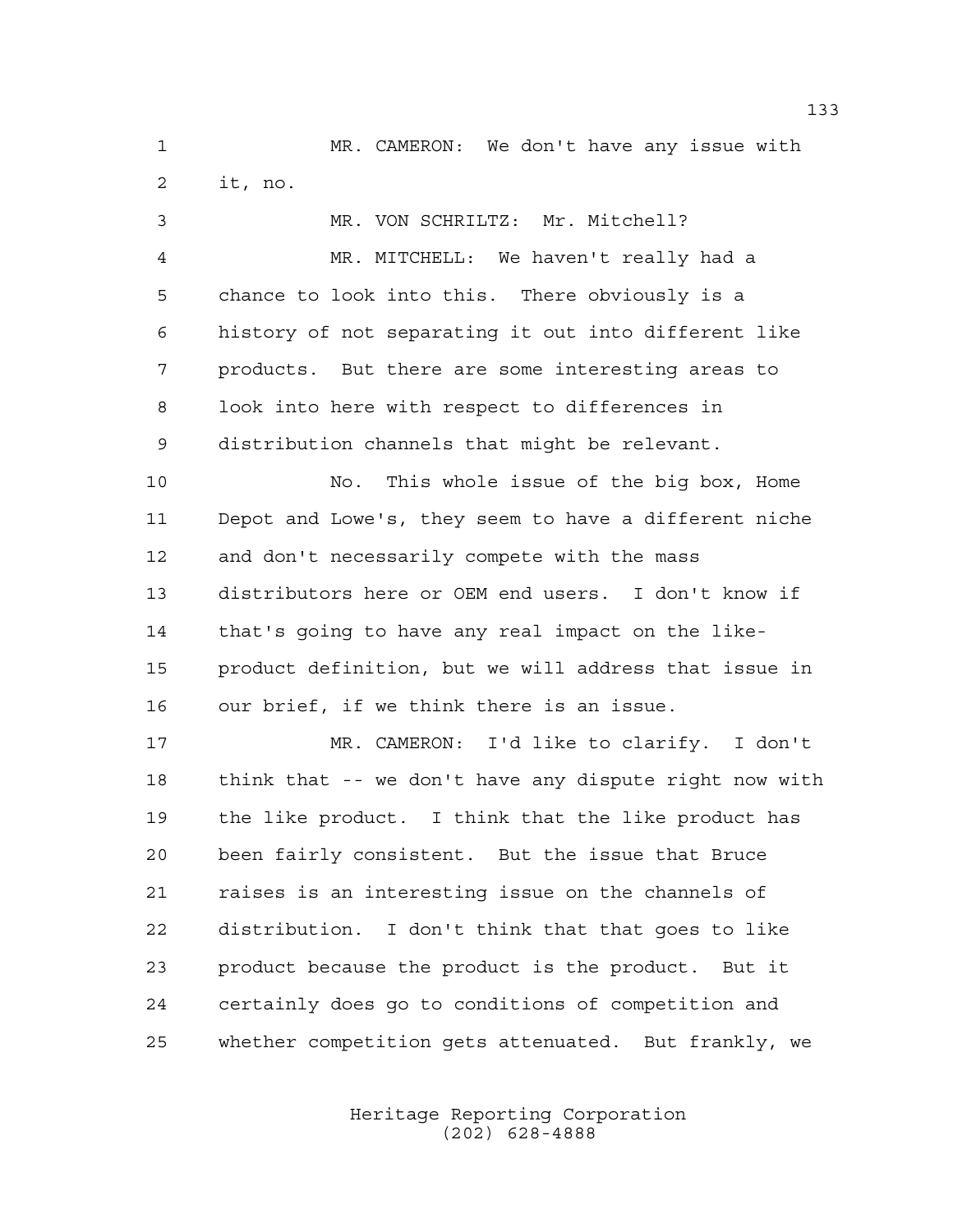MR. CAMERON: We don't have any issue with it, no.

 MR. VON SCHRILTZ: Mr. Mitchell? MR. MITCHELL: We haven't really had a chance to look into this. There obviously is a history of not separating it out into different like products. But there are some interesting areas to look into here with respect to differences in distribution channels that might be relevant. No. This whole issue of the big box, Home Depot and Lowe's, they seem to have a different niche and don't necessarily compete with the mass distributors here or OEM end users. I don't know if that's going to have any real impact on the like- product definition, but we will address that issue in our brief, if we think there is an issue. MR. CAMERON: I'd like to clarify. I don't think that -- we don't have any dispute right now with the like product. I think that the like product has been fairly consistent. But the issue that Bruce raises is an interesting issue on the channels of distribution. I don't think that that goes to like

 product because the product is the product. But it certainly does go to conditions of competition and whether competition gets attenuated. But frankly, we

> Heritage Reporting Corporation (202) 628-4888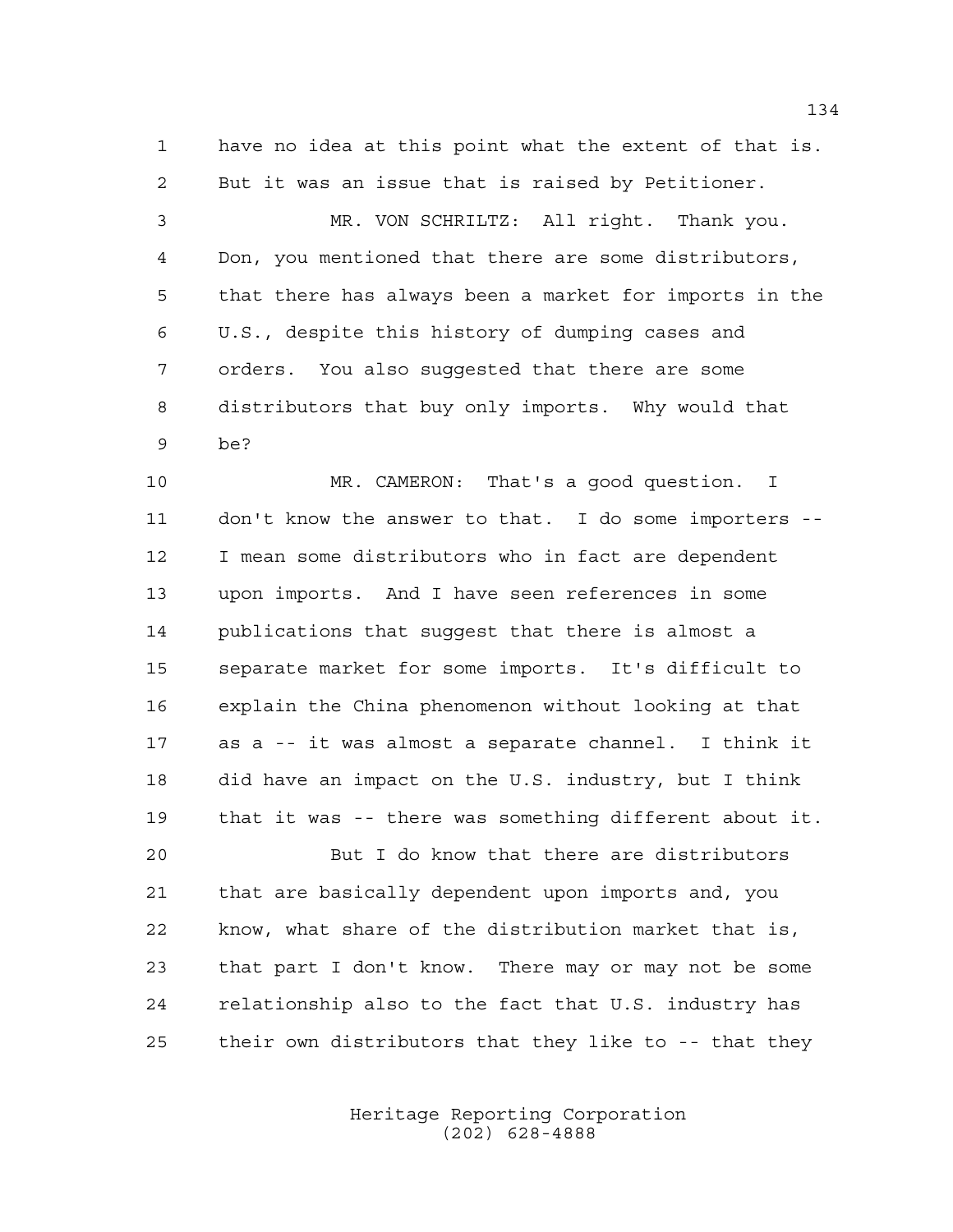have no idea at this point what the extent of that is. But it was an issue that is raised by Petitioner.

 MR. VON SCHRILTZ: All right. Thank you. Don, you mentioned that there are some distributors, that there has always been a market for imports in the U.S., despite this history of dumping cases and orders. You also suggested that there are some distributors that buy only imports. Why would that be?

 MR. CAMERON: That's a good question. I don't know the answer to that. I do some importers -- I mean some distributors who in fact are dependent upon imports. And I have seen references in some publications that suggest that there is almost a separate market for some imports. It's difficult to explain the China phenomenon without looking at that as a -- it was almost a separate channel. I think it did have an impact on the U.S. industry, but I think that it was -- there was something different about it.

 But I do know that there are distributors that are basically dependent upon imports and, you know, what share of the distribution market that is, that part I don't know. There may or may not be some relationship also to the fact that U.S. industry has their own distributors that they like to -- that they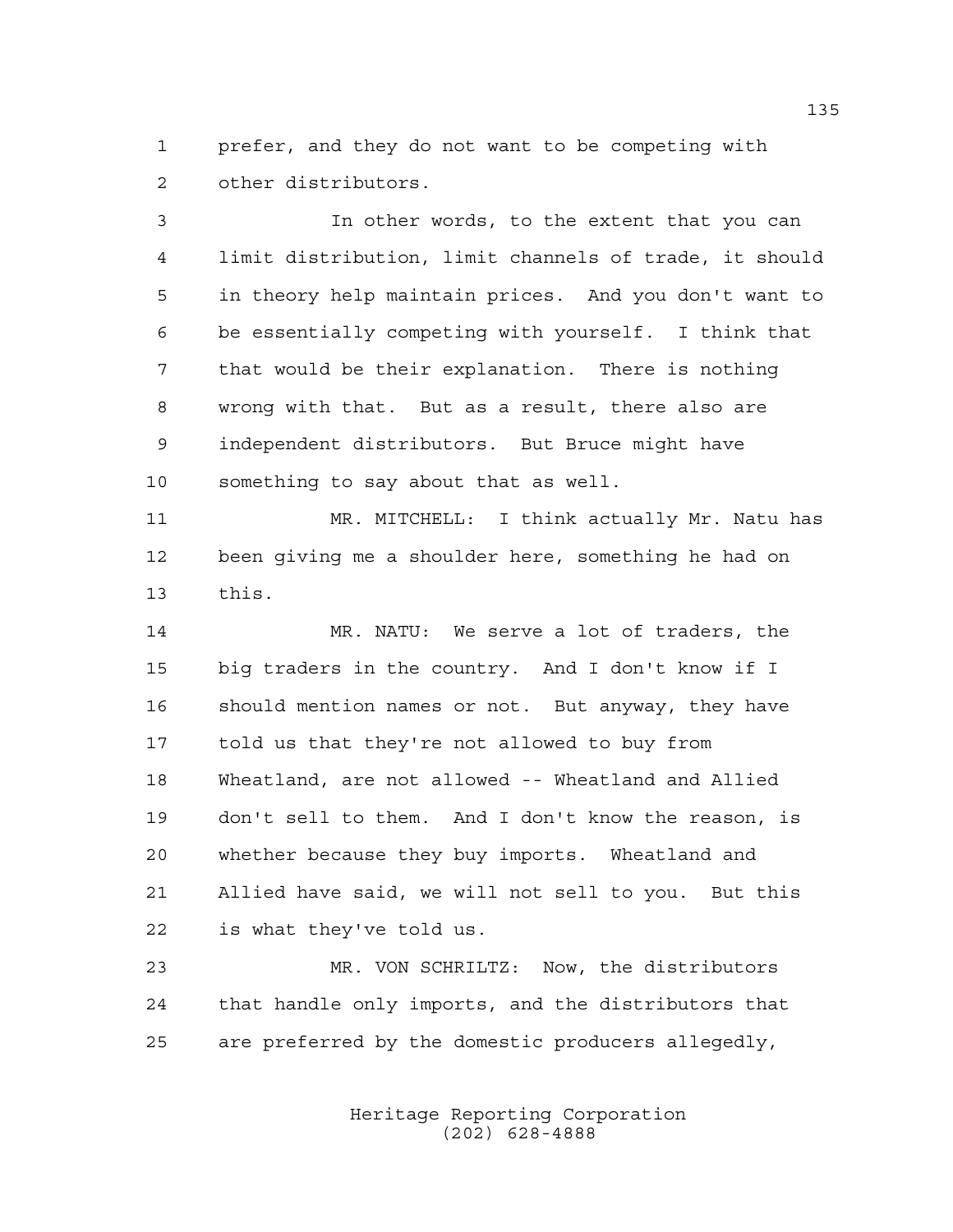prefer, and they do not want to be competing with other distributors.

 In other words, to the extent that you can limit distribution, limit channels of trade, it should in theory help maintain prices. And you don't want to be essentially competing with yourself. I think that that would be their explanation. There is nothing wrong with that. But as a result, there also are independent distributors. But Bruce might have something to say about that as well.

 MR. MITCHELL: I think actually Mr. Natu has been giving me a shoulder here, something he had on this.

 MR. NATU: We serve a lot of traders, the big traders in the country. And I don't know if I should mention names or not. But anyway, they have told us that they're not allowed to buy from Wheatland, are not allowed -- Wheatland and Allied don't sell to them. And I don't know the reason, is whether because they buy imports. Wheatland and Allied have said, we will not sell to you. But this is what they've told us.

 MR. VON SCHRILTZ: Now, the distributors that handle only imports, and the distributors that are preferred by the domestic producers allegedly,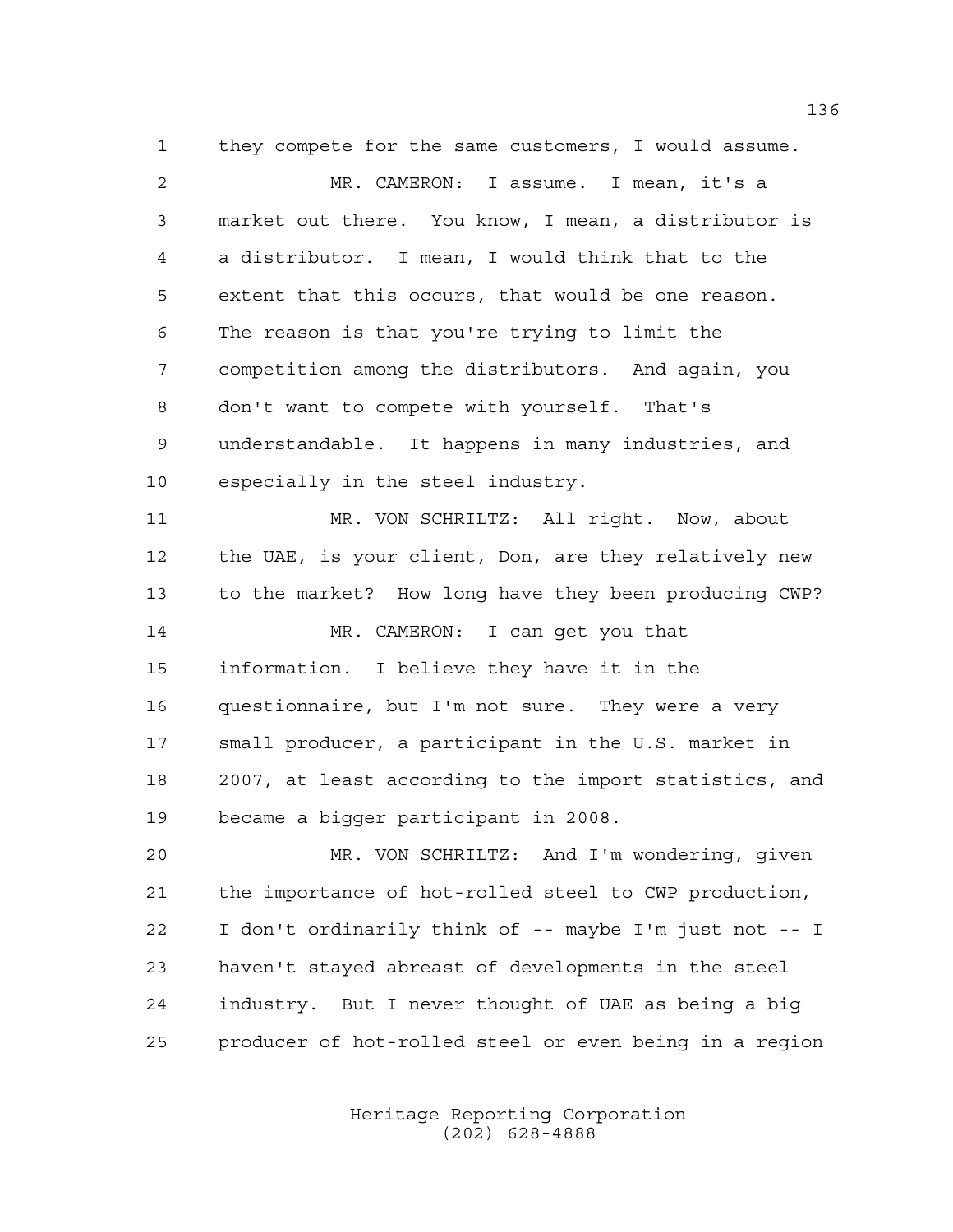they compete for the same customers, I would assume. MR. CAMERON: I assume. I mean, it's a market out there. You know, I mean, a distributor is a distributor. I mean, I would think that to the extent that this occurs, that would be one reason. The reason is that you're trying to limit the competition among the distributors. And again, you don't want to compete with yourself. That's understandable. It happens in many industries, and especially in the steel industry. MR. VON SCHRILTZ: All right. Now, about

 the UAE, is your client, Don, are they relatively new to the market? How long have they been producing CWP? MR. CAMERON: I can get you that information. I believe they have it in the questionnaire, but I'm not sure. They were a very small producer, a participant in the U.S. market in 2007, at least according to the import statistics, and became a bigger participant in 2008.

 MR. VON SCHRILTZ: And I'm wondering, given the importance of hot-rolled steel to CWP production, I don't ordinarily think of -- maybe I'm just not -- I haven't stayed abreast of developments in the steel industry. But I never thought of UAE as being a big producer of hot-rolled steel or even being in a region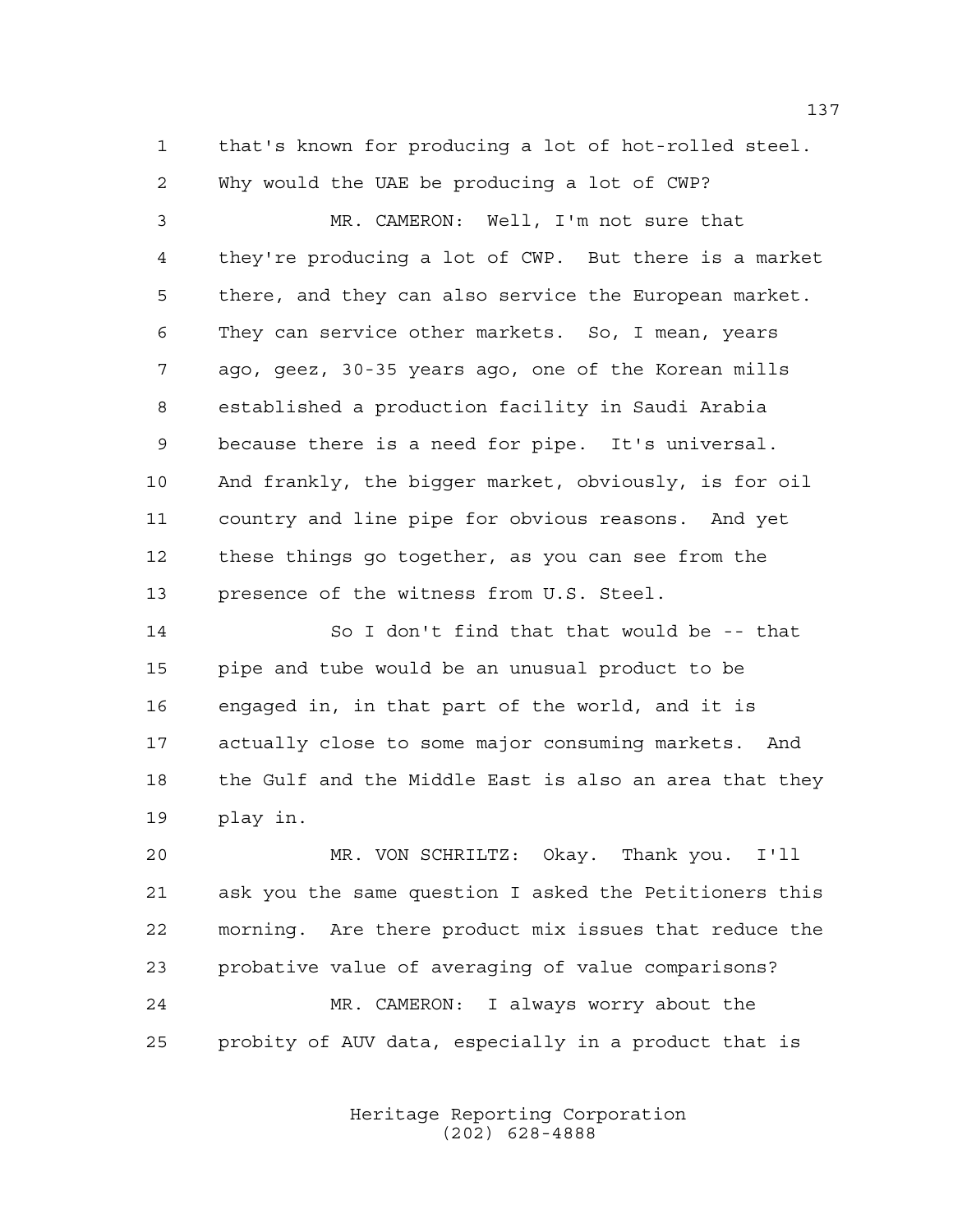that's known for producing a lot of hot-rolled steel. Why would the UAE be producing a lot of CWP?

 MR. CAMERON: Well, I'm not sure that they're producing a lot of CWP. But there is a market there, and they can also service the European market. They can service other markets. So, I mean, years ago, geez, 30-35 years ago, one of the Korean mills established a production facility in Saudi Arabia because there is a need for pipe. It's universal. And frankly, the bigger market, obviously, is for oil country and line pipe for obvious reasons. And yet these things go together, as you can see from the 13 presence of the witness from U.S. Steel.

 So I don't find that that would be -- that pipe and tube would be an unusual product to be engaged in, in that part of the world, and it is actually close to some major consuming markets. And the Gulf and the Middle East is also an area that they play in.

 MR. VON SCHRILTZ: Okay. Thank you. I'll ask you the same question I asked the Petitioners this morning. Are there product mix issues that reduce the probative value of averaging of value comparisons? MR. CAMERON: I always worry about the probity of AUV data, especially in a product that is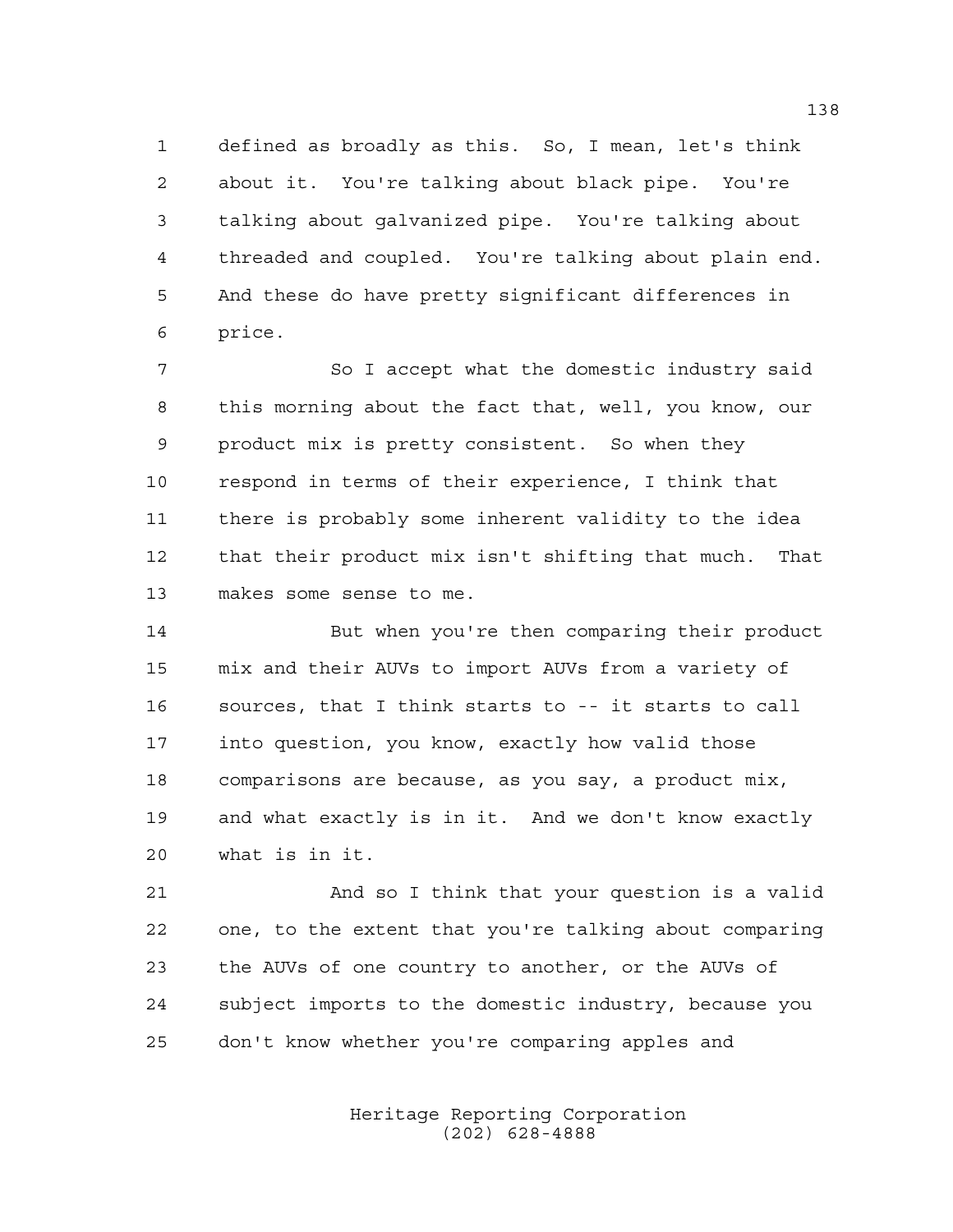defined as broadly as this. So, I mean, let's think about it. You're talking about black pipe. You're talking about galvanized pipe. You're talking about threaded and coupled. You're talking about plain end. And these do have pretty significant differences in price.

7 So I accept what the domestic industry said this morning about the fact that, well, you know, our product mix is pretty consistent. So when they respond in terms of their experience, I think that there is probably some inherent validity to the idea that their product mix isn't shifting that much. That makes some sense to me.

 But when you're then comparing their product mix and their AUVs to import AUVs from a variety of sources, that I think starts to -- it starts to call into question, you know, exactly how valid those comparisons are because, as you say, a product mix, and what exactly is in it. And we don't know exactly what is in it.

 And so I think that your question is a valid one, to the extent that you're talking about comparing the AUVs of one country to another, or the AUVs of subject imports to the domestic industry, because you don't know whether you're comparing apples and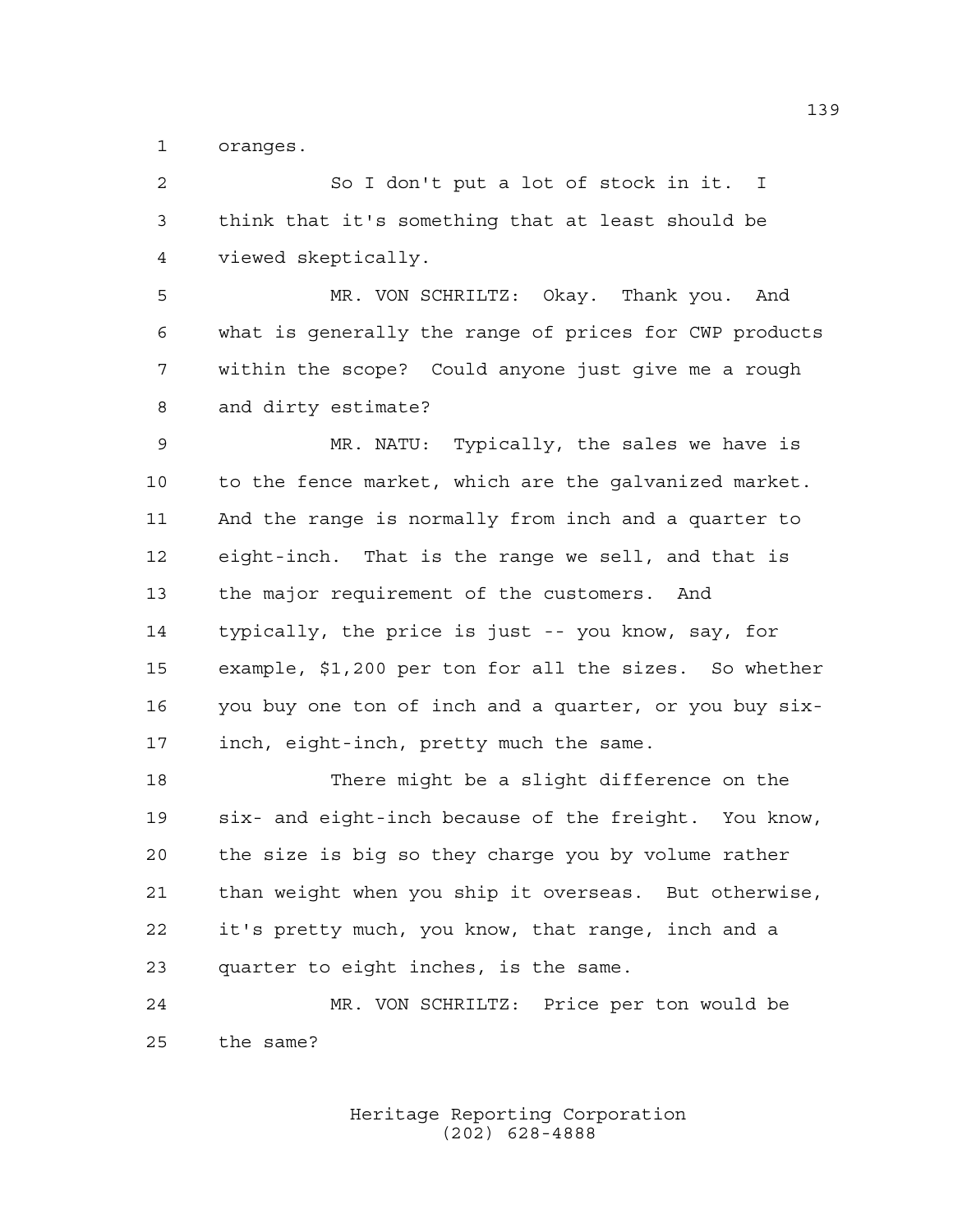oranges.

 So I don't put a lot of stock in it. I think that it's something that at least should be viewed skeptically.

 MR. VON SCHRILTZ: Okay. Thank you. And what is generally the range of prices for CWP products within the scope? Could anyone just give me a rough and dirty estimate?

 MR. NATU: Typically, the sales we have is to the fence market, which are the galvanized market. And the range is normally from inch and a quarter to eight-inch. That is the range we sell, and that is the major requirement of the customers. And typically, the price is just -- you know, say, for example, \$1,200 per ton for all the sizes. So whether you buy one ton of inch and a quarter, or you buy six-inch, eight-inch, pretty much the same.

 There might be a slight difference on the six- and eight-inch because of the freight. You know, the size is big so they charge you by volume rather than weight when you ship it overseas. But otherwise, it's pretty much, you know, that range, inch and a quarter to eight inches, is the same.

 MR. VON SCHRILTZ: Price per ton would be the same?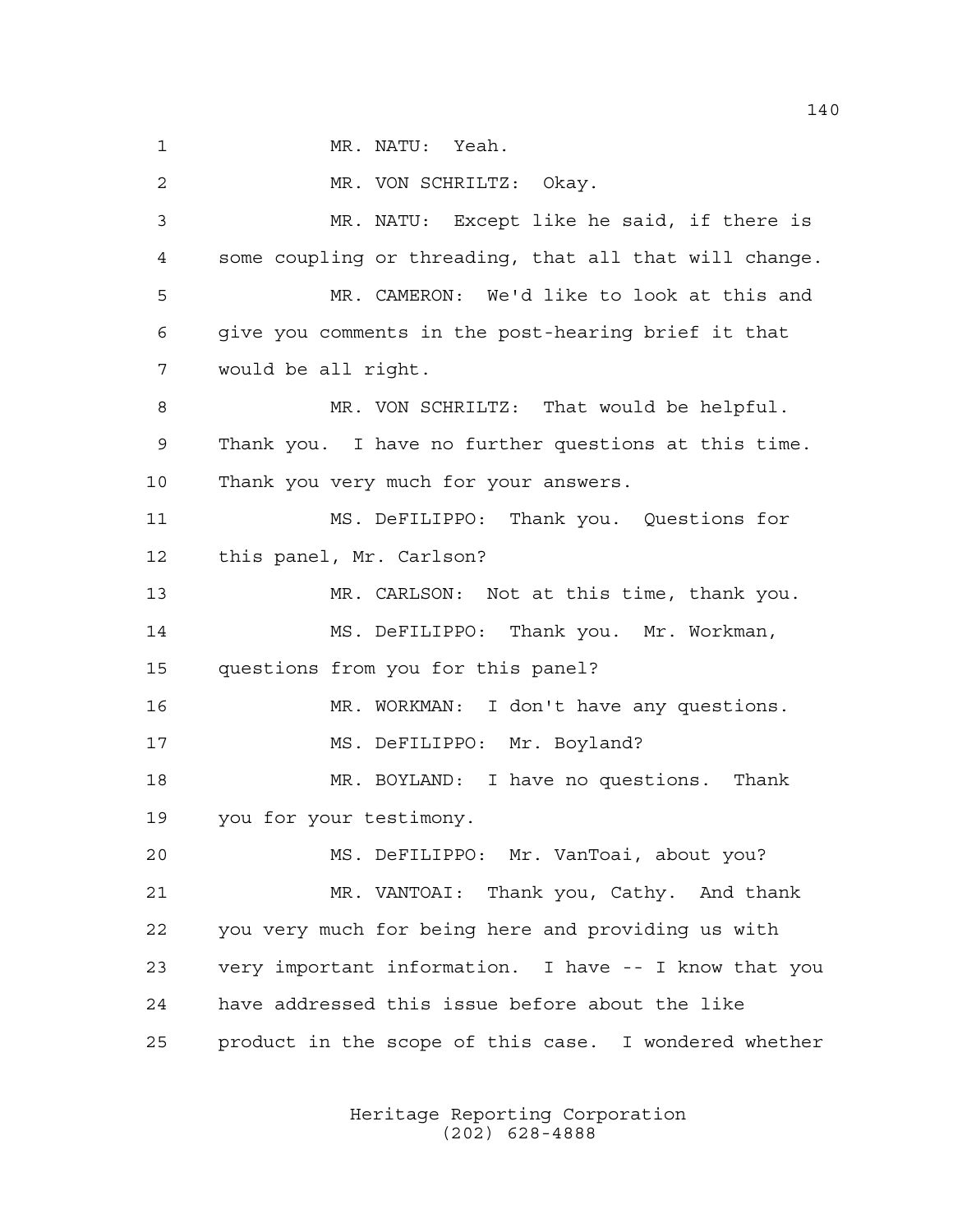1 MR. NATU: Yeah. MR. VON SCHRILTZ: Okay. MR. NATU: Except like he said, if there is some coupling or threading, that all that will change. MR. CAMERON: We'd like to look at this and give you comments in the post-hearing brief it that would be all right. MR. VON SCHRILTZ: That would be helpful. Thank you. I have no further questions at this time. Thank you very much for your answers. MS. DeFILIPPO: Thank you. Questions for this panel, Mr. Carlson? MR. CARLSON: Not at this time, thank you. MS. DeFILIPPO: Thank you. Mr. Workman, questions from you for this panel? MR. WORKMAN: I don't have any questions. MS. DeFILIPPO: Mr. Boyland? MR. BOYLAND: I have no questions. Thank you for your testimony. MS. DeFILIPPO: Mr. VanToai, about you? MR. VANTOAI: Thank you, Cathy. And thank you very much for being here and providing us with very important information. I have -- I know that you have addressed this issue before about the like product in the scope of this case. I wondered whether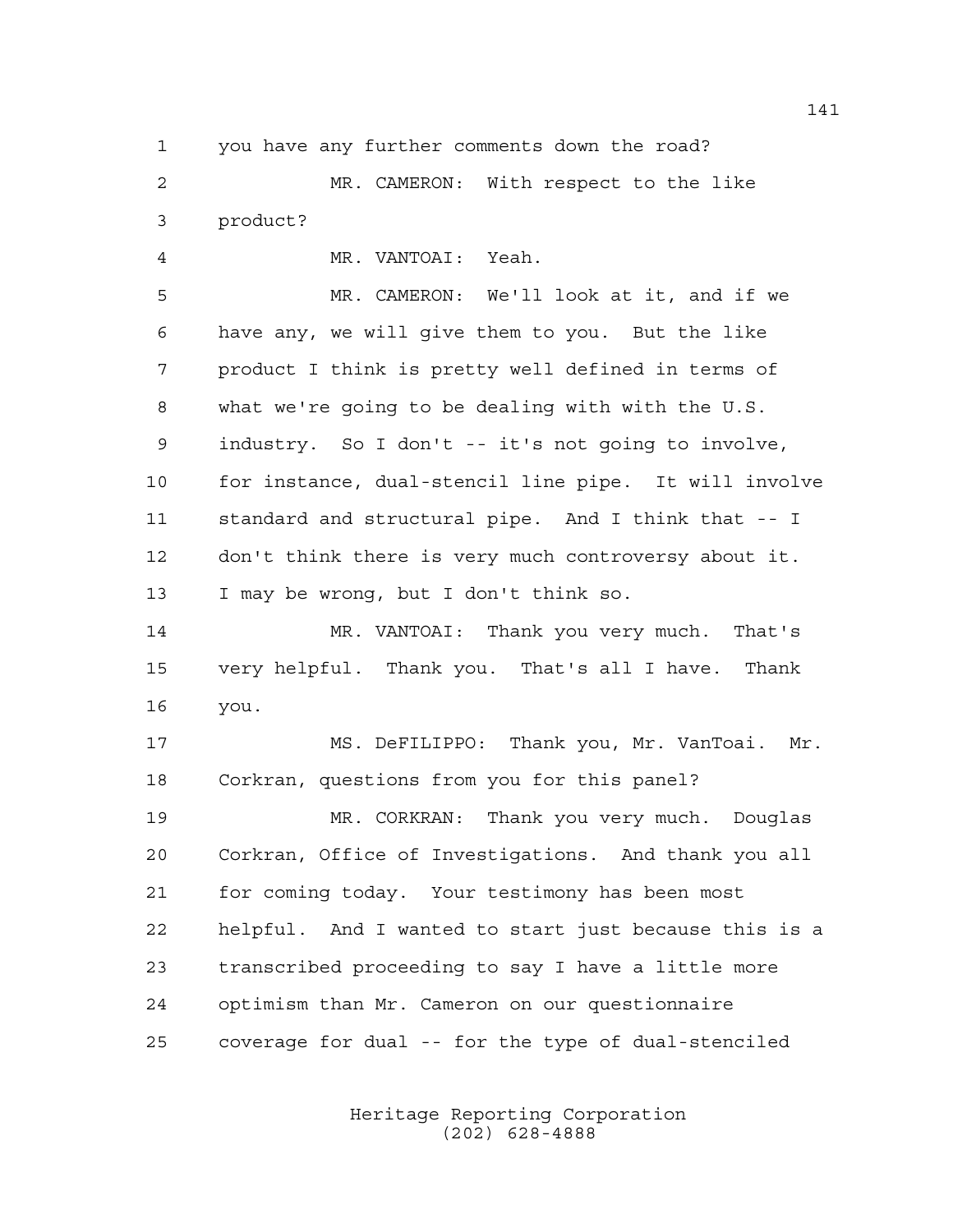you have any further comments down the road?

 MR. CAMERON: With respect to the like product?

 MR. VANTOAI: Yeah. MR. CAMERON: We'll look at it, and if we have any, we will give them to you. But the like product I think is pretty well defined in terms of what we're going to be dealing with with the U.S. industry. So I don't -- it's not going to involve, for instance, dual-stencil line pipe. It will involve standard and structural pipe. And I think that -- I don't think there is very much controversy about it. I may be wrong, but I don't think so.

 MR. VANTOAI: Thank you very much. That's very helpful. Thank you. That's all I have. Thank you.

 MS. DeFILIPPO: Thank you, Mr. VanToai. Mr. Corkran, questions from you for this panel?

 MR. CORKRAN: Thank you very much. Douglas Corkran, Office of Investigations. And thank you all for coming today. Your testimony has been most helpful. And I wanted to start just because this is a transcribed proceeding to say I have a little more optimism than Mr. Cameron on our questionnaire coverage for dual -- for the type of dual-stenciled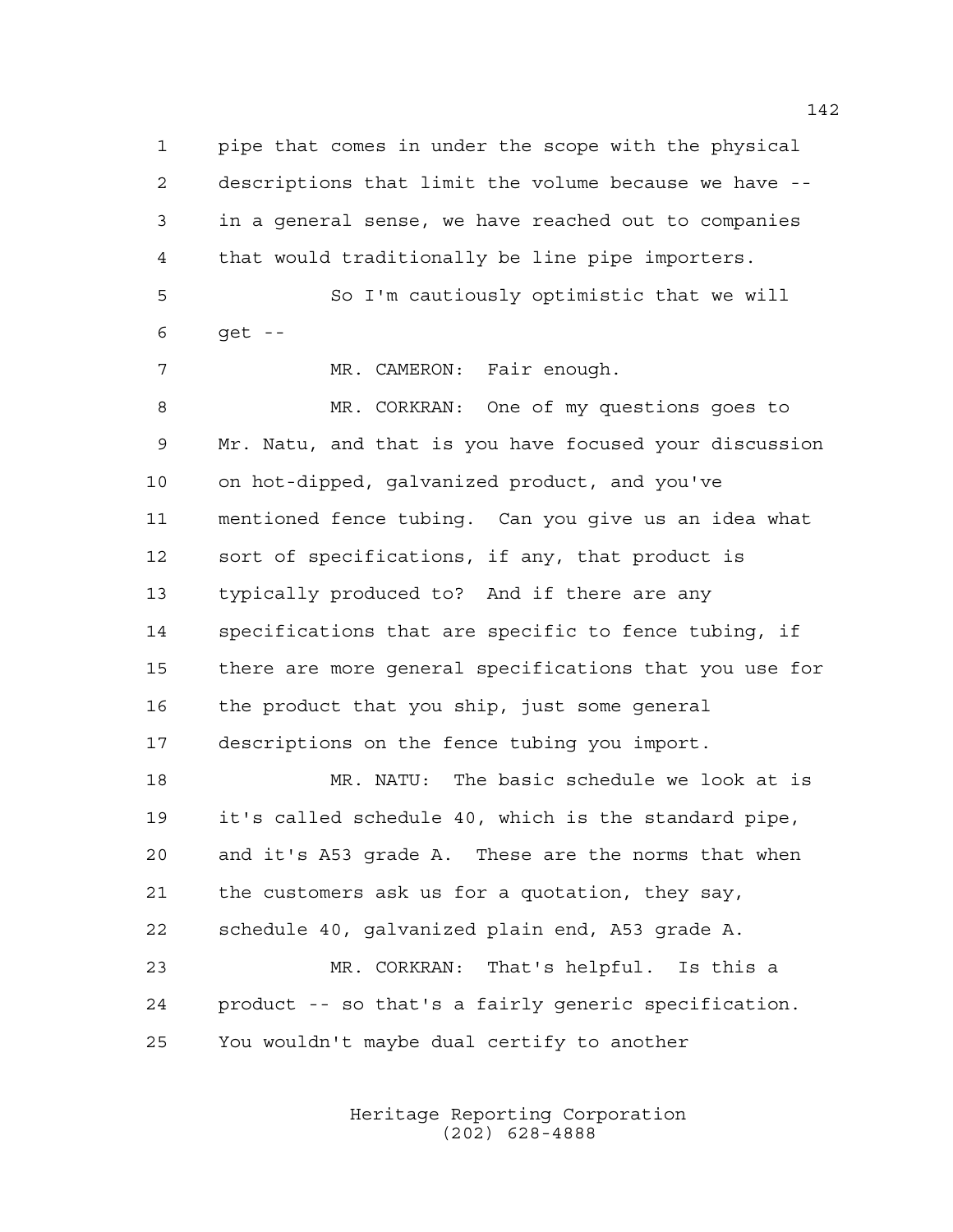pipe that comes in under the scope with the physical descriptions that limit the volume because we have -- in a general sense, we have reached out to companies that would traditionally be line pipe importers. So I'm cautiously optimistic that we will get -- MR. CAMERON: Fair enough. MR. CORKRAN: One of my questions goes to Mr. Natu, and that is you have focused your discussion on hot-dipped, galvanized product, and you've mentioned fence tubing. Can you give us an idea what sort of specifications, if any, that product is typically produced to? And if there are any specifications that are specific to fence tubing, if there are more general specifications that you use for the product that you ship, just some general descriptions on the fence tubing you import. MR. NATU: The basic schedule we look at is it's called schedule 40, which is the standard pipe, and it's A53 grade A. These are the norms that when the customers ask us for a quotation, they say, schedule 40, galvanized plain end, A53 grade A. MR. CORKRAN: That's helpful. Is this a product -- so that's a fairly generic specification. You wouldn't maybe dual certify to another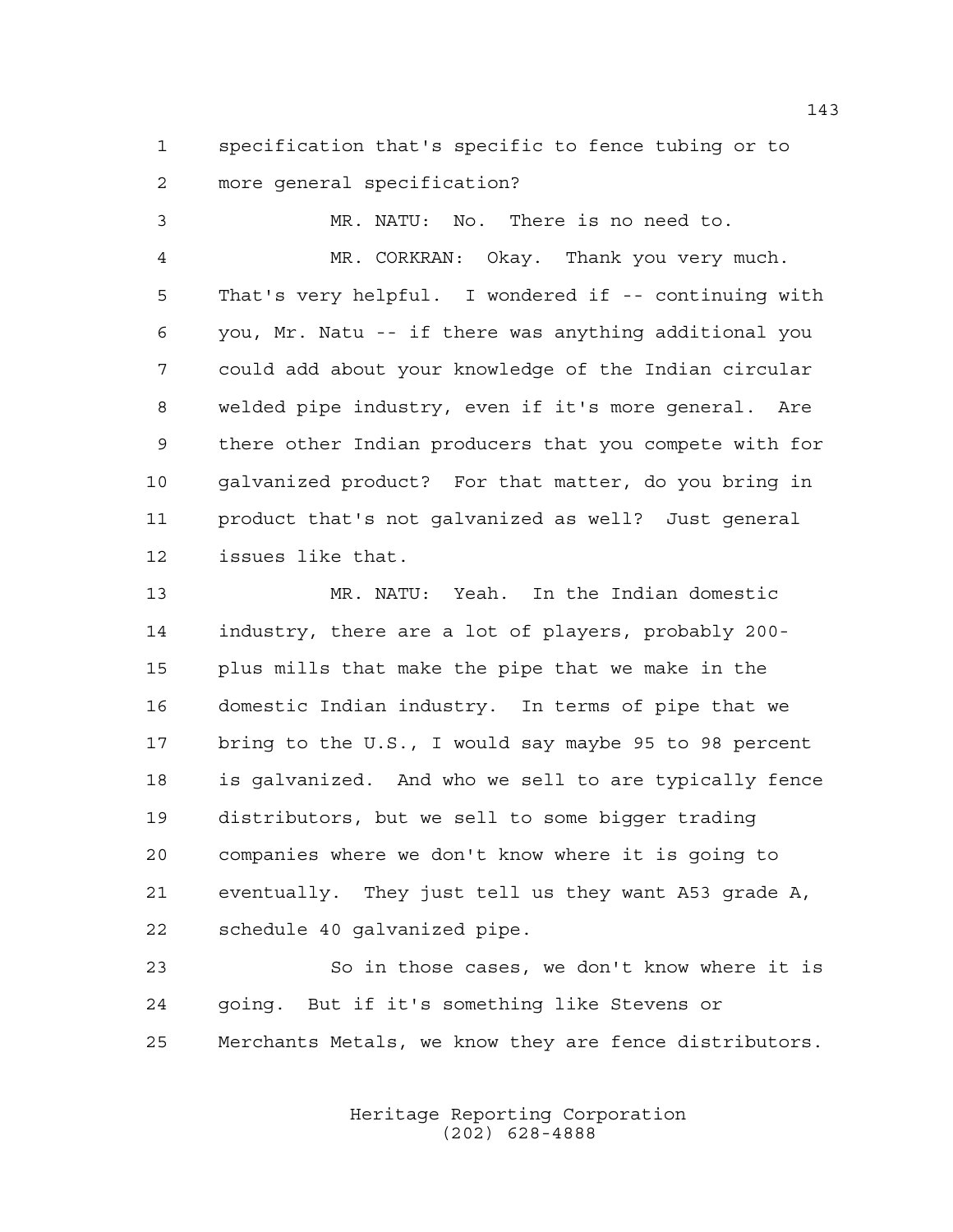specification that's specific to fence tubing or to more general specification?

 MR. NATU: No. There is no need to. MR. CORKRAN: Okay. Thank you very much. That's very helpful. I wondered if -- continuing with you, Mr. Natu -- if there was anything additional you could add about your knowledge of the Indian circular welded pipe industry, even if it's more general. Are there other Indian producers that you compete with for galvanized product? For that matter, do you bring in product that's not galvanized as well? Just general issues like that.

 MR. NATU: Yeah. In the Indian domestic industry, there are a lot of players, probably 200- plus mills that make the pipe that we make in the domestic Indian industry. In terms of pipe that we bring to the U.S., I would say maybe 95 to 98 percent is galvanized. And who we sell to are typically fence distributors, but we sell to some bigger trading companies where we don't know where it is going to eventually. They just tell us they want A53 grade A, schedule 40 galvanized pipe.

 So in those cases, we don't know where it is going. But if it's something like Stevens or Merchants Metals, we know they are fence distributors.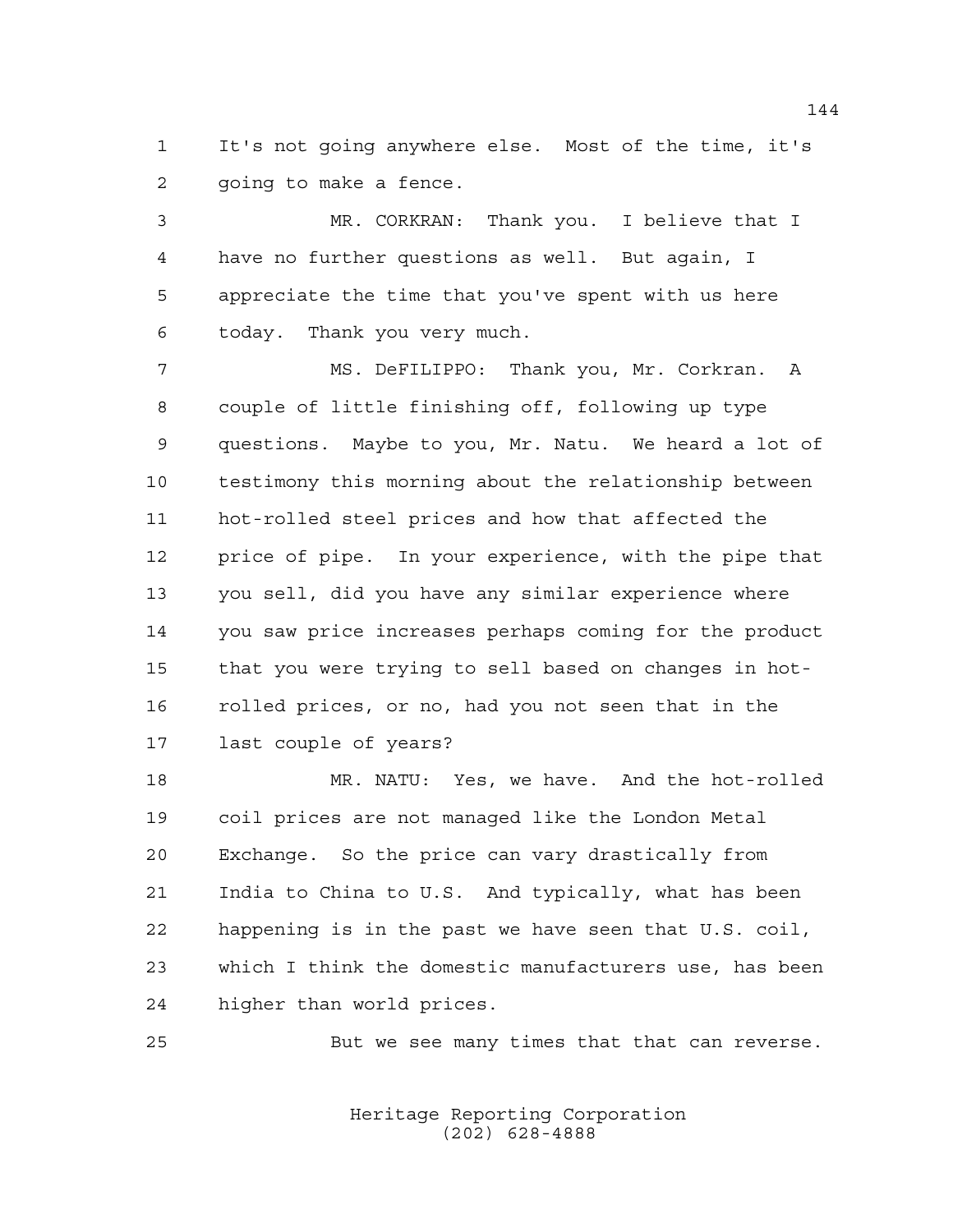It's not going anywhere else. Most of the time, it's going to make a fence.

 MR. CORKRAN: Thank you. I believe that I have no further questions as well. But again, I appreciate the time that you've spent with us here today. Thank you very much.

 MS. DeFILIPPO: Thank you, Mr. Corkran. A couple of little finishing off, following up type questions. Maybe to you, Mr. Natu. We heard a lot of testimony this morning about the relationship between hot-rolled steel prices and how that affected the price of pipe. In your experience, with the pipe that you sell, did you have any similar experience where you saw price increases perhaps coming for the product that you were trying to sell based on changes in hot- rolled prices, or no, had you not seen that in the last couple of years?

 MR. NATU: Yes, we have. And the hot-rolled coil prices are not managed like the London Metal Exchange. So the price can vary drastically from India to China to U.S. And typically, what has been happening is in the past we have seen that U.S. coil, which I think the domestic manufacturers use, has been higher than world prices.

But we see many times that that can reverse.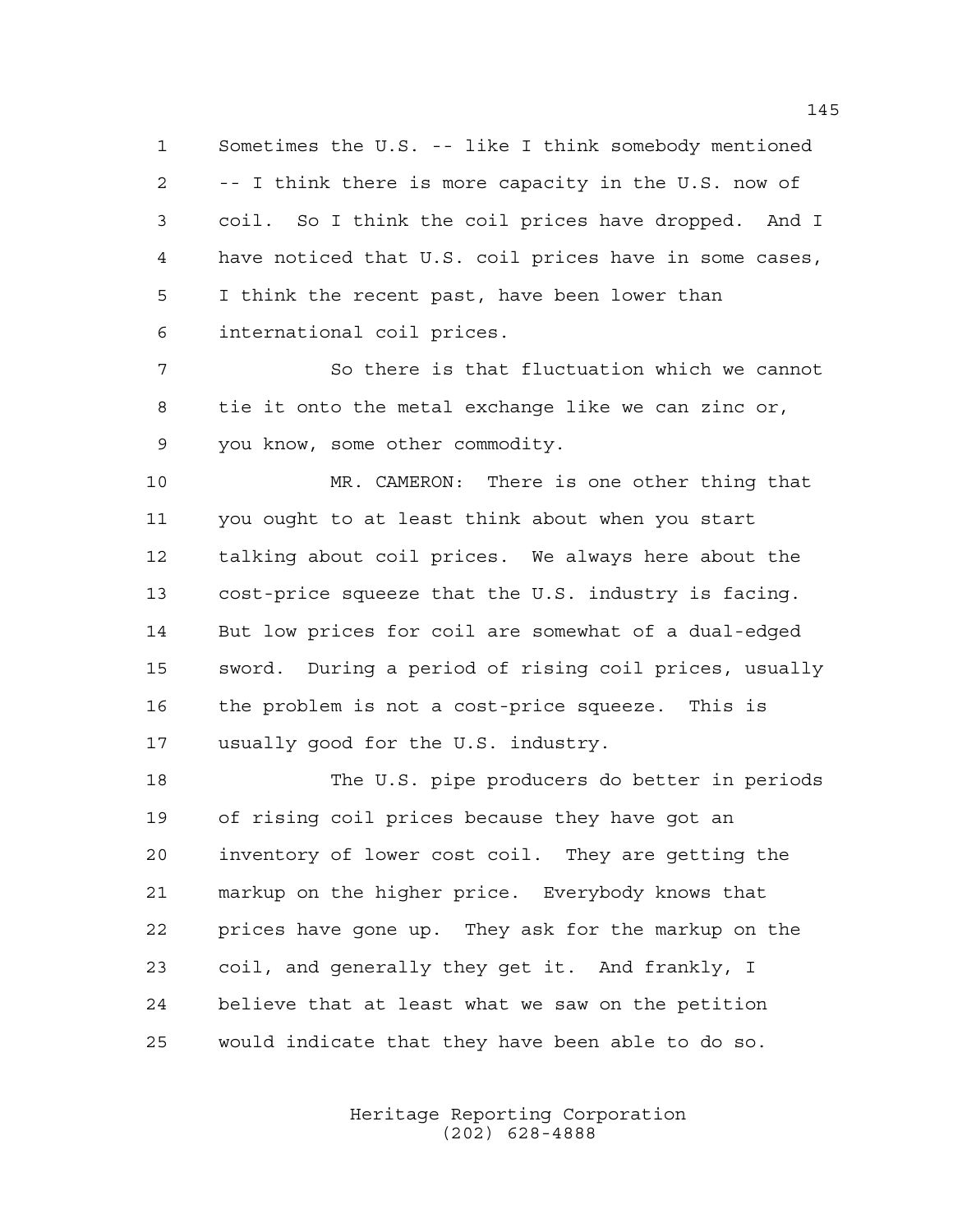Sometimes the U.S. -- like I think somebody mentioned -- I think there is more capacity in the U.S. now of coil. So I think the coil prices have dropped. And I have noticed that U.S. coil prices have in some cases, I think the recent past, have been lower than international coil prices.

 So there is that fluctuation which we cannot tie it onto the metal exchange like we can zinc or, you know, some other commodity.

 MR. CAMERON: There is one other thing that you ought to at least think about when you start talking about coil prices. We always here about the cost-price squeeze that the U.S. industry is facing. But low prices for coil are somewhat of a dual-edged sword. During a period of rising coil prices, usually the problem is not a cost-price squeeze. This is usually good for the U.S. industry.

 The U.S. pipe producers do better in periods of rising coil prices because they have got an inventory of lower cost coil. They are getting the markup on the higher price. Everybody knows that prices have gone up. They ask for the markup on the coil, and generally they get it. And frankly, I believe that at least what we saw on the petition would indicate that they have been able to do so.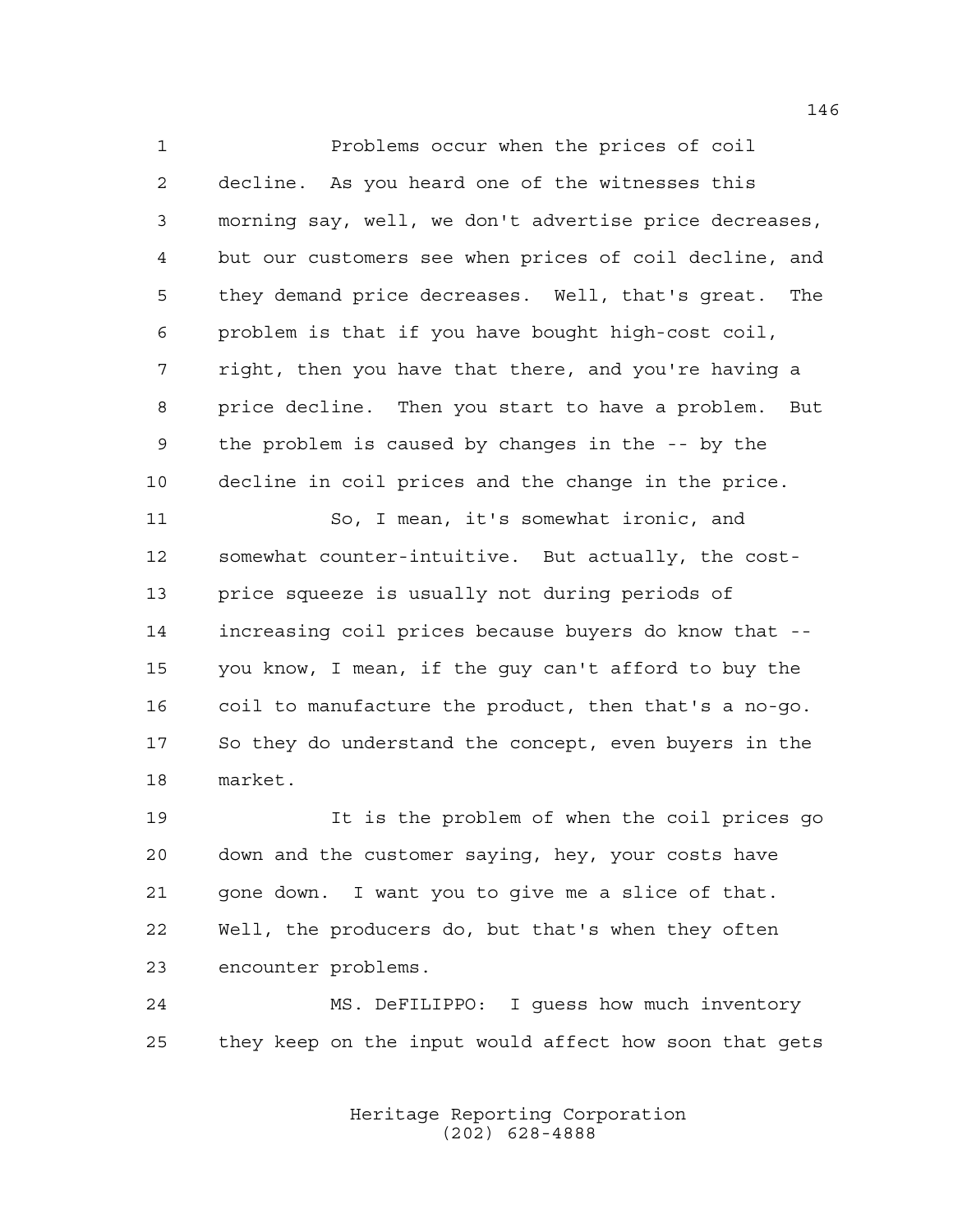Problems occur when the prices of coil decline. As you heard one of the witnesses this morning say, well, we don't advertise price decreases, but our customers see when prices of coil decline, and they demand price decreases. Well, that's great. The problem is that if you have bought high-cost coil, right, then you have that there, and you're having a price decline. Then you start to have a problem. But the problem is caused by changes in the -- by the decline in coil prices and the change in the price. So, I mean, it's somewhat ironic, and somewhat counter-intuitive. But actually, the cost- price squeeze is usually not during periods of increasing coil prices because buyers do know that -- you know, I mean, if the guy can't afford to buy the coil to manufacture the product, then that's a no-go.

 So they do understand the concept, even buyers in the market.

 It is the problem of when the coil prices go down and the customer saying, hey, your costs have gone down. I want you to give me a slice of that. Well, the producers do, but that's when they often encounter problems.

 MS. DeFILIPPO: I guess how much inventory they keep on the input would affect how soon that gets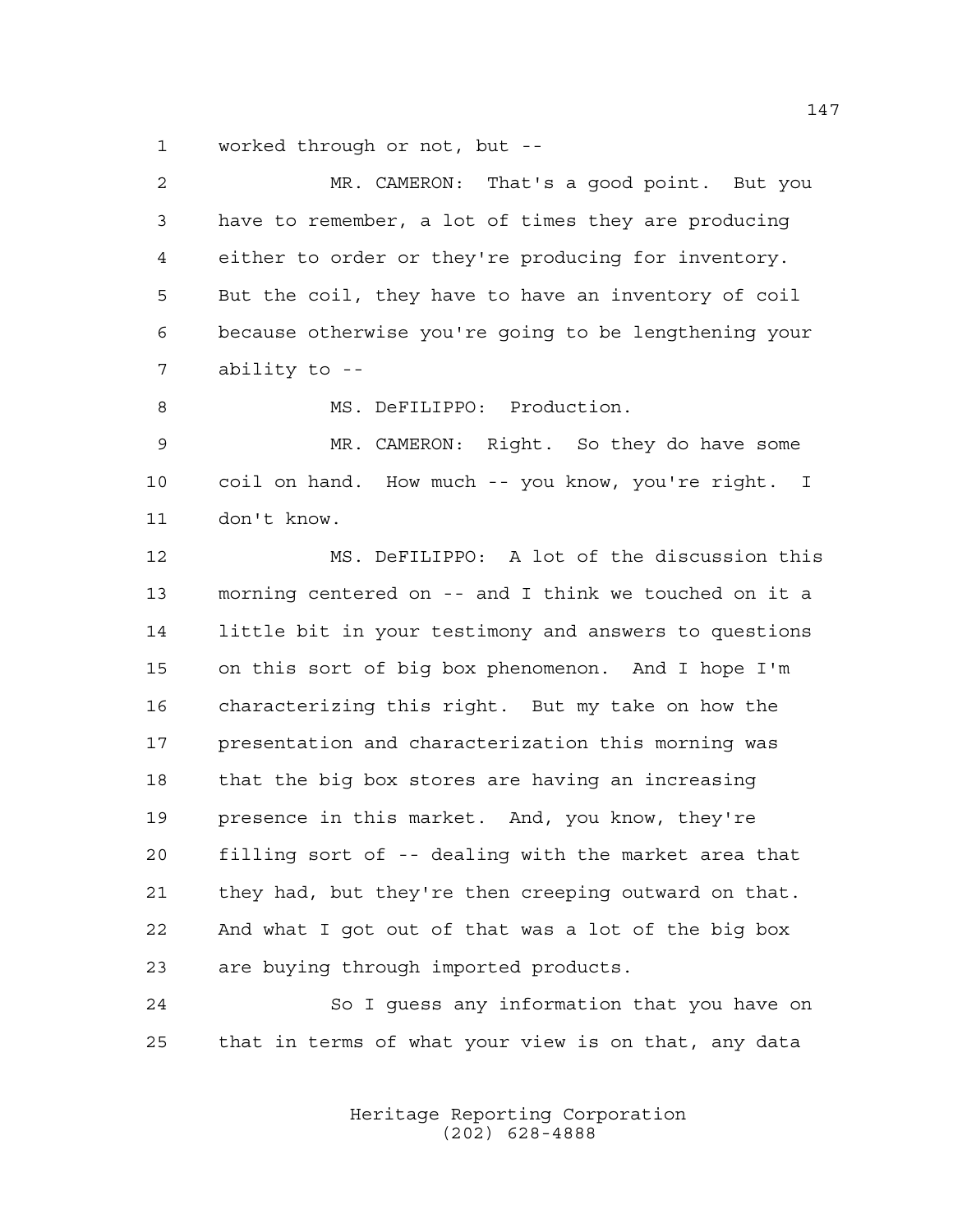worked through or not, but --

| 2  | MR. CAMERON: That's a good point. But you             |  |  |  |
|----|-------------------------------------------------------|--|--|--|
| 3  | have to remember, a lot of times they are producing   |  |  |  |
| 4  | either to order or they're producing for inventory.   |  |  |  |
| 5  | But the coil, they have to have an inventory of coil  |  |  |  |
| 6  | because otherwise you're going to be lengthening your |  |  |  |
| 7  | ability to --                                         |  |  |  |
| 8  | MS. DeFILIPPO: Production.                            |  |  |  |
| 9  | MR. CAMERON: Right. So they do have some              |  |  |  |
| 10 | coil on hand. How much -- you know, you're right. I   |  |  |  |
| 11 | don't know.                                           |  |  |  |
| 12 | MS. DeFILIPPO: A lot of the discussion this           |  |  |  |
| 13 | morning centered on -- and I think we touched on it a |  |  |  |
| 14 | little bit in your testimony and answers to questions |  |  |  |
| 15 | on this sort of big box phenomenon. And I hope I'm    |  |  |  |
| 16 | characterizing this right. But my take on how the     |  |  |  |
| 17 | presentation and characterization this morning was    |  |  |  |
| 18 | that the big box stores are having an increasing      |  |  |  |
| 19 | presence in this market. And, you know, they're       |  |  |  |
| 20 | filling sort of -- dealing with the market area that  |  |  |  |
| 21 | they had, but they're then creeping outward on that.  |  |  |  |
| 22 | And what I got out of that was a lot of the big box   |  |  |  |
| 23 | are buying through imported products.                 |  |  |  |
| 24 | So I guess any information that you have on           |  |  |  |
| 25 | that in terms of what your view is on that, any data  |  |  |  |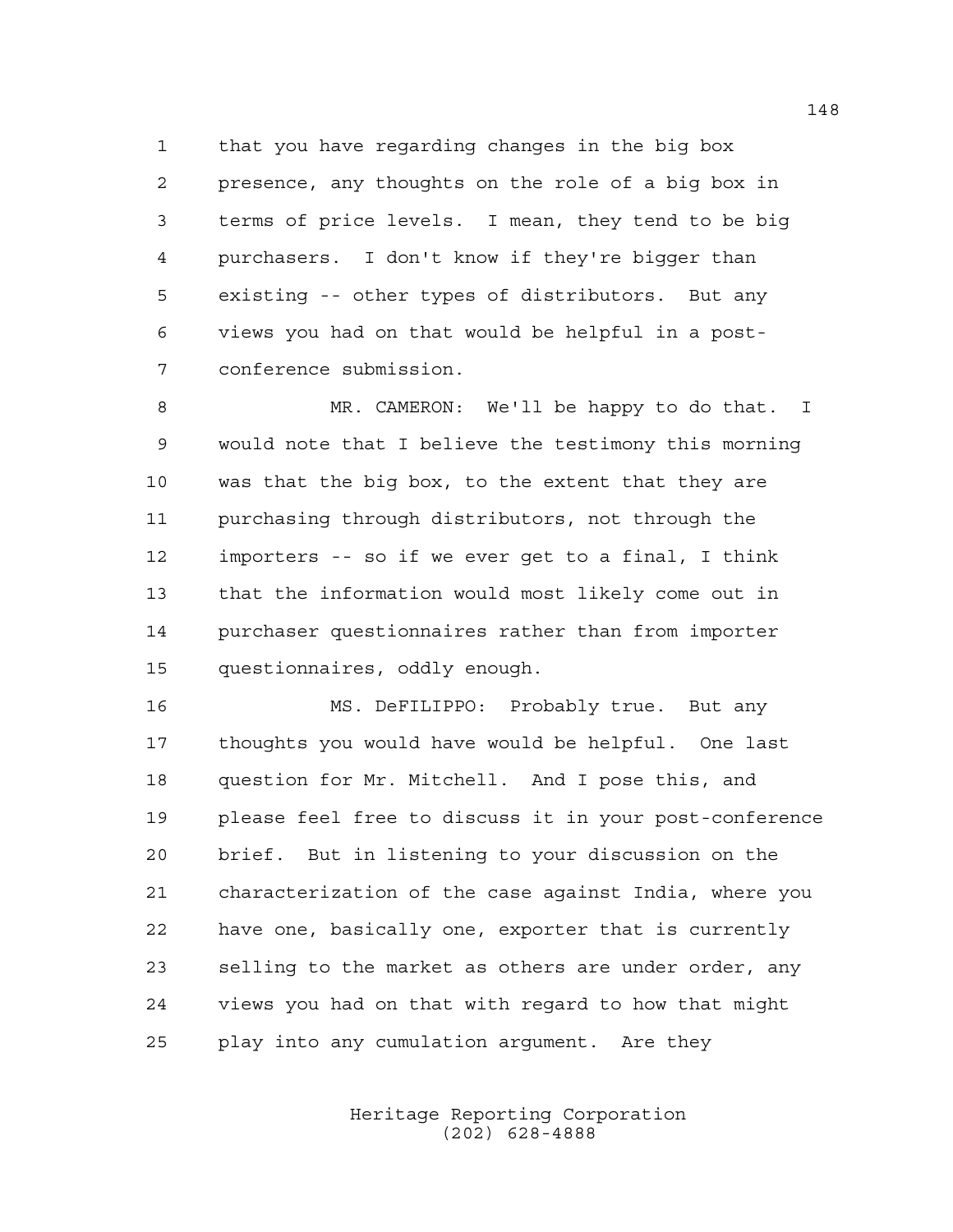that you have regarding changes in the big box presence, any thoughts on the role of a big box in terms of price levels. I mean, they tend to be big purchasers. I don't know if they're bigger than existing -- other types of distributors. But any views you had on that would be helpful in a post-conference submission.

 MR. CAMERON: We'll be happy to do that. I would note that I believe the testimony this morning was that the big box, to the extent that they are purchasing through distributors, not through the importers -- so if we ever get to a final, I think that the information would most likely come out in purchaser questionnaires rather than from importer questionnaires, oddly enough.

 MS. DeFILIPPO: Probably true. But any thoughts you would have would be helpful. One last question for Mr. Mitchell. And I pose this, and please feel free to discuss it in your post-conference brief. But in listening to your discussion on the characterization of the case against India, where you have one, basically one, exporter that is currently selling to the market as others are under order, any views you had on that with regard to how that might play into any cumulation argument. Are they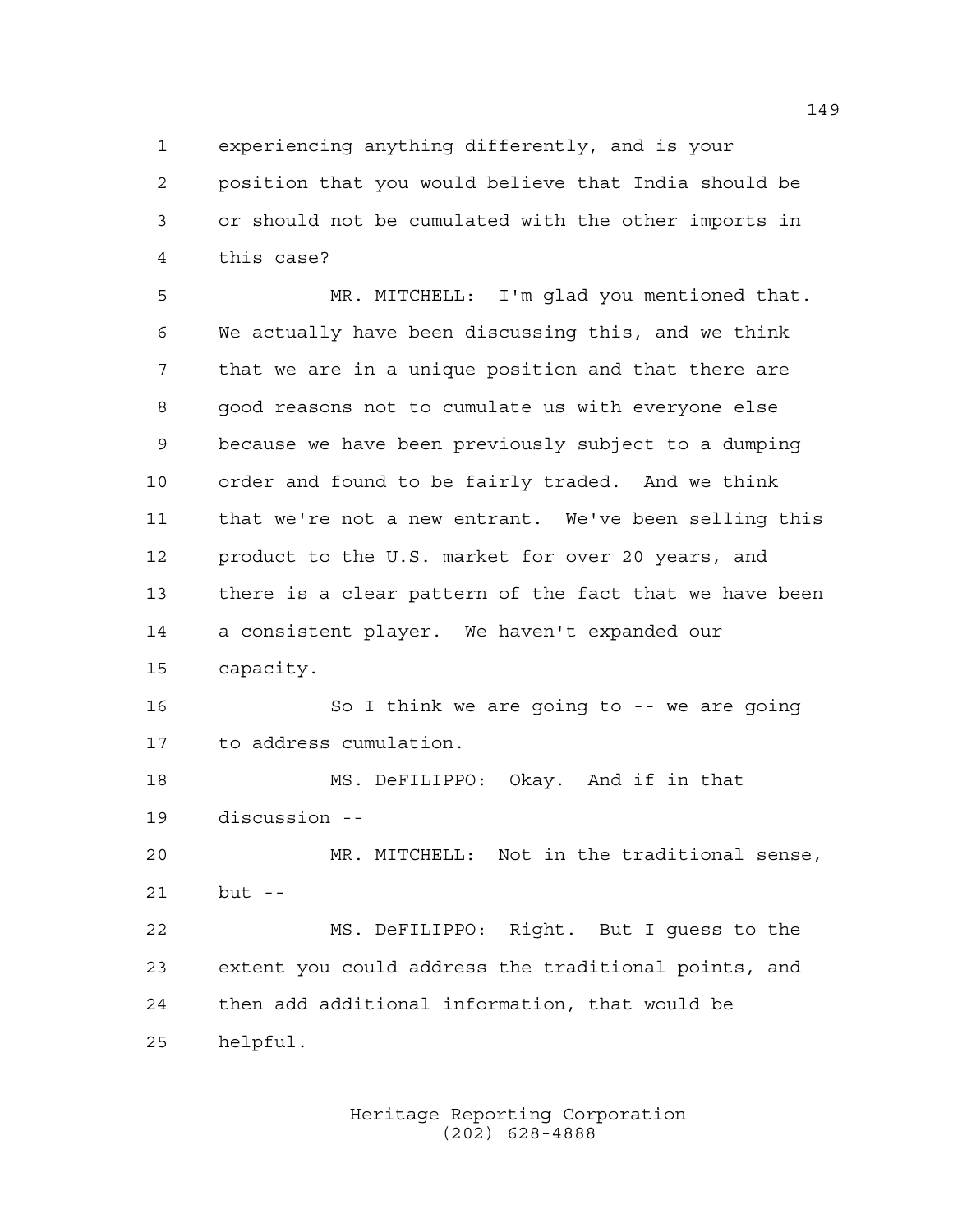experiencing anything differently, and is your

 position that you would believe that India should be or should not be cumulated with the other imports in this case?

 MR. MITCHELL: I'm glad you mentioned that. We actually have been discussing this, and we think that we are in a unique position and that there are good reasons not to cumulate us with everyone else because we have been previously subject to a dumping order and found to be fairly traded. And we think that we're not a new entrant. We've been selling this product to the U.S. market for over 20 years, and there is a clear pattern of the fact that we have been a consistent player. We haven't expanded our capacity.

16 So I think we are going to -- we are going to address cumulation.

 MS. DeFILIPPO: Okay. And if in that discussion --

 MR. MITCHELL: Not in the traditional sense, but --

 MS. DeFILIPPO: Right. But I guess to the extent you could address the traditional points, and then add additional information, that would be helpful.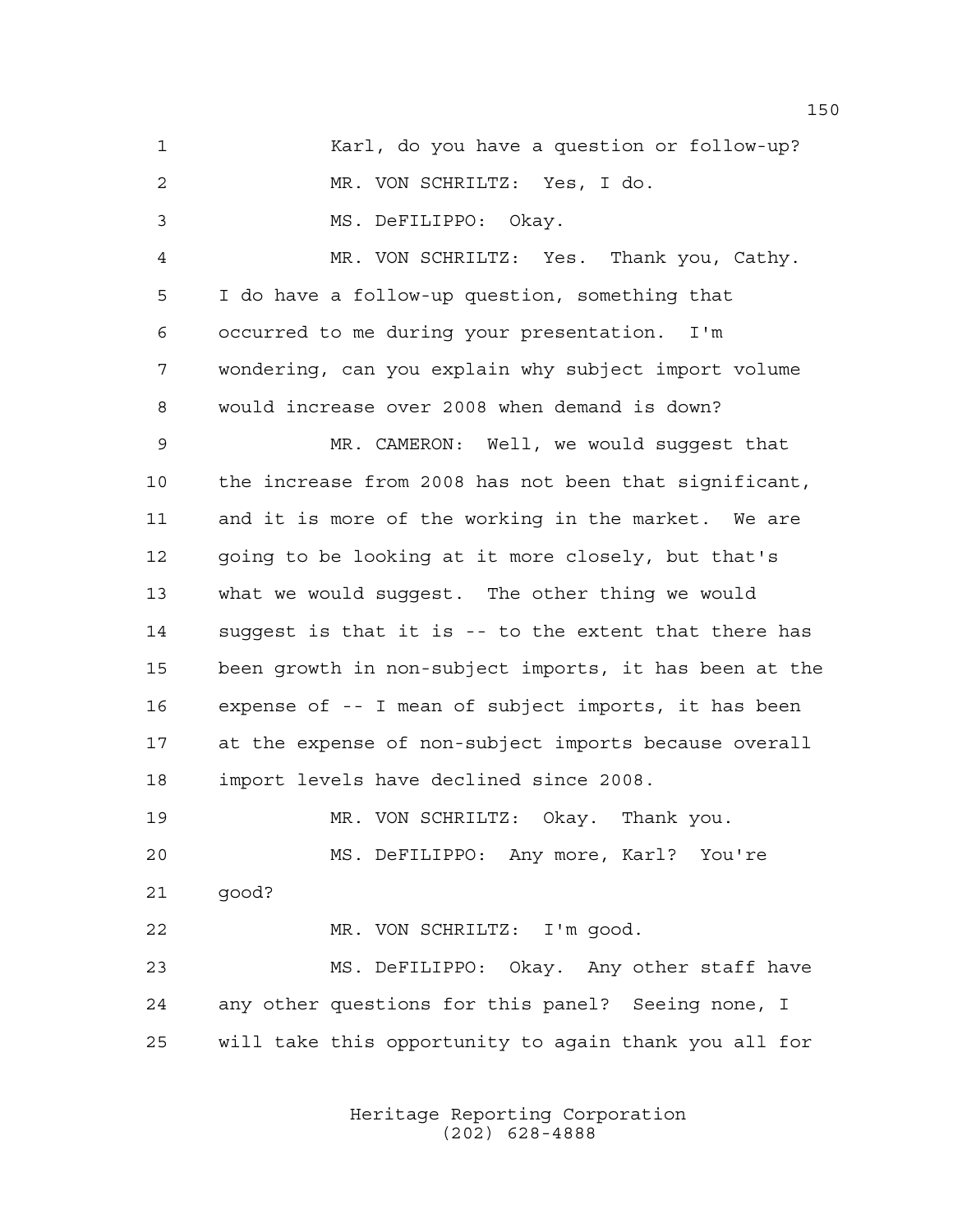Karl, do you have a question or follow-up? MR. VON SCHRILTZ: Yes, I do. MS. DeFILIPPO: Okay. MR. VON SCHRILTZ: Yes. Thank you, Cathy. I do have a follow-up question, something that occurred to me during your presentation. I'm wondering, can you explain why subject import volume would increase over 2008 when demand is down? MR. CAMERON: Well, we would suggest that the increase from 2008 has not been that significant, and it is more of the working in the market. We are going to be looking at it more closely, but that's what we would suggest. The other thing we would suggest is that it is -- to the extent that there has been growth in non-subject imports, it has been at the expense of -- I mean of subject imports, it has been at the expense of non-subject imports because overall import levels have declined since 2008. MR. VON SCHRILTZ: Okay. Thank you. MS. DeFILIPPO: Any more, Karl? You're good? MR. VON SCHRILTZ: I'm good. MS. DeFILIPPO: Okay. Any other staff have any other questions for this panel? Seeing none, I will take this opportunity to again thank you all for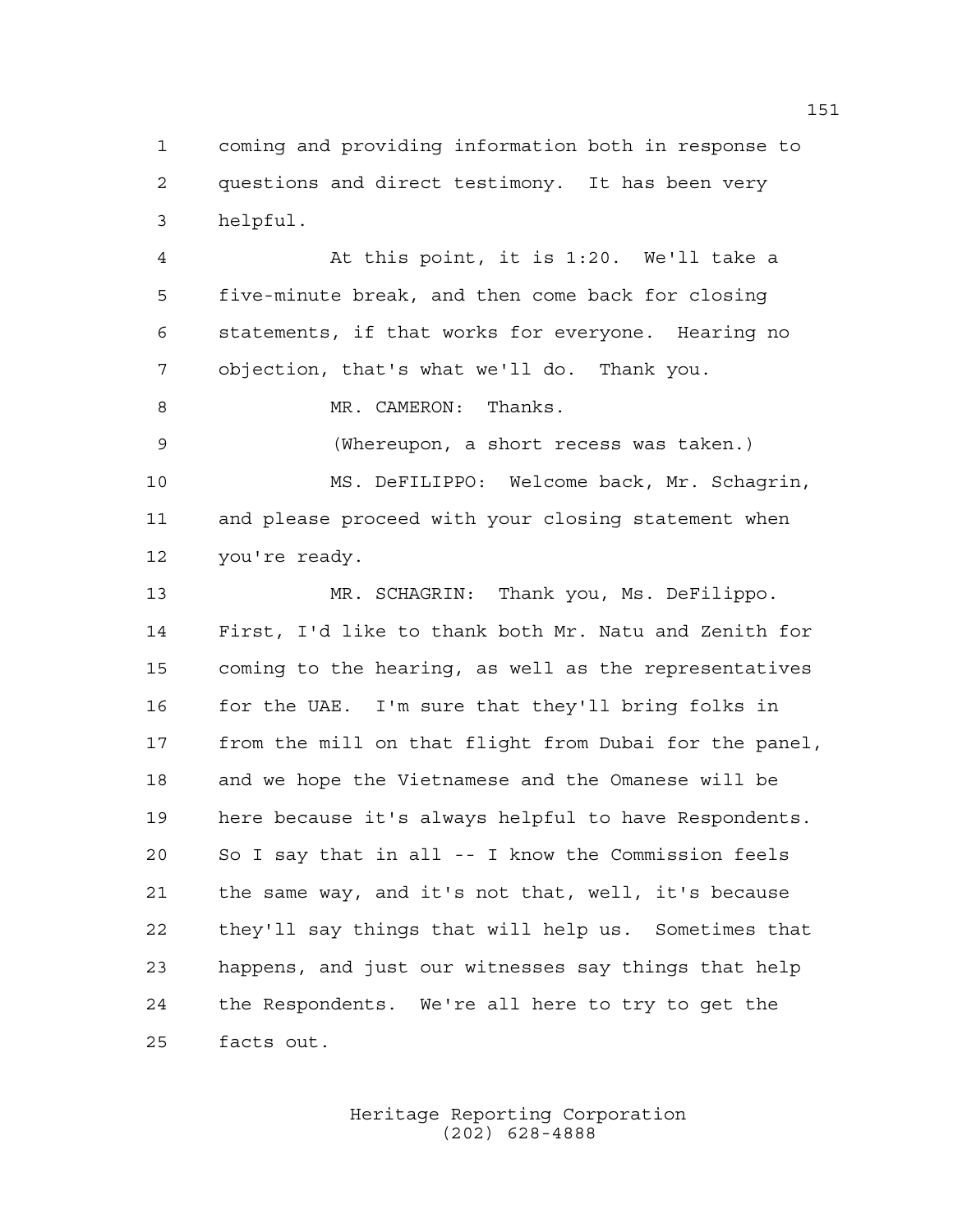coming and providing information both in response to questions and direct testimony. It has been very helpful.

 At this point, it is 1:20. We'll take a five-minute break, and then come back for closing statements, if that works for everyone. Hearing no objection, that's what we'll do. Thank you.

MR. CAMERON: Thanks.

 (Whereupon, a short recess was taken.) MS. DeFILIPPO: Welcome back, Mr. Schagrin, and please proceed with your closing statement when you're ready.

 MR. SCHAGRIN: Thank you, Ms. DeFilippo. First, I'd like to thank both Mr. Natu and Zenith for coming to the hearing, as well as the representatives for the UAE. I'm sure that they'll bring folks in from the mill on that flight from Dubai for the panel, and we hope the Vietnamese and the Omanese will be here because it's always helpful to have Respondents. So I say that in all -- I know the Commission feels the same way, and it's not that, well, it's because they'll say things that will help us. Sometimes that happens, and just our witnesses say things that help the Respondents. We're all here to try to get the facts out.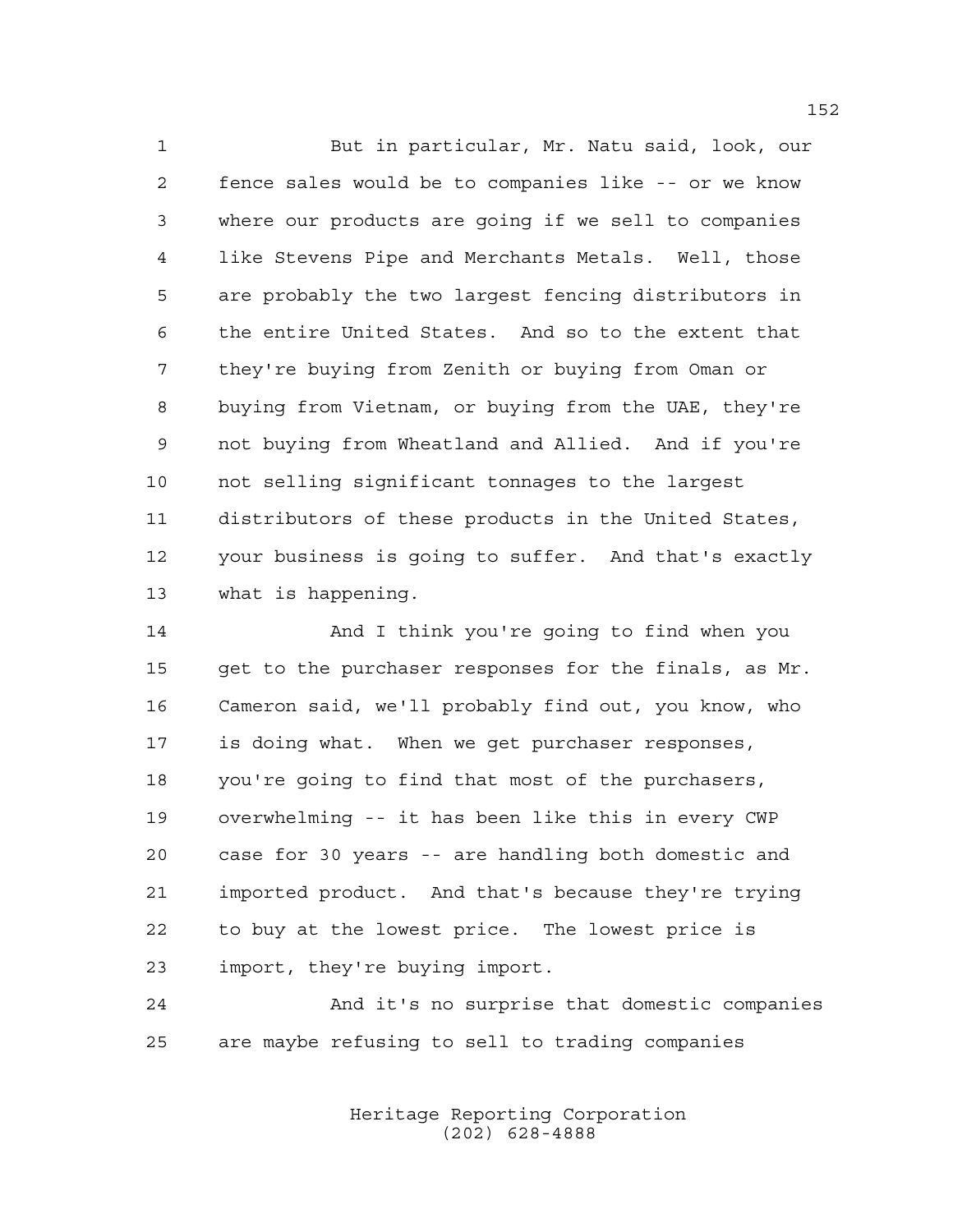But in particular, Mr. Natu said, look, our fence sales would be to companies like -- or we know where our products are going if we sell to companies like Stevens Pipe and Merchants Metals. Well, those are probably the two largest fencing distributors in the entire United States. And so to the extent that they're buying from Zenith or buying from Oman or buying from Vietnam, or buying from the UAE, they're not buying from Wheatland and Allied. And if you're not selling significant tonnages to the largest distributors of these products in the United States, your business is going to suffer. And that's exactly what is happening.

 And I think you're going to find when you get to the purchaser responses for the finals, as Mr. Cameron said, we'll probably find out, you know, who is doing what. When we get purchaser responses, you're going to find that most of the purchasers, overwhelming -- it has been like this in every CWP case for 30 years -- are handling both domestic and imported product. And that's because they're trying to buy at the lowest price. The lowest price is import, they're buying import.

 And it's no surprise that domestic companies are maybe refusing to sell to trading companies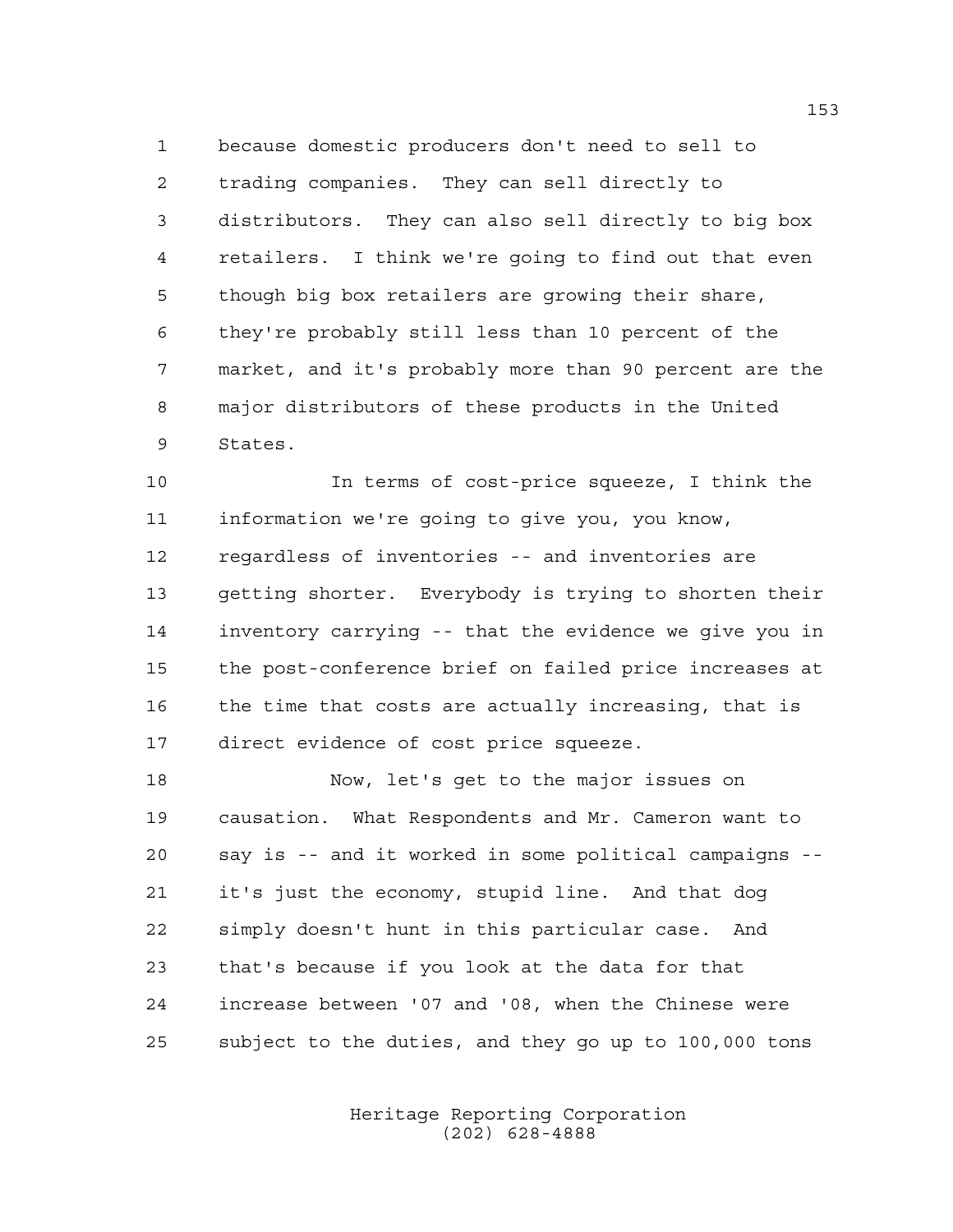because domestic producers don't need to sell to trading companies. They can sell directly to distributors. They can also sell directly to big box retailers. I think we're going to find out that even though big box retailers are growing their share, they're probably still less than 10 percent of the market, and it's probably more than 90 percent are the major distributors of these products in the United States.

 In terms of cost-price squeeze, I think the information we're going to give you, you know, regardless of inventories -- and inventories are getting shorter. Everybody is trying to shorten their inventory carrying -- that the evidence we give you in the post-conference brief on failed price increases at 16 the time that costs are actually increasing, that is direct evidence of cost price squeeze.

 Now, let's get to the major issues on causation. What Respondents and Mr. Cameron want to say is -- and it worked in some political campaigns -- it's just the economy, stupid line. And that dog simply doesn't hunt in this particular case. And that's because if you look at the data for that increase between '07 and '08, when the Chinese were subject to the duties, and they go up to 100,000 tons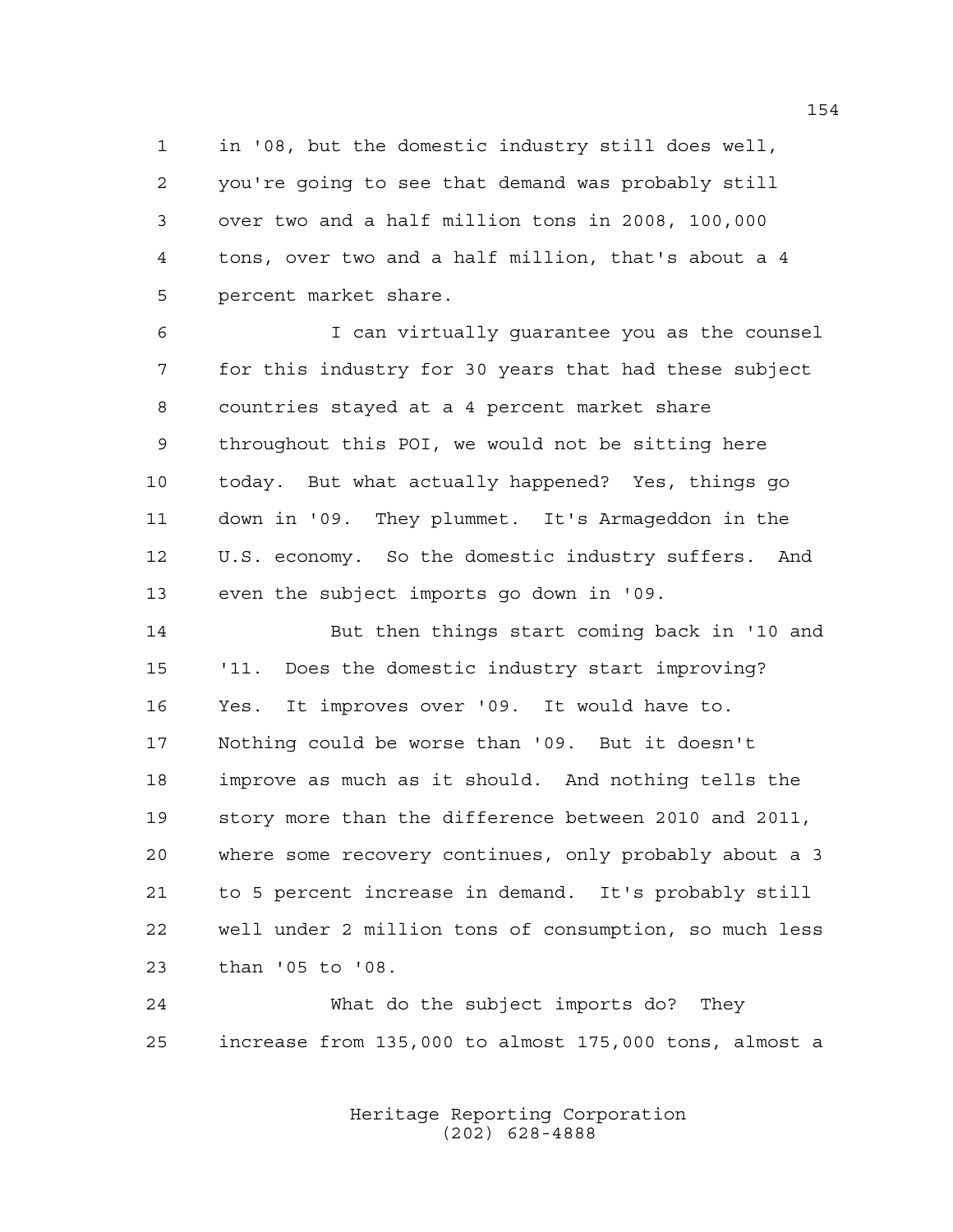in '08, but the domestic industry still does well, you're going to see that demand was probably still over two and a half million tons in 2008, 100,000 tons, over two and a half million, that's about a 4 percent market share.

 I can virtually guarantee you as the counsel for this industry for 30 years that had these subject countries stayed at a 4 percent market share throughout this POI, we would not be sitting here today. But what actually happened? Yes, things go down in '09. They plummet. It's Armageddon in the U.S. economy. So the domestic industry suffers. And even the subject imports go down in '09.

 But then things start coming back in '10 and '11. Does the domestic industry start improving? Yes. It improves over '09. It would have to. Nothing could be worse than '09. But it doesn't improve as much as it should. And nothing tells the story more than the difference between 2010 and 2011, where some recovery continues, only probably about a 3 to 5 percent increase in demand. It's probably still well under 2 million tons of consumption, so much less than '05 to '08.

 What do the subject imports do? They increase from 135,000 to almost 175,000 tons, almost a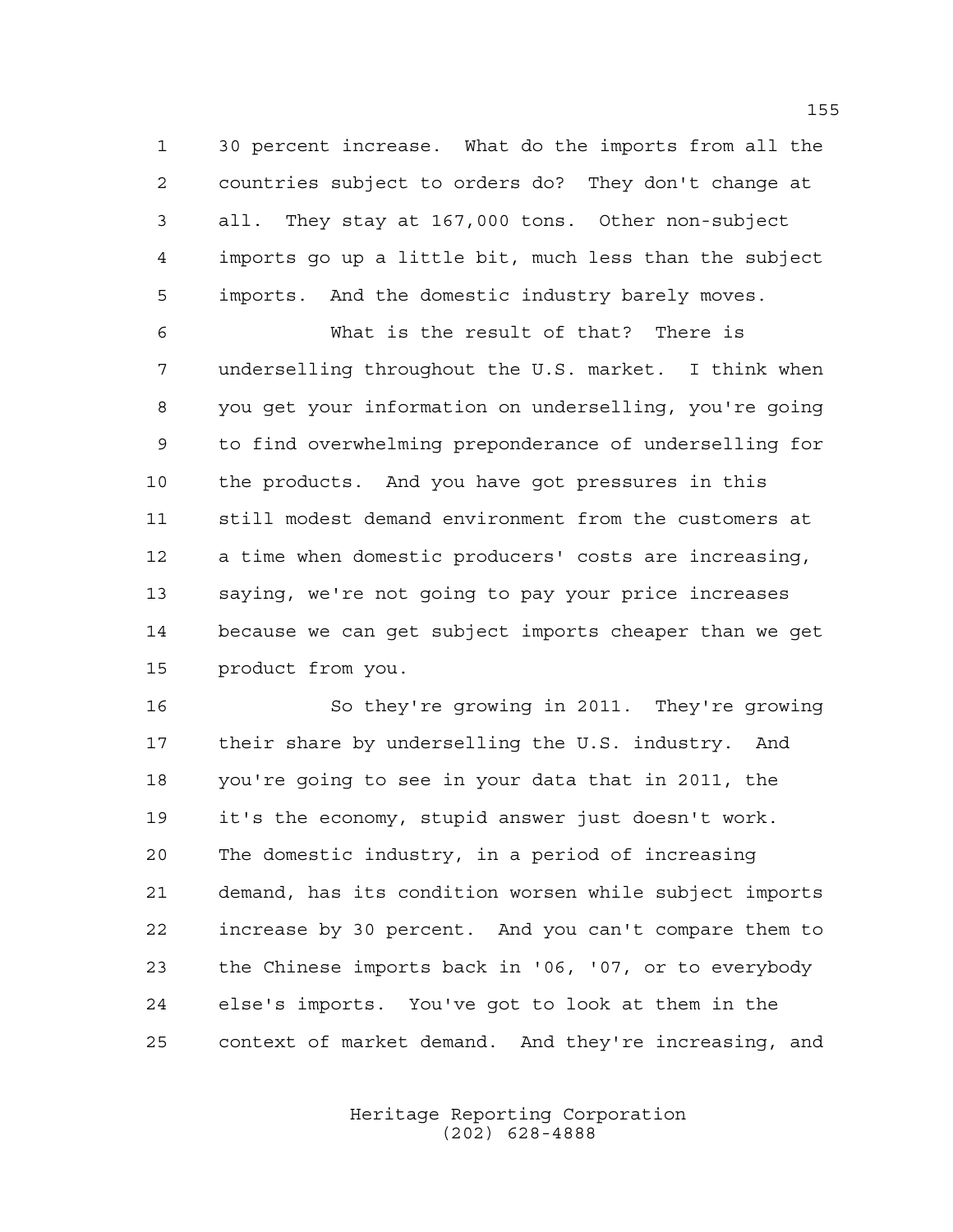30 percent increase. What do the imports from all the countries subject to orders do? They don't change at all. They stay at 167,000 tons. Other non-subject imports go up a little bit, much less than the subject imports. And the domestic industry barely moves.

 What is the result of that? There is underselling throughout the U.S. market. I think when you get your information on underselling, you're going to find overwhelming preponderance of underselling for the products. And you have got pressures in this still modest demand environment from the customers at a time when domestic producers' costs are increasing, saying, we're not going to pay your price increases because we can get subject imports cheaper than we get product from you.

 So they're growing in 2011. They're growing their share by underselling the U.S. industry. And you're going to see in your data that in 2011, the it's the economy, stupid answer just doesn't work. The domestic industry, in a period of increasing demand, has its condition worsen while subject imports increase by 30 percent. And you can't compare them to the Chinese imports back in '06, '07, or to everybody else's imports. You've got to look at them in the context of market demand. And they're increasing, and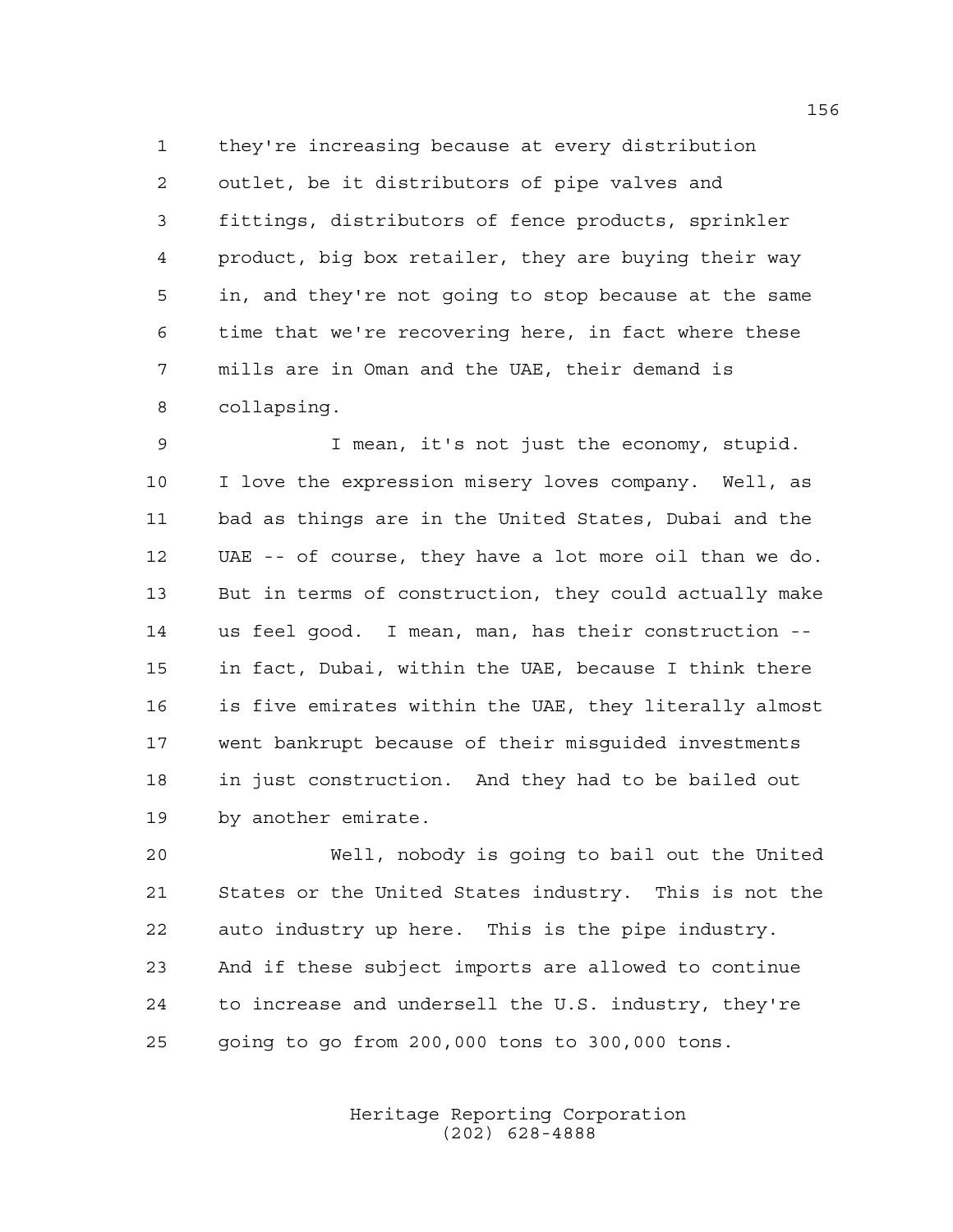they're increasing because at every distribution outlet, be it distributors of pipe valves and fittings, distributors of fence products, sprinkler product, big box retailer, they are buying their way in, and they're not going to stop because at the same time that we're recovering here, in fact where these mills are in Oman and the UAE, their demand is collapsing.

 I mean, it's not just the economy, stupid. I love the expression misery loves company. Well, as bad as things are in the United States, Dubai and the UAE -- of course, they have a lot more oil than we do. But in terms of construction, they could actually make us feel good. I mean, man, has their construction -- in fact, Dubai, within the UAE, because I think there is five emirates within the UAE, they literally almost went bankrupt because of their misguided investments in just construction. And they had to be bailed out by another emirate.

 Well, nobody is going to bail out the United States or the United States industry. This is not the auto industry up here. This is the pipe industry. And if these subject imports are allowed to continue to increase and undersell the U.S. industry, they're going to go from 200,000 tons to 300,000 tons.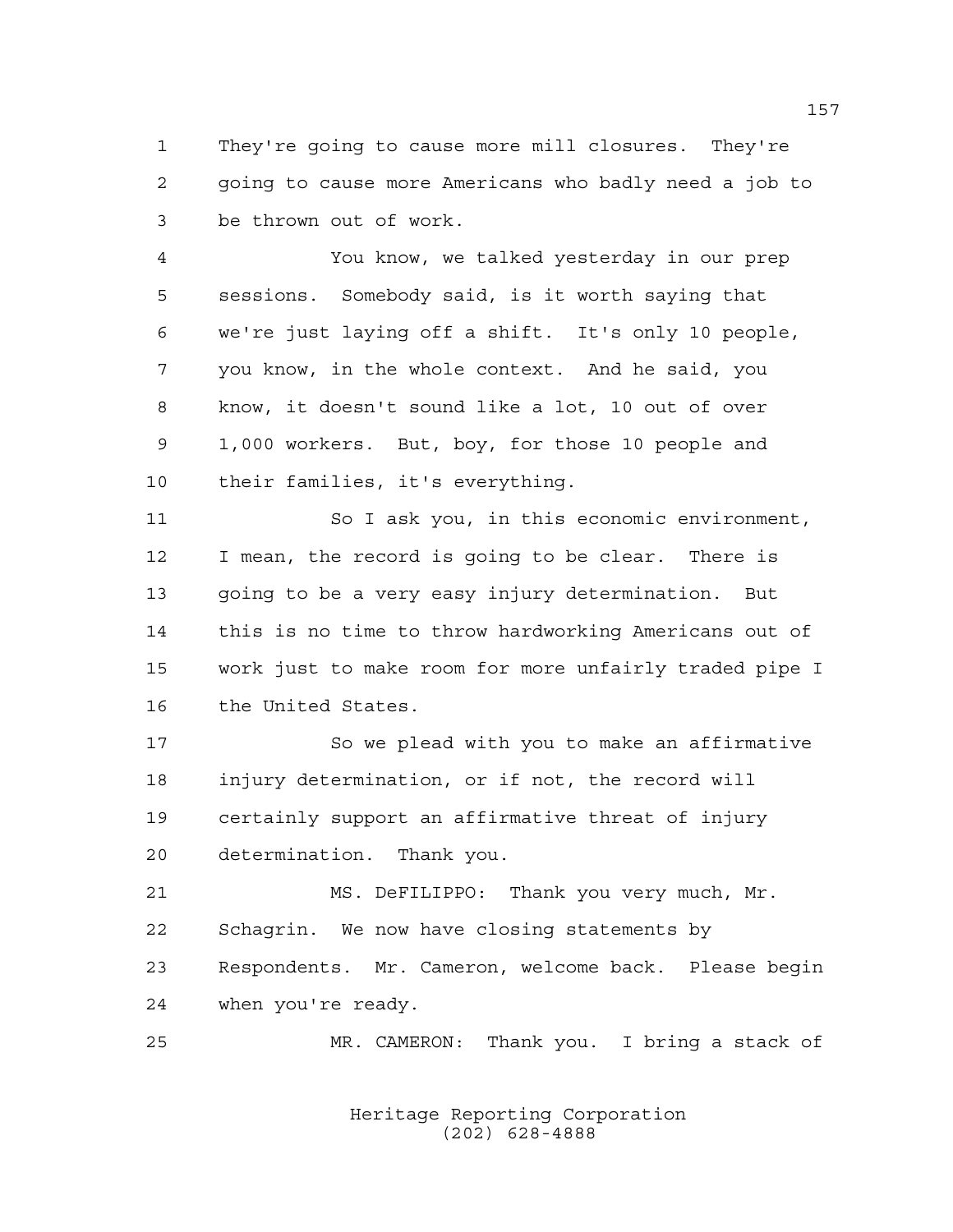They're going to cause more mill closures. They're going to cause more Americans who badly need a job to be thrown out of work.

 You know, we talked yesterday in our prep sessions. Somebody said, is it worth saying that we're just laying off a shift. It's only 10 people, you know, in the whole context. And he said, you know, it doesn't sound like a lot, 10 out of over 1,000 workers. But, boy, for those 10 people and their families, it's everything.

 So I ask you, in this economic environment, I mean, the record is going to be clear. There is going to be a very easy injury determination. But this is no time to throw hardworking Americans out of work just to make room for more unfairly traded pipe I the United States.

 So we plead with you to make an affirmative injury determination, or if not, the record will certainly support an affirmative threat of injury determination. Thank you.

 MS. DeFILIPPO: Thank you very much, Mr. Schagrin. We now have closing statements by Respondents. Mr. Cameron, welcome back. Please begin when you're ready.

MR. CAMERON: Thank you. I bring a stack of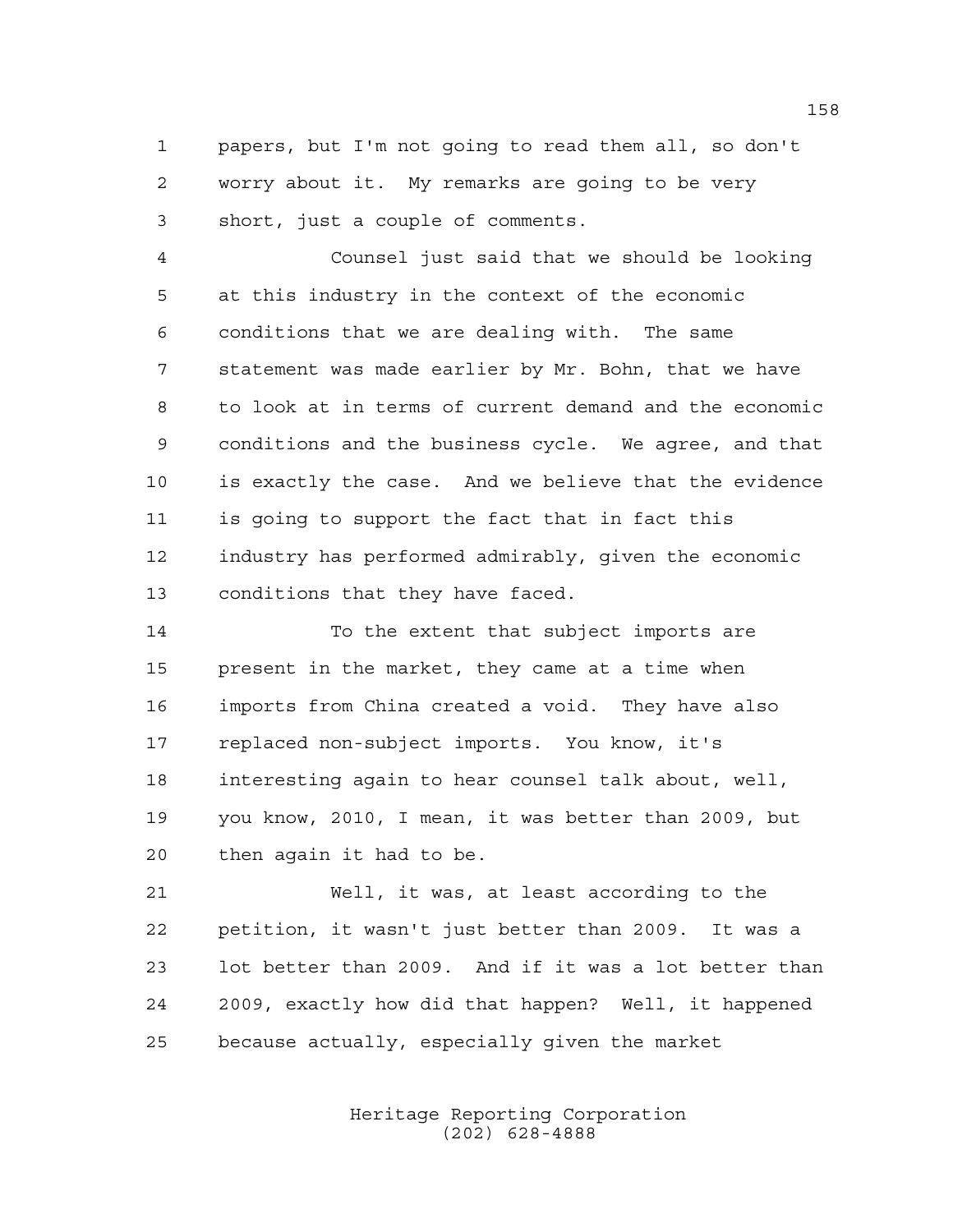papers, but I'm not going to read them all, so don't worry about it. My remarks are going to be very short, just a couple of comments.

 Counsel just said that we should be looking at this industry in the context of the economic conditions that we are dealing with. The same statement was made earlier by Mr. Bohn, that we have to look at in terms of current demand and the economic conditions and the business cycle. We agree, and that is exactly the case. And we believe that the evidence is going to support the fact that in fact this industry has performed admirably, given the economic conditions that they have faced.

 To the extent that subject imports are present in the market, they came at a time when imports from China created a void. They have also replaced non-subject imports. You know, it's interesting again to hear counsel talk about, well, you know, 2010, I mean, it was better than 2009, but then again it had to be.

 Well, it was, at least according to the petition, it wasn't just better than 2009. It was a lot better than 2009. And if it was a lot better than 2009, exactly how did that happen? Well, it happened because actually, especially given the market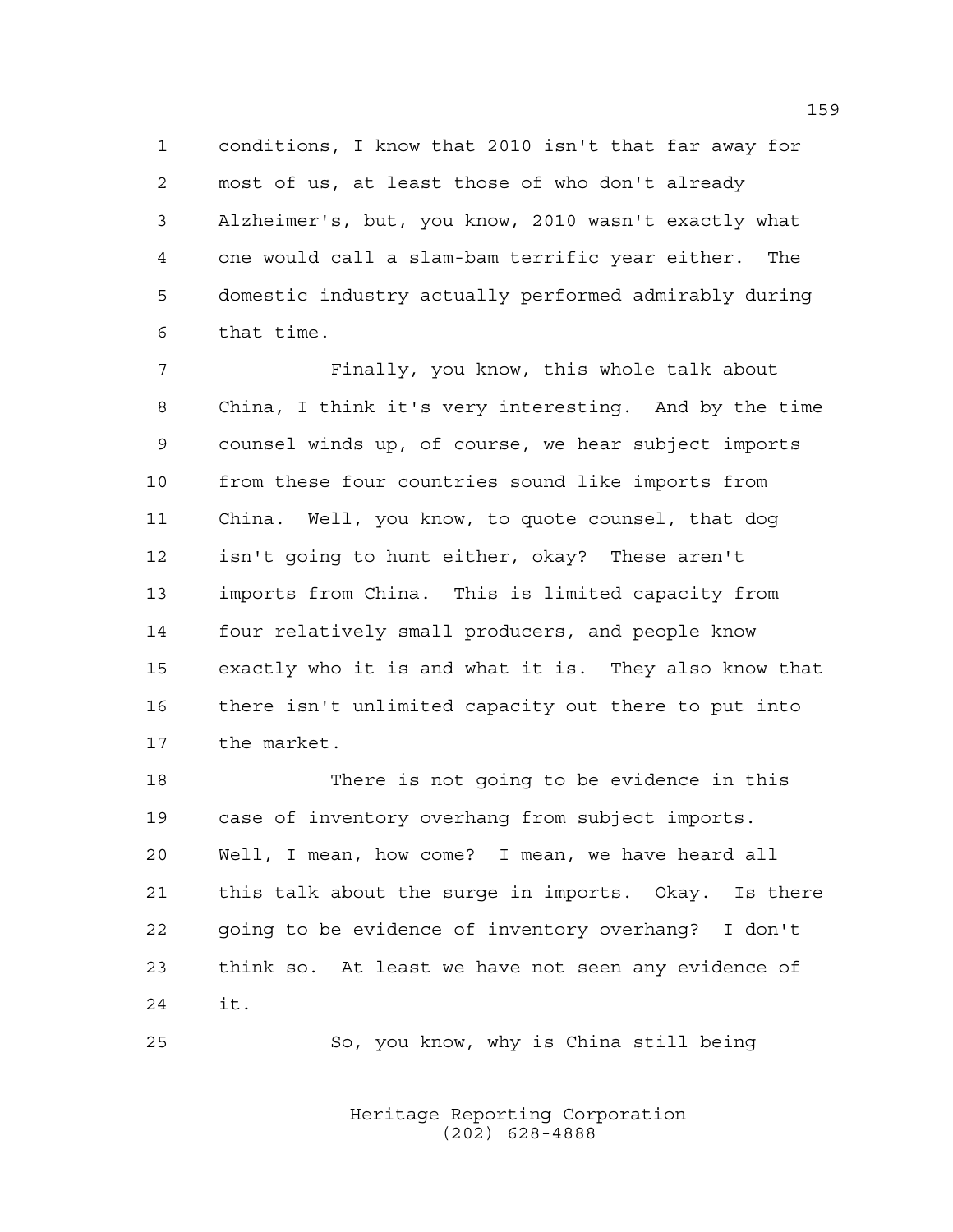conditions, I know that 2010 isn't that far away for most of us, at least those of who don't already Alzheimer's, but, you know, 2010 wasn't exactly what one would call a slam-bam terrific year either. The domestic industry actually performed admirably during that time.

 Finally, you know, this whole talk about China, I think it's very interesting. And by the time counsel winds up, of course, we hear subject imports from these four countries sound like imports from China. Well, you know, to quote counsel, that dog isn't going to hunt either, okay? These aren't imports from China. This is limited capacity from four relatively small producers, and people know exactly who it is and what it is. They also know that there isn't unlimited capacity out there to put into the market.

 There is not going to be evidence in this case of inventory overhang from subject imports. Well, I mean, how come? I mean, we have heard all this talk about the surge in imports. Okay. Is there going to be evidence of inventory overhang? I don't think so. At least we have not seen any evidence of it.

So, you know, why is China still being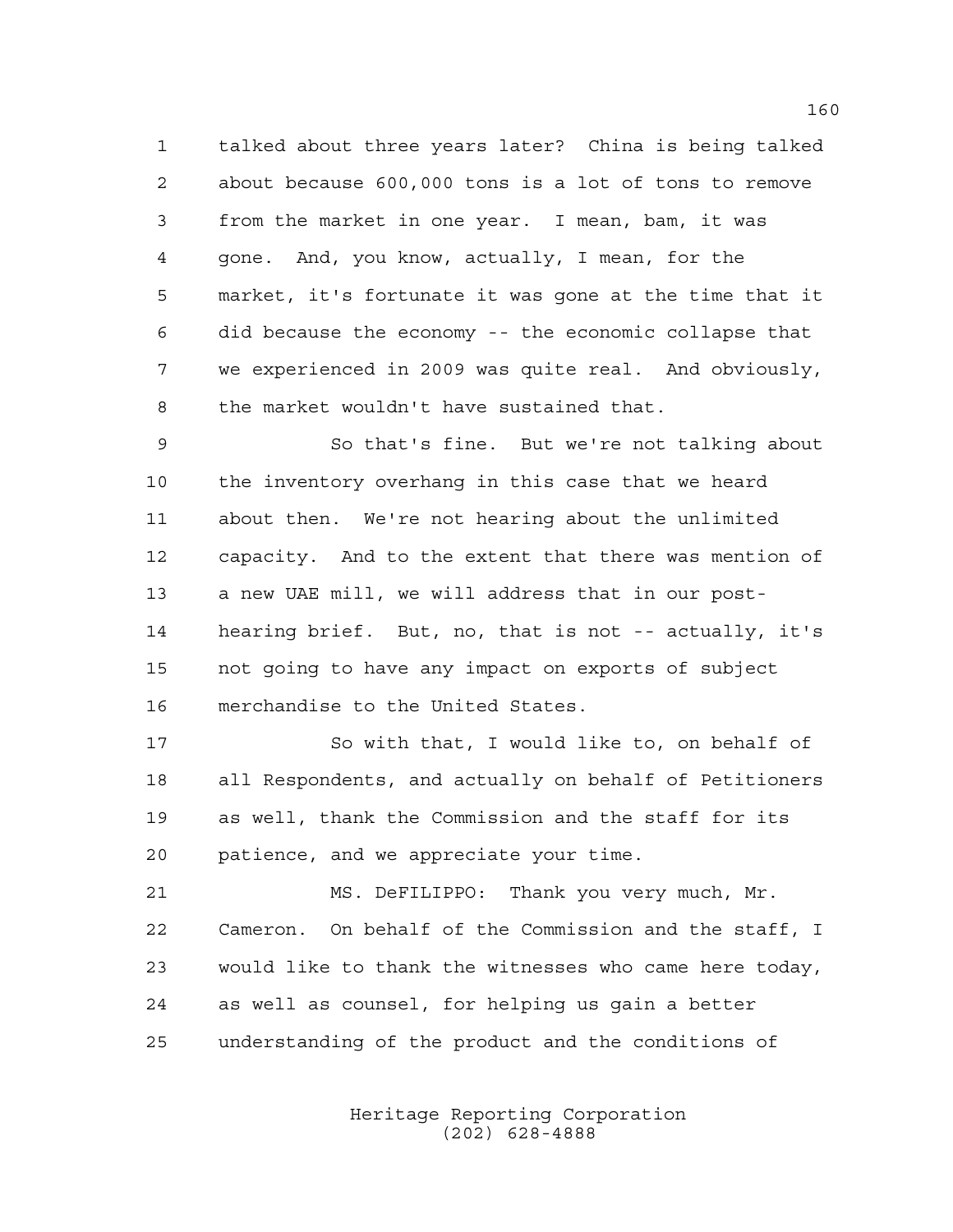talked about three years later? China is being talked about because 600,000 tons is a lot of tons to remove from the market in one year. I mean, bam, it was gone. And, you know, actually, I mean, for the market, it's fortunate it was gone at the time that it did because the economy -- the economic collapse that we experienced in 2009 was quite real. And obviously, the market wouldn't have sustained that.

 So that's fine. But we're not talking about the inventory overhang in this case that we heard about then. We're not hearing about the unlimited capacity. And to the extent that there was mention of a new UAE mill, we will address that in our post- hearing brief. But, no, that is not -- actually, it's not going to have any impact on exports of subject merchandise to the United States.

 So with that, I would like to, on behalf of all Respondents, and actually on behalf of Petitioners as well, thank the Commission and the staff for its patience, and we appreciate your time.

 MS. DeFILIPPO: Thank you very much, Mr. Cameron. On behalf of the Commission and the staff, I would like to thank the witnesses who came here today, as well as counsel, for helping us gain a better understanding of the product and the conditions of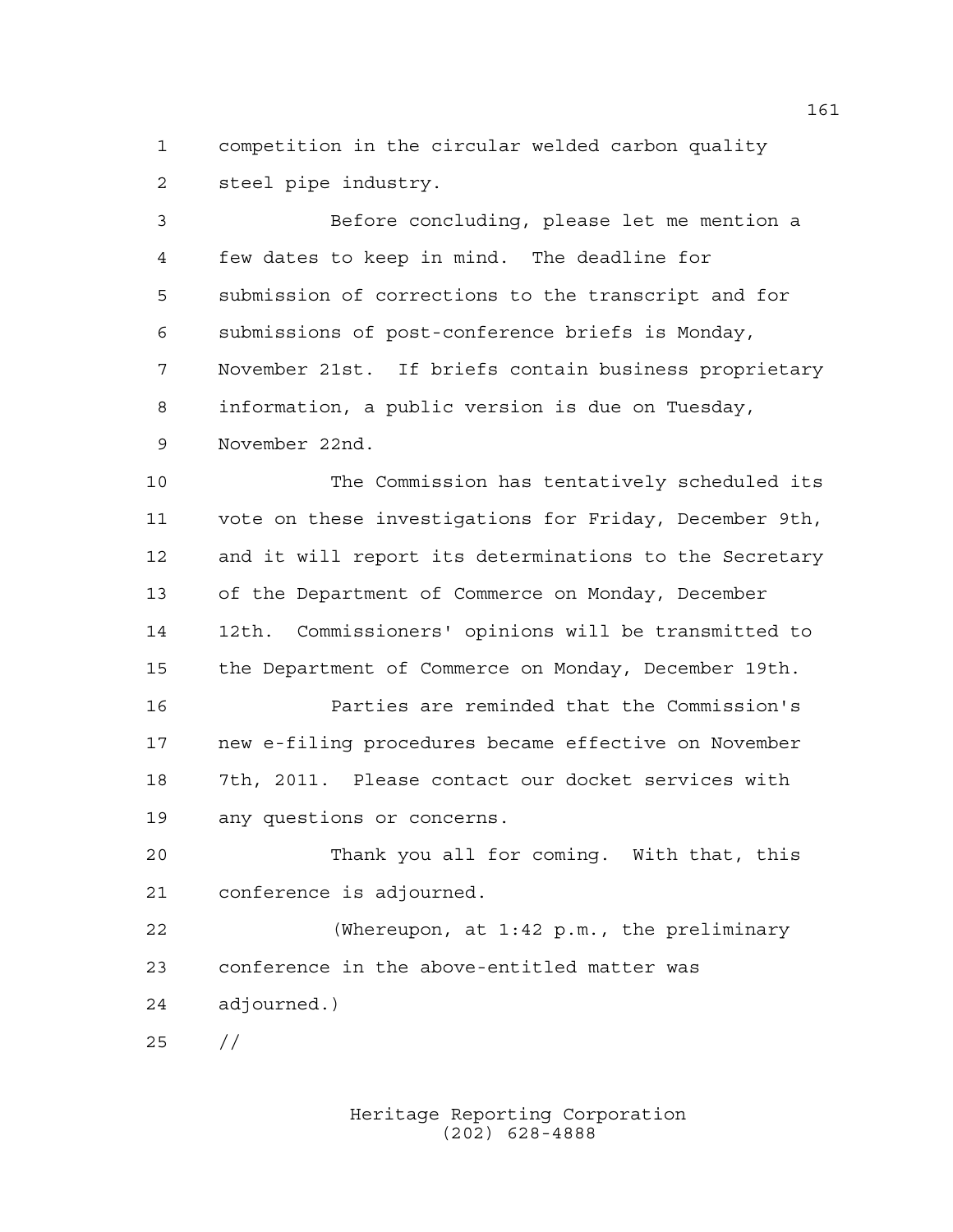competition in the circular welded carbon quality steel pipe industry.

 Before concluding, please let me mention a few dates to keep in mind. The deadline for submission of corrections to the transcript and for submissions of post-conference briefs is Monday, November 21st. If briefs contain business proprietary information, a public version is due on Tuesday, November 22nd.

 The Commission has tentatively scheduled its vote on these investigations for Friday, December 9th, and it will report its determinations to the Secretary of the Department of Commerce on Monday, December 12th. Commissioners' opinions will be transmitted to the Department of Commerce on Monday, December 19th.

 Parties are reminded that the Commission's new e-filing procedures became effective on November 7th, 2011. Please contact our docket services with any questions or concerns.

 Thank you all for coming. With that, this conference is adjourned.

 (Whereupon, at 1:42 p.m., the preliminary conference in the above-entitled matter was adjourned.)

//